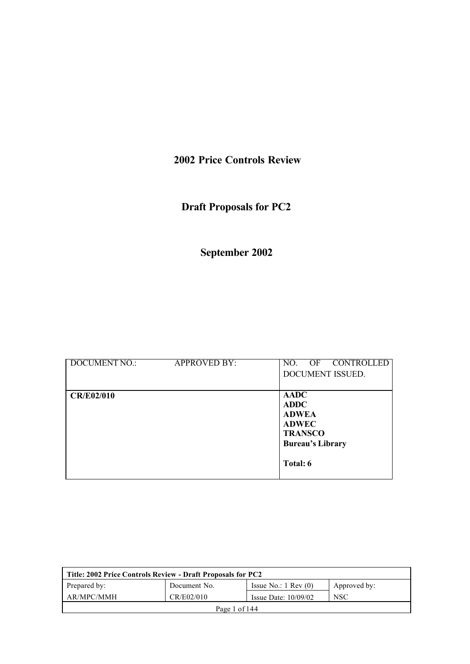# **2002 Price Controls Review**

# **Draft Proposals for PC2**

# **September 2002**

| <b>DOCUMENT NO.:</b> | <b>APPROVED BY:</b> | CONTROLLED<br>OF<br>NO.<br>DOCUMENT ISSUED.                                                                         |
|----------------------|---------------------|---------------------------------------------------------------------------------------------------------------------|
| <b>CR/E02/010</b>    |                     | <b>AADC</b><br><b>ADDC</b><br><b>ADWEA</b><br><b>ADWEC</b><br><b>TRANSCO</b><br><b>Bureau's Library</b><br>Total: 6 |

| Title: 2002 Price Controls Review - Draft Proposals for PC2                     |  |  |  |  |
|---------------------------------------------------------------------------------|--|--|--|--|
| Prepared by:<br>Issue No.: $1 \text{ Rev } (0)$<br>Document No.<br>Approved by: |  |  |  |  |
| AR/MPC/MMH<br>CR/E02/010<br><b>NSC</b><br>Issue Date: $10/09/02$                |  |  |  |  |
| Page 1 of 144                                                                   |  |  |  |  |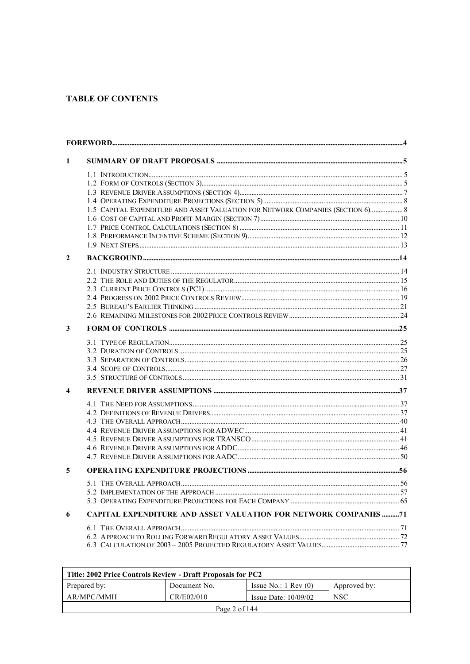## **TABLE OF CONTENTS**

| 1                       |                                                                                 |  |
|-------------------------|---------------------------------------------------------------------------------|--|
|                         |                                                                                 |  |
|                         |                                                                                 |  |
|                         |                                                                                 |  |
|                         |                                                                                 |  |
|                         | 1.5 CAPITAL EXPENDITURE AND ASSET VALUATION FOR NETWORK COMPANIES (SECTION 6) 8 |  |
|                         |                                                                                 |  |
|                         |                                                                                 |  |
|                         |                                                                                 |  |
| $\overline{2}$          |                                                                                 |  |
|                         |                                                                                 |  |
|                         |                                                                                 |  |
|                         |                                                                                 |  |
|                         |                                                                                 |  |
|                         |                                                                                 |  |
|                         |                                                                                 |  |
| 3                       |                                                                                 |  |
|                         |                                                                                 |  |
|                         |                                                                                 |  |
|                         |                                                                                 |  |
|                         |                                                                                 |  |
| $\overline{\mathbf{4}}$ |                                                                                 |  |
|                         |                                                                                 |  |
|                         |                                                                                 |  |
|                         |                                                                                 |  |
|                         |                                                                                 |  |
|                         |                                                                                 |  |
|                         |                                                                                 |  |
|                         |                                                                                 |  |
| 5                       |                                                                                 |  |
|                         |                                                                                 |  |
|                         |                                                                                 |  |
| 6                       | CAPITAL EXPENDITURE AND ASSET VALUATION FOR NETWORK COMPANIES 71                |  |
|                         |                                                                                 |  |
|                         |                                                                                 |  |
|                         |                                                                                 |  |
|                         |                                                                                 |  |

| Title: 2002 Price Controls Review - Draft Proposals for PC2                     |  |  |  |  |
|---------------------------------------------------------------------------------|--|--|--|--|
| Prepared by:<br>Issue No.: $1 \text{ Rev } (0)$<br>Approved by:<br>Document No. |  |  |  |  |
| AR/MPC/MMH<br>CR/E02/010<br><b>NSC</b><br>Issue Date: $10/09/02$                |  |  |  |  |
| Page 2 of 144                                                                   |  |  |  |  |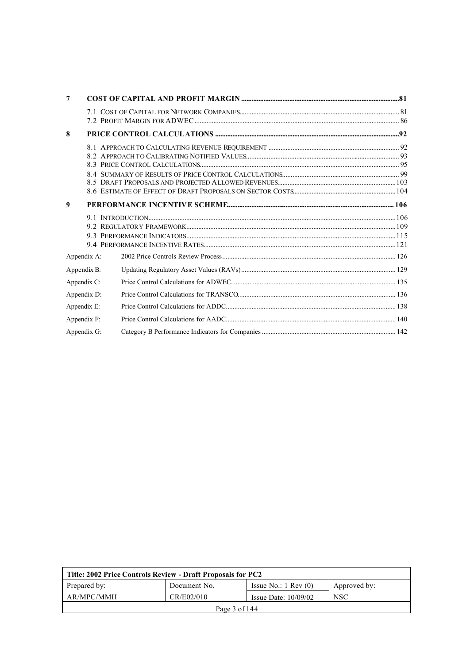| 7           |  |
|-------------|--|
|             |  |
|             |  |
| 8           |  |
|             |  |
|             |  |
|             |  |
|             |  |
|             |  |
|             |  |
| 9           |  |
|             |  |
|             |  |
|             |  |
|             |  |
| Appendix A: |  |
| Appendix B: |  |
| Appendix C: |  |
| Appendix D: |  |
| Appendix E: |  |
| Appendix F: |  |
| Appendix G: |  |

| Title: 2002 Price Controls Review - Draft Proposals for PC2                     |  |  |  |  |
|---------------------------------------------------------------------------------|--|--|--|--|
| Prepared by:<br>Issue No.: $1 \text{ Rev } (0)$<br>Document No.<br>Approved by: |  |  |  |  |
| AR/MPC/MMH<br>CR/E02/010<br>NSC<br>Issue Date: $10/09/02$                       |  |  |  |  |
| Page $3$ of $144$                                                               |  |  |  |  |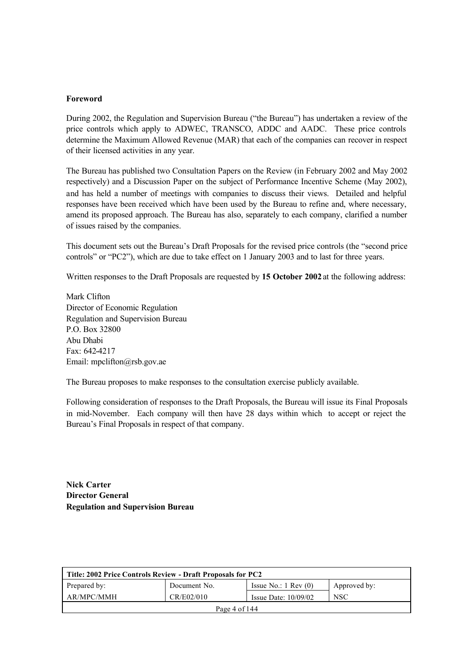#### **Foreword**

During 2002, the Regulation and Supervision Bureau ("the Bureau") has undertaken a review of the price controls which apply to ADWEC, TRANSCO, ADDC and AADC. These price controls determine the Maximum Allowed Revenue (MAR) that each of the companies can recover in respect of their licensed activities in any year.

The Bureau has published two Consultation Papers on the Review (in February 2002 and May 2002 respectively) and a Discussion Paper on the subject of Performance Incentive Scheme (May 2002), and has held a number of meetings with companies to discuss their views. Detailed and helpful responses have been received which have been used by the Bureau to refine and, where necessary, amend its proposed approach. The Bureau has also, separately to each company, clarified a number of issues raised by the companies.

This document sets out the Bureau's Draft Proposals for the revised price controls (the "second price controls" or "PC2"), which are due to take effect on 1 January 2003 and to last for three years.

Written responses to the Draft Proposals are requested by **15 October 2002** at the following address:

Mark Clifton Director of Economic Regulation Regulation and Supervision Bureau P.O. Box 32800 Abu Dhabi Fax: 642-4217 Email: mpclifton@rsb.gov.ae

The Bureau proposes to make responses to the consultation exercise publicly available.

Following consideration of responses to the Draft Proposals, the Bureau will issue its Final Proposals in mid-November. Each company will then have 28 days within which to accept or reject the Bureau's Final Proposals in respect of that company.

**Nick Carter Director General Regulation and Supervision Bureau**

| Title: 2002 Price Controls Review - Draft Proposals for PC2                     |  |  |  |  |
|---------------------------------------------------------------------------------|--|--|--|--|
| Prepared by:<br>Issue No.: $1 \text{ Rev } (0)$<br>Document No.<br>Approved by: |  |  |  |  |
| AR/MPC/MMH<br>CR/E02/010<br>NSC<br>Issue Date: $10/09/02$                       |  |  |  |  |
| Page 4 of $144$                                                                 |  |  |  |  |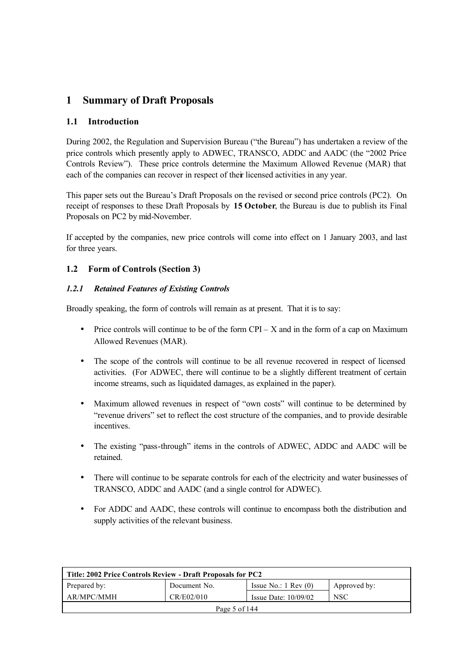## **1 Summary of Draft Proposals**

## **1.1 Introduction**

During 2002, the Regulation and Supervision Bureau ("the Bureau") has undertaken a review of the price controls which presently apply to ADWEC, TRANSCO, ADDC and AADC (the "2002 Price Controls Review"). These price controls determine the Maximum Allowed Revenue (MAR) that each of the companies can recover in respect of their licensed activities in any year.

This paper sets out the Bureau's Draft Proposals on the revised or second price controls (PC2). On receipt of responses to these Draft Proposals by **15 October**, the Bureau is due to publish its Final Proposals on PC2 by mid-November.

If accepted by the companies, new price controls will come into effect on 1 January 2003, and last for three years.

## **1.2 Form of Controls (Section 3)**

## *1.2.1 Retained Features of Existing Controls*

Broadly speaking, the form of controls will remain as at present. That it is to say:

- Price controls will continue to be of the form  $CPI X$  and in the form of a cap on Maximum Allowed Revenues (MAR).
- The scope of the controls will continue to be all revenue recovered in respect of licensed activities. (For ADWEC, there will continue to be a slightly different treatment of certain income streams, such as liquidated damages, as explained in the paper).
- Maximum allowed revenues in respect of "own costs" will continue to be determined by "revenue drivers" set to reflect the cost structure of the companies, and to provide desirable *incentives*
- The existing "pass-through" items in the controls of ADWEC, ADDC and AADC will be retained.
- There will continue to be separate controls for each of the electricity and water businesses of TRANSCO, ADDC and AADC (and a single control for ADWEC).
- For ADDC and AADC, these controls will continue to encompass both the distribution and supply activities of the relevant business.

| Title: 2002 Price Controls Review - Draft Proposals for PC2                     |  |  |  |  |
|---------------------------------------------------------------------------------|--|--|--|--|
| Prepared by:<br>Issue No.: $1 \text{ Rev } (0)$<br>Approved by:<br>Document No. |  |  |  |  |
| AR/MPC/MMH<br>CR/E02/010<br><b>NSC</b><br>Issue Date: $10/09/02$                |  |  |  |  |
| Page 5 of 144                                                                   |  |  |  |  |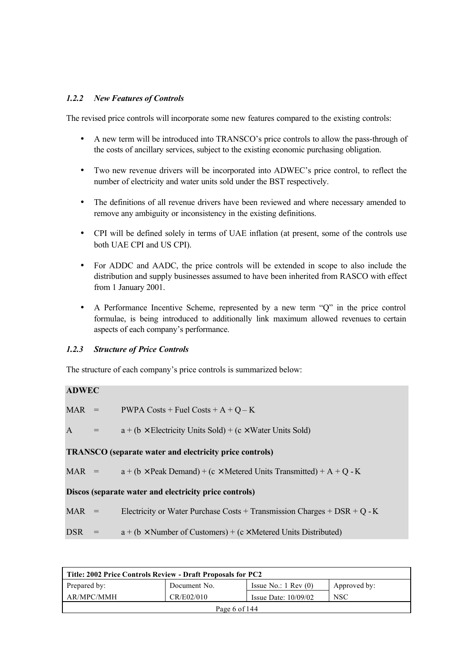## *1.2.2 New Features of Controls*

The revised price controls will incorporate some new features compared to the existing controls:

- A new term will be introduced into TRANSCO's price controls to allow the pass-through of the costs of ancillary services, subject to the existing economic purchasing obligation.
- Two new revenue drivers will be incorporated into ADWEC's price control, to reflect the number of electricity and water units sold under the BST respectively.
- The definitions of all revenue drivers have been reviewed and where necessary amended to remove any ambiguity or inconsistency in the existing definitions.
- CPI will be defined solely in terms of UAE inflation (at present, some of the controls use both UAE CPI and US CPI).
- For ADDC and AADC, the price controls will be extended in scope to also include the distribution and supply businesses assumed to have been inherited from RASCO with effect from 1 January 2001.
- A Performance Incentive Scheme, represented by a new term "Q" in the price control formulae, is being introduced to additionally link maximum allowed revenues to certain aspects of each company's performance.

## *1.2.3 Structure of Price Controls*

The structure of each company's price controls is summarized below:

## **ADWEC**

MAR = PWPA Costs + Fuel Costs + A + Q – K

A  $=$  a + (b  $\times$  Electricity Units Sold) + (c  $\times$  Water Units Sold)

#### **TRANSCO (separate water and electricity price controls)**

MAR =  $a + (b \times \text{Peak Domain}) + (c \times \text{Metered Units Transmitted}) + A + O - K$ 

#### **Discos (separate water and electricity price controls)**

MAR = Electricity or Water Purchase Costs + Transmission Charges + DSR + Q - K

DSR =  $a + (b \times$  Number of Customers) + (c × Metered Units Distributed)

| Title: 2002 Price Controls Review - Draft Proposals for PC2                     |  |  |  |  |
|---------------------------------------------------------------------------------|--|--|--|--|
| Issue No.: $1 \text{ Rev } (0)$<br>Prepared by:<br>Document No.<br>Approved by: |  |  |  |  |
| AR/MPC/MMH<br>CR/E02/010<br><b>NSC</b><br>Issue Date: $10/09/02$                |  |  |  |  |
| Page 6 of $144$                                                                 |  |  |  |  |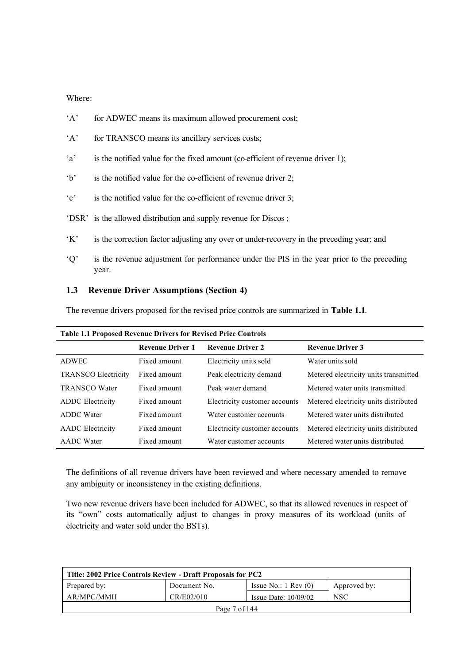Where:

- 'A' for ADWEC means its maximum allowed procurement cost;
- 'A' for TRANSCO means its ancillary services costs;
- 'a' is the notified value for the fixed amount (co-efficient of revenue driver 1);
- 'b' is the notified value for the co-efficient of revenue driver 2;
- 'c' is the notified value for the co-efficient of revenue driver 3;
- 'DSR' is the allowed distribution and supply revenue for Discos;
- 'K' is the correction factor adjusting any over or under-recovery in the preceding year; and
- 'Q' is the revenue adjustment for performance under the PIS in the year prior to the preceding year.

#### **1.3 Revenue Driver Assumptions (Section 4)**

The revenue drivers proposed for the revised price controls are summarized in **Table 1.1**.

|                            | <b>Revenue Driver 1</b> | <b>Revenue Driver 2</b>       | <b>Revenue Driver 3</b>               |
|----------------------------|-------------------------|-------------------------------|---------------------------------------|
| ADWEC                      | Fixed amount            | Electricity units sold        | Water units sold                      |
| <b>TRANSCO Electricity</b> | Fixed amount            | Peak electricity demand       | Metered electricity units transmitted |
| <b>TRANSCO Water</b>       | Fixed amount            | Peak water demand             | Metered water units transmitted       |
| <b>ADDC</b> Electricity    | Fixed amount            | Electricity customer accounts | Metered electricity units distributed |
| <b>ADDC</b> Water          | Fixed amount            | Water customer accounts       | Metered water units distributed       |
| <b>AADC</b> Electricity    | Fixed amount            | Electricity customer accounts | Metered electricity units distributed |
| <b>AADC</b> Water          | Fixed amount            | Water customer accounts       | Metered water units distributed       |

**Table 1.1 Proposed Revenue Drivers for Revised Price Controls**

The definitions of all revenue drivers have been reviewed and where necessary amended to remove any ambiguity or inconsistency in the existing definitions.

Two new revenue drivers have been included for ADWEC, so that its allowed revenues in respect of its "own" costs automatically adjust to changes in proxy measures of its workload (units of electricity and water sold under the BSTs).

| Title: 2002 Price Controls Review - Draft Proposals for PC2                     |  |  |  |  |
|---------------------------------------------------------------------------------|--|--|--|--|
| Prepared by:<br>Document No.<br>Issue No.: $1 \text{ Rev } (0)$<br>Approved by: |  |  |  |  |
| AR/MPC/MMH<br>CR/E02/010<br><b>NSC</b><br>Issue Date: $10/09/02$                |  |  |  |  |
| Page $7 \text{ of } 144$                                                        |  |  |  |  |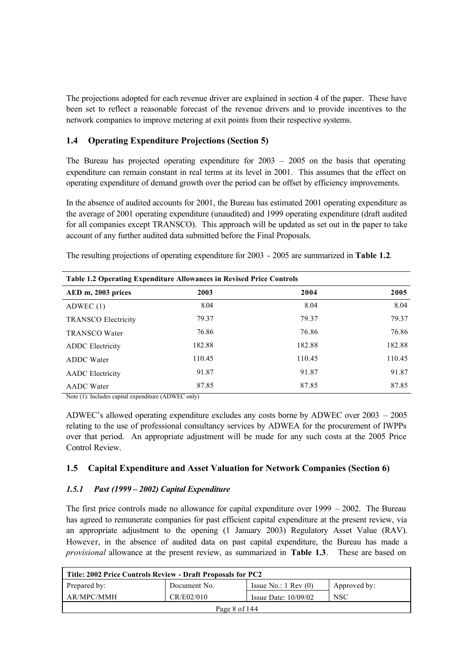The projections adopted for each revenue driver are explained in section 4 of the paper. These have been set to reflect a reasonable forecast of the revenue drivers and to provide incentives to the network companies to improve metering at exit points from their respective systems.

## **1.4 Operating Expenditure Projections (Section 5)**

The Bureau has projected operating expenditure for 2003 – 2005 on the basis that operating expenditure can remain constant in real terms at its level in 2001. This assumes that the effect on operating expenditure of demand growth over the period can be offset by efficiency improvements.

In the absence of audited accounts for 2001, the Bureau has estimated 2001 operating expenditure as the average of 2001 operating expenditure (unaudited) and 1999 operating expenditure (draft audited for all companies except TRANSCO). This approach will be updated as set out in the paper to take account of any further audited data submitted before the Final Proposals.

| Table 1.2 Operating Expenditure Allowances in Revised Price Controls |        |        |        |  |
|----------------------------------------------------------------------|--------|--------|--------|--|
| AED m, 2003 prices                                                   | 2003   | 2004   | 2005   |  |
| ADWEC $(1)$                                                          | 8.04   | 8.04   | 8.04   |  |
| <b>TRANSCO Electricity</b>                                           | 79.37  | 79.37  | 79.37  |  |
| <b>TRANSCO Water</b>                                                 | 76.86  | 76.86  | 76.86  |  |
| <b>ADDC</b> Electricity                                              | 182.88 | 182.88 | 182.88 |  |
| <b>ADDC</b> Water                                                    | 110.45 | 110.45 | 110.45 |  |
| <b>AADC</b> Electricity                                              | 91.87  | 91.87  | 91.87  |  |
| <b>AADC</b> Water                                                    | 87.85  | 87.85  | 87.85  |  |

The resulting projections of operating expenditure for 2003 - 2005 are summarized in **Table 1.2**.

Note (1): Includes capital expenditure (ADWEC only)

ADWEC's allowed operating expenditure excludes any costs borne by ADWEC over 2003 – 2005 relating to the use of professional consultancy services by ADWEA for the procurement of IWPPs over that period. An appropriate adjustment will be made for any such costs at the 2005 Price Control Review.

## **1.5 Capital Expenditure and Asset Valuation for Network Companies (Section 6)**

## *1.5.1 Past (1999 – 2002) Capital Expenditure*

The first price controls made no allowance for capital expenditure over  $1999 - 2002$ . The Bureau has agreed to remunerate companies for past efficient capital expenditure at the present review, via an appropriate adjustment to the opening (1 January 2003) Regulatory Asset Value (RAV). However, in the absence of audited data on past capital expenditure, the Bureau has made a *provisional* allowance at the present review, as summarized in **Table 1.3**. These are based on

| Title: 2002 Price Controls Review - Draft Proposals for PC2 |              |                                 |              |  |
|-------------------------------------------------------------|--------------|---------------------------------|--------------|--|
| Prepared by:                                                | Document No. | Issue No.: $1 \text{ Rev } (0)$ | Approved by: |  |
| AR/MPC/MMH                                                  | CR/E02/010   | Issue Date: $10/09/02$          | <b>NSC</b>   |  |
| Page 8 of $144$                                             |              |                                 |              |  |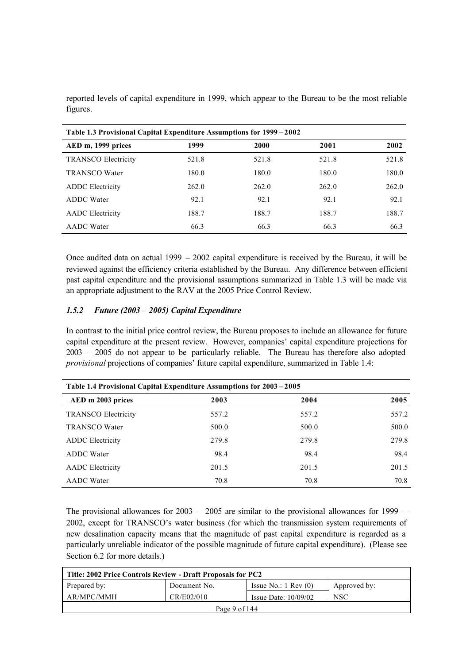| Table 1.3 Provisional Capital Expenditure Assumptions for 1999–2002 |       |       |       |       |  |  |
|---------------------------------------------------------------------|-------|-------|-------|-------|--|--|
| AED m, 1999 prices                                                  | 1999  | 2000  | 2001  | 2002  |  |  |
| <b>TRANSCO Electricity</b>                                          | 521.8 | 521.8 | 521.8 | 521.8 |  |  |
| <b>TRANSCO Water</b>                                                | 180.0 | 180.0 | 180.0 | 180.0 |  |  |
| <b>ADDC</b> Electricity                                             | 262.0 | 262.0 | 262.0 | 262.0 |  |  |
| <b>ADDC</b> Water                                                   | 92.1  | 92.1  | 92.1  | 92.1  |  |  |
| <b>AADC</b> Electricity                                             | 188.7 | 188.7 | 188.7 | 188.7 |  |  |
| <b>AADC</b> Water                                                   | 66.3  | 66.3  | 66.3  | 66.3  |  |  |

reported levels of capital expenditure in 1999, which appear to the Bureau to be the most reliable figures.

Once audited data on actual 1999 – 2002 capital expenditure is received by the Bureau, it will be reviewed against the efficiency criteria established by the Bureau. Any difference between efficient past capital expenditure and the provisional assumptions summarized in Table 1.3 will be made via an appropriate adjustment to the RAV at the 2005 Price Control Review.

#### *1.5.2 Future (2003 – 2005) Capital Expenditure*

In contrast to the initial price control review, the Bureau proposes to include an allowance for future capital expenditure at the present review. However, companies' capital expenditure projections for 2003 – 2005 do not appear to be particularly reliable. The Bureau has therefore also adopted *provisional* projections of companies' future capital expenditure, summarized in Table 1.4:

| Table 1.4 Provisional Capital Expenditure Assumptions for 2003 – 2005 |       |       |       |  |  |
|-----------------------------------------------------------------------|-------|-------|-------|--|--|
| AED m 2003 prices                                                     | 2003  | 2004  | 2005  |  |  |
| <b>TRANSCO Electricity</b>                                            | 557.2 | 557.2 | 557.2 |  |  |
| <b>TRANSCO Water</b>                                                  | 500.0 | 500.0 | 500.0 |  |  |
| <b>ADDC</b> Electricity                                               | 279.8 | 279.8 | 279.8 |  |  |
| <b>ADDC</b> Water                                                     | 98.4  | 98.4  | 98.4  |  |  |
| <b>AADC</b> Electricity                                               | 201.5 | 201.5 | 201.5 |  |  |
| <b>AADC</b> Water                                                     | 70.8  | 70.8  | 70.8  |  |  |

The provisional allowances for 2003 – 2005 are similar to the provisional allowances for 1999 – 2002, except for TRANSCO's water business (for which the transmission system requirements of new desalination capacity means that the magnitude of past capital expenditure is regarded as a particularly unreliable indicator of the possible magnitude of future capital expenditure). (Please see Section 6.2 for more details.)

| Title: 2002 Price Controls Review - Draft Proposals for PC2                     |  |  |  |  |  |
|---------------------------------------------------------------------------------|--|--|--|--|--|
| Issue No.: $1 \text{ Rev } (0)$<br>Prepared by:<br>Document No.<br>Approved by: |  |  |  |  |  |
| AR/MPC/MMH<br><b>NSC</b><br>CR/E02/010<br>Issue Date: $10/09/02$                |  |  |  |  |  |
| Page 9 of $144$                                                                 |  |  |  |  |  |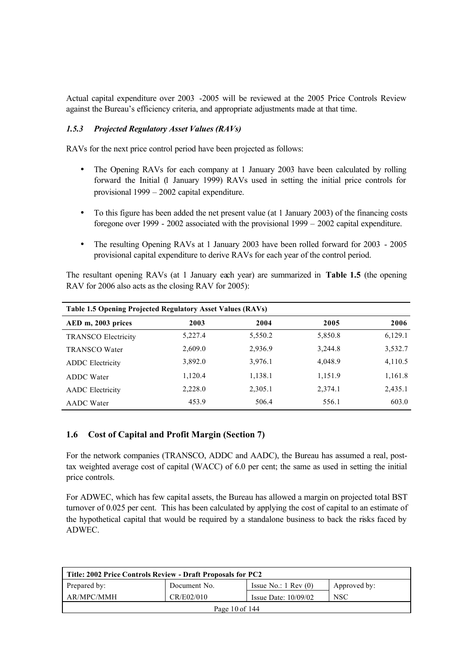Actual capital expenditure over 2003 -2005 will be reviewed at the 2005 Price Controls Review against the Bureau's efficiency criteria, and appropriate adjustments made at that time.

#### *1.5.3 Projected Regulatory Asset Values (RAVs)*

RAVs for the next price control period have been projected as follows:

- The Opening RAVs for each company at 1 January 2003 have been calculated by rolling forward the Initial (1 January 1999) RAVs used in setting the initial price controls for provisional 1999 – 2002 capital expenditure.
- To this figure has been added the net present value (at 1 January 2003) of the financing costs foregone over 1999 - 2002 associated with the provisional 1999 – 2002 capital expenditure.
- The resulting Opening RAVs at 1 January 2003 have been rolled forward for 2003 2005 provisional capital expenditure to derive RAVs for each year of the control period.

The resultant opening RAVs (at 1 January each year) are summarized in **Table 1.5** (the opening RAV for 2006 also acts as the closing RAV for 2005):

| <b>Table 1.5 Opening Projected Regulatory Asset Values (RAVs)</b> |         |         |         |         |  |  |
|-------------------------------------------------------------------|---------|---------|---------|---------|--|--|
| AED m, 2003 prices                                                | 2003    | 2004    | 2005    | 2006    |  |  |
| <b>TRANSCO Electricity</b>                                        | 5,227.4 | 5,550.2 | 5,850.8 | 6,129.1 |  |  |
| <b>TRANSCO Water</b>                                              | 2,609.0 | 2,936.9 | 3,244.8 | 3,532.7 |  |  |
| <b>ADDC</b> Electricity                                           | 3,892.0 | 3,976.1 | 4,048.9 | 4,110.5 |  |  |
| <b>ADDC</b> Water                                                 | 1,120.4 | 1,138.1 | 1,151.9 | 1,161.8 |  |  |
| <b>AADC</b> Electricity                                           | 2,228.0 | 2,305.1 | 2,374.1 | 2,435.1 |  |  |
| <b>AADC</b> Water                                                 | 453.9   | 506.4   | 556.1   | 603.0   |  |  |

## **1.6 Cost of Capital and Profit Margin (Section 7)**

For the network companies (TRANSCO, ADDC and AADC), the Bureau has assumed a real, posttax weighted average cost of capital (WACC) of 6.0 per cent; the same as used in setting the initial price controls.

For ADWEC, which has few capital assets, the Bureau has allowed a margin on projected total BST turnover of 0.025 per cent. This has been calculated by applying the cost of capital to an estimate of the hypothetical capital that would be required by a standalone business to back the risks faced by ADWEC.

| Title: 2002 Price Controls Review - Draft Proposals for PC2      |                    |                                 |              |  |
|------------------------------------------------------------------|--------------------|---------------------------------|--------------|--|
| Prepared by:                                                     | Document No.       | Issue No.: $1 \text{ Rev } (0)$ | Approved by: |  |
| AR/MPC/MMH<br>CR/E02/010<br><b>NSC</b><br>Issue Date: $10/09/02$ |                    |                                 |              |  |
|                                                                  | Page $10$ of $144$ |                                 |              |  |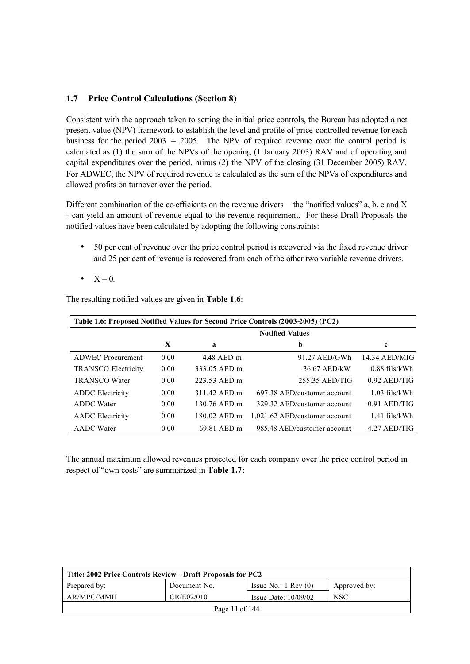## **1.7 Price Control Calculations (Section 8)**

Consistent with the approach taken to setting the initial price controls, the Bureau has adopted a net present value (NPV) framework to establish the level and profile of price-controlled revenue for each business for the period 2003 – 2005. The NPV of required revenue over the control period is calculated as (1) the sum of the NPVs of the opening (1 January 2003) RAV and of operating and capital expenditures over the period, minus (2) the NPV of the closing (31 December 2005) RAV. For ADWEC, the NPV of required revenue is calculated as the sum of the NPVs of expenditures and allowed profits on turnover over the period.

Different combination of the co-efficients on the revenue drivers – the "notified values" a, b, c and X - can yield an amount of revenue equal to the revenue requirement. For these Draft Proposals the notified values have been calculated by adopting the following constraints:

- 50 per cent of revenue over the price control period is recovered via the fixed revenue driver and 25 per cent of revenue is recovered from each of the other two variable revenue drivers.
- $\bullet$   $X = 0$ .

The resulting notified values are given in **Table 1.6**:

| Table 1.6: Proposed Notified Values for Second Price Controls (2003-2005) (PC2) |      |              |                               |                 |
|---------------------------------------------------------------------------------|------|--------------|-------------------------------|-----------------|
|                                                                                 |      |              | <b>Notified Values</b>        |                 |
|                                                                                 | X    | a            | b                             | c               |
| <b>ADWEC</b> Procurement                                                        | 0.00 | 4.48 AED m   | $91.27$ AED/GWh               | 14.34 AED/MIG   |
| <b>TRANSCO Electricity</b>                                                      | 0.00 | 333.05 AED m | 36.67 AED/kW                  | $0.88$ fils/kWh |
| <b>TRANSCO Water</b>                                                            | 0.00 | 223.53 AED m | 255.35 AED/TIG                | $0.92$ AED/TIG  |
| <b>ADDC</b> Electricity                                                         | 0.00 | 311 42 AED m | 697.38 AED/customer account   | $1.03$ fils/kWh |
| ADDC Water                                                                      | 0.00 | 130.76 AED m | 329.32 AED/customer account   | $0.91$ AED/TIG  |
| <b>AADC</b> Electricity                                                         | 0.00 | 180.02 AED m | 1,021.62 AED/customer account | $1.41$ fils/kWh |
| <b>AADC</b> Water                                                               | 0.00 | 69.81 AED m  | 985.48 AED/customer account   | $4.27$ AED/TIG  |

The annual maximum allowed revenues projected for each company over the price control period in respect of "own costs" are summarized in **Table 1.7**:

| Title: 2002 Price Controls Review - Draft Proposals for PC2                     |  |  |  |  |
|---------------------------------------------------------------------------------|--|--|--|--|
| Prepared by:<br>Issue No.: $1 \text{ Rev } (0)$<br>Document No.<br>Approved by: |  |  |  |  |
| CR/E02/010<br>AR/MPC/MMH<br><b>NSC</b><br>Issue Date: $10/09/02$                |  |  |  |  |
| Page 11 of 144                                                                  |  |  |  |  |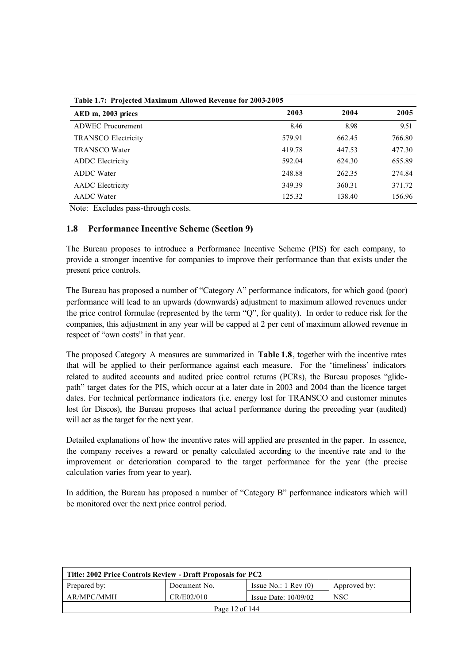| Table 1.7: Projected Maximum Allowed Revenue for 2003-2005 |        |        |        |  |  |
|------------------------------------------------------------|--------|--------|--------|--|--|
| AED m, 2003 prices                                         | 2003   | 2004   | 2005   |  |  |
| <b>ADWEC</b> Procurement                                   | 8.46   | 8.98   | 9.51   |  |  |
| <b>TRANSCO Electricity</b>                                 | 579.91 | 662.45 | 766.80 |  |  |
| <b>TRANSCO Water</b>                                       | 419.78 | 447.53 | 477.30 |  |  |
| <b>ADDC</b> Electricity                                    | 592.04 | 624.30 | 655.89 |  |  |
| <b>ADDC</b> Water                                          | 248.88 | 262.35 | 274.84 |  |  |
| <b>AADC</b> Electricity                                    | 349.39 | 360.31 | 371.72 |  |  |
| <b>AADC</b> Water                                          | 125.32 | 138.40 | 156.96 |  |  |

Note: Excludes pass-through costs.

## **1.8 Performance Incentive Scheme (Section 9)**

The Bureau proposes to introduce a Performance Incentive Scheme (PIS) for each company, to provide a stronger incentive for companies to improve their performance than that exists under the present price controls.

The Bureau has proposed a number of "Category A" performance indicators, for which good (poor) performance will lead to an upwards (downwards) adjustment to maximum allowed revenues under the price control formulae (represented by the term "Q", for quality). In order to reduce risk for the companies, this adjustment in any year will be capped at 2 per cent of maximum allowed revenue in respect of "own costs" in that year.

The proposed Category A measures are summarized in **Table 1.8**, together with the incentive rates that will be applied to their performance against each measure. For the 'timeliness' indicators related to audited accounts and audited price control returns (PCRs), the Bureau proposes "glidepath" target dates for the PIS, which occur at a later date in 2003 and 2004 than the licence target dates. For technical performance indicators (i.e. energy lost for TRANSCO and customer minutes lost for Discos), the Bureau proposes that actual performance during the preceding year (audited) will act as the target for the next year.

Detailed explanations of how the incentive rates will applied are presented in the paper. In essence, the company receives a reward or penalty calculated according to the incentive rate and to the improvement or deterioration compared to the target performance for the year (the precise calculation varies from year to year).

In addition, the Bureau has proposed a number of "Category B" performance indicators which will be monitored over the next price control period.

| Title: 2002 Price Controls Review - Draft Proposals for PC2      |                |                                 |              |  |
|------------------------------------------------------------------|----------------|---------------------------------|--------------|--|
| Prepared by:                                                     | Document No.   | Issue No.: $1 \text{ Rev } (0)$ | Approved by: |  |
| CR/E02/010<br>AR/MPC/MMH<br><b>NSC</b><br>Issue Date: $10/09/02$ |                |                                 |              |  |
|                                                                  | Page 12 of 144 |                                 |              |  |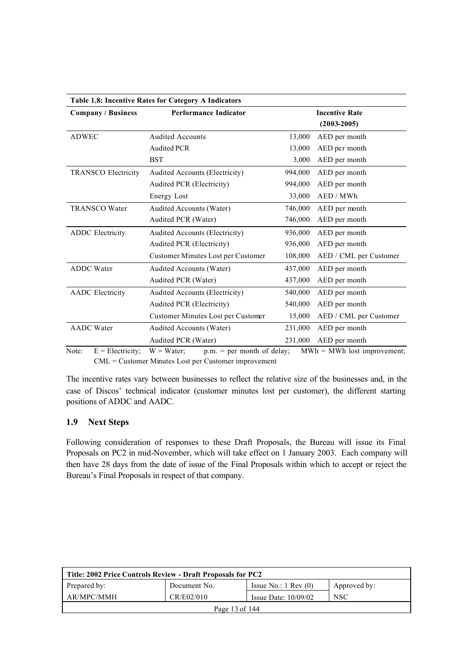| Table 1.8: Incentive Rates for Category A Indicators |                                       |                                                                       |                                          |  |
|------------------------------------------------------|---------------------------------------|-----------------------------------------------------------------------|------------------------------------------|--|
| <b>Company / Business</b>                            | <b>Performance Indicator</b>          |                                                                       | <b>Incentive Rate</b><br>$(2003 - 2005)$ |  |
| <b>ADWEC</b>                                         | <b>Audited Accounts</b>               | 13,000                                                                | AED per month                            |  |
|                                                      | <b>Audited PCR</b>                    | 13,000                                                                | AED per month                            |  |
|                                                      | <b>BST</b>                            | 3,000                                                                 | AED per month                            |  |
| <b>TRANSCO Electricity</b>                           | <b>Audited Accounts (Electricity)</b> | 994,000                                                               | AED per month                            |  |
|                                                      | Audited PCR (Electricity)             | 994,000                                                               | AED per month                            |  |
|                                                      | Energy Lost                           | 33,000                                                                | AED / MWh                                |  |
| <b>TRANSCO Water</b>                                 | <b>Audited Accounts (Water)</b>       | 746,000                                                               | AED per month                            |  |
|                                                      | Audited PCR (Water)                   | 746,000                                                               | AED per month                            |  |
| <b>ADDC</b> Electricity                              | Audited Accounts (Electricity)        | 936,000                                                               | AED per month                            |  |
|                                                      | Audited PCR (Electricity)             | 936,000                                                               | AED per month                            |  |
|                                                      | Customer Minutes Lost per Customer    | 108,000                                                               | AED / CML per Customer                   |  |
| <b>ADDC</b> Water                                    | Audited Accounts (Water)              | 437,000                                                               | AED per month                            |  |
|                                                      | Audited PCR (Water)                   | 437,000                                                               | AED per month                            |  |
| <b>AADC</b> Electricity                              | Audited Accounts (Electricity)        | 540,000                                                               | AED per month                            |  |
|                                                      | Audited PCR (Electricity)             | 540,000                                                               | AED per month                            |  |
|                                                      | Customer Minutes Lost per Customer    | 15,000                                                                | AED / CML per Customer                   |  |
| <b>AADC</b> Water                                    | Audited Accounts (Water)              | 231,000                                                               | AED per month                            |  |
|                                                      | Audited PCR (Water)                   | 231,000                                                               | AED per month                            |  |
| $E = E1$                                             |                                       | $\mathcal{L}$ $\mathcal{L}$ $\mathcal{L}$ $\mathcal{L}$ $\mathcal{L}$ | $MIII = MIII. 1 - 1$                     |  |

Note:  $E = \text{Electricity};$   $W = \text{Water};$   $p.m. = \text{per month of delay};$   $MWh = MWh$  lost improvement; CML = Customer Minutes Lost per Customer improvement

The incentive rates vary between businesses to reflect the relative size of the businesses and, in the case of Discos' technical indicator (customer minutes lost per customer), the different starting positions of ADDC and AADC.

## **1.9 Next Steps**

Following consideration of responses to these Draft Proposals, the Bureau will issue its Final Proposals on PC2 in mid-November, which will take effect on 1 January 2003. Each company will then have 28 days from the date of issue of the Final Proposals within which to accept or reject the Bureau's Final Proposals in respect of that company.

| Title: 2002 Price Controls Review - Draft Proposals for PC2      |                |                                 |              |  |
|------------------------------------------------------------------|----------------|---------------------------------|--------------|--|
| Prepared by:                                                     | Document No.   | Issue No.: $1 \text{ Rev } (0)$ | Approved by: |  |
| CR/E02/010<br>AR/MPC/MMH<br><b>NSC</b><br>Issue Date: $10/09/02$ |                |                                 |              |  |
|                                                                  | Page 13 of 144 |                                 |              |  |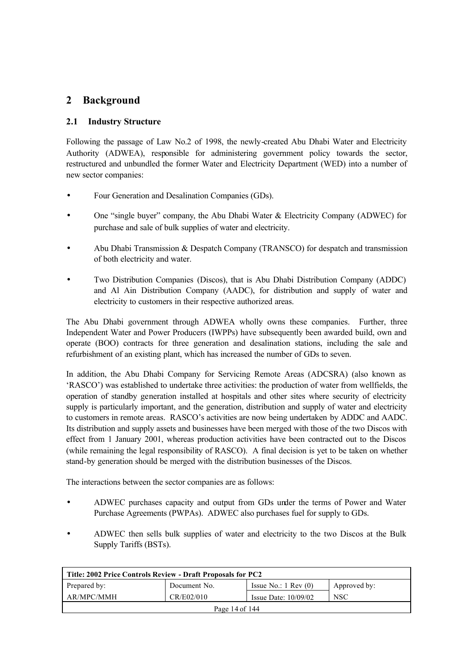# **2 Background**

## **2.1 Industry Structure**

Following the passage of Law No.2 of 1998, the newly-created Abu Dhabi Water and Electricity Authority (ADWEA), responsible for administering government policy towards the sector, restructured and unbundled the former Water and Electricity Department (WED) into a number of new sector companies:

- Four Generation and Desalination Companies (GDs).
- One "single buyer" company, the Abu Dhabi Water & Electricity Company (ADWEC) for purchase and sale of bulk supplies of water and electricity.
- Abu Dhabi Transmission & Despatch Company (TRANSCO) for despatch and transmission of both electricity and water.
- Two Distribution Companies (Discos), that is Abu Dhabi Distribution Company (ADDC) and Al Ain Distribution Company (AADC), for distribution and supply of water and electricity to customers in their respective authorized areas.

The Abu Dhabi government through ADWEA wholly owns these companies. Further, three Independent Water and Power Producers (IWPPs) have subsequently been awarded build, own and operate (BOO) contracts for three generation and desalination stations, including the sale and refurbishment of an existing plant, which has increased the number of GDs to seven.

In addition, the Abu Dhabi Company for Servicing Remote Areas (ADCSRA) (also known as 'RASCO') was established to undertake three activities: the production of water from wellfields, the operation of standby generation installed at hospitals and other sites where security of electricity supply is particularly important, and the generation, distribution and supply of water and electricity to customers in remote areas. RASCO's activities are now being undertaken by ADDC and AADC. Its distribution and supply assets and businesses have been merged with those of the two Discos with effect from 1 January 2001, whereas production activities have been contracted out to the Discos (while remaining the legal responsibility of RASCO). A final decision is yet to be taken on whether stand-by generation should be merged with the distribution businesses of the Discos.

The interactions between the sector companies are as follows:

- ADWEC purchases capacity and output from GDs under the terms of Power and Water Purchase Agreements (PWPAs). ADWEC also purchases fuel for supply to GDs.
- ADWEC then sells bulk supplies of water and electricity to the two Discos at the Bulk Supply Tariffs (BSTs).

| Title: 2002 Price Controls Review - Draft Proposals for PC2                     |  |  |  |  |  |
|---------------------------------------------------------------------------------|--|--|--|--|--|
| Prepared by:<br>Issue No.: $1 \text{ Rev } (0)$<br>Document No.<br>Approved by: |  |  |  |  |  |
| CR/E02/010<br>AR/MPC/MMH<br><b>NSC</b><br>Issue Date: $10/09/02$                |  |  |  |  |  |
| Page 14 of 144                                                                  |  |  |  |  |  |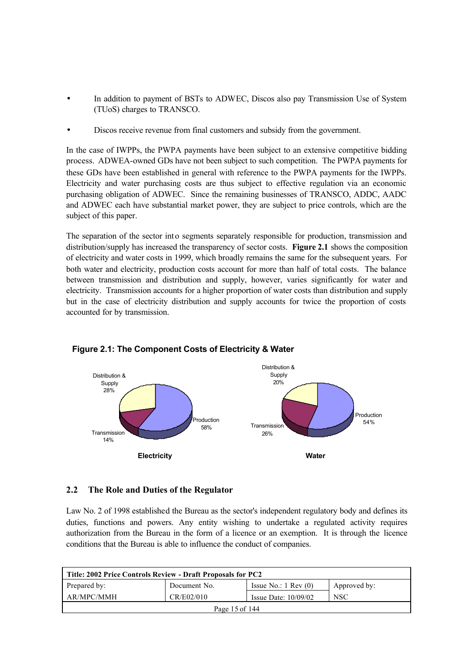- In addition to payment of BSTs to ADWEC, Discos also pay Transmission Use of System (TUoS) charges to TRANSCO.
- Discos receive revenue from final customers and subsidy from the government.

In the case of IWPPs, the PWPA payments have been subject to an extensive competitive bidding process. ADWEA-owned GDs have not been subject to such competition. The PWPA payments for these GDs have been established in general with reference to the PWPA payments for the IWPPs. Electricity and water purchasing costs are thus subject to effective regulation via an economic purchasing obligation of ADWEC. Since the remaining businesses of TRANSCO, ADDC, AADC and ADWEC each have substantial market power, they are subject to price controls, which are the subject of this paper.

The separation of the sector into segments separately responsible for production, transmission and distribution/supply has increased the transparency of sector costs. **Figure 2.1** shows the composition of electricity and water costs in 1999, which broadly remains the same for the subsequent years. For both water and electricity, production costs account for more than half of total costs. The balance between transmission and distribution and supply, however, varies significantly for water and electricity. Transmission accounts for a higher proportion of water costs than distribution and supply but in the case of electricity distribution and supply accounts for twice the proportion of costs accounted for by transmission.



## **Figure 2.1: The Component Costs of Electricity & Water**

#### **2.2 The Role and Duties of the Regulator**

Law No. 2 of 1998 established the Bureau as the sector's independent regulatory body and defines its duties, functions and powers. Any entity wishing to undertake a regulated activity requires authorization from the Bureau in the form of a licence or an exemption. It is through the licence conditions that the Bureau is able to influence the conduct of companies.

| Title: 2002 Price Controls Review - Draft Proposals for PC2                     |                                                    |  |  |  |  |
|---------------------------------------------------------------------------------|----------------------------------------------------|--|--|--|--|
| Prepared by:<br>Issue No.: $1 \text{ Rev } (0)$<br>Document No.<br>Approved by: |                                                    |  |  |  |  |
| AR/MPC/MMH                                                                      | CR/E02/010<br><b>NSC</b><br>Issue Date: $10/09/02$ |  |  |  |  |
| Page 15 of 144                                                                  |                                                    |  |  |  |  |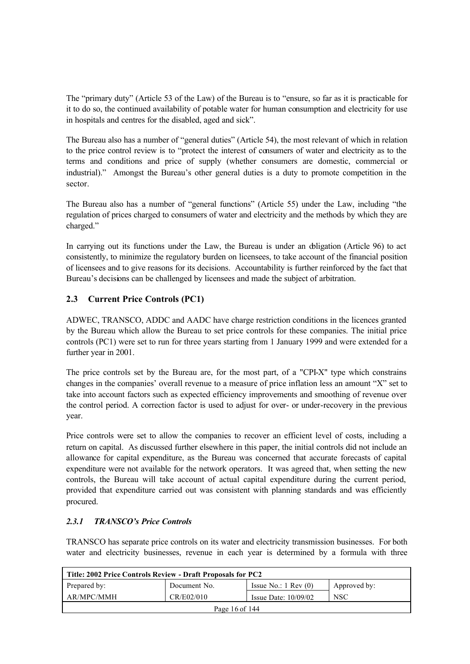The "primary duty" (Article 53 of the Law) of the Bureau is to "ensure, so far as it is practicable for it to do so, the continued availability of potable water for human consumption and electricity for use in hospitals and centres for the disabled, aged and sick".

The Bureau also has a number of "general duties" (Article 54), the most relevant of which in relation to the price control review is to "protect the interest of consumers of water and electricity as to the terms and conditions and price of supply (whether consumers are domestic, commercial or industrial)." Amongst the Bureau's other general duties is a duty to promote competition in the sector.

The Bureau also has a number of "general functions" (Article 55) under the Law, including "the regulation of prices charged to consumers of water and electricity and the methods by which they are charged."

In carrying out its functions under the Law, the Bureau is under an obligation (Article 96) to act consistently, to minimize the regulatory burden on licensees, to take account of the financial position of licensees and to give reasons for its decisions. Accountability is further reinforced by the fact that Bureau's decisions can be challenged by licensees and made the subject of arbitration.

## **2.3 Current Price Controls (PC1)**

ADWEC, TRANSCO, ADDC and AADC have charge restriction conditions in the licences granted by the Bureau which allow the Bureau to set price controls for these companies. The initial price controls (PC1) were set to run for three years starting from 1 January 1999 and were extended for a further year in 2001.

The price controls set by the Bureau are, for the most part, of a "CPI-X" type which constrains changes in the companies' overall revenue to a measure of price inflation less an amount "X" set to take into account factors such as expected efficiency improvements and smoothing of revenue over the control period. A correction factor is used to adjust for over- or under-recovery in the previous year.

Price controls were set to allow the companies to recover an efficient level of costs, including a return on capital. As discussed further elsewhere in this paper, the initial controls did not include an allowance for capital expenditure, as the Bureau was concerned that accurate forecasts of capital expenditure were not available for the network operators. It was agreed that, when setting the new controls, the Bureau will take account of actual capital expenditure during the current period, provided that expenditure carried out was consistent with planning standards and was efficiently procured.

## *2.3.1 TRANSCO's Price Controls*

TRANSCO has separate price controls on its water and electricity transmission businesses. For both water and electricity businesses, revenue in each year is determined by a formula with three

| Title: 2002 Price Controls Review - Draft Proposals for PC2                     |  |  |  |  |
|---------------------------------------------------------------------------------|--|--|--|--|
| Prepared by:<br>Issue No.: $1 \text{ Rev } (0)$<br>Document No.<br>Approved by: |  |  |  |  |
| AR/MPC/MMH<br>CR/E02/010<br><b>NSC</b><br>Issue Date: $10/09/02$                |  |  |  |  |
| Page 16 of 144                                                                  |  |  |  |  |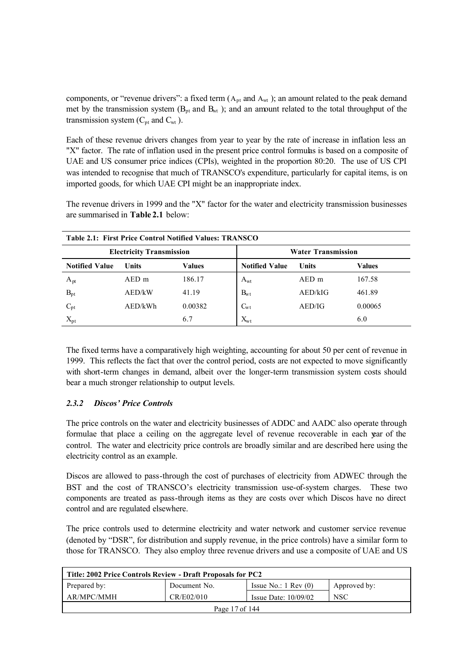components, or "revenue drivers": a fixed term  $(A_{pt}$  and  $A_{wt}$ ); an amount related to the peak demand met by the transmission system ( $B_{pt}$  and  $B_{wt}$ ); and an amount related to the total throughput of the transmission system  $(C_{pt}$  and  $C_{wt}$  ).

Each of these revenue drivers changes from year to year by the rate of increase in inflation less an "X" factor. The rate of inflation used in the present price control formulas is based on a composite of UAE and US consumer price indices (CPIs), weighted in the proportion 80:20. The use of US CPI was intended to recognise that much of TRANSCO's expenditure, particularly for capital items, is on imported goods, for which UAE CPI might be an inappropriate index.

The revenue drivers in 1999 and the "X" factor for the water and electricity transmission businesses are summarised in **Table 2.1** below:

| Table 2.1: First Price Control Notified Values: TRANSCO |                                 |               |                           |              |               |
|---------------------------------------------------------|---------------------------------|---------------|---------------------------|--------------|---------------|
|                                                         | <b>Electricity Transmission</b> |               | <b>Water Transmission</b> |              |               |
| <b>Notified Value</b>                                   | <b>Units</b>                    | <b>Values</b> | <b>Notified Value</b>     | <b>Units</b> | <b>Values</b> |
| $A_{pt}$                                                | $AED$ m                         | 186.17        | $A_{wt}$                  | AED m        | 167.58        |
| $B_{pt}$                                                | AED/kW                          | 41.19         | $B_{wt}$                  | AED/kIG      | 461.89        |
| $C_{pt}$                                                | AED/kWh                         | 0.00382       | $C_{wt}$                  | AED/IG       | 0.00065       |
| $X_{pt}$                                                |                                 | 6.7           | $X_{wt}$                  |              | 6.0           |

The fixed terms have a comparatively high weighting, accounting for about 50 per cent of revenue in 1999. This reflects the fact that over the control period, costs are not expected to move significantly with short-term changes in demand, albeit over the longer-term transmission system costs should bear a much stronger relationship to output levels.

## *2.3.2 Discos' Price Controls*

The price controls on the water and electricity businesses of ADDC and AADC also operate through formulae that place a ceiling on the aggregate level of revenue recoverable in each year of the control. The water and electricity price controls are broadly similar and are described here using the electricity control as an example.

Discos are allowed to pass-through the cost of purchases of electricity from ADWEC through the BST and the cost of TRANSCO's electricity transmission use-of-system charges. These two components are treated as pass-through items as they are costs over which Discos have no direct control and are regulated elsewhere.

The price controls used to determine electricity and water network and customer service revenue (denoted by "DSR", for distribution and supply revenue, in the price controls) have a similar form to those for TRANSCO. They also employ three revenue drivers and use a composite of UAE and US

| Title: 2002 Price Controls Review - Draft Proposals for PC2                     |  |  |  |  |
|---------------------------------------------------------------------------------|--|--|--|--|
| Prepared by:<br>Issue No.: $1 \text{ Rev } (0)$<br>Approved by:<br>Document No. |  |  |  |  |
| AR/MPC/MMH<br>CR/E02/010<br><b>NSC</b><br>Issue Date: $10/09/02$                |  |  |  |  |
| Page 17 of 144                                                                  |  |  |  |  |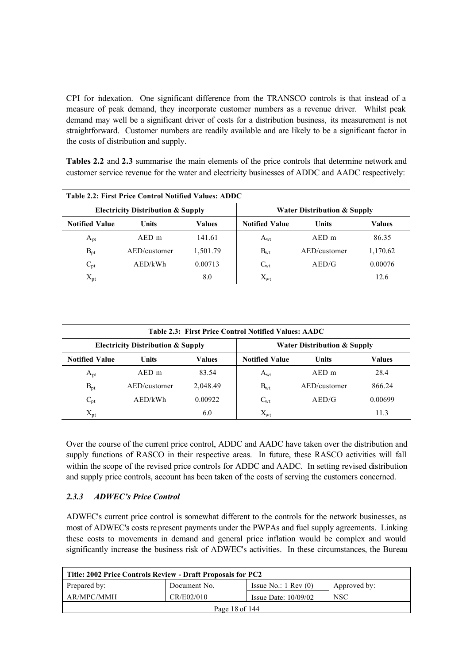CPI for indexation. One significant difference from the TRANSCO controls is that instead of a measure of peak demand, they incorporate customer numbers as a revenue driver. Whilst peak demand may well be a significant driver of costs for a distribution business, its measurement is not straightforward. Customer numbers are readily available and are likely to be a significant factor in the costs of distribution and supply.

**Tables 2.2** and 2.3 summarise the main elements of the price controls that determine network and customer service revenue for the water and electricity businesses of ADDC and AADC respectively:

| <b>Table 2.2: First Price Control Notified Values: ADDC</b> |                                                                                        |               |                       |              |               |
|-------------------------------------------------------------|----------------------------------------------------------------------------------------|---------------|-----------------------|--------------|---------------|
|                                                             | <b>Electricity Distribution &amp; Supply</b><br><b>Water Distribution &amp; Supply</b> |               |                       |              |               |
| <b>Notified Value</b>                                       | <b>Units</b>                                                                           | <b>Values</b> | <b>Notified Value</b> | Units        | <b>Values</b> |
| $A_{pt}$                                                    | $AED$ m                                                                                | 141.61        | $A_{wt}$              | $AED$ m      | 86.35         |
| $B_{pt}$                                                    | AED/customer                                                                           | 1,501.79      | $B_{wt}$              | AED/customer | 1,170.62      |
| $C_{pt}$                                                    | AED/kWh                                                                                | 0.00713       | $C_{wt}$              | AED/G        | 0.00076       |
| $X_{pt}$                                                    |                                                                                        | 8.0           | $\rm X_{\rm wt}$      |              | 12.6          |

| Table 2.3: First Price Control Notified Values: AADC |                                              |               |                       |                                        |               |
|------------------------------------------------------|----------------------------------------------|---------------|-----------------------|----------------------------------------|---------------|
|                                                      | <b>Electricity Distribution &amp; Supply</b> |               |                       | <b>Water Distribution &amp; Supply</b> |               |
| <b>Notified Value</b>                                | <b>Units</b>                                 | <b>Values</b> | <b>Notified Value</b> | <b>Units</b>                           | <b>Values</b> |
| $A_{pt}$                                             | $AED$ m                                      | 83.54         | $A_{wt}$              | $AED$ m                                | 28.4          |
| $B_{pt}$                                             | AED/customer                                 | 2,048.49      | $B_{wt}$              | AED/customer                           | 866.24        |
| $C_{pt}$                                             | AED/kWh                                      | 0.00922       | $C_{wt}$              | AED/G                                  | 0.00699       |
| $X_{pt}$                                             |                                              | 6.0           | $\rm X_{\rm wt}$      |                                        | 11.3          |

Over the course of the current price control, ADDC and AADC have taken over the distribution and supply functions of RASCO in their respective areas. In future, these RASCO activities will fall within the scope of the revised price controls for ADDC and AADC. In setting revised distribution and supply price controls, account has been taken of the costs of serving the customers concerned.

## *2.3.3 ADWEC's Price Control*

ADWEC's current price control is somewhat different to the controls for the network businesses, as most of ADWEC's costs represent payments under the PWPAs and fuel supply agreements. Linking these costs to movements in demand and general price inflation would be complex and would significantly increase the business risk of ADWEC's activities. In these circumstances, the Bureau

| Title: 2002 Price Controls Review - Draft Proposals for PC2                     |  |  |  |  |
|---------------------------------------------------------------------------------|--|--|--|--|
| Issue No.: $1 \text{ Rev } (0)$<br>Prepared by:<br>Approved by:<br>Document No. |  |  |  |  |
| AR/MPC/MMH<br>CR/E02/010<br><b>NSC</b><br>Issue Date: $10/09/02$                |  |  |  |  |
| Page 18 of 144                                                                  |  |  |  |  |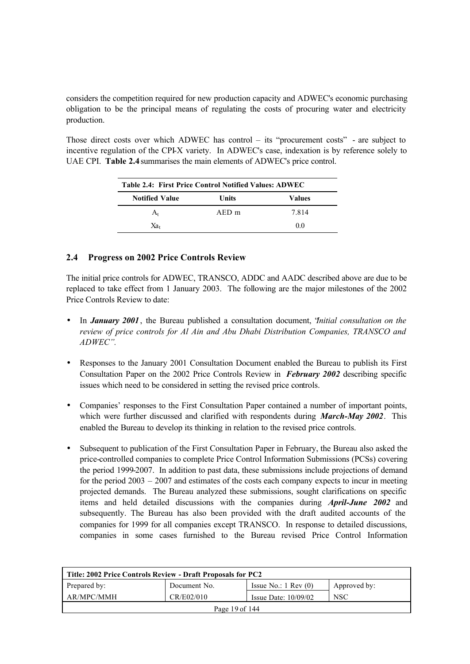considers the competition required for new production capacity and ADWEC's economic purchasing obligation to be the principal means of regulating the costs of procuring water and electricity production.

Those direct costs over which ADWEC has control – its "procurement costs" - are subject to incentive regulation of the CPI-X variety. In ADWEC's case, indexation is by reference solely to UAE CPI. **Table 2.4** summarises the main elements of ADWEC's price control.

| <b>Table 2.4: First Price Control Notified Values: ADWEC</b> |         |        |  |  |
|--------------------------------------------------------------|---------|--------|--|--|
| <b>Notified Value</b>                                        | Units   | Values |  |  |
| A.                                                           | $AED$ m | 7814   |  |  |
| Xэ.                                                          |         | 00     |  |  |

## **2.4 Progress on 2002 Price Controls Review**

The initial price controls for ADWEC, TRANSCO, ADDC and AADC described above are due to be replaced to take effect from 1 January 2003. The following are the major milestones of the 2002 Price Controls Review to date:

- In *January 2001*, the Bureau published a consultation document, "*Initial consultation on the review of price controls for Al Ain and Abu Dhabi Distribution Companies, TRANSCO and ADWEC".*
- Responses to the January 2001 Consultation Document enabled the Bureau to publish its First Consultation Paper on the 2002 Price Controls Review in *February 2002* describing specific issues which need to be considered in setting the revised price controls.
- Companies' responses to the First Consultation Paper contained a number of important points, which were further discussed and clarified with respondents during *March-May 2002*. This enabled the Bureau to develop its thinking in relation to the revised price controls.
- Subsequent to publication of the First Consultation Paper in February, the Bureau also asked the price-controlled companies to complete Price Control Information Submissions (PCSs) covering the period 1999-2007. In addition to past data, these submissions include projections of demand for the period  $2003 - 2007$  and estimates of the costs each company expects to incur in meeting projected demands. The Bureau analyzed these submissions, sought clarifications on specific items and held detailed discussions with the companies during *April-June 2002* and subsequently. The Bureau has also been provided with the draft audited accounts of the companies for 1999 for all companies except TRANSCO. In response to detailed discussions, companies in some cases furnished to the Bureau revised Price Control Information

| Title: 2002 Price Controls Review - Draft Proposals for PC2                     |                                                    |  |  |  |
|---------------------------------------------------------------------------------|----------------------------------------------------|--|--|--|
| Prepared by:<br>Issue No.: $1 \text{ Rev } (0)$<br>Document No.<br>Approved by: |                                                    |  |  |  |
| AR/MPC/MMH                                                                      | CR/E02/010<br><b>NSC</b><br>Issue Date: $10/09/02$ |  |  |  |
| Page 19 of 144                                                                  |                                                    |  |  |  |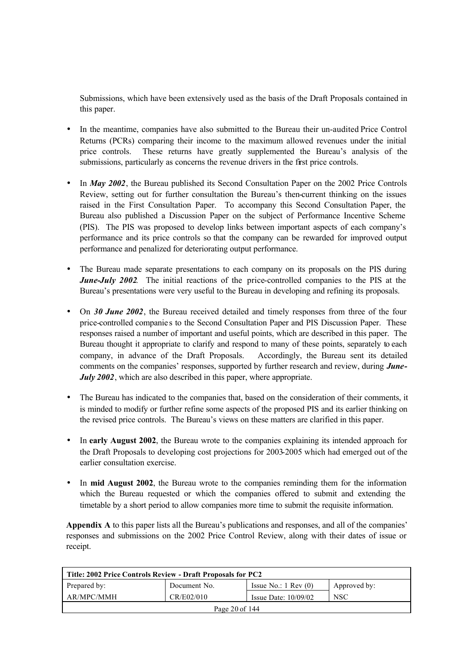Submissions, which have been extensively used as the basis of the Draft Proposals contained in this paper.

- In the meantime, companies have also submitted to the Bureau their un-audited Price Control Returns (PCRs) comparing their income to the maximum allowed revenues under the initial price controls. These returns have greatly supplemented the Bureau's analysis of the submissions, particularly as concerns the revenue drivers in the first price controls.
- In *May 2002*, the Bureau published its Second Consultation Paper on the 2002 Price Controls Review, setting out for further consultation the Bureau's then-current thinking on the issues raised in the First Consultation Paper. To accompany this Second Consultation Paper, the Bureau also published a Discussion Paper on the subject of Performance Incentive Scheme (PIS). The PIS was proposed to develop links between important aspects of each company's performance and its price controls so that the company can be rewarded for improved output performance and penalized for deteriorating output performance.
- The Bureau made separate presentations to each company on its proposals on the PIS during *June-July 2002*. The initial reactions of the price-controlled companies to the PIS at the Bureau's presentations were very useful to the Bureau in developing and refining its proposals.
- On *30 June 2002*, the Bureau received detailed and timely responses from three of the four price-controlled companie s to the Second Consultation Paper and PIS Discussion Paper. These responses raised a number of important and useful points, which are described in this paper. The Bureau thought it appropriate to clarify and respond to many of these points, separately to each company, in advance of the Draft Proposals. Accordingly, the Bureau sent its detailed comments on the companies' responses, supported by further research and review, during *June-July 2002*, which are also described in this paper, where appropriate.
- The Bureau has indicated to the companies that, based on the consideration of their comments, it is minded to modify or further refine some aspects of the proposed PIS and its earlier thinking on the revised price controls. The Bureau's views on these matters are clarified in this paper.
- In **early August 2002**, the Bureau wrote to the companies explaining its intended approach for the Draft Proposals to developing cost projections for 2003-2005 which had emerged out of the earlier consultation exercise.
- In **mid August 2002**, the Bureau wrote to the companies reminding them for the information which the Bureau requested or which the companies offered to submit and extending the timetable by a short period to allow companies more time to submit the requisite information.

**Appendix A** to this paper lists all the Bureau's publications and responses, and all of the companies' responses and submissions on the 2002 Price Control Review, along with their dates of issue or receipt.

| Title: 2002 Price Controls Review - Draft Proposals for PC2                     |  |  |  |  |  |
|---------------------------------------------------------------------------------|--|--|--|--|--|
| Issue No.: $1 \text{ Rev } (0)$<br>Prepared by:<br>Document No.<br>Approved by: |  |  |  |  |  |
| CR/E02/010<br><b>NSC</b><br>AR/MPC/MMH<br>Issue Date: $10/09/02$                |  |  |  |  |  |
| Page 20 of 144                                                                  |  |  |  |  |  |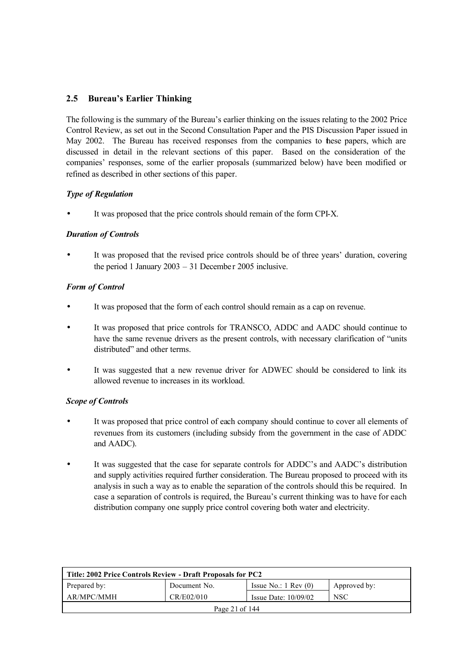## **2.5 Bureau's Earlier Thinking**

The following is the summary of the Bureau's earlier thinking on the issues relating to the 2002 Price Control Review, as set out in the Second Consultation Paper and the PIS Discussion Paper issued in May 2002. The Bureau has received responses from the companies to these papers, which are discussed in detail in the relevant sections of this paper. Based on the consideration of the companies' responses, some of the earlier proposals (summarized below) have been modified or refined as described in other sections of this paper.

## *Type of Regulation*

It was proposed that the price controls should remain of the form CPI-X.

## *Duration of Controls*

It was proposed that the revised price controls should be of three years' duration, covering the period 1 January  $2003 - 31$  December 2005 inclusive.

## *Form of Control*

- It was proposed that the form of each control should remain as a cap on revenue.
- It was proposed that price controls for TRANSCO, ADDC and AADC should continue to have the same revenue drivers as the present controls, with necessary clarification of "units distributed" and other terms.
- It was suggested that a new revenue driver for ADWEC should be considered to link its allowed revenue to increases in its workload.

## *Scope of Controls*

- It was proposed that price control of each company should continue to cover all elements of revenues from its customers (including subsidy from the government in the case of ADDC and AADC).
- It was suggested that the case for separate controls for ADDC's and AADC's distribution and supply activities required further consideration. The Bureau proposed to proceed with its analysis in such a way as to enable the separation of the controls should this be required. In case a separation of controls is required, the Bureau's current thinking was to have for each distribution company one supply price control covering both water and electricity.

| Title: 2002 Price Controls Review - Draft Proposals for PC2                     |  |  |  |  |  |
|---------------------------------------------------------------------------------|--|--|--|--|--|
| Prepared by:<br>Issue No.: $1 \text{ Rev } (0)$<br>Approved by:<br>Document No. |  |  |  |  |  |
| AR/MPC/MMH<br>CR/E02/010<br><b>NSC</b><br>Issue Date: $10/09/02$                |  |  |  |  |  |
| Page 21 of 144                                                                  |  |  |  |  |  |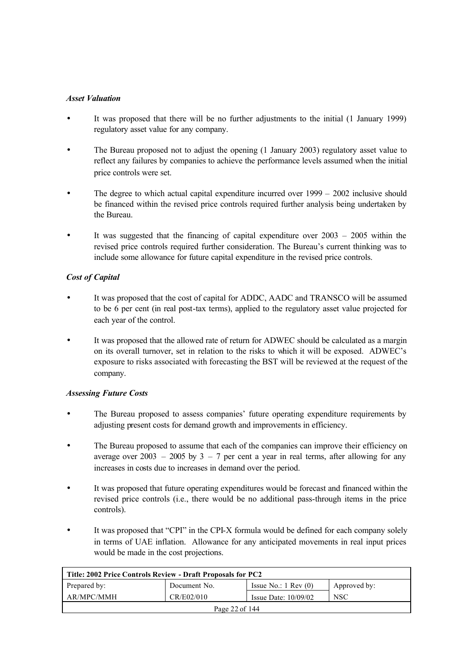## *Asset Valuation*

- It was proposed that there will be no further adjustments to the initial (1 January 1999) regulatory asset value for any company.
- The Bureau proposed not to adjust the opening (1 January 2003) regulatory asset value to reflect any failures by companies to achieve the performance levels assumed when the initial price controls were set.
- The degree to which actual capital expenditure incurred over 1999 2002 inclusive should be financed within the revised price controls required further analysis being undertaken by the Bureau.
- It was suggested that the financing of capital expenditure over  $2003 2005$  within the revised price controls required further consideration. The Bureau's current thinking was to include some allowance for future capital expenditure in the revised price controls.

## *Cost of Capital*

- It was proposed that the cost of capital for ADDC, AADC and TRANSCO will be assumed to be 6 per cent (in real post-tax terms), applied to the regulatory asset value projected for each year of the control.
- It was proposed that the allowed rate of return for ADWEC should be calculated as a margin on its overall turnover, set in relation to the risks to which it will be exposed. ADWEC's exposure to risks associated with forecasting the BST will be reviewed at the request of the company.

#### *Assessing Future Costs*

- The Bureau proposed to assess companies' future operating expenditure requirements by adjusting present costs for demand growth and improvements in efficiency.
- The Bureau proposed to assume that each of the companies can improve their efficiency on average over  $2003 - 2005$  by  $3 - 7$  per cent a year in real terms, after allowing for any increases in costs due to increases in demand over the period.
- It was proposed that future operating expenditures would be forecast and financed within the revised price controls (i.e., there would be no additional pass-through items in the price controls).
- It was proposed that "CPI" in the CPI-X formula would be defined for each company solely in terms of UAE inflation. Allowance for any anticipated movements in real input prices would be made in the cost projections.

| Title: 2002 Price Controls Review - Draft Proposals for PC2                     |  |  |  |  |
|---------------------------------------------------------------------------------|--|--|--|--|
| Prepared by:<br>Issue No.: $1 \text{ Rev } (0)$<br>Approved by:<br>Document No. |  |  |  |  |
| AR/MPC/MMH<br>CR/E02/010<br><b>NSC</b><br>Issue Date: $10/09/02$                |  |  |  |  |
| Page 22 of 144                                                                  |  |  |  |  |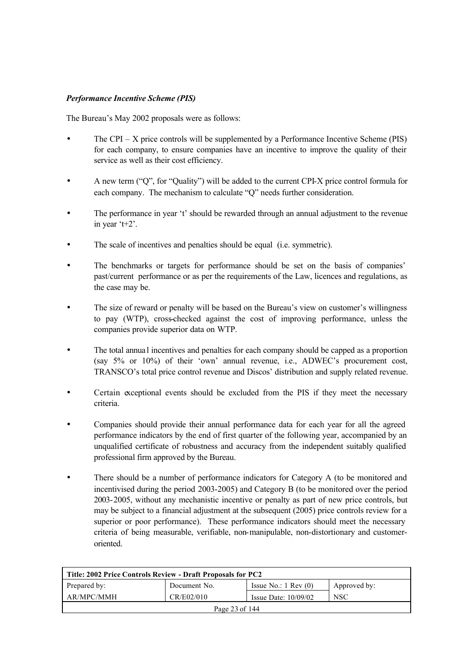## *Performance Incentive Scheme (PIS)*

The Bureau's May 2002 proposals were as follows:

- The CPI X price controls will be supplemented by a Performance Incentive Scheme (PIS) for each company, to ensure companies have an incentive to improve the quality of their service as well as their cost efficiency.
- A new term ("Q", for "Quality") will be added to the current CPI-X price control formula for each company. The mechanism to calculate "Q" needs further consideration.
- The performance in year 't' should be rewarded through an annual adjustment to the revenue in year 't+2'.
- The scale of incentives and penalties should be equal (i.e. symmetric).
- The benchmarks or targets for performance should be set on the basis of companies' past/current performance or as per the requirements of the Law, licences and regulations, as the case may be.
- The size of reward or penalty will be based on the Bureau's view on customer's willingness to pay (WTP), cross-checked against the cost of improving performance, unless the companies provide superior data on WTP.
- The total annua l incentives and penalties for each company should be capped as a proportion (say 5% or 10%) of their 'own' annual revenue, i.e., ADWEC's procurement cost, TRANSCO's total price control revenue and Discos' distribution and supply related revenue.
- Certain exceptional events should be excluded from the PIS if they meet the necessary criteria.
- Companies should provide their annual performance data for each year for all the agreed performance indicators by the end of first quarter of the following year, accompanied by an unqualified certificate of robustness and accuracy from the independent suitably qualified professional firm approved by the Bureau.
- There should be a number of performance indicators for Category A (to be monitored and incentivised during the period 2003-2005) and Category B (to be monitored over the period 2003-2005, without any mechanistic incentive or penalty as part of new price controls, but may be subject to a financial adjustment at the subsequent (2005) price controls review for a superior or poor performance). These performance indicators should meet the necessary criteria of being measurable, verifiable, non-manipulable, non-distortionary and customeroriented.

| Title: 2002 Price Controls Review - Draft Proposals for PC2                     |            |                        |            |  |
|---------------------------------------------------------------------------------|------------|------------------------|------------|--|
| Prepared by:<br>Issue No.: $1 \text{ Rev } (0)$<br>Document No.<br>Approved by: |            |                        |            |  |
| AR/MPC/MMH                                                                      | CR/E02/010 | Issue Date: $10/09/02$ | <b>NSC</b> |  |
| Page 23 of 144                                                                  |            |                        |            |  |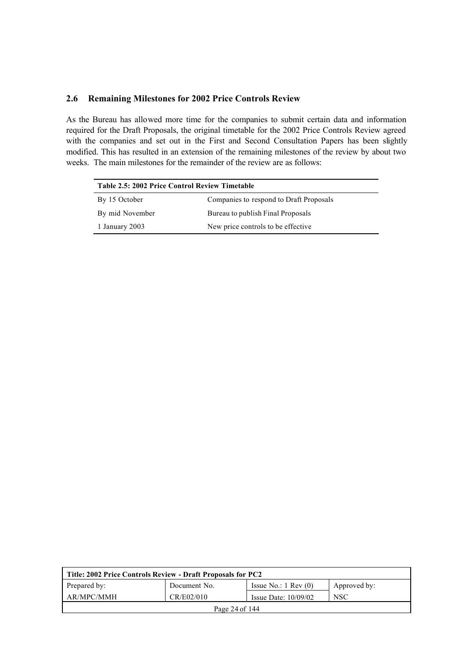## **2.6 Remaining Milestones for 2002 Price Controls Review**

As the Bureau has allowed more time for the companies to submit certain data and information required for the Draft Proposals, the original timetable for the 2002 Price Controls Review agreed with the companies and set out in the First and Second Consultation Papers has been slightly modified. This has resulted in an extension of the remaining milestones of the review by about two weeks. The main milestones for the remainder of the review are as follows:

| Table 2.5: 2002 Price Control Review Timetable        |                                         |  |
|-------------------------------------------------------|-----------------------------------------|--|
| By 15 October                                         | Companies to respond to Draft Proposals |  |
| By mid November                                       | Bureau to publish Final Proposals       |  |
| New price controls to be effective.<br>1 January 2003 |                                         |  |

| Title: 2002 Price Controls Review - Draft Proposals for PC2                     |            |                        |            |  |
|---------------------------------------------------------------------------------|------------|------------------------|------------|--|
| Prepared by:<br>Issue No.: $1 \text{ Rev } (0)$<br>Approved by:<br>Document No. |            |                        |            |  |
| AR/MPC/MMH                                                                      | CR/E02/010 | Issue Date: $10/09/02$ | <b>NSC</b> |  |
| Page 24 of 144                                                                  |            |                        |            |  |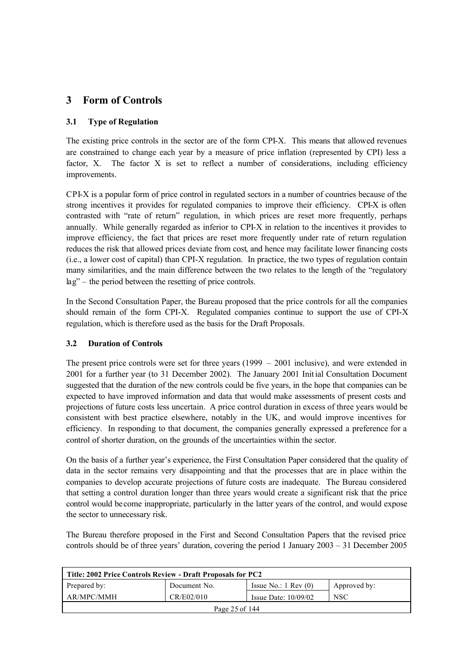## **3 Form of Controls**

## **3.1 Type of Regulation**

The existing price controls in the sector are of the form CPI-X. This means that allowed revenues are constrained to change each year by a measure of price inflation (represented by CPI) less a factor, X. The factor X is set to reflect a number of considerations, including efficiency improvements.

CPI-X is a popular form of price control in regulated sectors in a number of countries because of the strong incentives it provides for regulated companies to improve their efficiency. CPI-X is often contrasted with "rate of return" regulation, in which prices are reset more frequently, perhaps annually. While generally regarded as inferior to CPI-X in relation to the incentives it provides to improve efficiency, the fact that prices are reset more frequently under rate of return regulation reduces the risk that allowed prices deviate from cost, and hence may facilitate lower financing costs (i.e., a lower cost of capital) than CPI-X regulation. In practice, the two types of regulation contain many similarities, and the main difference between the two relates to the length of the "regulatory lag" – the period between the resetting of price controls.

In the Second Consultation Paper, the Bureau proposed that the price controls for all the companies should remain of the form CPI-X. Regulated companies continue to support the use of CPI-X regulation, which is therefore used as the basis for the Draft Proposals.

## **3.2 Duration of Controls**

The present price controls were set for three years (1999 – 2001 inclusive), and were extended in 2001 for a further year (to 31 December 2002). The January 2001 Initial Consultation Document suggested that the duration of the new controls could be five years, in the hope that companies can be expected to have improved information and data that would make assessments of present costs and projections of future costs less uncertain. A price control duration in excess of three years would be consistent with best practice elsewhere, notably in the UK, and would improve incentives for efficiency. In responding to that document, the companies generally expressed a preference for a control of shorter duration, on the grounds of the uncertainties within the sector.

On the basis of a further year's experience, the First Consultation Paper considered that the quality of data in the sector remains very disappointing and that the processes that are in place within the companies to develop accurate projections of future costs are inadequate. The Bureau considered that setting a control duration longer than three years would create a significant risk that the price control would be come inappropriate, particularly in the latter years of the control, and would expose the sector to unnecessary risk.

The Bureau therefore proposed in the First and Second Consultation Papers that the revised price controls should be of three years' duration, covering the period 1 January 2003 – 31 December 2005

| Title: 2002 Price Controls Review - Draft Proposals for PC2                     |            |                        |            |  |
|---------------------------------------------------------------------------------|------------|------------------------|------------|--|
| Prepared by:<br>Issue No.: $1 \text{ Rev } (0)$<br>Approved by:<br>Document No. |            |                        |            |  |
| AR/MPC/MMH                                                                      | CR/E02/010 | Issue Date: $10/09/02$ | <b>NSC</b> |  |
| Page 25 of 144                                                                  |            |                        |            |  |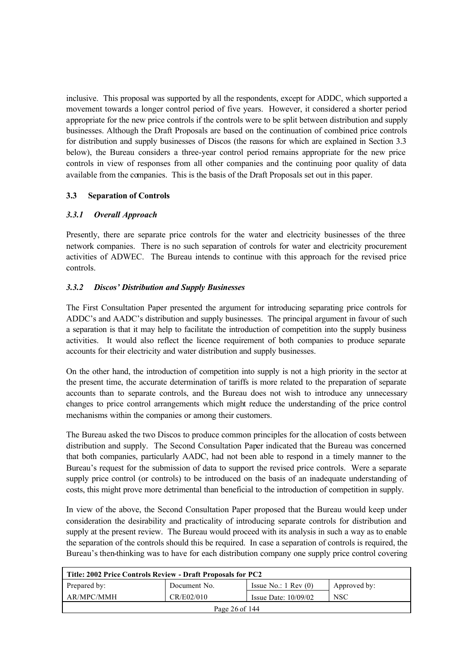inclusive. This proposal was supported by all the respondents, except for ADDC, which supported a movement towards a longer control period of five years. However, it considered a shorter period appropriate for the new price controls if the controls were to be split between distribution and supply businesses. Although the Draft Proposals are based on the continuation of combined price controls for distribution and supply businesses of Discos (the reasons for which are explained in Section 3.3 below), the Bureau considers a three-year control period remains appropriate for the new price controls in view of responses from all other companies and the continuing poor quality of data available from the companies. This is the basis of the Draft Proposals set out in this paper.

## **3.3 Separation of Controls**

## *3.3.1 Overall Approach*

Presently, there are separate price controls for the water and electricity businesses of the three network companies. There is no such separation of controls for water and electricity procurement activities of ADWEC. The Bureau intends to continue with this approach for the revised price controls.

## *3.3.2 Discos' Distribution and Supply Businesses*

The First Consultation Paper presented the argument for introducing separating price controls for ADDC's and AADC's distribution and supply businesses. The principal argument in favour of such a separation is that it may help to facilitate the introduction of competition into the supply business activities. It would also reflect the licence requirement of both companies to produce separate accounts for their electricity and water distribution and supply businesses.

On the other hand, the introduction of competition into supply is not a high priority in the sector at the present time, the accurate determination of tariffs is more related to the preparation of separate accounts than to separate controls, and the Bureau does not wish to introduce any unnecessary changes to price control arrangements which might reduce the understanding of the price control mechanisms within the companies or among their customers.

The Bureau asked the two Discos to produce common principles for the allocation of costs between distribution and supply. The Second Consultation Paper indicated that the Bureau was concerned that both companies, particularly AADC, had not been able to respond in a timely manner to the Bureau's request for the submission of data to support the revised price controls. Were a separate supply price control (or controls) to be introduced on the basis of an inadequate understanding of costs, this might prove more detrimental than beneficial to the introduction of competition in supply.

In view of the above, the Second Consultation Paper proposed that the Bureau would keep under consideration the desirability and practicality of introducing separate controls for distribution and supply at the present review. The Bureau would proceed with its analysis in such a way as to enable the separation of the controls should this be required. In case a separation of controls is required, the Bureau's then-thinking was to have for each distribution company one supply price control covering

| Title: 2002 Price Controls Review - Draft Proposals for PC2                     |  |  |  |  |
|---------------------------------------------------------------------------------|--|--|--|--|
| Prepared by:<br>Issue No.: $1 \text{ Rev } (0)$<br>Approved by:<br>Document No. |  |  |  |  |
| AR/MPC/MMH<br>CR/E02/010<br><b>NSC</b><br>Issue Date: $10/09/02$                |  |  |  |  |
| Page 26 of 144                                                                  |  |  |  |  |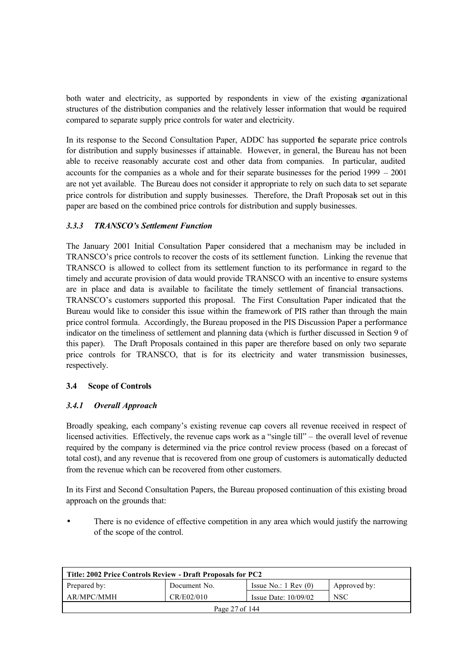both water and electricity, as supported by respondents in view of the existing organizational structures of the distribution companies and the relatively lesser information that would be required compared to separate supply price controls for water and electricity.

In its response to the Second Consultation Paper, ADDC has supported the separate price controls for distribution and supply businesses if attainable. However, in general, the Bureau has not been able to receive reasonably accurate cost and other data from companies. In particular, audited accounts for the companies as a whole and for their separate businesses for the period 1999 – 2001 are not yet available. The Bureau does not consider it appropriate to rely on such data to set separate price controls for distribution and supply businesses. Therefore, the Draft Proposals set out in this paper are based on the combined price controls for distribution and supply businesses.

## *3.3.3 TRANSCO's Settlement Function*

The January 2001 Initial Consultation Paper considered that a mechanism may be included in TRANSCO's price controls to recover the costs of its settlement function. Linking the revenue that TRANSCO is allowed to collect from its settlement function to its performance in regard to the timely and accurate provision of data would provide TRANSCO with an incentive to ensure systems are in place and data is available to facilitate the timely settlement of financial transactions. TRANSCO's customers supported this proposal. The First Consultation Paper indicated that the Bureau would like to consider this issue within the framework of PIS rather than through the main price control formula. Accordingly, the Bureau proposed in the PIS Discussion Paper a performance indicator on the timeliness of settlement and planning data (which is further discussed in Section 9 of this paper). The Draft Proposals contained in this paper are therefore based on only two separate price controls for TRANSCO, that is for its electricity and water transmission businesses, respectively.

#### **3.4 Scope of Controls**

## *3.4.1 Overall Approach*

Broadly speaking, each company's existing revenue cap covers all revenue received in respect of licensed activities. Effectively, the revenue caps work as a "single till" – the overall level of revenue required by the company is determined via the price control review process (based on a forecast of total cost), and any revenue that is recovered from one group of customers is automatically deducted from the revenue which can be recovered from other customers.

In its First and Second Consultation Papers, the Bureau proposed continuation of this existing broad approach on the grounds that:

There is no evidence of effective competition in any area which would justify the narrowing of the scope of the control.

| Title: 2002 Price Controls Review - Draft Proposals for PC2                     |  |  |  |  |
|---------------------------------------------------------------------------------|--|--|--|--|
| Issue No.: $1 \text{ Rev } (0)$<br>Prepared by:<br>Approved by:<br>Document No. |  |  |  |  |
| CR/E02/010<br><b>NSC</b><br>AR/MPC/MMH<br>Issue Date: $10/09/02$                |  |  |  |  |
| Page 27 of 144                                                                  |  |  |  |  |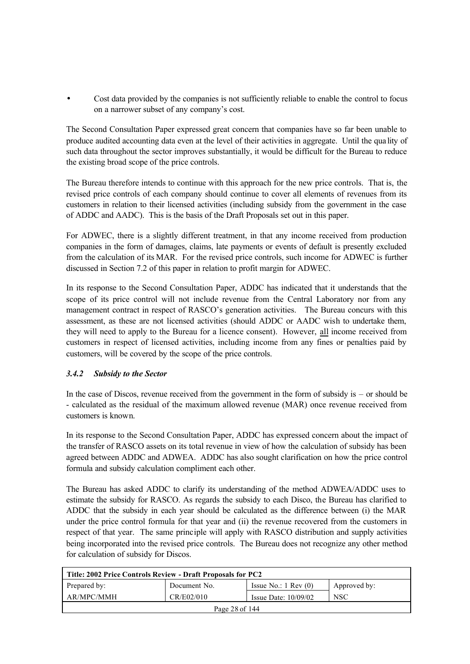• Cost data provided by the companies is not sufficiently reliable to enable the control to focus on a narrower subset of any company's cost.

The Second Consultation Paper expressed great concern that companies have so far been unable to produce audited accounting data even at the level of their activities in aggregate. Until the qua lity of such data throughout the sector improves substantially, it would be difficult for the Bureau to reduce the existing broad scope of the price controls.

The Bureau therefore intends to continue with this approach for the new price controls. That is, the revised price controls of each company should continue to cover all elements of revenues from its customers in relation to their licensed activities (including subsidy from the government in the case of ADDC and AADC). This is the basis of the Draft Proposals set out in this paper.

For ADWEC, there is a slightly different treatment, in that any income received from production companies in the form of damages, claims, late payments or events of default is presently excluded from the calculation of its MAR. For the revised price controls, such income for ADWEC is further discussed in Section 7.2 of this paper in relation to profit margin for ADWEC.

In its response to the Second Consultation Paper, ADDC has indicated that it understands that the scope of its price control will not include revenue from the Central Laboratory nor from any management contract in respect of RASCO's generation activities. The Bureau concurs with this assessment, as these are not licensed activities (should ADDC or AADC wish to undertake them, they will need to apply to the Bureau for a licence consent). However, all income received from customers in respect of licensed activities, including income from any fines or penalties paid by customers, will be covered by the scope of the price controls.

## *3.4.2 Subsidy to the Sector*

In the case of Discos, revenue received from the government in the form of subsidy is – or should be - calculated as the residual of the maximum allowed revenue (MAR) once revenue received from customers is known.

In its response to the Second Consultation Paper, ADDC has expressed concern about the impact of the transfer of RASCO assets on its total revenue in view of how the calculation of subsidy has been agreed between ADDC and ADWEA. ADDC has also sought clarification on how the price control formula and subsidy calculation compliment each other.

The Bureau has asked ADDC to clarify its understanding of the method ADWEA/ADDC uses to estimate the subsidy for RASCO. As regards the subsidy to each Disco, the Bureau has clarified to ADDC that the subsidy in each year should be calculated as the difference between (i) the MAR under the price control formula for that year and (ii) the revenue recovered from the customers in respect of that year. The same principle will apply with RASCO distribution and supply activities being incorporated into the revised price controls. The Bureau does not recognize any other method for calculation of subsidy for Discos.

| Title: 2002 Price Controls Review - Draft Proposals for PC2                     |            |                        |            |  |
|---------------------------------------------------------------------------------|------------|------------------------|------------|--|
| Issue No.: $1 \text{ Rev } (0)$<br>Prepared by:<br>Document No.<br>Approved by: |            |                        |            |  |
| AR/MPC/MMH                                                                      | CR/E02/010 | Issue Date: $10/09/02$ | <b>NSC</b> |  |
| Page 28 of 144                                                                  |            |                        |            |  |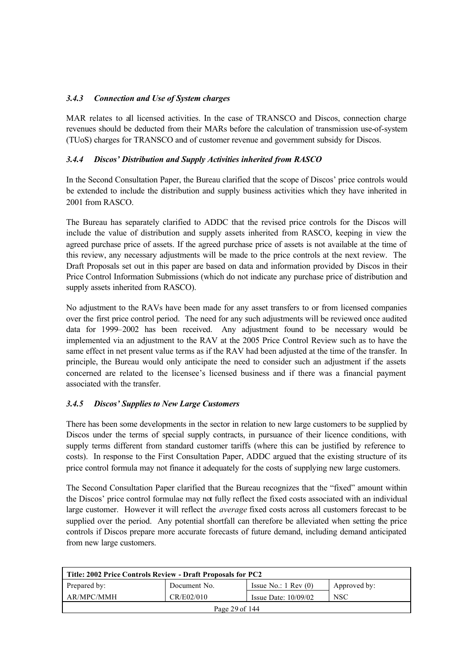## *3.4.3 Connection and Use of System charges*

MAR relates to all licensed activities. In the case of TRANSCO and Discos, connection charge revenues should be deducted from their MARs before the calculation of transmission use-of-system (TUoS) charges for TRANSCO and of customer revenue and government subsidy for Discos.

## *3.4.4 Discos' Distribution and Supply Activities inherited from RASCO*

In the Second Consultation Paper, the Bureau clarified that the scope of Discos' price controls would be extended to include the distribution and supply business activities which they have inherited in 2001 from RASCO.

The Bureau has separately clarified to ADDC that the revised price controls for the Discos will include the value of distribution and supply assets inherited from RASCO, keeping in view the agreed purchase price of assets. If the agreed purchase price of assets is not available at the time of this review, any necessary adjustments will be made to the price controls at the next review. The Draft Proposals set out in this paper are based on data and information provided by Discos in their Price Control Information Submissions (which do not indicate any purchase price of distribution and supply assets inherited from RASCO).

No adjustment to the RAVs have been made for any asset transfers to or from licensed companies over the first price control period. The need for any such adjustments will be reviewed once audited data for 1999–2002 has been received. Any adjustment found to be necessary would be implemented via an adjustment to the RAV at the 2005 Price Control Review such as to have the same effect in net present value terms as if the RAV had been adjusted at the time of the transfer. In principle, the Bureau would only anticipate the need to consider such an adjustment if the assets concerned are related to the licensee's licensed business and if there was a financial payment associated with the transfer.

## *3.4.5 Discos' Supplies to New Large Customers*

There has been some developments in the sector in relation to new large customers to be supplied by Discos under the terms of special supply contracts, in pursuance of their licence conditions, with supply terms different from standard customer tariffs (where this can be justified by reference to costs). In response to the First Consultation Paper, ADDC argued that the existing structure of its price control formula may not finance it adequately for the costs of supplying new large customers.

The Second Consultation Paper clarified that the Bureau recognizes that the "fixed" amount within the Discos' price control formulae may not fully reflect the fixed costs associated with an individual large customer. However it will reflect the *average* fixed costs across all customers forecast to be supplied over the period. Any potential shortfall can therefore be alleviated when setting the price controls if Discos prepare more accurate forecasts of future demand, including demand anticipated from new large customers.

| Title: 2002 Price Controls Review - Draft Proposals for PC2                     |            |                        |            |  |
|---------------------------------------------------------------------------------|------------|------------------------|------------|--|
| Prepared by:<br>Issue No.: $1 \text{ Rev } (0)$<br>Approved by:<br>Document No. |            |                        |            |  |
| AR/MPC/MMH                                                                      | CR/E02/010 | Issue Date: $10/09/02$ | <b>NSC</b> |  |
| Page 29 of 144                                                                  |            |                        |            |  |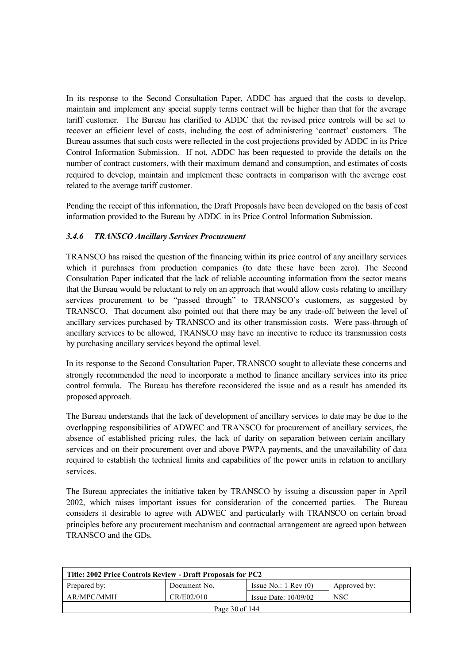In its response to the Second Consultation Paper, ADDC has argued that the costs to develop, maintain and implement any special supply terms contract will be higher than that for the average tariff customer. The Bureau has clarified to ADDC that the revised price controls will be set to recover an efficient level of costs, including the cost of administering 'contract' customers. The Bureau assumes that such costs were reflected in the cost projections provided by ADDC in its Price Control Information Submission. If not, ADDC has been requested to provide the details on the number of contract customers, with their maximum demand and consumption, and estimates of costs required to develop, maintain and implement these contracts in comparison with the average cost related to the average tariff customer.

Pending the receipt of this information, the Draft Proposals have been developed on the basis of cost information provided to the Bureau by ADDC in its Price Control Information Submission.

## *3.4.6 TRANSCO Ancillary Services Procurement*

TRANSCO has raised the question of the financing within its price control of any ancillary services which it purchases from production companies (to date these have been zero). The Second Consultation Paper indicated that the lack of reliable accounting information from the sector means that the Bureau would be reluctant to rely on an approach that would allow costs relating to ancillary services procurement to be "passed through" to TRANSCO's customers, as suggested by TRANSCO. That document also pointed out that there may be any trade-off between the level of ancillary services purchased by TRANSCO and its other transmission costs. Were pass-through of ancillary services to be allowed, TRANSCO may have an incentive to reduce its transmission costs by purchasing ancillary services beyond the optimal level.

In its response to the Second Consultation Paper, TRANSCO sought to alleviate these concerns and strongly recommended the need to incorporate a method to finance ancillary services into its price control formula. The Bureau has therefore reconsidered the issue and as a result has amended its proposed approach.

The Bureau understands that the lack of development of ancillary services to date may be due to the overlapping responsibilities of ADWEC and TRANSCO for procurement of ancillary services, the absence of established pricing rules, the lack of darity on separation between certain ancillary services and on their procurement over and above PWPA payments, and the unavailability of data required to establish the technical limits and capabilities of the power units in relation to ancillary services.

The Bureau appreciates the initiative taken by TRANSCO by issuing a discussion paper in April 2002, which raises important issues for consideration of the concerned parties. The Bureau considers it desirable to agree with ADWEC and particularly with TRANSCO on certain broad principles before any procurement mechanism and contractual arrangement are agreed upon between TRANSCO and the GDs.

| Title: 2002 Price Controls Review - Draft Proposals for PC2                     |            |                        |            |  |
|---------------------------------------------------------------------------------|------------|------------------------|------------|--|
| Prepared by:<br>Issue No.: $1 \text{ Rev } (0)$<br>Document No.<br>Approved by: |            |                        |            |  |
| AR/MPC/MMH                                                                      | CR/E02/010 | Issue Date: $10/09/02$ | <b>NSC</b> |  |
| Page 30 of 144                                                                  |            |                        |            |  |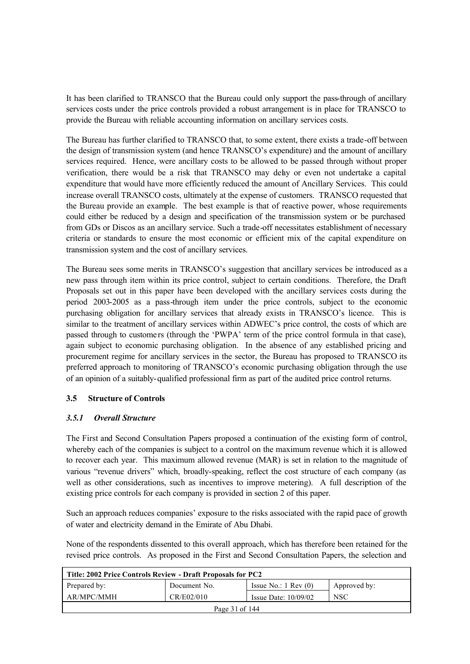It has been clarified to TRANSCO that the Bureau could only support the pass-through of ancillary services costs under the price controls provided a robust arrangement is in place for TRANSCO to provide the Bureau with reliable accounting information on ancillary services costs.

The Bureau has further clarified to TRANSCO that, to some extent, there exists a trade-off between the design of transmission system (and hence TRANSCO's expenditure) and the amount of ancillary services required. Hence, were ancillary costs to be allowed to be passed through without proper verification, there would be a risk that TRANSCO may delay or even not undertake a capital expenditure that would have more efficiently reduced the amount of Ancillary Services. This could increase overall TRANSCO costs, ultimately at the expense of customers. TRANSCO requested that the Bureau provide an example. The best example is that of reactive power, whose requirements could either be reduced by a design and specification of the transmission system or be purchased from GDs or Discos as an ancillary service. Such a trade-off necessitates establishment of necessary criteria or standards to ensure the most economic or efficient mix of the capital expenditure on transmission system and the cost of ancillary services.

The Bureau sees some merits in TRANSCO's suggestion that ancillary services be introduced as a new pass through item within its price control, subject to certain conditions. Therefore, the Draft Proposals set out in this paper have been developed with the ancillary services costs during the period 2003-2005 as a pass-through item under the price controls, subject to the economic purchasing obligation for ancillary services that already exists in TRANSCO's licence. This is similar to the treatment of ancillary services within ADWEC's price control, the costs of which are passed through to custome rs (through the 'PWPA' term of the price control formula in that case), again subject to economic purchasing obligation. In the absence of any established pricing and procurement regime for ancillary services in the sector, the Bureau has proposed to TRANSCO its preferred approach to monitoring of TRANSCO's economic purchasing obligation through the use of an opinion of a suitably-qualified professional firm as part of the audited price control returns.

## **3.5 Structure of Controls**

## *3.5.1 Overall Structure*

The First and Second Consultation Papers proposed a continuation of the existing form of control, whereby each of the companies is subject to a control on the maximum revenue which it is allowed to recover each year. This maximum allowed revenue (MAR) is set in relation to the magnitude of various "revenue drivers" which, broadly-speaking, reflect the cost structure of each company (as well as other considerations, such as incentives to improve metering). A full description of the existing price controls for each company is provided in section 2 of this paper.

Such an approach reduces companies' exposure to the risks associated with the rapid pace of growth of water and electricity demand in the Emirate of Abu Dhabi.

None of the respondents dissented to this overall approach, which has therefore been retained for the revised price controls. As proposed in the First and Second Consultation Papers, the selection and

| Title: 2002 Price Controls Review - Draft Proposals for PC2                     |            |                        |     |  |
|---------------------------------------------------------------------------------|------------|------------------------|-----|--|
| Issue No.: $1 \text{ Rev } (0)$<br>Prepared by:<br>Document No.<br>Approved by: |            |                        |     |  |
| AR/MPC/MMH                                                                      | CR/E02/010 | Issue Date: $10/09/02$ | NSC |  |
| Page 31 of 144                                                                  |            |                        |     |  |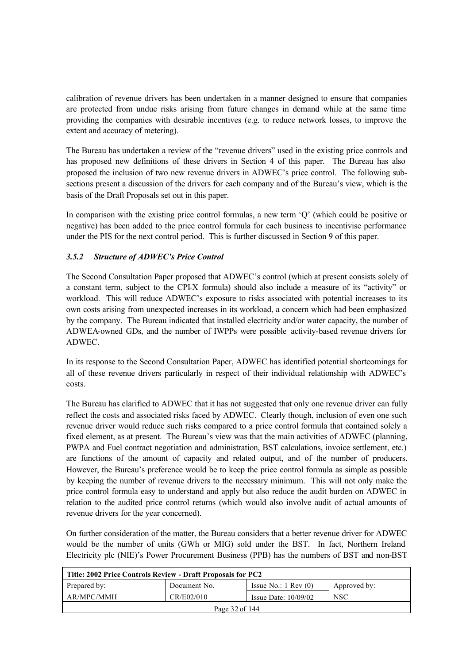calibration of revenue drivers has been undertaken in a manner designed to ensure that companies are protected from undue risks arising from future changes in demand while at the same time providing the companies with desirable incentives (e.g. to reduce network losses, to improve the extent and accuracy of metering).

The Bureau has undertaken a review of the "revenue drivers" used in the existing price controls and has proposed new definitions of these drivers in Section 4 of this paper. The Bureau has also proposed the inclusion of two new revenue drivers in ADWEC's price control. The following subsections present a discussion of the drivers for each company and of the Bureau's view, which is the basis of the Draft Proposals set out in this paper.

In comparison with the existing price control formulas, a new term 'Q' (which could be positive or negative) has been added to the price control formula for each business to incentivise performance under the PIS for the next control period. This is further discussed in Section 9 of this paper.

## *3.5.2 Structure of ADWEC's Price Control*

The Second Consultation Paper proposed that ADWEC's control (which at present consists solely of a constant term, subject to the CPI-X formula) should also include a measure of its "activity" or workload. This will reduce ADWEC's exposure to risks associated with potential increases to its own costs arising from unexpected increases in its workload, a concern which had been emphasized by the company. The Bureau indicated that installed electricity and/or water capacity, the number of ADWEA-owned GDs, and the number of IWPPs were possible activity-based revenue drivers for ADWEC.

In its response to the Second Consultation Paper, ADWEC has identified potential shortcomings for all of these revenue drivers particularly in respect of their individual relationship with ADWEC's costs.

The Bureau has clarified to ADWEC that it has not suggested that only one revenue driver can fully reflect the costs and associated risks faced by ADWEC. Clearly though, inclusion of even one such revenue driver would reduce such risks compared to a price control formula that contained solely a fixed element, as at present. The Bureau's view was that the main activities of ADWEC (planning, PWPA and Fuel contract negotiation and administration, BST calculations, invoice settlement, etc.) are functions of the amount of capacity and related output, and of the number of producers. However, the Bureau's preference would be to keep the price control formula as simple as possible by keeping the number of revenue drivers to the necessary minimum. This will not only make the price control formula easy to understand and apply but also reduce the audit burden on ADWEC in relation to the audited price control returns (which would also involve audit of actual amounts of revenue drivers for the year concerned).

On further consideration of the matter, the Bureau considers that a better revenue driver for ADWEC would be the number of units (GWh or MIG) sold under the BST. In fact, Northern Ireland Electricity plc (NIE)'s Power Procurement Business (PPB) has the numbers of BST and non-BST

| Title: 2002 Price Controls Review - Draft Proposals for PC2                     |            |                        |            |  |
|---------------------------------------------------------------------------------|------------|------------------------|------------|--|
| Issue No.: $1 \text{ Rev } (0)$<br>Prepared by:<br>Document No.<br>Approved by: |            |                        |            |  |
| AR/MPC/MMH                                                                      | CR/E02/010 | Issue Date: $10/09/02$ | <b>NSC</b> |  |
| Page 32 of 144                                                                  |            |                        |            |  |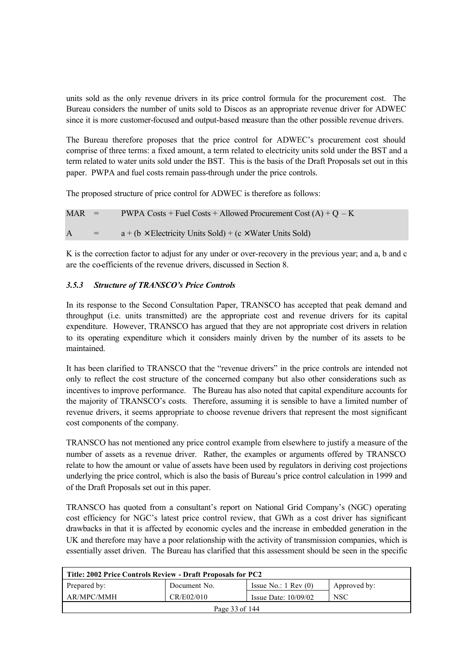units sold as the only revenue drivers in its price control formula for the procurement cost. The Bureau considers the number of units sold to Discos as an appropriate revenue driver for ADWEC since it is more customer-focused and output-based measure than the other possible revenue drivers.

The Bureau therefore proposes that the price control for ADWEC's procurement cost should comprise of three terms: a fixed amount, a term related to electricity units sold under the BST and a term related to water units sold under the BST. This is the basis of the Draft Proposals set out in this paper. PWPA and fuel costs remain pass-through under the price controls.

The proposed structure of price control for ADWEC is therefore as follows:

$$
MAR = PWPA \text{ Costs} + \text{Fuel Costs} + \text{Allowed Procurrent Cost (A)} + Q - K
$$
  

$$
A = a + (b \times Electricity Units Sold) + (c \times Water Units Sold)
$$

K is the correction factor to adjust for any under or over-recovery in the previous year; and a, b and c are the co-efficients of the revenue drivers, discussed in Section 8.

## *3.5.3 Structure of TRANSCO's Price Controls*

In its response to the Second Consultation Paper, TRANSCO has accepted that peak demand and throughput (i.e. units transmitted) are the appropriate cost and revenue drivers for its capital expenditure. However, TRANSCO has argued that they are not appropriate cost drivers in relation to its operating expenditure which it considers mainly driven by the number of its assets to be maintained.

It has been clarified to TRANSCO that the "revenue drivers" in the price controls are intended not only to reflect the cost structure of the concerned company but also other considerations such as incentives to improve performance. The Bureau has also noted that capital expenditure accounts for the majority of TRANSCO's costs. Therefore, assuming it is sensible to have a limited number of revenue drivers, it seems appropriate to choose revenue drivers that represent the most significant cost components of the company.

TRANSCO has not mentioned any price control example from elsewhere to justify a measure of the number of assets as a revenue driver. Rather, the examples or arguments offered by TRANSCO relate to how the amount or value of assets have been used by regulators in deriving cost projections underlying the price control, which is also the basis of Bureau's price control calculation in 1999 and of the Draft Proposals set out in this paper.

TRANSCO has quoted from a consultant's report on National Grid Company's (NGC) operating cost efficiency for NGC's latest price control review, that GWh as a cost driver has significant drawbacks in that it is affected by economic cycles and the increase in embedded generation in the UK and therefore may have a poor relationship with the activity of transmission companies, which is essentially asset driven. The Bureau has clarified that this assessment should be seen in the specific

| Title: 2002 Price Controls Review - Draft Proposals for PC2 |              |                                 |              |  |  |
|-------------------------------------------------------------|--------------|---------------------------------|--------------|--|--|
| Prepared by:                                                | Document No. | Issue No.: $1 \text{ Rev } (0)$ | Approved by: |  |  |
| AR/MPC/MMH                                                  | CR/E02/010   | Issue Date: $10/09/02$          | <b>NSC</b>   |  |  |
| Page 33 of 144                                              |              |                                 |              |  |  |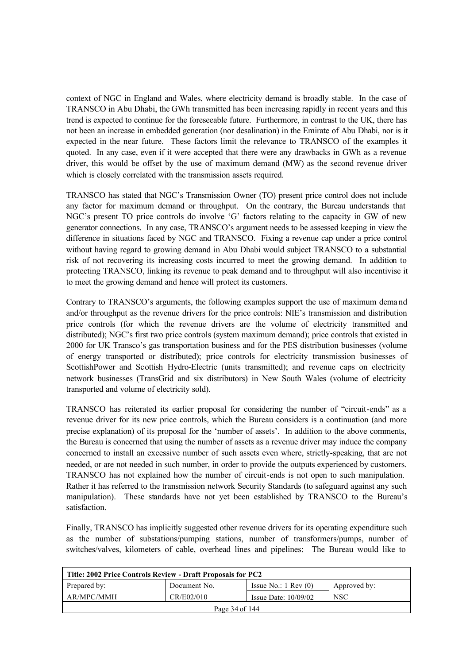context of NGC in England and Wales, where electricity demand is broadly stable. In the case of TRANSCO in Abu Dhabi, the GWh transmitted has been increasing rapidly in recent years and this trend is expected to continue for the foreseeable future. Furthermore, in contrast to the UK, there has not been an increase in embedded generation (nor desalination) in the Emirate of Abu Dhabi, nor is it expected in the near future. These factors limit the relevance to TRANSCO of the examples it quoted. In any case, even if it were accepted that there were any drawbacks in GWh as a revenue driver, this would be offset by the use of maximum demand (MW) as the second revenue driver which is closely correlated with the transmission assets required.

TRANSCO has stated that NGC's Transmission Owner (TO) present price control does not include any factor for maximum demand or throughput. On the contrary, the Bureau understands that NGC's present TO price controls do involve 'G' factors relating to the capacity in GW of new generator connections. In any case, TRANSCO's argument needs to be assessed keeping in view the difference in situations faced by NGC and TRANSCO. Fixing a revenue cap under a price control without having regard to growing demand in Abu Dhabi would subject TRANSCO to a substantial risk of not recovering its increasing costs incurred to meet the growing demand. In addition to protecting TRANSCO, linking its revenue to peak demand and to throughput will also incentivise it to meet the growing demand and hence will protect its customers.

Contrary to TRANSCO's arguments, the following examples support the use of maximum demand and/or throughput as the revenue drivers for the price controls: NIE's transmission and distribution price controls (for which the revenue drivers are the volume of electricity transmitted and distributed); NGC's first two price controls (system maximum demand); price controls that existed in 2000 for UK Transco's gas transportation business and for the PES distribution businesses (volume of energy transported or distributed); price controls for electricity transmission businesses of ScottishPower and Scottish Hydro-Electric (units transmitted); and revenue caps on electricity network businesses (TransGrid and six distributors) in New South Wales (volume of electricity transported and volume of electricity sold).

TRANSCO has reiterated its earlier proposal for considering the number of "circuit-ends" as a revenue driver for its new price controls, which the Bureau considers is a continuation (and more precise explanation) of its proposal for the 'number of assets'. In addition to the above comments, the Bureau is concerned that using the number of assets as a revenue driver may induce the company concerned to install an excessive number of such assets even where, strictly-speaking, that are not needed, or are not needed in such number, in order to provide the outputs experienced by customers. TRANSCO has not explained how the number of circuit-ends is not open to such manipulation. Rather it has referred to the transmission network Security Standards (to safeguard against any such manipulation). These standards have not yet been established by TRANSCO to the Bureau's satisfaction.

Finally, TRANSCO has implicitly suggested other revenue drivers for its operating expenditure such as the number of substations/pumping stations, number of transformers/pumps, number of switches/valves, kilometers of cable, overhead lines and pipelines: The Bureau would like to

| Title: 2002 Price Controls Review - Draft Proposals for PC2 |              |                                 |              |  |  |
|-------------------------------------------------------------|--------------|---------------------------------|--------------|--|--|
| Prepared by:                                                | Document No. | Issue No.: $1 \text{ Rev } (0)$ | Approved by: |  |  |
| AR/MPC/MMH                                                  | CR/E02/010   | Issue Date: $10/09/02$          | <b>NSC</b>   |  |  |
| Page 34 of 144                                              |              |                                 |              |  |  |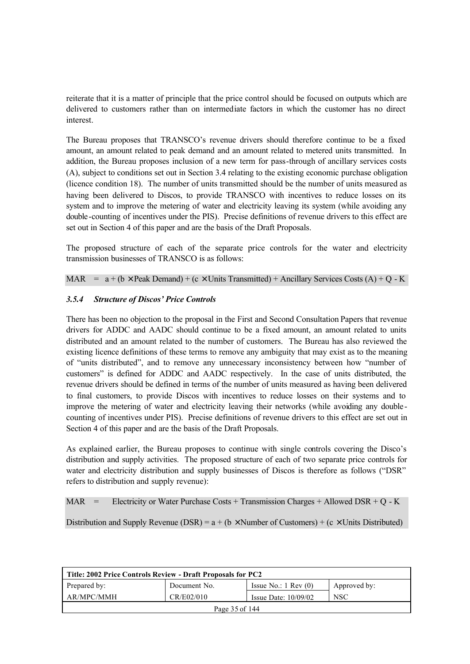reiterate that it is a matter of principle that the price control should be focused on outputs which are delivered to customers rather than on intermediate factors in which the customer has no direct interest.

The Bureau proposes that TRANSCO's revenue drivers should therefore continue to be a fixed amount, an amount related to peak demand and an amount related to metered units transmitted. In addition, the Bureau proposes inclusion of a new term for pass-through of ancillary services costs (A), subject to conditions set out in Section 3.4 relating to the existing economic purchase obligation (licence condition 18). The number of units transmitted should be the number of units measured as having been delivered to Discos, to provide TRANSCO with incentives to reduce losses on its system and to improve the metering of water and electricity leaving its system (while avoiding any double-counting of incentives under the PIS). Precise definitions of revenue drivers to this effect are set out in Section 4 of this paper and are the basis of the Draft Proposals.

The proposed structure of each of the separate price controls for the water and electricity transmission businesses of TRANSCO is as follows:

MAR =  $a + (b \times \text{Peak Demand}) + (c \times \text{Units Transmitted}) + \text{Ancillary Services Costs (A)} + Q - K$ 

#### *3.5.4 Structure of Discos' Price Controls*

There has been no objection to the proposal in the First and Second Consultation Papers that revenue drivers for ADDC and AADC should continue to be a fixed amount, an amount related to units distributed and an amount related to the number of customers. The Bureau has also reviewed the existing licence definitions of these terms to remove any ambiguity that may exist as to the meaning of "units distributed", and to remove any unnecessary inconsistency between how "number of customers" is defined for ADDC and AADC respectively. In the case of units distributed, the revenue drivers should be defined in terms of the number of units measured as having been delivered to final customers, to provide Discos with incentives to reduce losses on their systems and to improve the metering of water and electricity leaving their networks (while avoiding any double counting of incentives under PIS). Precise definitions of revenue drivers to this effect are set out in Section 4 of this paper and are the basis of the Draft Proposals.

As explained earlier, the Bureau proposes to continue with single controls covering the Disco's distribution and supply activities. The proposed structure of each of two separate price controls for water and electricity distribution and supply businesses of Discos is therefore as follows ("DSR" refers to distribution and supply revenue):

MAR = Electricity or Water Purchase Costs + Transmission Charges + Allowed DSR + Q - K

Distribution and Supply Revenue (DSR) =  $a + (b \times$  Number of Customers) + (c  $\times$  Units Distributed)

| Title: 2002 Price Controls Review - Draft Proposals for PC2 |              |                                 |              |  |  |
|-------------------------------------------------------------|--------------|---------------------------------|--------------|--|--|
| Prepared by:                                                | Document No. | Issue No.: $1 \text{ Rev } (0)$ | Approved by: |  |  |
| AR/MPC/MMH                                                  | CR/E02/010   | Issue Date: $10/09/02$          | <b>NSC</b>   |  |  |
| Page 35 of 144                                              |              |                                 |              |  |  |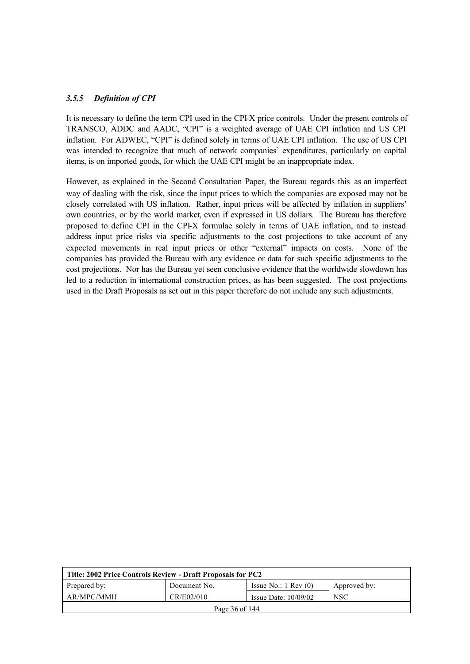#### *3.5.5 Definition of CPI*

It is necessary to define the term CPI used in the CPI-X price controls. Under the present controls of TRANSCO, ADDC and AADC, "CPI" is a weighted average of UAE CPI inflation and US CPI inflation. For ADWEC, "CPI" is defined solely in terms of UAE CPI inflation. The use of US CPI was intended to recognize that much of network companies' expenditures, particularly on capital items, is on imported goods, for which the UAE CPI might be an inappropriate index.

However, as explained in the Second Consultation Paper, the Bureau regards this as an imperfect way of dealing with the risk, since the input prices to which the companies are exposed may not be closely correlated with US inflation. Rather, input prices will be affected by inflation in suppliers' own countries, or by the world market, even if expressed in US dollars. The Bureau has therefore proposed to define CPI in the CPI-X formulae solely in terms of UAE inflation, and to instead address input price risks via specific adjustments to the cost projections to take account of any expected movements in real input prices or other "external" impacts on costs. None of the companies has provided the Bureau with any evidence or data for such specific adjustments to the cost projections. Nor has the Bureau yet seen conclusive evidence that the worldwide slowdown has led to a reduction in international construction prices, as has been suggested. The cost projections used in the Draft Proposals as set out in this paper therefore do not include any such adjustments.

| Title: 2002 Price Controls Review - Draft Proposals for PC2 |              |                                 |              |  |  |
|-------------------------------------------------------------|--------------|---------------------------------|--------------|--|--|
| Prepared by:                                                | Document No. | Issue No.: $1 \text{ Rev } (0)$ | Approved by: |  |  |
| AR/MPC/MMH                                                  | CR/E02/010   | Issue Date: $10/09/02$          | <b>NSC</b>   |  |  |
| Page 36 of 144                                              |              |                                 |              |  |  |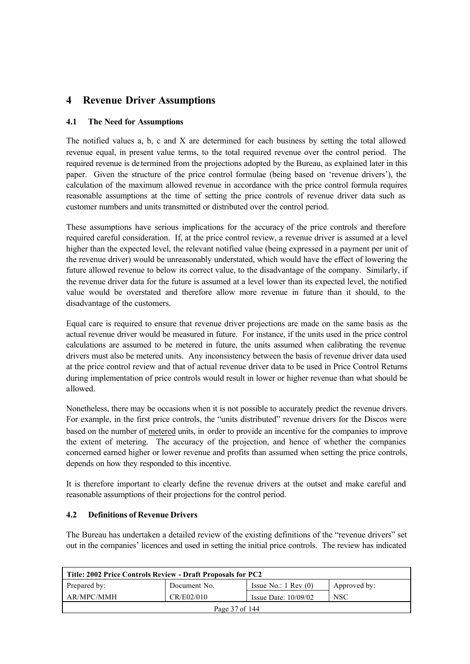# **4 Revenue Driver Assumptions**

## **4.1 The Need for Assumptions**

The notified values a, b, c and X are determined for each business by setting the total allowed revenue equal, in present value terms, to the total required revenue over the control period. The required revenue is de termined from the projections adopted by the Bureau, as explained later in this paper. Given the structure of the price control formulae (being based on 'revenue drivers'), the calculation of the maximum allowed revenue in accordance with the price control formula requires reasonable assumptions at the time of setting the price controls of revenue driver data such as customer numbers and units transmitted or distributed over the control period.

These assumptions have serious implications for the accuracy of the price controls and therefore required careful consideration. If, at the price control review, a revenue driver is assumed at a level higher than the expected level, the relevant notified value (being expressed in a payment per unit of the revenue driver) would be unreasonably understated, which would have the effect of lowering the future allowed revenue to below its correct value, to the disadvantage of the company. Similarly, if the revenue driver data for the future is assumed at a level lower than its expected level, the notified value would be overstated and therefore allow more revenue in future than it should, to the disadvantage of the customers.

Equal care is required to ensure that revenue driver projections are made on the same basis as the actual revenue driver would be measured in future. For instance, if the units used in the price control calculations are assumed to be metered in future, the units assumed when calibrating the revenue drivers must also be metered units. Any inconsistency between the basis of revenue driver data used at the price control review and that of actual revenue driver data to be used in Price Control Returns during implementation of price controls would result in lower or higher revenue than what should be allowed.

Nonetheless, there may be occasions when it is not possible to accurately predict the revenue drivers. For example, in the first price controls, the "units distributed" revenue drivers for the Discos were based on the number of metered units, in order to provide an incentive for the companies to improve the extent of metering. The accuracy of the projection, and hence of whether the companies concerned earned higher or lower revenue and profits than assumed when setting the price controls, depends on how they responded to this incentive.

It is therefore important to clearly define the revenue drivers at the outset and make careful and reasonable assumptions of their projections for the control period.

## **4.2 Definitions of Revenue Drivers**

The Bureau has undertaken a detailed review of the existing definitions of the "revenue drivers" set out in the companies' licences and used in setting the initial price controls. The review has indicated

| Title: 2002 Price Controls Review - Draft Proposals for PC2      |              |                                 |              |  |  |  |
|------------------------------------------------------------------|--------------|---------------------------------|--------------|--|--|--|
| Prepared by:                                                     | Document No. | Issue No.: $1 \text{ Rev } (0)$ | Approved by: |  |  |  |
| AR/MPC/MMH<br>CR/E02/010<br><b>NSC</b><br>Issue Date: $10/09/02$ |              |                                 |              |  |  |  |
| Page 37 of 144                                                   |              |                                 |              |  |  |  |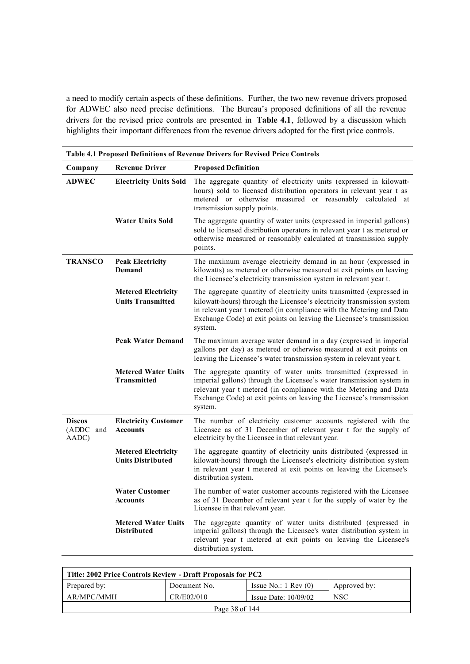a need to modify certain aspects of these definitions. Further, the two new revenue drivers proposed for ADWEC also need precise definitions. The Bureau's proposed definitions of all the revenue drivers for the revised price controls are presented in **Table 4.1**, followed by a discussion which highlights their important differences from the revenue drivers adopted for the first price controls.

| Company                             | <b>Revenue Driver</b>                                  | <b>Proposed Definition</b>                                                                                                                                                                                                                                                                                 |
|-------------------------------------|--------------------------------------------------------|------------------------------------------------------------------------------------------------------------------------------------------------------------------------------------------------------------------------------------------------------------------------------------------------------------|
| <b>ADWEC</b>                        | <b>Electricity Units Sold</b>                          | The aggregate quantity of electricity units (expressed in kilowatt-<br>hours) sold to licensed distribution operators in relevant year t as<br>metered or otherwise measured or reasonably calculated at<br>transmission supply points.                                                                    |
|                                     | <b>Water Units Sold</b>                                | The aggregate quantity of water units (expressed in imperial gallons)<br>sold to licensed distribution operators in relevant year t as metered or<br>otherwise measured or reasonably calculated at transmission supply<br>points.                                                                         |
| <b>TRANSCO</b>                      | <b>Peak Electricity</b><br>Demand                      | The maximum average electricity demand in an hour (expressed in<br>kilowatts) as metered or otherwise measured at exit points on leaving<br>the Licensee's electricity transmission system in relevant year t.                                                                                             |
|                                     | <b>Metered Electricity</b><br><b>Units Transmitted</b> | The aggregate quantity of electricity units transmitted (expressed in<br>kilowatt-hours) through the Licensee's electricity transmission system<br>in relevant year t metered (in compliance with the Metering and Data<br>Exchange Code) at exit points on leaving the Licensee's transmission<br>system. |
|                                     | <b>Peak Water Demand</b>                               | The maximum average water demand in a day (expressed in imperial<br>gallons per day) as metered or otherwise measured at exit points on<br>leaving the Licensee's water transmission system in relevant year t.                                                                                            |
|                                     | <b>Metered Water Units</b><br><b>Transmitted</b>       | The aggregate quantity of water units transmitted (expressed in<br>imperial gallons) through the Licensee's water transmission system in<br>relevant year t metered (in compliance with the Metering and Data<br>Exchange Code) at exit points on leaving the Licensee's transmission<br>system.           |
| <b>Discos</b><br>(ADDC and<br>AADC) | <b>Electricity Customer</b><br><b>Accounts</b>         | The number of electricity customer accounts registered with the<br>Licensee as of 31 December of relevant year t for the supply of<br>electricity by the Licensee in that relevant year.                                                                                                                   |
|                                     | <b>Metered Electricity</b><br><b>Units Distributed</b> | The aggregate quantity of electricity units distributed (expressed in<br>kilowatt-hours) through the Licensee's electricity distribution system<br>in relevant year t metered at exit points on leaving the Licensee's<br>distribution system.                                                             |
|                                     | <b>Water Customer</b><br><b>Accounts</b>               | The number of water customer accounts registered with the Licensee<br>as of 31 December of relevant year t for the supply of water by the<br>Licensee in that relevant year.                                                                                                                               |
|                                     | <b>Metered Water Units</b><br><b>Distributed</b>       | The aggregate quantity of water units distributed (expressed in<br>imperial gallons) through the Licensee's water distribution system in<br>relevant year t metered at exit points on leaving the Licensee's<br>distribution system.                                                                       |

| Title: 2002 Price Controls Review - Draft Proposals for PC2                     |  |  |  |  |  |  |
|---------------------------------------------------------------------------------|--|--|--|--|--|--|
| Prepared by:<br>Issue No.: $1 \text{ Rev } (0)$<br>Document No.<br>Approved by: |  |  |  |  |  |  |
| AR/MPC/MMH<br><b>NSC</b><br>CR/E02/010<br>Issue Date: $10/09/02$                |  |  |  |  |  |  |
| Page 38 of 144                                                                  |  |  |  |  |  |  |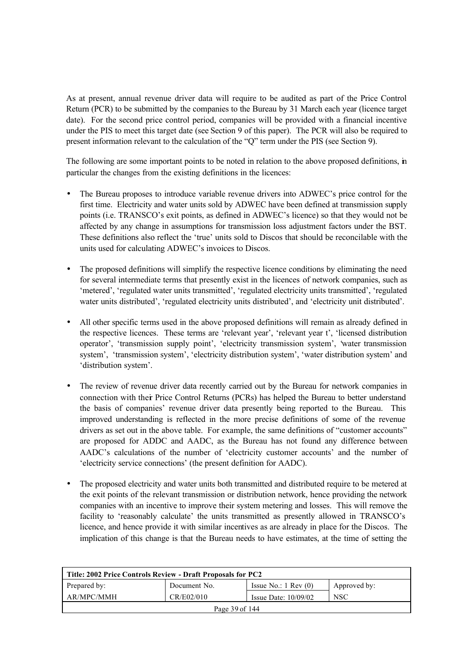As at present, annual revenue driver data will require to be audited as part of the Price Control Return (PCR) to be submitted by the companies to the Bureau by 31 March each year (licence target date). For the second price control period, companies will be provided with a financial incentive under the PIS to meet this target date (see Section 9 of this paper). The PCR will also be required to present information relevant to the calculation of the "Q" term under the PIS (see Section 9).

The following are some important points to be noted in relation to the above proposed definitions, in particular the changes from the existing definitions in the licences:

- The Bureau proposes to introduce variable revenue drivers into ADWEC's price control for the first time. Electricity and water units sold by ADWEC have been defined at transmission supply points (i.e. TRANSCO's exit points, as defined in ADWEC's licence) so that they would not be affected by any change in assumptions for transmission loss adjustment factors under the BST. These definitions also reflect the 'true' units sold to Discos that should be reconcilable with the units used for calculating ADWEC's invoices to Discos.
- The proposed definitions will simplify the respective licence conditions by eliminating the need for several intermediate terms that presently exist in the licences of network companies, such as 'metered', 'regulated water units transmitted', 'regulated electricity units transmitted', 'regulated water units distributed', 'regulated electricity units distributed', and 'electricity unit distributed'.
- All other specific terms used in the above proposed definitions will remain as already defined in the respective licences. These terms are 'relevant year', 'relevant year t', 'licensed distribution operator', 'transmission supply point', 'electricity transmission system', 'water transmission system', 'transmission system', 'electricity distribution system', 'water distribution system' and 'distribution system'.
- The review of revenue driver data recently carried out by the Bureau for network companies in connection with their Price Control Returns (PCRs) has helped the Bureau to better understand the basis of companies' revenue driver data presently being reported to the Bureau. This improved understanding is reflected in the more precise definitions of some of the revenue drivers as set out in the above table. For example, the same definitions of "customer accounts" are proposed for ADDC and AADC, as the Bureau has not found any difference between AADC's calculations of the number of 'electricity customer accounts' and the number of 'electricity service connections' (the present definition for AADC).
- The proposed electricity and water units both transmitted and distributed require to be metered at the exit points of the relevant transmission or distribution network, hence providing the network companies with an incentive to improve their system metering and losses. This will remove the facility to 'reasonably calculate' the units transmitted as presently allowed in TRANSCO's licence, and hence provide it with similar incentives as are already in place for the Discos. The implication of this change is that the Bureau needs to have estimates, at the time of setting the

| Title: 2002 Price Controls Review - Draft Proposals for PC2 |              |                                 |              |  |  |  |
|-------------------------------------------------------------|--------------|---------------------------------|--------------|--|--|--|
| Prepared by:                                                | Document No. | Issue No.: $1 \text{ Rev } (0)$ | Approved by: |  |  |  |
| CR/E02/010<br>AR/MPC/MMH<br>NSC<br>Issue Date: $10/09/02$   |              |                                 |              |  |  |  |
| Page 39 of 144                                              |              |                                 |              |  |  |  |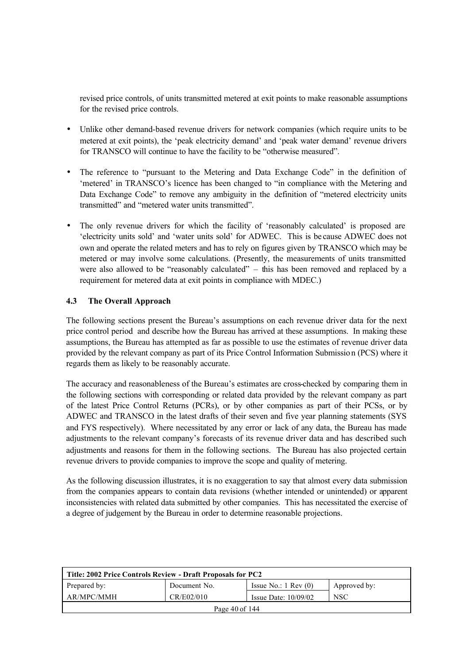revised price controls, of units transmitted metered at exit points to make reasonable assumptions for the revised price controls.

- Unlike other demand-based revenue drivers for network companies (which require units to be metered at exit points), the 'peak electricity demand' and 'peak water demand' revenue drivers for TRANSCO will continue to have the facility to be "otherwise measured".
- The reference to "pursuant to the Metering and Data Exchange Code" in the definition of 'metered' in TRANSCO's licence has been changed to "in compliance with the Metering and Data Exchange Code" to remove any ambiguity in the definition of "metered electricity units transmitted" and "metered water units transmitted".
- The only revenue drivers for which the facility of 'reasonably calculated' is proposed are 'electricity units sold' and 'water units sold' for ADWEC. This is be cause ADWEC does not own and operate the related meters and has to rely on figures given by TRANSCO which may be metered or may involve some calculations. (Presently, the measurements of units transmitted were also allowed to be "reasonably calculated" – this has been removed and replaced by a requirement for metered data at exit points in compliance with MDEC.)

## **4.3 The Overall Approach**

The following sections present the Bureau's assumptions on each revenue driver data for the next price control period and describe how the Bureau has arrived at these assumptions. In making these assumptions, the Bureau has attempted as far as possible to use the estimates of revenue driver data provided by the relevant company as part of its Price Control Information Submission (PCS) where it regards them as likely to be reasonably accurate.

The accuracy and reasonableness of the Bureau's estimates are cross-checked by comparing them in the following sections with corresponding or related data provided by the relevant company as part of the latest Price Control Returns (PCRs), or by other companies as part of their PCSs, or by ADWEC and TRANSCO in the latest drafts of their seven and five year planning statements (SYS and FYS respectively). Where necessitated by any error or lack of any data, the Bureau has made adjustments to the relevant company's forecasts of its revenue driver data and has described such adjustments and reasons for them in the following sections. The Bureau has also projected certain revenue drivers to provide companies to improve the scope and quality of metering.

As the following discussion illustrates, it is no exaggeration to say that almost every data submission from the companies appears to contain data revisions (whether intended or unintended) or apparent inconsistencies with related data submitted by other companies. This has necessitated the exercise of a degree of judgement by the Bureau in order to determine reasonable projections.

| Title: 2002 Price Controls Review - Draft Proposals for PC2 |                                                    |                                 |              |  |  |  |
|-------------------------------------------------------------|----------------------------------------------------|---------------------------------|--------------|--|--|--|
| Prepared by:                                                | Document No.                                       | Issue No.: $1 \text{ Rev } (0)$ | Approved by: |  |  |  |
| AR/MPC/MMH                                                  | CR/E02/010<br><b>NSC</b><br>Issue Date: $10/09/02$ |                                 |              |  |  |  |
| Page 40 of 144                                              |                                                    |                                 |              |  |  |  |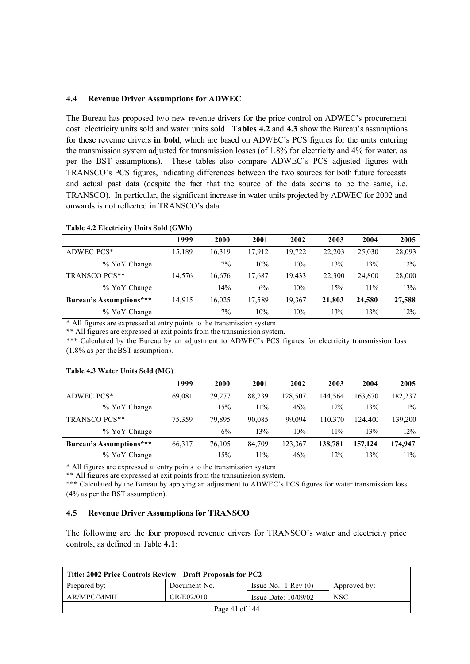### **4.4 Revenue Driver Assumptions for ADWEC**

The Bureau has proposed two new revenue drivers for the price control on ADWEC's procurement cost: electricity units sold and water units sold. **Tables 4.2** and **4.3** show the Bureau's assumptions for these revenue drivers **in bold**, which are based on ADWEC's PCS figures for the units entering the transmission system adjusted for transmission losses (of 1.8% for electricity and 4% for water, as per the BST assumptions). These tables also compare ADWEC's PCS adjusted figures with TRANSCO's PCS figures, indicating differences between the two sources for both future forecasts and actual past data (despite the fact that the source of the data seems to be the same, i.e. TRANSCO). In particular, the significant increase in water units projected by ADWEC for 2002 and onwards is not reflected in TRANSCO's data.

| Table 4.2 Electricity Units Sold (GWh) |        |        |        |        |        |        |        |
|----------------------------------------|--------|--------|--------|--------|--------|--------|--------|
|                                        | 1999   | 2000   | 2001   | 2002   | 2003   | 2004   | 2005   |
| ADWEC PCS*                             | 15,189 | 16,319 | 17,912 | 19,722 | 22,203 | 25,030 | 28,093 |
| % YoY Change                           |        | $7\%$  | 10%    | 10%    | 13%    | 13%    | 12%    |
| TRANSCO PCS**                          | 14.576 | 16.676 | 17,687 | 19,433 | 22,300 | 24,800 | 28,000 |
| % YoY Change                           |        | 14%    | 6%     | 10%    | 15%    | 11%    | 13%    |
| <b>Bureau's Assumptions***</b>         | 14,915 | 16,025 | 17,589 | 19,367 | 21,803 | 24,580 | 27,588 |
| % YoY Change                           |        | $7\%$  | 10%    | 10%    | 13%    | 13%    | 12%    |

\* All figures are expressed at entry points to the transmission system.

\*\* All figures are expressed at exit points from the transmission system.

\*\*\* Calculated by the Bureau by an adjustment to ADWEC's PCS figures for electricity transmission loss (1.8% as per the BST assumption).

| Table 4.3 Water Units Sold (MG) |        |        |        |         |         |         |         |
|---------------------------------|--------|--------|--------|---------|---------|---------|---------|
|                                 | 1999   | 2000   | 2001   | 2002    | 2003    | 2004    | 2005    |
| ADWEC PCS*                      | 69,081 | 79.277 | 88,239 | 128,507 | 144.564 | 163,670 | 182,237 |
| % YoY Change                    |        | 15%    | 11%    | 46%     | 12%     | 13%     | 11%     |
| TRANSCO PCS**                   | 75.359 | 79.895 | 90,085 | 99.094  | 110,370 | 124.400 | 139,200 |
| % YoY Change                    |        | 6%     | 13%    | 10%     | 11%     | 13%     | 12%     |
| Bureau's Assumptions***         | 66,317 | 76,105 | 84,709 | 123,367 | 138,781 | 157,124 | 174,947 |
| % YoY Change                    |        | 15%    | 11%    | 46%     | 12%     | 13%     | 11%     |

\* All figures are expressed at entry points to the transmission system.

\*\* All figures are expressed at exit points from the transmission system.

\*\*\* Calculated by the Bureau by applying an adjustment to ADWEC's PCS figures for water transmission loss (4% as per the BST assumption).

### **4.5 Revenue Driver Assumptions for TRANSCO**

The following are the four proposed revenue drivers for TRANSCO's water and electricity price controls, as defined in Table **4.1**:

| Title: 2002 Price Controls Review - Draft Proposals for PC2      |              |                                 |              |  |  |  |
|------------------------------------------------------------------|--------------|---------------------------------|--------------|--|--|--|
| Prepared by:                                                     | Document No. | Issue No.: $1 \text{ Rev } (0)$ | Approved by: |  |  |  |
| CR/E02/010<br><b>NSC</b><br>AR/MPC/MMH<br>Issue Date: $10/09/02$ |              |                                 |              |  |  |  |
| Page 41 of 144                                                   |              |                                 |              |  |  |  |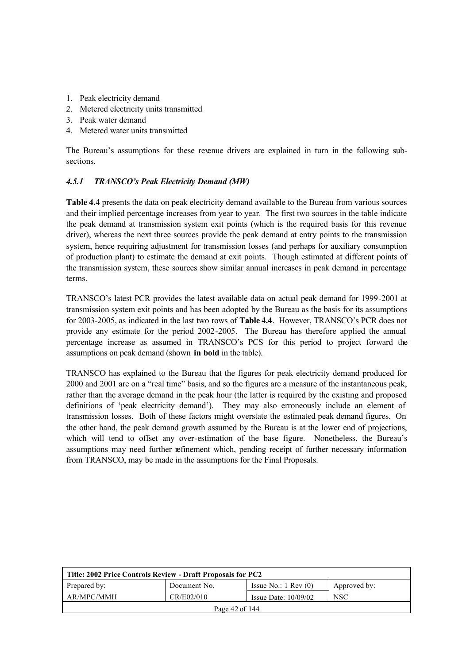- 1. Peak electricity demand
- 2. Metered electricity units transmitted
- 3. Peak water demand
- 4. Metered water units transmitted

The Bureau's assumptions for these revenue drivers are explained in turn in the following subsections.

### *4.5.1 TRANSCO's Peak Electricity Demand (MW)*

**Table 4.4** presents the data on peak electricity demand available to the Bureau from various sources and their implied percentage increases from year to year. The first two sources in the table indicate the peak demand at transmission system exit points (which is the required basis for this revenue driver), whereas the next three sources provide the peak demand at entry points to the transmission system, hence requiring adjustment for transmission losses (and perhaps for auxiliary consumption of production plant) to estimate the demand at exit points. Though estimated at different points of the transmission system, these sources show similar annual increases in peak demand in percentage terms.

TRANSCO's latest PCR provides the latest available data on actual peak demand for 1999-2001 at transmission system exit points and has been adopted by the Bureau as the basis for its assumptions for 2003-2005, as indicated in the last two rows of **Table 4.4**. However, TRANSCO's PCR does not provide any estimate for the period 2002-2005. The Bureau has therefore applied the annual percentage increase as assumed in TRANSCO's PCS for this period to project forward the assumptions on peak demand (shown **in bold** in the table).

TRANSCO has explained to the Bureau that the figures for peak electricity demand produced for 2000 and 2001 are on a "real time" basis, and so the figures are a measure of the instantaneous peak, rather than the average demand in the peak hour (the latter is required by the existing and proposed definitions of 'peak electricity demand'). They may also erroneously include an element of transmission losses. Both of these factors might overstate the estimated peak demand figures. On the other hand, the peak demand growth assumed by the Bureau is at the lower end of projections, which will tend to offset any over-estimation of the base figure. Nonetheless, the Bureau's assumptions may need further refinement which, pending receipt of further necessary information from TRANSCO, may be made in the assumptions for the Final Proposals.

| Title: 2002 Price Controls Review - Draft Proposals for PC2      |                                                                 |  |  |  |  |  |
|------------------------------------------------------------------|-----------------------------------------------------------------|--|--|--|--|--|
| Prepared by:                                                     | Issue No.: $1 \text{ Rev } (0)$<br>Document No.<br>Approved by: |  |  |  |  |  |
| AR/MPC/MMH<br>CR/E02/010<br><b>NSC</b><br>Issue Date: $10/09/02$ |                                                                 |  |  |  |  |  |
| Page 42 of 144                                                   |                                                                 |  |  |  |  |  |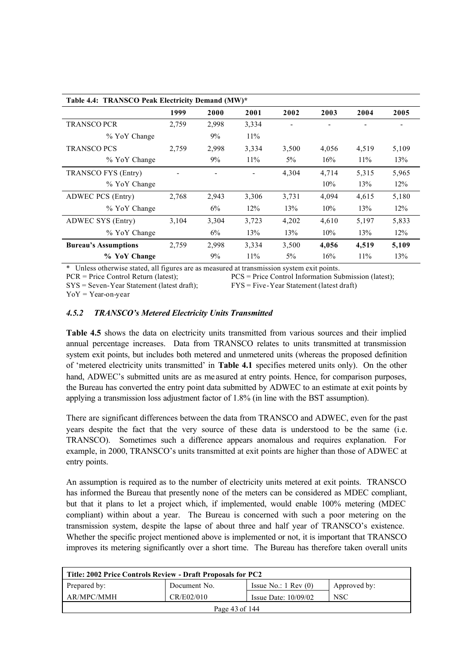| Table 4.4: TRANSCO Peak Electricity Demand (MW)* |       |       |       |       |       |       |       |
|--------------------------------------------------|-------|-------|-------|-------|-------|-------|-------|
|                                                  | 1999  | 2000  | 2001  | 2002  | 2003  | 2004  | 2005  |
| <b>TRANSCO PCR</b>                               | 2,759 | 2,998 | 3,334 |       |       |       |       |
| % YoY Change                                     |       | 9%    | 11%   |       |       |       |       |
| <b>TRANSCO PCS</b>                               | 2,759 | 2,998 | 3,334 | 3,500 | 4,056 | 4,519 | 5,109 |
| % YoY Change                                     |       | 9%    | 11%   | $5\%$ | 16%   | 11%   | 13%   |
| TRANSCO FYS (Entry)                              |       |       |       | 4,304 | 4,714 | 5,315 | 5,965 |
| % YoY Change                                     |       |       |       |       | 10%   | 13%   | 12%   |
| ADWEC PCS (Entry)                                | 2,768 | 2,943 | 3,306 | 3,731 | 4,094 | 4,615 | 5,180 |
| % YoY Change                                     |       | 6%    | 12%   | 13%   | 10%   | 13%   | 12%   |
| ADWEC SYS (Entry)                                | 3,104 | 3,304 | 3,723 | 4,202 | 4,610 | 5,197 | 5,833 |
| % YoY Change                                     |       | $6\%$ | 13%   | 13%   | 10%   | 13%   | 12%   |
| <b>Bureau's Assumptions</b>                      | 2,759 | 2,998 | 3,334 | 3,500 | 4,056 | 4,519 | 5,109 |
| % YoY Change                                     |       | 9%    | 11%   | $5\%$ | 16%   | 11%   | 13%   |

\* Unless otherwise stated, all figures are as measured at transmission system exit points.

PCR = Price Control Return (latest); PCS = Price Control Information Submission (latest);

SYS = Seven-Year Statement (latest draft); FYS = Five-Year Statement (latest draft)

 $YoY = Year-on-vear$ 

### *4.5.2 TRANSCO's Metered Electricity Units Transmitted*

**Table 4.5** shows the data on electricity units transmitted from various sources and their implied annual percentage increases. Data from TRANSCO relates to units transmitted at transmission system exit points, but includes both metered and unmetered units (whereas the proposed definition of 'metered electricity units transmitted' in **Table 4.1** specifies metered units only). On the other hand, ADWEC's submitted units are as me asured at entry points. Hence, for comparison purposes, the Bureau has converted the entry point data submitted by ADWEC to an estimate at exit points by applying a transmission loss adjustment factor of 1.8% (in line with the BST assumption).

There are significant differences between the data from TRANSCO and ADWEC, even for the past years despite the fact that the very source of these data is understood to be the same (i.e. TRANSCO). Sometimes such a difference appears anomalous and requires explanation. For example, in 2000, TRANSCO's units transmitted at exit points are higher than those of ADWEC at entry points.

An assumption is required as to the number of electricity units metered at exit points. TRANSCO has informed the Bureau that presently none of the meters can be considered as MDEC compliant, but that it plans to let a project which, if implemented, would enable 100% metering (MDEC compliant) within about a year. The Bureau is concerned with such a poor metering on the transmission system, despite the lapse of about three and half year of TRANSCO's existence. Whether the specific project mentioned above is implemented or not, it is important that TRANSCO improves its metering significantly over a short time. The Bureau has therefore taken overall units

| Title: 2002 Price Controls Review - Draft Proposals for PC2 |                                                    |                                 |              |  |  |  |  |
|-------------------------------------------------------------|----------------------------------------------------|---------------------------------|--------------|--|--|--|--|
| Prepared by:                                                | Document No.                                       | Issue No.: $1 \text{ Rev } (0)$ | Approved by: |  |  |  |  |
| AR/MPC/MMH                                                  | CR/E02/010<br><b>NSC</b><br>Issue Date: $10/09/02$ |                                 |              |  |  |  |  |
| Page 43 of 144                                              |                                                    |                                 |              |  |  |  |  |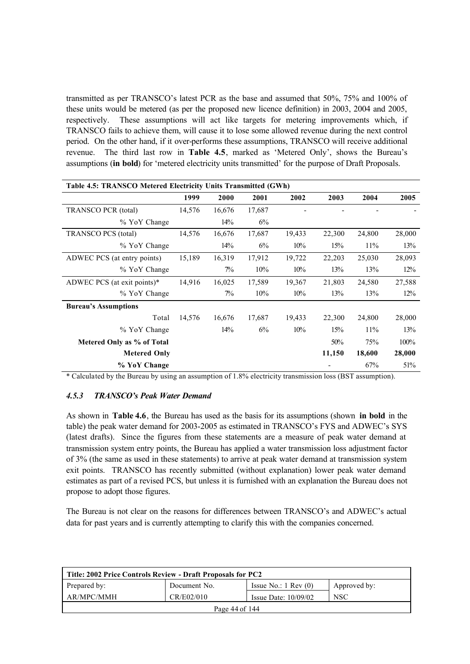transmitted as per TRANSCO's latest PCR as the base and assumed that 50%, 75% and 100% of these units would be metered (as per the proposed new licence definition) in 2003, 2004 and 2005, respectively. These assumptions will act like targets for metering improvements which, if TRANSCO fails to achieve them, will cause it to lose some allowed revenue during the next control period. On the other hand, if it over-performs these assumptions, TRANSCO will receive additional revenue. The third last row in **Table 4.5**, marked as 'Metered Only', shows the Bureau's assumptions (**in bold**) for 'metered electricity units transmitted' for the purpose of Draft Proposals.

| Table 4.5: TRANSCO Metered Electricity Units Transmitted (GWh) |        |        |        |        |        |        |        |  |
|----------------------------------------------------------------|--------|--------|--------|--------|--------|--------|--------|--|
|                                                                | 1999   | 2000   | 2001   | 2002   | 2003   | 2004   | 2005   |  |
| <b>TRANSCO PCR</b> (total)                                     | 14,576 | 16,676 | 17,687 |        |        |        |        |  |
| % YoY Change                                                   |        | 14%    | 6%     |        |        |        |        |  |
| <b>TRANSCO PCS</b> (total)                                     | 14,576 | 16,676 | 17,687 | 19,433 | 22,300 | 24,800 | 28,000 |  |
| % YoY Change                                                   |        | 14%    | 6%     | 10%    | 15%    | 11%    | 13%    |  |
| ADWEC PCS (at entry points)                                    | 15,189 | 16,319 | 17,912 | 19,722 | 22,203 | 25,030 | 28,093 |  |
| % YoY Change                                                   |        | $7\%$  | 10%    | 10%    | 13%    | 13%    | 12%    |  |
| ADWEC PCS (at exit points)*                                    | 14,916 | 16,025 | 17,589 | 19,367 | 21,803 | 24,580 | 27,588 |  |
| % YoY Change                                                   |        | $7\%$  | 10%    | 10%    | 13%    | 13%    | 12%    |  |
| <b>Bureau's Assumptions</b>                                    |        |        |        |        |        |        |        |  |
| Total                                                          | 14,576 | 16,676 | 17,687 | 19,433 | 22,300 | 24,800 | 28,000 |  |
| % YoY Change                                                   |        | 14%    | 6%     | 10%    | 15%    | 11%    | 13%    |  |
| Metered Only as % of Total                                     |        |        |        |        | 50%    | 75%    | 100%   |  |
| <b>Metered Only</b>                                            |        |        |        |        | 11,150 | 18,600 | 28,000 |  |
| % YoY Change                                                   |        |        |        |        |        | 67%    | 51%    |  |

\* Calculated by the Bureau by using an assumption of 1.8% electricity transmission loss (BST assumption).

### *4.5.3 TRANSCO's Peak Water Demand*

As shown in **Table 4.6**, the Bureau has used as the basis for its assumptions (shown **in bold** in the table) the peak water demand for 2003-2005 as estimated in TRANSCO's FYS and ADWEC's SYS (latest drafts). Since the figures from these statements are a measure of peak water demand at transmission system entry points, the Bureau has applied a water transmission loss adjustment factor of 3% (the same as used in these statements) to arrive at peak water demand at transmission system exit points. TRANSCO has recently submitted (without explanation) lower peak water demand estimates as part of a revised PCS, but unless it is furnished with an explanation the Bureau does not propose to adopt those figures.

The Bureau is not clear on the reasons for differences between TRANSCO's and ADWEC's actual data for past years and is currently attempting to clarify this with the companies concerned.

| Title: 2002 Price Controls Review - Draft Proposals for PC2 |              |                                 |              |  |  |  |  |  |  |
|-------------------------------------------------------------|--------------|---------------------------------|--------------|--|--|--|--|--|--|
| Prepared by:                                                | Document No. | Issue No.: $1 \text{ Rev } (0)$ | Approved by: |  |  |  |  |  |  |
| AR/MPC/MMH                                                  | CR/E02/010   | Issue Date: $10/09/02$          | <b>NSC</b>   |  |  |  |  |  |  |
| Page $44$ of $144$                                          |              |                                 |              |  |  |  |  |  |  |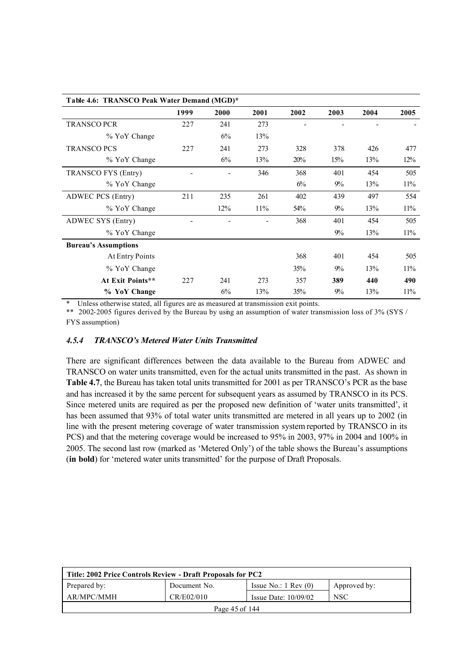| Table 4.6: TRANSCO Peak Water Demand (MGD)* |      |      |      |      |       |      |      |  |
|---------------------------------------------|------|------|------|------|-------|------|------|--|
|                                             | 1999 | 2000 | 2001 | 2002 | 2003  | 2004 | 2005 |  |
| <b>TRANSCO PCR</b>                          | 227  | 241  | 273  |      |       |      |      |  |
| % YoY Change                                |      | 6%   | 13%  |      |       |      |      |  |
| <b>TRANSCO PCS</b>                          | 227  | 241  | 273  | 328  | 378   | 426  | 477  |  |
| % YoY Change                                |      | 6%   | 13%  | 20%  | 15%   | 13%  | 12%  |  |
| TRANSCO FYS (Entry)                         |      |      | 346  | 368  | 401   | 454  | 505  |  |
| % YoY Change                                |      |      |      | 6%   | $9\%$ | 13%  | 11%  |  |
| ADWEC PCS (Entry)                           | 211  | 235  | 261  | 402  | 439   | 497  | 554  |  |
| % YoY Change                                |      | 12%  | 11%  | 54%  | $9\%$ | 13%  | 11%  |  |
| ADWEC SYS (Entry)                           |      |      |      | 368  | 401   | 454  | 505  |  |
| % YoY Change                                |      |      |      |      | 9%    | 13%  | 11%  |  |
| <b>Bureau's Assumptions</b>                 |      |      |      |      |       |      |      |  |
| At Entry Points                             |      |      |      | 368  | 401   | 454  | 505  |  |
| % YoY Change                                |      |      |      | 35%  | $9\%$ | 13%  | 11%  |  |
| At Exit Points**                            | 227  | 241  | 273  | 357  | 389   | 440  | 490  |  |
| % YoY Change                                |      | 6%   | 13%  | 35%  | 9%    | 13%  | 11%  |  |

Unless otherwise stated, all figures are as measured at transmission exit points.

\*\* 2002-2005 figures derived by the Bureau by using an assumption of water transmission loss of 3% (SYS / FYS assumption)

### *4.5.4 TRANSCO's Metered Water Units Transmitted*

There are significant differences between the data available to the Bureau from ADWEC and TRANSCO on water units transmitted, even for the actual units transmitted in the past. As shown in **Table 4.7**, the Bureau has taken total units transmitted for 2001 as per TRANSCO's PCR as the base and has increased it by the same percent for subsequent years as assumed by TRANSCO in its PCS. Since metered units are required as per the proposed new definition of 'water units transmitted', it has been assumed that 93% of total water units transmitted are metered in all years up to 2002 (in line with the present metering coverage of water transmission system reported by TRANSCO in its PCS) and that the metering coverage would be increased to 95% in 2003, 97% in 2004 and 100% in 2005. The second last row (marked as 'Metered Only') of the table shows the Bureau's assumptions (**in bold**) for 'metered water units transmitted' for the purpose of Draft Proposals.

| Title: 2002 Price Controls Review - Draft Proposals for PC2 |              |                               |              |  |  |  |  |  |
|-------------------------------------------------------------|--------------|-------------------------------|--------------|--|--|--|--|--|
| Prepared by:                                                | Document No. | Issue No.: $1 \text{ Rev}(0)$ | Approved by: |  |  |  |  |  |
| AR/MPC/MMH                                                  | CR/E02/010   | Issue Date: $10/09/02$        | <b>NSC</b>   |  |  |  |  |  |
| Page 45 of 144                                              |              |                               |              |  |  |  |  |  |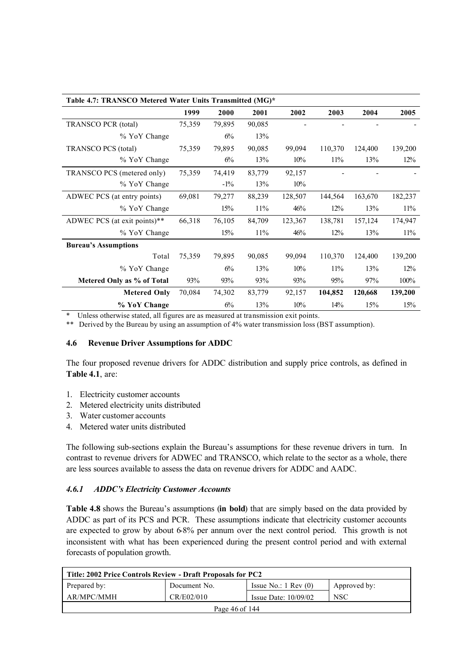| Table 4.7: TRANSCO Metered Water Units Transmitted (MG)* |        |        |        |         |         |         |         |  |
|----------------------------------------------------------|--------|--------|--------|---------|---------|---------|---------|--|
|                                                          | 1999   | 2000   | 2001   | 2002    | 2003    | 2004    | 2005    |  |
| <b>TRANSCO PCR</b> (total)                               | 75,359 | 79,895 | 90,085 |         |         |         |         |  |
| % YoY Change                                             |        | 6%     | 13%    |         |         |         |         |  |
| <b>TRANSCO PCS</b> (total)                               | 75,359 | 79,895 | 90,085 | 99,094  | 110,370 | 124,400 | 139,200 |  |
| % YoY Change                                             |        | 6%     | 13%    | 10%     | 11%     | 13%     | 12%     |  |
| TRANSCO PCS (metered only)                               | 75,359 | 74,419 | 83,779 | 92,157  |         |         |         |  |
| % YoY Change                                             |        | $-1\%$ | 13%    | 10%     |         |         |         |  |
| ADWEC PCS (at entry points)                              | 69,081 | 79,277 | 88,239 | 128,507 | 144,564 | 163,670 | 182,237 |  |
| % YoY Change                                             |        | 15%    | 11%    | 46%     | 12%     | 13%     | 11%     |  |
| ADWEC PCS (at exit points)**                             | 66,318 | 76,105 | 84,709 | 123,367 | 138,781 | 157,124 | 174,947 |  |
| % YoY Change                                             |        | 15%    | 11%    | 46%     | 12%     | 13%     | 11%     |  |
| <b>Bureau's Assumptions</b>                              |        |        |        |         |         |         |         |  |
| Total                                                    | 75,359 | 79,895 | 90,085 | 99,094  | 110,370 | 124,400 | 139,200 |  |
| % YoY Change                                             |        | 6%     | 13%    | 10%     | 11%     | 13%     | 12%     |  |
| Metered Only as % of Total                               | 93%    | 93%    | 93%    | 93%     | 95%     | 97%     | 100%    |  |
| <b>Metered Only</b>                                      | 70,084 | 74,302 | 83,779 | 92,157  | 104,852 | 120,668 | 139,200 |  |
| % YoY Change                                             |        | 6%     | 13%    | 10%     | 14%     | 15%     | 15%     |  |

Unless otherwise stated, all figures are as measured at transmission exit points.

\*\* Derived by the Bureau by using an assumption of 4% water transmission loss (BST assumption).

### **4.6 Revenue Driver Assumptions for ADDC**

The four proposed revenue drivers for ADDC distribution and supply price controls, as defined in **Table 4.1**, are:

- 1. Electricity customer accounts
- 2. Metered electricity units distributed
- 3. Water customer accounts
- 4. Metered water units distributed

The following sub-sections explain the Bureau's assumptions for these revenue drivers in turn. In contrast to revenue drivers for ADWEC and TRANSCO, which relate to the sector as a whole, there are less sources available to assess the data on revenue drivers for ADDC and AADC.

### *4.6.1 ADDC's Electricity Customer Accounts*

**Table 4.8** shows the Bureau's assumptions (**in bold**) that are simply based on the data provided by ADDC as part of its PCS and PCR. These assumptions indicate that electricity customer accounts are expected to grow by about 6-8% per annum over the next control period. This growth is not inconsistent with what has been experienced during the present control period and with external forecasts of population growth.

| Title: 2002 Price Controls Review - Draft Proposals for PC2 |              |                                 |              |  |  |  |  |  |  |
|-------------------------------------------------------------|--------------|---------------------------------|--------------|--|--|--|--|--|--|
| Prepared by:                                                | Document No. | Issue No.: $1 \text{ Rev } (0)$ | Approved by: |  |  |  |  |  |  |
| AR/MPC/MMH                                                  | CR/E02/010   | Issue Date: $10/09/02$          | <b>NSC</b>   |  |  |  |  |  |  |
| Page 46 of 144                                              |              |                                 |              |  |  |  |  |  |  |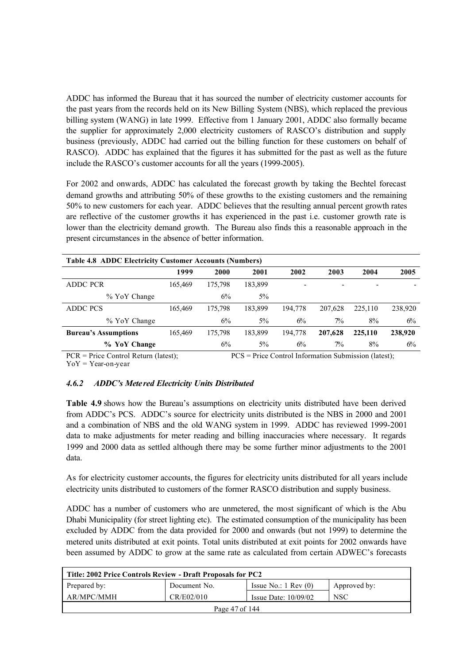ADDC has informed the Bureau that it has sourced the number of electricity customer accounts for the past years from the records held on its New Billing System (NBS), which replaced the previous billing system (WANG) in late 1999. Effective from 1 January 2001, ADDC also formally became the supplier for approximately 2,000 electricity customers of RASCO's distribution and supply business (previously, ADDC had carried out the billing function for these customers on behalf of RASCO). ADDC has explained that the figures it has submitted for the past as well as the future include the RASCO's customer accounts for all the years (1999-2005).

For 2002 and onwards, ADDC has calculated the forecast growth by taking the Bechtel forecast demand growths and attributing 50% of these growths to the existing customers and the remaining 50% to new customers for each year. ADDC believes that the resulting annual percent growth rates are reflective of the customer growths it has experienced in the past i.e. customer growth rate is lower than the electricity demand growth. The Bureau also finds this a reasonable approach in the present circumstances in the absence of better information.

| <b>Table 4.8 ADDC Electricity Customer Accounts (Numbers)</b>            |         |         |                      |         |                |         |         |  |
|--------------------------------------------------------------------------|---------|---------|----------------------|---------|----------------|---------|---------|--|
|                                                                          | 1999    | 2000    | 2001                 | 2002    | 2003           | 2004    | 2005    |  |
| <b>ADDC PCR</b>                                                          | 165.469 | 175.798 | 183,899              |         | -              |         |         |  |
| % YoY Change                                                             |         | 6%      | $5\%$                |         |                |         |         |  |
| ADDC PCS                                                                 | 165.469 | 175.798 | 183.899              | 194.778 | 207.628        | 225.110 | 238,920 |  |
| % YoY Change                                                             |         | 6%      | $5\%$                | 6%      | $\frac{70}{6}$ | 8%      | 6%      |  |
| <b>Bureau's Assumptions</b>                                              | 165.469 | 175.798 | 183.899              | 194.778 | 207,628        | 225,110 | 238,920 |  |
| % YoY Change                                                             |         | 6%      | $5\%$                | 6%      | 7%             | 8%      | 6%      |  |
| $\sim$ $\sim$ $\sim$<br>$\sim$ $\sim$ $\sim$ $\sim$ $\sim$ $\sim$ $\sim$ |         |         | $\sim$ $\sim$ $\sim$ |         |                |         |         |  |

PCR = Price Control Return (latest); PCS = Price Control Information Submission (latest);  $YoY = Year-on-year$ 

### *4.6.2 ADDC's Mete red Electricity Units Distributed*

**Table 4.9** shows how the Bureau's assumptions on electricity units distributed have been derived from ADDC's PCS. ADDC's source for electricity units distributed is the NBS in 2000 and 2001 and a combination of NBS and the old WANG system in 1999. ADDC has reviewed 1999-2001 data to make adjustments for meter reading and billing inaccuracies where necessary. It regards 1999 and 2000 data as settled although there may be some further minor adjustments to the 2001 data.

As for electricity customer accounts, the figures for electricity units distributed for all years include electricity units distributed to customers of the former RASCO distribution and supply business.

ADDC has a number of customers who are unmetered, the most significant of which is the Abu Dhabi Municipality (for street lighting etc). The estimated consumption of the municipality has been excluded by ADDC from the data provided for 2000 and onwards (but not 1999) to determine the metered units distributed at exit points. Total units distributed at exit points for 2002 onwards have been assumed by ADDC to grow at the same rate as calculated from certain ADWEC's forecasts

| Title: 2002 Price Controls Review - Draft Proposals for PC2 |              |                                 |              |  |  |  |  |  |
|-------------------------------------------------------------|--------------|---------------------------------|--------------|--|--|--|--|--|
| Prepared by:                                                | Document No. | Issue No.: $1 \text{ Rev } (0)$ | Approved by: |  |  |  |  |  |
| AR/MPC/MMH                                                  | CR/E02/010   | Issue Date: $10/09/02$          | <b>NSC</b>   |  |  |  |  |  |
| Page 47 of 144                                              |              |                                 |              |  |  |  |  |  |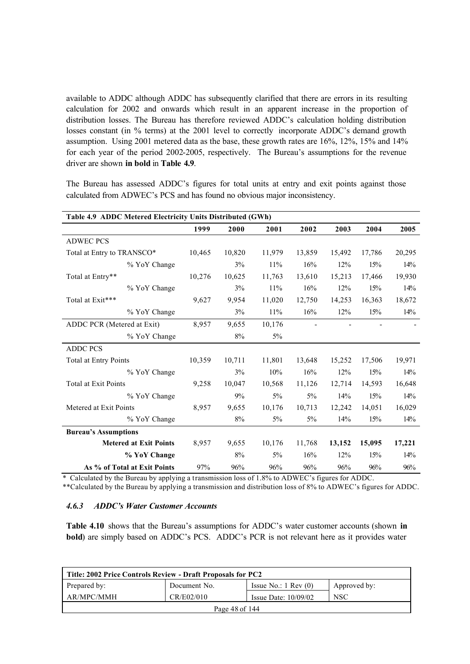available to ADDC although ADDC has subsequently clarified that there are errors in its resulting calculation for 2002 and onwards which result in an apparent increase in the proportion of distribution losses. The Bureau has therefore reviewed ADDC's calculation holding distribution losses constant (in % terms) at the 2001 level to correctly incorporate ADDC's demand growth assumption. Using 2001 metered data as the base, these growth rates are 16%, 12%, 15% and 14% for each year of the period 2002-2005, respectively. The Bureau's assumptions for the revenue driver are shown **in bold** in **Table 4.9**.

The Bureau has assessed ADDC's figures for total units at entry and exit points against those calculated from ADWEC's PCS and has found no obvious major inconsistency.

| Table 4.9 ADDC Metered Electricity Units Distributed (GWh) |        |        |        |        |        |        |        |  |
|------------------------------------------------------------|--------|--------|--------|--------|--------|--------|--------|--|
|                                                            | 1999   | 2000   | 2001   | 2002   | 2003   | 2004   | 2005   |  |
| <b>ADWEC PCS</b>                                           |        |        |        |        |        |        |        |  |
| Total at Entry to TRANSCO*                                 | 10,465 | 10,820 | 11,979 | 13,859 | 15,492 | 17,786 | 20,295 |  |
| % YoY Change                                               |        | 3%     | 11%    | 16%    | 12%    | 15%    | 14%    |  |
| Total at Entry**                                           | 10,276 | 10,625 | 11,763 | 13,610 | 15,213 | 17,466 | 19,930 |  |
| % YoY Change                                               |        | 3%     | 11%    | 16%    | 12%    | 15%    | 14%    |  |
| Total at Exit***                                           | 9,627  | 9,954  | 11,020 | 12,750 | 14,253 | 16,363 | 18,672 |  |
| % YoY Change                                               |        | 3%     | 11%    | 16%    | 12%    | 15%    | 14%    |  |
| ADDC PCR (Metered at Exit)                                 | 8,957  | 9,655  | 10,176 |        |        |        |        |  |
| % YoY Change                                               |        | 8%     | 5%     |        |        |        |        |  |
| <b>ADDC PCS</b>                                            |        |        |        |        |        |        |        |  |
| Total at Entry Points                                      | 10,359 | 10,711 | 11,801 | 13,648 | 15,252 | 17,506 | 19,971 |  |
| % YoY Change                                               |        | 3%     | 10%    | 16%    | 12%    | 15%    | 14%    |  |
| <b>Total at Exit Points</b>                                | 9,258  | 10,047 | 10,568 | 11,126 | 12,714 | 14,593 | 16,648 |  |
| % YoY Change                                               |        | 9%     | 5%     | $5\%$  | 14%    | 15%    | 14%    |  |
| Metered at Exit Points                                     | 8,957  | 9,655  | 10,176 | 10,713 | 12,242 | 14,051 | 16,029 |  |
| % YoY Change                                               |        | 8%     | $5\%$  | $5\%$  | 14%    | 15%    | 14%    |  |
| <b>Bureau's Assumptions</b>                                |        |        |        |        |        |        |        |  |
| <b>Metered at Exit Points</b>                              | 8,957  | 9,655  | 10,176 | 11,768 | 13,152 | 15,095 | 17,221 |  |
| % YoY Change                                               |        | 8%     | $5\%$  | 16%    | 12%    | 15%    | 14%    |  |
| As % of Total at Exit Points                               | 97%    | 96%    | 96%    | 96%    | 96%    | 96%    | 96%    |  |

\* Calculated by the Bureau by applying a transmission loss of 1.8% to ADWEC's figures for ADDC.

\*\*Calculated by the Bureau by applying a transmission and distribution loss of 8% to ADWEC's figures for ADDC.

## *4.6.3 ADDC's Water Customer Accounts*

**Table 4.10** shows that the Bureau's assumptions for ADDC's water customer accounts (shown **in bold**) are simply based on ADDC's PCS. ADDC's PCR is not relevant here as it provides water

| Title: 2002 Price Controls Review - Draft Proposals for PC2 |              |                                 |              |  |  |  |  |  |  |
|-------------------------------------------------------------|--------------|---------------------------------|--------------|--|--|--|--|--|--|
| Prepared by:                                                | Document No. | Issue No.: $1 \text{ Rev } (0)$ | Approved by: |  |  |  |  |  |  |
| AR/MPC/MMH                                                  | CR/E02/010   | Issue Date: $10/09/02$          | <b>NSC</b>   |  |  |  |  |  |  |
| Page 48 of 144                                              |              |                                 |              |  |  |  |  |  |  |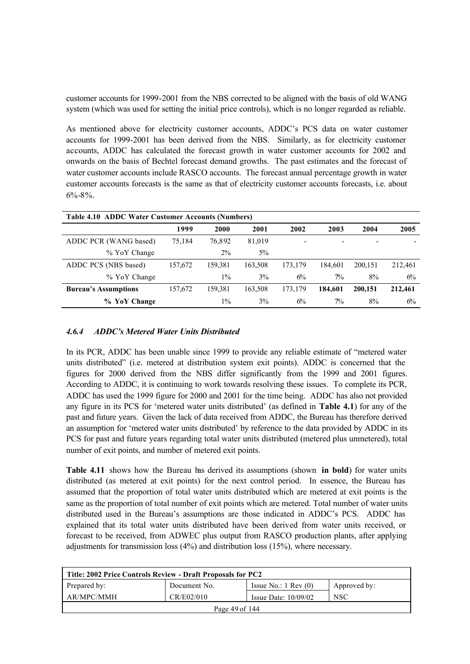customer accounts for 1999-2001 from the NBS corrected to be aligned with the basis of old WANG system (which was used for setting the initial price controls), which is no longer regarded as reliable.

As mentioned above for electricity customer accounts, ADDC's PCS data on water customer accounts for 1999-2001 has been derived from the NBS. Similarly, as for electricity customer accounts, ADDC has calculated the forecast growth in water customer accounts for 2002 and onwards on the basis of Bechtel forecast demand growths. The past estimates and the forecast of water customer accounts include RASCO accounts. The forecast annual percentage growth in water customer accounts forecasts is the same as that of electricity customer accounts forecasts, i.e. about  $6\% - 8\%$ .

| Table 4.10 ADDC Water Customer Accounts (Numbers) |         |         |         |         |                          |         |         |
|---------------------------------------------------|---------|---------|---------|---------|--------------------------|---------|---------|
|                                                   | 1999    | 2000    | 2001    | 2002    | 2003                     | 2004    | 2005    |
| ADDC PCR (WANG based)                             | 75,184  | 76.892  | 81,019  | ٠       | $\overline{\phantom{a}}$ |         |         |
| % YoY Change                                      |         | $2\%$   | $5\%$   |         |                          |         |         |
| ADDC PCS (NBS based)                              | 157,672 | 159.381 | 163,508 | 173,179 | 184.601                  | 200.151 | 212,461 |
| % YoY Change                                      |         | $1\%$   | $3\%$   | 6%      | 7%                       | 8%      | 6%      |
| <b>Bureau's Assumptions</b>                       | 157,672 | 159.381 | 163,508 | 173,179 | 184.601                  | 200,151 | 212,461 |
| % YoY Change                                      |         | $1\%$   | $3\%$   | 6%      | 7%                       | 8%      | 6%      |

## *4.6.4 ADDC's Metered Water Units Distributed*

In its PCR, ADDC has been unable since 1999 to provide any reliable estimate of "metered water units distributed" (i.e. metered at distribution system exit points). ADDC is concerned that the figures for 2000 derived from the NBS differ significantly from the 1999 and 2001 figures. According to ADDC, it is continuing to work towards resolving these issues. To complete its PCR, ADDC has used the 1999 figure for 2000 and 2001 for the time being. ADDC has also not provided any figure in its PCS for 'metered water units distributed' (as defined in **Table 4.1**) for any of the past and future years. Given the lack of data received from ADDC, the Bureau has therefore derived an assumption for 'metered water units distributed' by reference to the data provided by ADDC in its PCS for past and future years regarding total water units distributed (metered plus unmetered), total number of exit points, and number of metered exit points.

**Table 4.11** shows how the Bureau has derived its assumptions (shown **in bold**) for water units distributed (as metered at exit points) for the next control period. In essence, the Bureau has assumed that the proportion of total water units distributed which are metered at exit points is the same as the proportion of total number of exit points which are metered. Total number of water units distributed used in the Bureau's assumptions are those indicated in ADDC's PCS. ADDC has explained that its total water units distributed have been derived from water units received, or forecast to be received, from ADWEC plus output from RASCO production plants, after applying adjustments for transmission loss (4%) and distribution loss (15%), where necessary.

| Title: 2002 Price Controls Review - Draft Proposals for PC2 |              |                                 |              |  |  |  |  |  |  |
|-------------------------------------------------------------|--------------|---------------------------------|--------------|--|--|--|--|--|--|
| Prepared by:                                                | Document No. | Issue No.: $1 \text{ Rev } (0)$ | Approved by: |  |  |  |  |  |  |
| AR/MPC/MMH                                                  | CR/E02/010   | Issue Date: $10/09/02$          | <b>NSC</b>   |  |  |  |  |  |  |
| Page 49 of $144$                                            |              |                                 |              |  |  |  |  |  |  |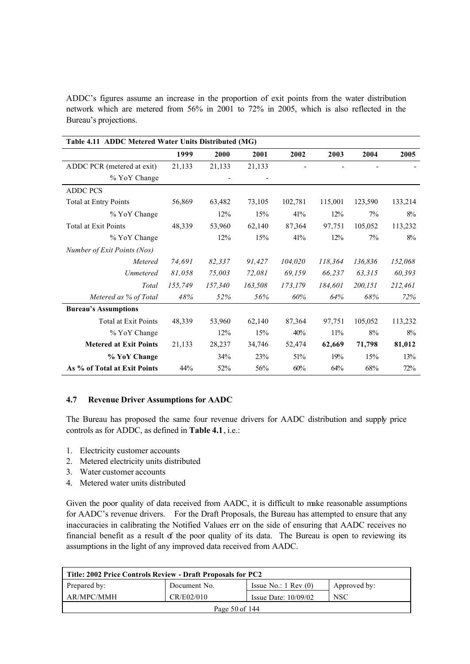ADDC's figures assume an increase in the proportion of exit points from the water distribution network which are metered from 56% in 2001 to 72% in 2005, which is also reflected in the Bureau's projections.

| Table 4.11 ADDC Metered Water Units Distributed (MG) |         |         |         |         |         |         |         |
|------------------------------------------------------|---------|---------|---------|---------|---------|---------|---------|
|                                                      | 1999    | 2000    | 2001    | 2002    | 2003    | 2004    | 2005    |
| ADDC PCR (metered at exit)                           | 21,133  | 21,133  | 21,133  |         |         |         |         |
| % YoY Change                                         |         |         |         |         |         |         |         |
| <b>ADDC PCS</b>                                      |         |         |         |         |         |         |         |
| Total at Entry Points                                | 56,869  | 63,482  | 73,105  | 102,781 | 115,001 | 123,590 | 133,214 |
| % YoY Change                                         |         | 12%     | 15%     | 41%     | 12%     | $7\%$   | 8%      |
| Total at Exit Points                                 | 48,339  | 53,960  | 62,140  | 87,364  | 97,751  | 105,052 | 113,232 |
| % YoY Change                                         |         | 12%     | 15%     | 41%     | 12%     | 7%      | 8%      |
| Number of Exit Points (Nos)                          |         |         |         |         |         |         |         |
| Metered                                              | 74.691  | 82,337  | 91,427  | 104,020 | 118,364 | 136,836 | 152,068 |
| Unmetered                                            | 81,058  | 75,003  | 72,081  | 69,159  | 66,237  | 63,315  | 60,393  |
| Total                                                | 155,749 | 157,340 | 163,508 | 173,179 | 184,601 | 200,151 | 212,461 |
| Metered as % of Total                                | 48%     | 52%     | 56%     | 60%     | 64%     | 68%     | 72%     |
| <b>Bureau's Assumptions</b>                          |         |         |         |         |         |         |         |
| <b>Total at Exit Points</b>                          | 48,339  | 53,960  | 62,140  | 87,364  | 97,751  | 105,052 | 113,232 |
| % YoY Change                                         |         | 12%     | 15%     | 40%     | 11%     | 8%      | 8%      |
| <b>Metered at Exit Points</b>                        | 21,133  | 28,237  | 34,746  | 52,474  | 62,669  | 71,798  | 81,012  |
| % YoY Change                                         |         | 34%     | 23%     | 51%     | 19%     | 15%     | 13%     |
| As % of Total at Exit Points                         | 44%     | 52%     | 56%     | 60%     | 64%     | 68%     | 72%     |

### **4.7 Revenue Driver Assumptions for AADC**

The Bureau has proposed the same four revenue drivers for AADC distribution and supply price controls as for ADDC, as defined in **Table 4.1**, i.e.:

- 1. Electricity customer accounts
- 2. Metered electricity units distributed
- 3. Water customer accounts
- 4. Metered water units distributed

Given the poor quality of data received from AADC, it is difficult to make reasonable assumptions for AADC's revenue drivers. For the Draft Proposals, the Bureau has attempted to ensure that any inaccuracies in calibrating the Notified Values err on the side of ensuring that AADC receives no financial benefit as a result of the poor quality of its data. The Bureau is open to reviewing its assumptions in the light of any improved data received from AADC.

| Title: 2002 Price Controls Review - Draft Proposals for PC2 |              |                               |              |  |  |  |  |
|-------------------------------------------------------------|--------------|-------------------------------|--------------|--|--|--|--|
| Prepared by:                                                | Document No. | Issue No.: $1 \text{ Rev}(0)$ | Approved by: |  |  |  |  |
| AR/MPC/MMH                                                  | CR/E02/010   | Issue Date: $10/09/02$        | <b>NSC</b>   |  |  |  |  |
| Page 50 of 144                                              |              |                               |              |  |  |  |  |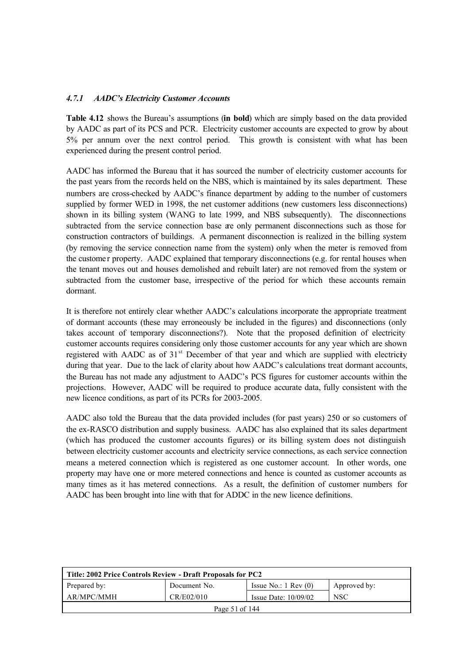## *4.7.1 AADC's Electricity Customer Accounts*

**Table 4.12** shows the Bureau's assumptions (**in bold**) which are simply based on the data provided by AADC as part of its PCS and PCR. Electricity customer accounts are expected to grow by about 5% per annum over the next control period. This growth is consistent with what has been experienced during the present control period.

AADC has informed the Bureau that it has sourced the number of electricity customer accounts for the past years from the records held on the NBS, which is maintained by its sales department. These numbers are cross-checked by AADC's finance department by adding to the number of customers supplied by former WED in 1998, the net customer additions (new customers less disconnections) shown in its billing system (WANG to late 1999, and NBS subsequently). The disconnections subtracted from the service connection base are only permanent disconnections such as those for construction contractors of buildings. A permanent disconnection is realized in the billing system (by removing the service connection name from the system) only when the meter is removed from the custome r property. AADC explained that temporary disconnections (e.g. for rental houses when the tenant moves out and houses demolished and rebuilt later) are not removed from the system or subtracted from the customer base, irrespective of the period for which these accounts remain dormant.

It is therefore not entirely clear whether AADC's calculations incorporate the appropriate treatment of dormant accounts (these may erroneously be included in the figures) and disconnections (only takes account of temporary disconnections?). Note that the proposed definition of electricity customer accounts requires considering only those customer accounts for any year which are shown registered with AADC as of  $31<sup>st</sup>$  December of that year and which are supplied with electricity during that year. Due to the lack of clarity about how AADC's calculations treat dormant accounts, the Bureau has not made any adjustment to AADC's PCS figures for customer accounts within the projections. However, AADC will be required to produce accurate data, fully consistent with the new licence conditions, as part of its PCRs for 2003-2005.

AADC also told the Bureau that the data provided includes (for past years) 250 or so customers of the ex-RASCO distribution and supply business. AADC has also explained that its sales department (which has produced the customer accounts figures) or its billing system does not distinguish between electricity customer accounts and electricity service connections, as each service connection means a metered connection which is registered as one customer account. In other words, one property may have one or more metered connections and hence is counted as customer accounts as many times as it has metered connections. As a result, the definition of customer numbers for AADC has been brought into line with that for ADDC in the new licence definitions.

| Title: 2002 Price Controls Review - Draft Proposals for PC2 |              |                                 |              |  |  |  |  |
|-------------------------------------------------------------|--------------|---------------------------------|--------------|--|--|--|--|
| Prepared by:                                                | Document No. | Issue No.: $1 \text{ Rev } (0)$ | Approved by: |  |  |  |  |
| AR/MPC/MMH                                                  | CR/E02/010   | Issue Date: $10/09/02$          | <b>NSC</b>   |  |  |  |  |
| Page 51 of 144                                              |              |                                 |              |  |  |  |  |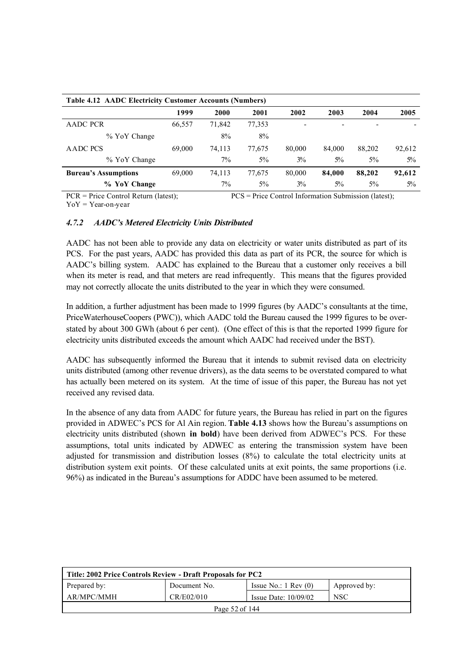| Table 4.12 AADC Electricity Customer Accounts (Numbers) |        |        |        |        |                   |        |        |
|---------------------------------------------------------|--------|--------|--------|--------|-------------------|--------|--------|
|                                                         | 1999   | 2000   | 2001   | 2002   | 2003              | 2004   | 2005   |
| AADC PCR                                                | 66,557 | 71.842 | 77,353 | ۰      | $\qquad \qquad -$ | -      |        |
| % YoY Change                                            |        | 8%     | 8%     |        |                   |        |        |
| AADC PCS                                                | 69.000 | 74.113 | 77.675 | 80.000 | 84,000            | 88,202 | 92,612 |
| % YoY Change                                            |        | $7\%$  | $5\%$  | $3\%$  | $5\%$             | $5\%$  | $5\%$  |
| <b>Bureau's Assumptions</b>                             | 69,000 | 74,113 | 77,675 | 80,000 | 84,000            | 88,202 | 92,612 |
| % YoY Change                                            |        | $7\%$  | $5\%$  | $3\%$  | $5\%$             | $5\%$  | $5\%$  |

PCR = Price Control Return (latest); PCS = Price Control Information Submission (latest);  $YoY = Year-on-year$ 

### *4.7.2 AADC's Metered Electricity Units Distributed*

AADC has not been able to provide any data on electricity or water units distributed as part of its PCS. For the past years, AADC has provided this data as part of its PCR, the source for which is AADC's billing system. AADC has explained to the Bureau that a customer only receives a bill when its meter is read, and that meters are read infrequently. This means that the figures provided may not correctly allocate the units distributed to the year in which they were consumed.

In addition, a further adjustment has been made to 1999 figures (by AADC's consultants at the time, PriceWaterhouseCoopers (PWC)), which AADC told the Bureau caused the 1999 figures to be overstated by about 300 GWh (about 6 per cent). (One effect of this is that the reported 1999 figure for electricity units distributed exceeds the amount which AADC had received under the BST).

AADC has subsequently informed the Bureau that it intends to submit revised data on electricity units distributed (among other revenue drivers), as the data seems to be overstated compared to what has actually been metered on its system. At the time of issue of this paper, the Bureau has not yet received any revised data.

In the absence of any data from AADC for future years, the Bureau has relied in part on the figures provided in ADWEC's PCS for Al Ain region. **Table 4.13** shows how the Bureau's assumptions on electricity units distributed (shown **in bold**) have been derived from ADWEC's PCS. For these assumptions, total units indicated by ADWEC as entering the transmission system have been adjusted for transmission and distribution losses (8%) to calculate the total electricity units at distribution system exit points. Of these calculated units at exit points, the same proportions (i.e. 96%) as indicated in the Bureau's assumptions for ADDC have been assumed to be metered.

| Title: 2002 Price Controls Review - Draft Proposals for PC2 |              |                                 |              |  |  |  |  |
|-------------------------------------------------------------|--------------|---------------------------------|--------------|--|--|--|--|
| Prepared by:                                                | Document No. | Issue No.: $1 \text{ Rev } (0)$ | Approved by: |  |  |  |  |
| AR/MPC/MMH                                                  | CR/E02/010   | Issue Date: $10/09/02$          | <b>NSC</b>   |  |  |  |  |
| Page 52 of 144                                              |              |                                 |              |  |  |  |  |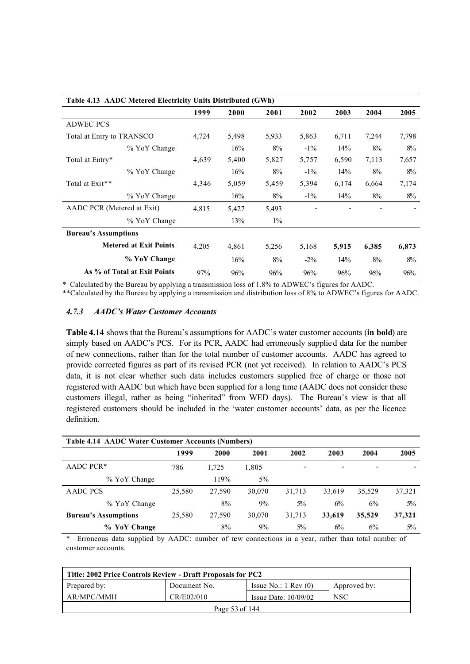| Table 4.13 AADC Metered Electricity Units Distributed (GWh) |       |       |       |        |       |       |       |
|-------------------------------------------------------------|-------|-------|-------|--------|-------|-------|-------|
|                                                             | 1999  | 2000  | 2001  | 2002   | 2003  | 2004  | 2005  |
| <b>ADWEC PCS</b>                                            |       |       |       |        |       |       |       |
| Total at Entry to TRANSCO                                   | 4,724 | 5,498 | 5,933 | 5,863  | 6,711 | 7,244 | 7,798 |
| % YoY Change                                                |       | 16%   | 8%    | $-1\%$ | 14%   | 8%    | 8%    |
| Total at Entry*                                             | 4,639 | 5,400 | 5,827 | 5,757  | 6,590 | 7,113 | 7,657 |
| % YoY Change                                                |       | 16%   | 8%    | $-1\%$ | 14%   | $8\%$ | 8%    |
| Total at Exit**                                             | 4,346 | 5,059 | 5,459 | 5,394  | 6,174 | 6,664 | 7,174 |
| % YoY Change                                                |       | 16%   | 8%    | $-1\%$ | 14%   | $8\%$ | $8\%$ |
| AADC PCR (Metered at Exit)                                  | 4,815 | 5,427 | 5,493 |        |       |       |       |
| % YoY Change                                                |       | 13%   | $1\%$ |        |       |       |       |
| <b>Bureau's Assumptions</b>                                 |       |       |       |        |       |       |       |
| <b>Metered at Exit Points</b>                               | 4,205 | 4,861 | 5,256 | 5,168  | 5,915 | 6,385 | 6,873 |
| % YoY Change                                                |       | 16%   | 8%    | $-2\%$ | 14%   | 8%    | 8%    |
| As % of Total at Exit Points                                | 97%   | 96%   | 96%   | 96%    | 96%   | 96%   | 96%   |

\* Calculated by the Bureau by applying a transmission loss of 1.8% to ADWEC's figures for AADC.

\*\*Calculated by the Bureau by applying a transmission and distribution loss of 8% to ADWEC's figures for AADC.

### *4.7.3 AADC's Water Customer Accounts*

**Table 4.14** shows that the Bureau's assumptions for AADC's water customer accounts (**in bold**) are simply based on AADC's PCS. For its PCR, AADC had erroneously supplied data for the number of new connections, rather than for the total number of customer accounts. AADC has agreed to provide corrected figures as part of its revised PCR (not yet received). In relation to AADC's PCS data, it is not clear whether such data includes customers supplied free of charge or those not registered with AADC but which have been supplied for a long time (AADC does not consider these customers illegal, rather as being "inherited" from WED days). The Bureau's view is that all registered customers should be included in the 'water customer accounts' data, as per the licence definition.

| <b>Table 4.14 AADC Water Customer Accounts (Numbers)</b> |        |        |        |        |                          |        |        |
|----------------------------------------------------------|--------|--------|--------|--------|--------------------------|--------|--------|
|                                                          | 1999   | 2000   | 2001   | 2002   | 2003                     | 2004   | 2005   |
| AADC PCR <sup>*</sup>                                    | 786    | 1.725  | 1,805  | ٠      | $\overline{\phantom{0}}$ |        |        |
| % YoY Change                                             |        | 119%   | $5\%$  |        |                          |        |        |
| AADC PCS                                                 | 25,580 | 27.590 | 30.070 | 31,713 | 33,619                   | 35,529 | 37,321 |
| % YoY Change                                             |        | 8%     | 9%     | $5\%$  | 6%                       | 6%     | $5\%$  |
| <b>Bureau's Assumptions</b>                              | 25,580 | 27,590 | 30,070 | 31,713 | 33,619                   | 35,529 | 37,321 |
| <b>YoY</b> Change<br>$\%$                                |        | 8%     | 9%     | $5\%$  | 6%                       | 6%     | $5\%$  |

\* Erroneous data supplied by AADC: number of new connections in a year, rather than total number of customer accounts.

| Title: 2002 Price Controls Review - Draft Proposals for PC2 |              |                                 |              |  |  |  |  |
|-------------------------------------------------------------|--------------|---------------------------------|--------------|--|--|--|--|
| Prepared by:                                                | Document No. | Issue No.: $1 \text{ Rev } (0)$ | Approved by: |  |  |  |  |
| AR/MPC/MMH                                                  | CR/E02/010   | Issue Date: $10/09/02$          | <b>NSC</b>   |  |  |  |  |
| Page 53 of 144                                              |              |                                 |              |  |  |  |  |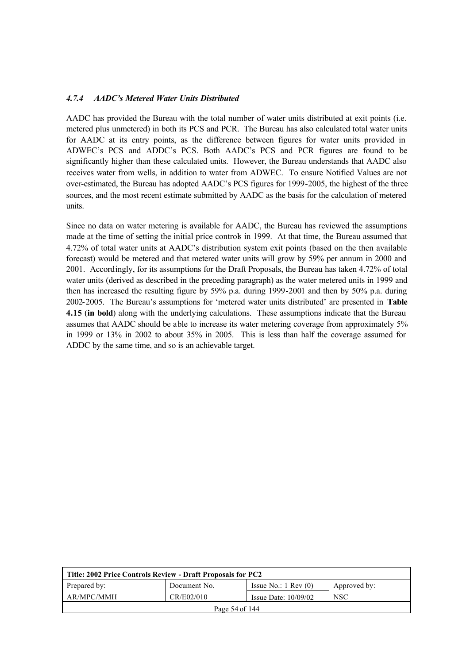### *4.7.4 AADC's Metered Water Units Distributed*

AADC has provided the Bureau with the total number of water units distributed at exit points (i.e. metered plus unmetered) in both its PCS and PCR. The Bureau has also calculated total water units for AADC at its entry points, as the difference between figures for water units provided in ADWEC's PCS and ADDC's PCS. Both AADC's PCS and PCR figures are found to be significantly higher than these calculated units. However, the Bureau understands that AADC also receives water from wells, in addition to water from ADWEC. To ensure Notified Values are not over-estimated, the Bureau has adopted AADC's PCS figures for 1999-2005, the highest of the three sources, and the most recent estimate submitted by AADC as the basis for the calculation of metered units.

Since no data on water metering is available for AADC, the Bureau has reviewed the assumptions made at the time of setting the initial price controls in 1999. At that time, the Bureau assumed that 4.72% of total water units at AADC's distribution system exit points (based on the then available forecast) would be metered and that metered water units will grow by 59% per annum in 2000 and 2001. Accordingly, for its assumptions for the Draft Proposals, the Bureau has taken 4.72% of total water units (derived as described in the preceding paragraph) as the water metered units in 1999 and then has increased the resulting figure by 59% p.a. during 1999-2001 and then by 50% p.a. during 2002-2005. The Bureau's assumptions for 'metered water units distributed' are presented in **Table 4.15** (**in bold**) along with the underlying calculations. These assumptions indicate that the Bureau assumes that AADC should be able to increase its water metering coverage from approximately 5% in 1999 or 13% in 2002 to about 35% in 2005. This is less than half the coverage assumed for ADDC by the same time, and so is an achievable target.

| Title: 2002 Price Controls Review - Draft Proposals for PC2 |              |                                 |              |  |  |  |  |
|-------------------------------------------------------------|--------------|---------------------------------|--------------|--|--|--|--|
| Prepared by:                                                | Document No. | Issue No.: $1 \text{ Rev } (0)$ | Approved by: |  |  |  |  |
| AR/MPC/MMH                                                  | CR/E02/010   | Issue Date: $10/09/02$          | <b>NSC</b>   |  |  |  |  |
| Page 54 of 144                                              |              |                                 |              |  |  |  |  |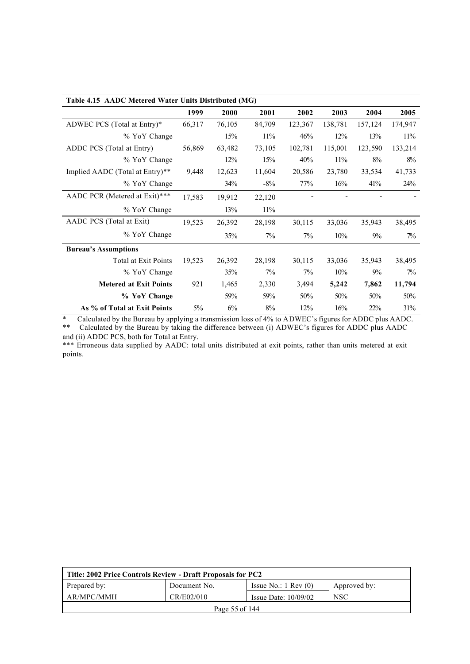| Table 4.15 AADC Metered Water Units Distributed (MG) |        |        |        |         |         |         |         |
|------------------------------------------------------|--------|--------|--------|---------|---------|---------|---------|
|                                                      | 1999   | 2000   | 2001   | 2002    | 2003    | 2004    | 2005    |
| ADWEC PCS (Total at Entry)*                          | 66,317 | 76,105 | 84,709 | 123,367 | 138,781 | 157,124 | 174,947 |
| % YoY Change                                         |        | 15%    | 11%    | 46%     | 12%     | 13%     | 11%     |
| ADDC PCS (Total at Entry)                            | 56,869 | 63,482 | 73,105 | 102,781 | 115,001 | 123,590 | 133,214 |
| % YoY Change                                         |        | 12%    | 15%    | 40%     | 11%     | 8%      | 8%      |
| Implied AADC (Total at Entry)**                      | 9,448  | 12,623 | 11,604 | 20,586  | 23,780  | 33,534  | 41,733  |
| % YoY Change                                         |        | 34%    | $-8\%$ | 77%     | 16%     | 41%     | 24%     |
| AADC PCR (Metered at Exit)***                        | 17,583 | 19,912 | 22,120 |         |         |         |         |
| % YoY Change                                         |        | 13%    | 11%    |         |         |         |         |
| AADC PCS (Total at Exit)                             | 19,523 | 26,392 | 28,198 | 30,115  | 33,036  | 35,943  | 38,495  |
| % YoY Change                                         |        | 35%    | 7%     | 7%      | 10%     | 9%      | $7\%$   |
| <b>Bureau's Assumptions</b>                          |        |        |        |         |         |         |         |
| <b>Total at Exit Points</b>                          | 19,523 | 26,392 | 28,198 | 30,115  | 33,036  | 35,943  | 38,495  |
| % YoY Change                                         |        | 35%    | $7\%$  | $7\%$   | 10%     | $9\%$   | $7\%$   |
| <b>Metered at Exit Points</b>                        | 921    | 1,465  | 2,330  | 3,494   | 5,242   | 7,862   | 11,794  |
| % YoY Change                                         |        | 59%    | 59%    | 50%     | 50%     | 50%     | 50%     |
| As % of Total at Exit Points                         | $5\%$  | 6%     | 8%     | 12%     | 16%     | 22%     | 31%     |

\* Calculated by the Bureau by applying a transmission loss of 4% to ADWEC's figures for ADDC plus AADC.

\*\* Calculated by the Bureau by taking the difference between (i) ADWEC's figures for ADDC plus AADC and (ii) ADDC PCS, both for Total at Entry.

\*\*\* Erroneous data supplied by AADC: total units distributed at exit points, rather than units metered at exit points.

| Title: 2002 Price Controls Review - Draft Proposals for PC2 |              |                                 |              |  |  |  |  |
|-------------------------------------------------------------|--------------|---------------------------------|--------------|--|--|--|--|
| Prepared by:                                                | Document No. | Issue No.: $1 \text{ Rev } (0)$ | Approved by: |  |  |  |  |
| AR/MPC/MMH                                                  | CR/E02/010   | Issue Date: $10/09/02$          | <b>NSC</b>   |  |  |  |  |
| Page 55 of 144                                              |              |                                 |              |  |  |  |  |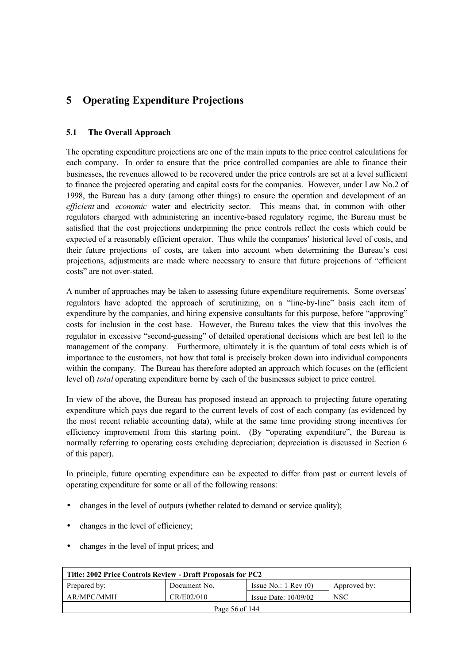# **5 Operating Expenditure Projections**

## **5.1 The Overall Approach**

The operating expenditure projections are one of the main inputs to the price control calculations for each company. In order to ensure that the price controlled companies are able to finance their businesses, the revenues allowed to be recovered under the price controls are set at a level sufficient to finance the projected operating and capital costs for the companies. However, under Law No.2 of 1998, the Bureau has a duty (among other things) to ensure the operation and development of an *efficient* and *economic* water and electricity sector. This means that, in common with other regulators charged with administering an incentive-based regulatory regime, the Bureau must be satisfied that the cost projections underpinning the price controls reflect the costs which could be expected of a reasonably efficient operator. Thus while the companies' historical level of costs, and their future projections of costs, are taken into account when determining the Bureau's cost projections, adjustments are made where necessary to ensure that future projections of "efficient costs" are not over-stated.

A number of approaches may be taken to assessing future expenditure requirements. Some overseas' regulators have adopted the approach of scrutinizing, on a "line-by-line" basis each item of expenditure by the companies, and hiring expensive consultants for this purpose, before "approving" costs for inclusion in the cost base. However, the Bureau takes the view that this involves the regulator in excessive "second-guessing" of detailed operational decisions which are best left to the management of the company. Furthermore, ultimately it is the quantum of total costs which is of importance to the customers, not how that total is precisely broken down into individual components within the company. The Bureau has therefore adopted an approach which focuses on the (efficient level of) *total* operating expenditure borne by each of the businesses subject to price control.

In view of the above, the Bureau has proposed instead an approach to projecting future operating expenditure which pays due regard to the current levels of cost of each company (as evidenced by the most recent reliable accounting data), while at the same time providing strong incentives for efficiency improvement from this starting point. (By "operating expenditure", the Bureau is normally referring to operating costs excluding depreciation; depreciation is discussed in Section 6 of this paper).

In principle, future operating expenditure can be expected to differ from past or current levels of operating expenditure for some or all of the following reasons:

- changes in the level of outputs (whether related to demand or service quality);
- changes in the level of efficiency;
- changes in the level of input prices; and

| Title: 2002 Price Controls Review - Draft Proposals for PC2 |              |                                 |              |  |  |  |  |
|-------------------------------------------------------------|--------------|---------------------------------|--------------|--|--|--|--|
| Prepared by:                                                | Document No. | Issue No.: $1 \text{ Rev } (0)$ | Approved by: |  |  |  |  |
| AR/MPC/MMH                                                  | CR/E02/010   | Issue Date: $10/09/02$          | <b>NSC</b>   |  |  |  |  |
| Page 56 of 144                                              |              |                                 |              |  |  |  |  |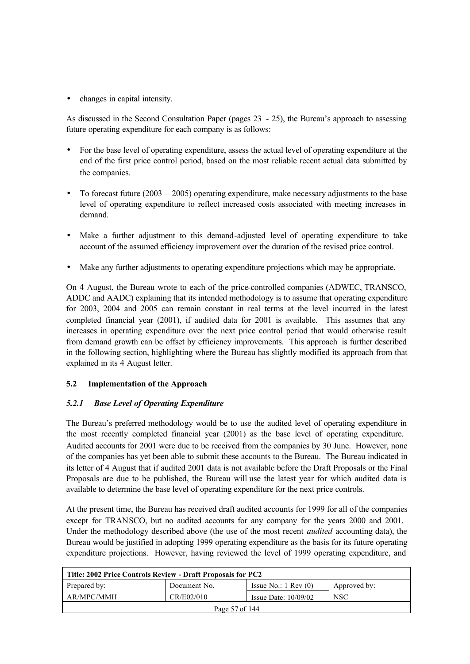• changes in capital intensity.

As discussed in the Second Consultation Paper (pages 23 - 25), the Bureau's approach to assessing future operating expenditure for each company is as follows:

- For the base level of operating expenditure, assess the actual level of operating expenditure at the end of the first price control period, based on the most reliable recent actual data submitted by the companies.
- To forecast future  $(2003 2005)$  operating expenditure, make necessary adjustments to the base level of operating expenditure to reflect increased costs associated with meeting increases in demand.
- Make a further adjustment to this demand-adjusted level of operating expenditure to take account of the assumed efficiency improvement over the duration of the revised price control.
- Make any further adjustments to operating expenditure projections which may be appropriate.

On 4 August, the Bureau wrote to each of the price-controlled companies (ADWEC, TRANSCO, ADDC and AADC) explaining that its intended methodology is to assume that operating expenditure for 2003, 2004 and 2005 can remain constant in real terms at the level incurred in the latest completed financial year (2001), if audited data for 2001 is available. This assumes that any increases in operating expenditure over the next price control period that would otherwise result from demand growth can be offset by efficiency improvements. This approach is further described in the following section, highlighting where the Bureau has slightly modified its approach from that explained in its 4 August letter.

## **5.2 Implementation of the Approach**

## *5.2.1 Base Level of Operating Expenditure*

The Bureau's preferred methodology would be to use the audited level of operating expenditure in the most recently completed financial year (2001) as the base level of operating expenditure. Audited accounts for 2001 were due to be received from the companies by 30 June. However, none of the companies has yet been able to submit these accounts to the Bureau. The Bureau indicated in its letter of 4 August that if audited 2001 data is not available before the Draft Proposals or the Final Proposals are due to be published, the Bureau will use the latest year for which audited data is available to determine the base level of operating expenditure for the next price controls.

At the present time, the Bureau has received draft audited accounts for 1999 for all of the companies except for TRANSCO, but no audited accounts for any company for the years 2000 and 2001. Under the methodology described above (the use of the most recent *audited* accounting data), the Bureau would be justified in adopting 1999 operating expenditure as the basis for its future operating expenditure projections. However, having reviewed the level of 1999 operating expenditure, and

| Title: 2002 Price Controls Review - Draft Proposals for PC2 |              |                                 |              |  |  |
|-------------------------------------------------------------|--------------|---------------------------------|--------------|--|--|
| Prepared by:                                                | Document No. | Issue No.: $1 \text{ Rev } (0)$ | Approved by: |  |  |
| AR/MPC/MMH                                                  | CR/E02/010   | Issue Date: $10/09/02$          | <b>NSC</b>   |  |  |
| Page 57 of 144                                              |              |                                 |              |  |  |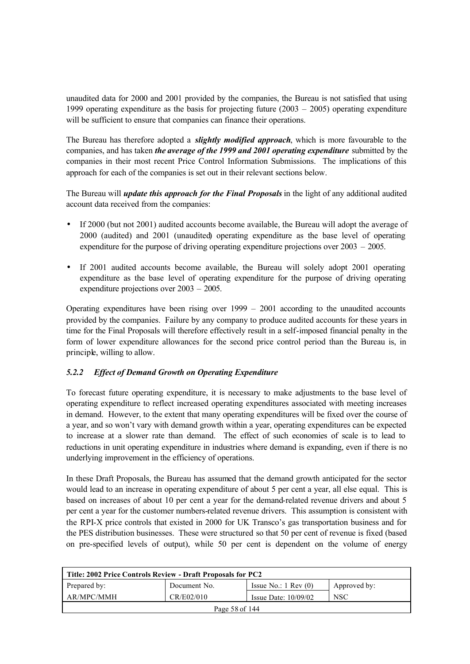unaudited data for 2000 and 2001 provided by the companies, the Bureau is not satisfied that using 1999 operating expenditure as the basis for projecting future  $(2003 - 2005)$  operating expenditure will be sufficient to ensure that companies can finance their operations.

The Bureau has therefore adopted a *slightly modified approach*, which is more favourable to the companies, and has taken *the average of the 1999 and 2001 operating expenditure* submitted by the companies in their most recent Price Control Information Submissions. The implications of this approach for each of the companies is set out in their relevant sections below.

The Bureau will *update this approach for the Final Proposals* in the light of any additional audited account data received from the companies:

- If 2000 (but not 2001) audited accounts become available, the Bureau will adopt the average of 2000 (audited) and 2001 (unaudited) operating expenditure as the base level of operating expenditure for the purpose of driving operating expenditure projections over 2003 – 2005.
- If 2001 audited accounts become available, the Bureau will solely adopt 2001 operating expenditure as the base level of operating expenditure for the purpose of driving operating expenditure projections over 2003 – 2005.

Operating expenditures have been rising over 1999 – 2001 according to the unaudited accounts provided by the companies. Failure by any company to produce audited accounts for these years in time for the Final Proposals will therefore effectively result in a self-imposed financial penalty in the form of lower expenditure allowances for the second price control period than the Bureau is, in principle, willing to allow.

## *5.2.2 Effect of Demand Growth on Operating Expenditure*

To forecast future operating expenditure, it is necessary to make adjustments to the base level of operating expenditure to reflect increased operating expenditures associated with meeting increases in demand. However, to the extent that many operating expenditures will be fixed over the course of a year, and so won't vary with demand growth within a year, operating expenditures can be expected to increase at a slower rate than demand. The effect of such economies of scale is to lead to reductions in unit operating expenditure in industries where demand is expanding, even if there is no underlying improvement in the efficiency of operations.

In these Draft Proposals, the Bureau has assumed that the demand growth anticipated for the sector would lead to an increase in operating expenditure of about 5 per cent a year, all else equal. This is based on increases of about 10 per cent a year for the demand-related revenue drivers and about 5 per cent a year for the customer numbers-related revenue drivers. This assumption is consistent with the RPI-X price controls that existed in 2000 for UK Transco's gas transportation business and for the PES distribution businesses. These were structured so that 50 per cent of revenue is fixed (based on pre-specified levels of output), while 50 per cent is dependent on the volume of energy

| Title: 2002 Price Controls Review - Draft Proposals for PC2 |              |                                 |              |  |  |
|-------------------------------------------------------------|--------------|---------------------------------|--------------|--|--|
| Prepared by:                                                | Document No. | Issue No.: $1 \text{ Rev } (0)$ | Approved by: |  |  |
| AR/MPC/MMH                                                  | CR/E02/010   | Issue Date: $10/09/02$          | <b>NSC</b>   |  |  |
| Page 58 of 144                                              |              |                                 |              |  |  |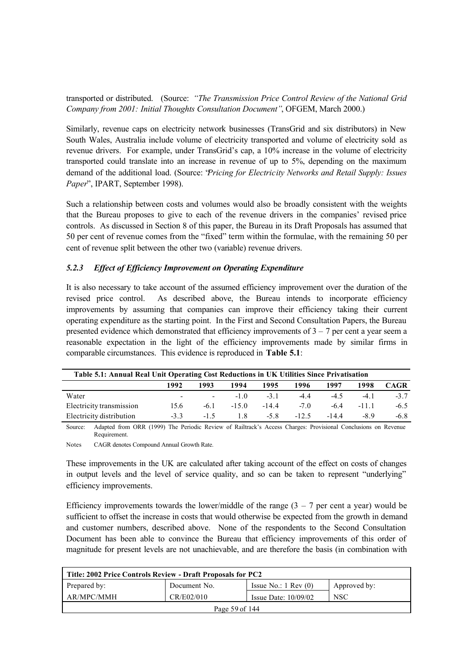transported or distributed. (Source: *"The Transmission Price Control Review of the National Grid Company from 2001: Initial Thoughts Consultation Document"*, OFGEM, March 2000.)

Similarly, revenue caps on electricity network businesses (TransGrid and six distributors) in New South Wales, Australia include volume of electricity transported and volume of electricity sold as revenue drivers. For example, under TransGrid's cap, a 10% increase in the volume of electricity transported could translate into an increase in revenue of up to 5%, depending on the maximum demand of the additional load. (Source: "*Pricing for Electricity Networks and Retail Supply: Issues Paper*", IPART, September 1998).

Such a relationship between costs and volumes would also be broadly consistent with the weights that the Bureau proposes to give to each of the revenue drivers in the companies' revised price controls. As discussed in Section 8 of this paper, the Bureau in its Draft Proposals has assumed that 50 per cent of revenue comes from the "fixed" term within the formulae, with the remaining 50 per cent of revenue split between the other two (variable) revenue drivers.

### *5.2.3 Effect of Efficiency Improvement on Operating Expenditure*

It is also necessary to take account of the assumed efficiency improvement over the duration of the revised price control. As described above, the Bureau intends to incorporate efficiency improvements by assuming that companies can improve their efficiency taking their current operating expenditure as the starting point. In the First and Second Consultation Papers, the Bureau presented evidence which demonstrated that efficiency improvements of  $3 - 7$  per cent a year seem a reasonable expectation in the light of the efficiency improvements made by similar firms in comparable circumstances. This evidence is reproduced in **Table 5.1**:

| Table 5.1: Annual Real Unit Operating Cost Reductions in UK Utilities Since Privatisation |                              |                           |        |        |         |        |        |             |
|-------------------------------------------------------------------------------------------|------------------------------|---------------------------|--------|--------|---------|--------|--------|-------------|
|                                                                                           | 1992                         | 1993                      | 1994   | 1995   | 1996    | 1997   | 1998   | <b>CAGR</b> |
| Water                                                                                     | $\sim$ 100 $\sim$ 100 $\sim$ | <b>Service</b> Contractor | $-10$  | $-31$  | -44     | $-4.5$ | $-4.1$ | $-3.7$      |
| Electricity transmission                                                                  | 15.6                         | $-6.1$                    | $-150$ | $-144$ | $-70$   | $-64$  | $-111$ | $-6.5$      |
| Electricity distribution                                                                  | $-33$                        | $-1.5$                    | 18     | $-5.8$ | $-12.5$ | $-144$ | -89    | $-6.8$      |

Source: Adapted from ORR (1999) The Periodic Review of Railtrack's Access Charges: Provisional Conclusions on Revenue Requirement.

Notes CAGR denotes Compound Annual Growth Rate.

These improvements in the UK are calculated after taking account of the effect on costs of changes in output levels and the level of service quality, and so can be taken to represent "underlying" efficiency improvements.

Efficiency improvements towards the lower/middle of the range  $(3 - 7$  per cent a year) would be sufficient to offset the increase in costs that would otherwise be expected from the growth in demand and customer numbers, described above. None of the respondents to the Second Consultation Document has been able to convince the Bureau that efficiency improvements of this order of magnitude for present levels are not unachievable, and are therefore the basis (in combination with

| Title: 2002 Price Controls Review - Draft Proposals for PC2 |              |                                 |              |  |  |
|-------------------------------------------------------------|--------------|---------------------------------|--------------|--|--|
| Prepared by:                                                | Document No. | Issue No.: $1 \text{ Rev } (0)$ | Approved by: |  |  |
| AR/MPC/MMH                                                  | CR/E02/010   | Issue Date: $10/09/02$          | <b>NSC</b>   |  |  |
| Page 59 of 144                                              |              |                                 |              |  |  |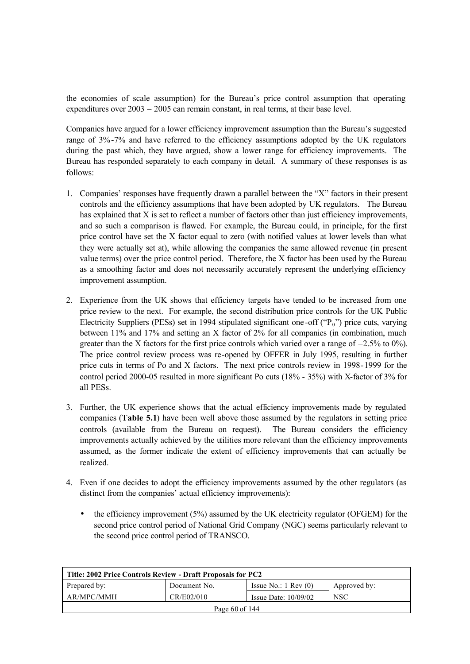the economies of scale assumption) for the Bureau's price control assumption that operating expenditures over 2003 – 2005 can remain constant, in real terms, at their base level.

Companies have argued for a lower efficiency improvement assumption than the Bureau's suggested range of 3%-7% and have referred to the efficiency assumptions adopted by the UK regulators during the past which, they have argued, show a lower range for efficiency improvements. The Bureau has responded separately to each company in detail. A summary of these responses is as follows:

- 1. Companies' responses have frequently drawn a parallel between the "X" factors in their present controls and the efficiency assumptions that have been adopted by UK regulators. The Bureau has explained that X is set to reflect a number of factors other than just efficiency improvements, and so such a comparison is flawed. For example, the Bureau could, in principle, for the first price control have set the X factor equal to zero (with notified values at lower levels than what they were actually set at), while allowing the companies the same allowed revenue (in present value terms) over the price control period. Therefore, the X factor has been used by the Bureau as a smoothing factor and does not necessarily accurately represent the underlying efficiency improvement assumption.
- 2. Experience from the UK shows that efficiency targets have tended to be increased from one price review to the next. For example, the second distribution price controls for the UK Public Electricity Suppliers (PESs) set in 1994 stipulated significant one-off ( $P_0$ ") price cuts, varying between 11% and 17% and setting an X factor of 2% for all companies (in combination, much greater than the X factors for the first price controls which varied over a range of  $-2.5\%$  to 0%). The price control review process was re-opened by OFFER in July 1995, resulting in further price cuts in terms of Po and X factors. The next price controls review in 1998-1999 for the control period 2000-05 resulted in more significant Po cuts (18% - 35%) with X-factor of 3% for all PESs.
- 3. Further, the UK experience shows that the actual efficiency improvements made by regulated companies (**Table 5.1**) have been well above those assumed by the regulators in setting price controls (available from the Bureau on request). The Bureau considers the efficiency improvements actually achieved by the utilities more relevant than the efficiency improvements assumed, as the former indicate the extent of efficiency improvements that can actually be realized.
- 4. Even if one decides to adopt the efficiency improvements assumed by the other regulators (as distinct from the companies' actual efficiency improvements):
	- the efficiency improvement (5%) assumed by the UK electricity regulator (OFGEM) for the second price control period of National Grid Company (NGC) seems particularly relevant to the second price control period of TRANSCO.

| Title: 2002 Price Controls Review - Draft Proposals for PC2 |              |                                 |              |  |  |
|-------------------------------------------------------------|--------------|---------------------------------|--------------|--|--|
| Prepared by:                                                | Document No. | Issue No.: $1 \text{ Rev } (0)$ | Approved by: |  |  |
| AR/MPC/MMH                                                  | CR/E02/010   | Issue Date: $10/09/02$          | <b>NSC</b>   |  |  |
| Page $60$ of 144                                            |              |                                 |              |  |  |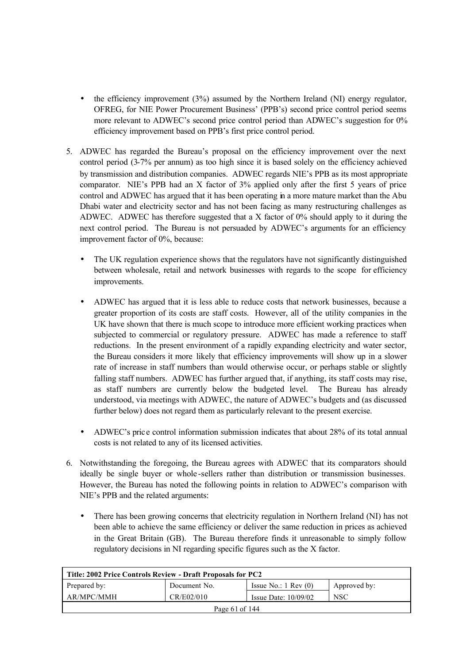- the efficiency improvement (3%) assumed by the Northern Ireland (NI) energy regulator, OFREG, for NIE Power Procurement Business' (PPB's) second price control period seems more relevant to ADWEC's second price control period than ADWEC's suggestion for 0% efficiency improvement based on PPB's first price control period.
- 5. ADWEC has regarded the Bureau's proposal on the efficiency improvement over the next control period (3-7% per annum) as too high since it is based solely on the efficiency achieved by transmission and distribution companies. ADWEC regards NIE's PPB as its most appropriate comparator. NIE's PPB had an X factor of 3% applied only after the first 5 years of price control and ADWEC has argued that it has been operating in a more mature market than the Abu Dhabi water and electricity sector and has not been facing as many restructuring challenges as ADWEC. ADWEC has therefore suggested that a X factor of  $0\%$  should apply to it during the next control period. The Bureau is not persuaded by ADWEC's arguments for an efficiency improvement factor of 0%, because:
	- The UK regulation experience shows that the regulators have not significantly distinguished between wholesale, retail and network businesses with regards to the scope for efficiency improvements.
	- ADWEC has argued that it is less able to reduce costs that network businesses, because a greater proportion of its costs are staff costs. However, all of the utility companies in the UK have shown that there is much scope to introduce more efficient working practices when subjected to commercial or regulatory pressure. ADWEC has made a reference to staff reductions. In the present environment of a rapidly expanding electricity and water sector, the Bureau considers it more likely that efficiency improvements will show up in a slower rate of increase in staff numbers than would otherwise occur, or perhaps stable or slightly falling staff numbers. ADWEC has further argued that, if anything, its staff costs may rise, as staff numbers are currently below the budgeted level. The Bureau has already understood, via meetings with ADWEC, the nature of ADWEC's budgets and (as discussed further below) does not regard them as particularly relevant to the present exercise.
	- ADWEC's price control information submission indicates that about 28% of its total annual costs is not related to any of its licensed activities.
- 6. Notwithstanding the foregoing, the Bureau agrees with ADWEC that its comparators should ideally be single buyer or whole -sellers rather than distribution or transmission businesses. However, the Bureau has noted the following points in relation to ADWEC's comparison with NIE's PPB and the related arguments:
	- There has been growing concerns that electricity regulation in Northern Ireland (NI) has not been able to achieve the same efficiency or deliver the same reduction in prices as achieved in the Great Britain (GB). The Bureau therefore finds it unreasonable to simply follow regulatory decisions in NI regarding specific figures such as the X factor.

| Title: 2002 Price Controls Review - Draft Proposals for PC2 |              |                                 |              |  |  |
|-------------------------------------------------------------|--------------|---------------------------------|--------------|--|--|
| Prepared by:                                                | Document No. | Issue No.: $1 \text{ Rev } (0)$ | Approved by: |  |  |
| AR/MPC/MMH                                                  | CR/E02/010   | Issue Date: $10/09/02$          | <b>NSC</b>   |  |  |
| Page 61 of 144                                              |              |                                 |              |  |  |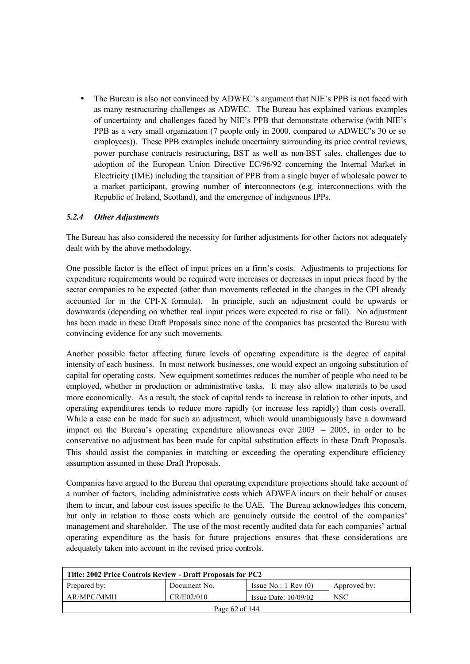• The Bureau is also not convinced by ADWEC's argument that NIE's PPB is not faced with as many restructuring challenges as ADWEC. The Bureau has explained various examples of uncertainty and challenges faced by NIE's PPB that demonstrate otherwise (with NIE's PPB as a very small organization (7 people only in 2000, compared to ADWEC's 30 or so employees)). These PPB examples include uncertainty surrounding its price control reviews, power purchase contracts restructuring, BST as well as non-BST sales, challenges due to adoption of the European Union Directive EC/96/92 concerning the Internal Market in Electricity (IME) including the transition of PPB from a single buyer of wholesale power to a market participant, growing number of interconnectors (e.g. interconnections with the Republic of Ireland, Scotland), and the emergence of indigenous IPPs.

## *5.2.4 Other Adjustments*

The Bureau has also considered the necessity for further adjustments for other factors not adequately dealt with by the above methodology.

One possible factor is the effect of input prices on a firm's costs. Adjustments to projections for expenditure requirements would be required were increases or decreases in input prices faced by the sector companies to be expected (other than movements reflected in the changes in the CPI already accounted for in the CPI-X formula). In principle, such an adjustment could be upwards or downwards (depending on whether real input prices were expected to rise or fall). No adjustment has been made in these Draft Proposals since none of the companies has presented the Bureau with convincing evidence for any such movements.

Another possible factor affecting future levels of operating expenditure is the degree of capital intensity of each business. In most network businesses, one would expect an ongoing substitution of capital for operating costs. New equipment sometimes reduces the number of people who need to be employed, whether in production or administrative tasks. It may also allow materials to be used more economically. As a result, the stock of capital tends to increase in relation to other inputs, and operating expenditures tends to reduce more rapidly (or increase less rapidly) than costs overall. While a case can be made for such an adjustment, which would unambiguously have a downward impact on the Bureau's operating expenditure allowances over 2003 – 2005, in order to be conservative no adjustment has been made for capital substitution effects in these Draft Proposals. This should assist the companies in matching or exceeding the operating expenditure efficiency assumption assumed in these Draft Proposals.

Companies have argued to the Bureau that operating expenditure projections should take account of a number of factors, including administrative costs which ADWEA incurs on their behalf or causes them to incur, and labour cost issues specific to the UAE. The Bureau acknowledges this concern, but only in relation to those costs which are genuinely outside the control of the companies' management and shareholder. The use of the most recently audited data for each companies' actual operating expenditure as the basis for future projections ensures that these considerations are adequately taken into account in the revised price controls.

| Title: 2002 Price Controls Review - Draft Proposals for PC2 |              |                                 |              |  |  |
|-------------------------------------------------------------|--------------|---------------------------------|--------------|--|--|
| Prepared by:                                                | Document No. | Issue No.: $1 \text{ Rev } (0)$ | Approved by: |  |  |
| AR/MPC/MMH                                                  | CR/E02/010   | Issue Date: $10/09/02$          | <b>NSC</b>   |  |  |
| Page 62 of 144                                              |              |                                 |              |  |  |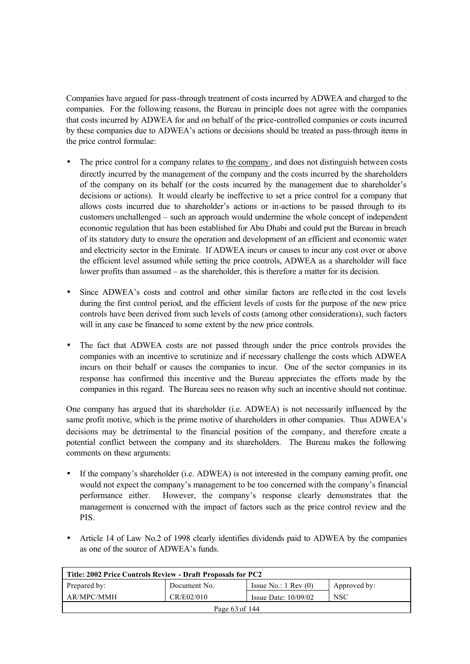Companies have argued for pass-through treatment of costs incurred by ADWEA and charged to the companies. For the following reasons, the Bureau in principle does not agree with the companies that costs incurred by ADWEA for and on behalf of the price-controlled companies or costs incurred by these companies due to ADWEA's actions or decisions should be treated as pass-through items in the price control formulae:

- The price control for a company relates to the company, and does not distinguish between costs directly incurred by the management of the company and the costs incurred by the shareholders of the company on its behalf (or the costs incurred by the management due to shareholder's decisions or actions). It would clearly be ineffective to set a price control for a company that allows costs incurred due to shareholder's actions or in-actions to be passed through to its customers unchallenged – such an approach would undermine the whole concept of independent economic regulation that has been established for Abu Dhabi and could put the Bureau in breach of its statutory duty to ensure the operation and development of an efficient and economic water and electricity sector in the Emirate. If ADWEA incurs or causes to incur any cost over or above the efficient level assumed while setting the price controls, ADWEA as a shareholder will face lower profits than assumed – as the shareholder, this is therefore a matter for its decision.
- Since ADWEA's costs and control and other similar factors are reflected in the cost levels during the first control period, and the efficient levels of costs for the purpose of the new price controls have been derived from such levels of costs (among other considerations), such factors will in any case be financed to some extent by the new price controls.
- The fact that ADWEA costs are not passed through under the price controls provides the companies with an incentive to scrutinize and if necessary challenge the costs which ADWEA incurs on their behalf or causes the companies to incur. One of the sector companies in its response has confirmed this incentive and the Bureau appreciates the efforts made by the companies in this regard. The Bureau sees no reason why such an incentive should not continue.

One company has argued that its shareholder (i.e. ADWEA) is not necessarily influenced by the same profit motive, which is the prime motive of shareholders in other companies. Thus ADWEA's decisions may be detrimental to the financial position of the company, and therefore create a potential conflict between the company and its shareholders. The Bureau makes the following comments on these arguments:

- If the company's shareholder (i.e. ADWEA) is not interested in the company earning profit, one would not expect the company's management to be too concerned with the company's financial performance either. However, the company's response clearly demonstrates that the management is concerned with the impact of factors such as the price control review and the PIS.
- Article 14 of Law No.2 of 1998 clearly identifies dividends paid to ADWEA by the companies as one of the source of ADWEA's funds.

| Title: 2002 Price Controls Review - Draft Proposals for PC2 |              |                                 |              |  |  |
|-------------------------------------------------------------|--------------|---------------------------------|--------------|--|--|
| Prepared by:                                                | Document No. | Issue No.: $1 \text{ Rev } (0)$ | Approved by: |  |  |
| AR/MPC/MMH                                                  | CR/E02/010   | Issue Date: $10/09/02$          | <b>NSC</b>   |  |  |
| Page $63$ of $144$                                          |              |                                 |              |  |  |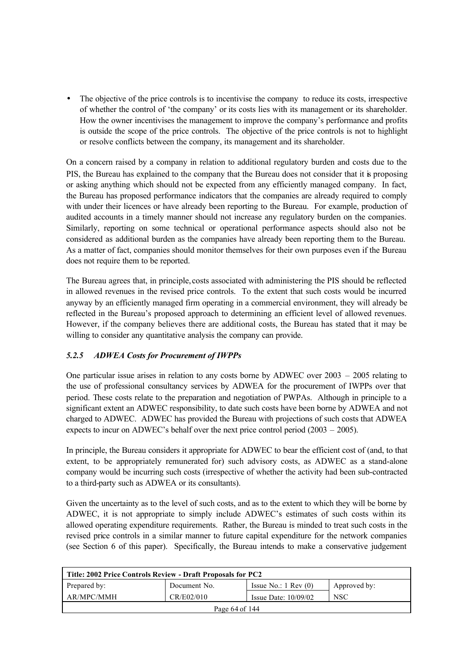• The objective of the price controls is to incentivise the company to reduce its costs, irrespective of whether the control of 'the company' or its costs lies with its management or its shareholder. How the owner incentivises the management to improve the company's performance and profits is outside the scope of the price controls. The objective of the price controls is not to highlight or resolve conflicts between the company, its management and its shareholder.

On a concern raised by a company in relation to additional regulatory burden and costs due to the PIS, the Bureau has explained to the company that the Bureau does not consider that it is proposing or asking anything which should not be expected from any efficiently managed company. In fact, the Bureau has proposed performance indicators that the companies are already required to comply with under their licences or have already been reporting to the Bureau. For example, production of audited accounts in a timely manner should not increase any regulatory burden on the companies. Similarly, reporting on some technical or operational performance aspects should also not be considered as additional burden as the companies have already been reporting them to the Bureau. As a matter of fact, companies should monitor themselves for their own purposes even if the Bureau does not require them to be reported.

The Bureau agrees that, in principle, costs associated with administering the PIS should be reflected in allowed revenues in the revised price controls. To the extent that such costs would be incurred anyway by an efficiently managed firm operating in a commercial environment, they will already be reflected in the Bureau's proposed approach to determining an efficient level of allowed revenues. However, if the company believes there are additional costs, the Bureau has stated that it may be willing to consider any quantitative analysis the company can provide.

## *5.2.5 ADWEA Costs for Procurement of IWPPs*

One particular issue arises in relation to any costs borne by ADWEC over 2003 – 2005 relating to the use of professional consultancy services by ADWEA for the procurement of IWPPs over that period. These costs relate to the preparation and negotiation of PWPAs. Although in principle to a significant extent an ADWEC responsibility, to date such costs have been borne by ADWEA and not charged to ADWEC. ADWEC has provided the Bureau with projections of such costs that ADWEA expects to incur on ADWEC's behalf over the next price control period (2003 – 2005).

In principle, the Bureau considers it appropriate for ADWEC to bear the efficient cost of (and, to that extent, to be appropriately remunerated for) such advisory costs, as ADWEC as a stand-alone company would be incurring such costs (irrespective of whether the activity had been sub-contracted to a third-party such as ADWEA or its consultants).

Given the uncertainty as to the level of such costs, and as to the extent to which they will be borne by ADWEC, it is not appropriate to simply include ADWEC's estimates of such costs within its allowed operating expenditure requirements. Rather, the Bureau is minded to treat such costs in the revised price controls in a similar manner to future capital expenditure for the network companies (see Section 6 of this paper). Specifically, the Bureau intends to make a conservative judgement

| Title: 2002 Price Controls Review - Draft Proposals for PC2 |              |                                 |              |  |  |
|-------------------------------------------------------------|--------------|---------------------------------|--------------|--|--|
| Prepared by:                                                | Document No. | Issue No.: $1 \text{ Rev } (0)$ | Approved by: |  |  |
| AR/MPC/MMH                                                  | CR/E02/010   | Issue Date: $10/09/02$          | <b>NSC</b>   |  |  |
| Page 64 of 144                                              |              |                                 |              |  |  |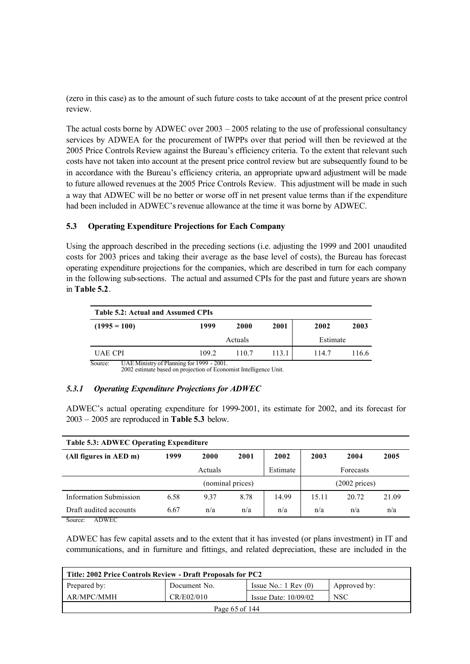(zero in this case) as to the amount of such future costs to take account of at the present price control review.

The actual costs borne by ADWEC over 2003 – 2005 relating to the use of professional consultancy services by ADWEA for the procurement of IWPPs over that period will then be reviewed at the 2005 Price Controls Review against the Bureau's efficiency criteria. To the extent that relevant such costs have not taken into account at the present price control review but are subsequently found to be in accordance with the Bureau's efficiency criteria, an appropriate upward adjustment will be made to future allowed revenues at the 2005 Price Controls Review. This adjustment will be made in such a way that ADWEC will be no better or worse off in net present value terms than if the expenditure had been included in ADWEC's revenue allowance at the time it was borne by ADWEC.

### **5.3 Operating Expenditure Projections for Each Company**

Using the approach described in the preceding sections (i.e. adjusting the 1999 and 2001 unaudited costs for 2003 prices and taking their average as the base level of costs), the Bureau has forecast operating expenditure projections for the companies, which are described in turn for each company in the following sub-sections. The actual and assumed CPIs for the past and future years are shown in **Table 5.2**.

| Table 5.2: Actual and Assumed CPIs                   |       |         |       |          |       |
|------------------------------------------------------|-------|---------|-------|----------|-------|
| $(1995 = 100)$                                       | 1999  | 2000    | 2001  | 2002     | 2003  |
|                                                      |       | Actuals |       | Estimate |       |
| UAE CPI                                              | 109.2 | 110.7   | 113.1 | 114.7    | 116.6 |
| Source:<br>UAE Ministry of Planning for 1999 - 2001. |       |         |       |          |       |

2002 estimate based on projection of Economist Intelligence Unit.

### *5.3.1 Operating Expenditure Projections for ADWEC*

ADWEC's actual operating expenditure for 1999-2001, its estimate for 2002, and its forecast for 2003 – 2005 are reproduced in **Table 5.3** below.

| Table 5.3: ADWEC Operating Expenditure           |      |                  |      |          |       |                         |       |
|--------------------------------------------------|------|------------------|------|----------|-------|-------------------------|-------|
| (All figures in AED m)                           | 1999 | 2000             | 2001 | 2002     | 2003  | 2004                    | 2005  |
|                                                  |      | Actuals          |      | Estimate |       | Forecasts               |       |
|                                                  |      | (nominal prices) |      |          |       | $(2002 \text{ prices})$ |       |
| <b>Information Submission</b>                    | 6.58 | 9.37             | 8.78 | 14.99    | 15.11 | 20.72                   | 21.09 |
| Draft audited accounts<br>$\sim$<br>$\sqrt{N^2}$ | 6.67 | n/a              | n/a  | n/a      | n/a   | n/a                     | n/a   |

Source: ADWEC

ADWEC has few capital assets and to the extent that it has invested (or plans investment) in IT and communications, and in furniture and fittings, and related depreciation, these are included in the

| Title: 2002 Price Controls Review - Draft Proposals for PC2 |              |                                 |              |  |  |
|-------------------------------------------------------------|--------------|---------------------------------|--------------|--|--|
| Prepared by:                                                | Document No. | Issue No.: $1 \text{ Rev } (0)$ | Approved by: |  |  |
| AR/MPC/MMH                                                  | CR/E02/010   | Issue Date: $10/09/02$          | <b>NSC</b>   |  |  |
| Page 65 of 144                                              |              |                                 |              |  |  |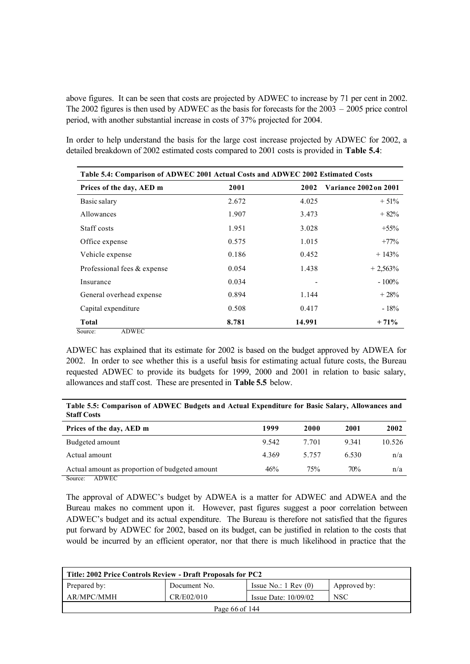above figures. It can be seen that costs are projected by ADWEC to increase by 71 per cent in 2002. The 2002 figures is then used by ADWEC as the basis for forecasts for the 2003 – 2005 price control period, with another substantial increase in costs of 37% projected for 2004.

In order to help understand the basis for the large cost increase projected by ADWEC for 2002, a detailed breakdown of 2002 estimated costs compared to 2001 costs is provided in **Table 5.4**:

| Table 5.4: Comparison of ADWEC 2001 Actual Costs and ADWEC 2002 Estimated Costs |       |        |                       |  |  |  |
|---------------------------------------------------------------------------------|-------|--------|-----------------------|--|--|--|
| Prices of the day, AED m                                                        | 2001  | 2002   | Variance 2002 on 2001 |  |  |  |
| Basic salary                                                                    | 2.672 | 4.025  | $+51%$                |  |  |  |
| Allowances                                                                      | 1.907 | 3.473  | $+82%$                |  |  |  |
| Staff costs                                                                     | 1.951 | 3.028  | $+55\%$               |  |  |  |
| Office expense                                                                  | 0.575 | 1.015  | $+77%$                |  |  |  |
| Vehicle expense                                                                 | 0.186 | 0.452  | $+143%$               |  |  |  |
| Professional fees & expense                                                     | 0.054 | 1.438  | $+2,563%$             |  |  |  |
| Insurance                                                                       | 0.034 |        | $-100\%$              |  |  |  |
| General overhead expense                                                        | 0.894 | 1.144  | $+28%$                |  |  |  |
| Capital expenditure                                                             | 0.508 | 0.417  | $-18%$                |  |  |  |
| <b>Total</b>                                                                    | 8.781 | 14.991 | $+71%$                |  |  |  |
| <b>ADWEC</b><br>Source:                                                         |       |        |                       |  |  |  |

ADWEC has explained that its estimate for 2002 is based on the budget approved by ADWEA for 2002. In order to see whether this is a useful basis for estimating actual future costs, the Bureau requested ADWEC to provide its budgets for 1999, 2000 and 2001 in relation to basic salary, allowances and staff cost. These are presented in **Table 5.5** below.

**Table 5.5: Comparison of ADWEC Budgets and Actual Expenditure for Basic Salary, Allowances and Staff Costs**

| Prices of the day, AED m                       | 1999  | 2000    | 2001    | 2002   |
|------------------------------------------------|-------|---------|---------|--------|
| Budgeted amount                                | 9.542 | 7 701   | 9 3 4 1 | 10.526 |
| Actual amount                                  | 4 369 | 5 7 5 7 | 6.530   | n/a    |
| Actual amount as proportion of budgeted amount | 46%   | 75%     | 70%     | n/a    |
| Source:<br>ADWEC                               |       |         |         |        |

The approval of ADWEC's budget by ADWEA is a matter for ADWEC and ADWEA and the Bureau makes no comment upon it. However, past figures suggest a poor correlation between ADWEC's budget and its actual expenditure. The Bureau is therefore not satisfied that the figures put forward by ADWEC for 2002, based on its budget, can be justified in relation to the costs that would be incurred by an efficient operator, nor that there is much likelihood in practice that the

| Title: 2002 Price Controls Review - Draft Proposals for PC2 |              |                                 |              |  |  |
|-------------------------------------------------------------|--------------|---------------------------------|--------------|--|--|
| Prepared by:                                                | Document No. | Issue No.: $1 \text{ Rev } (0)$ | Approved by: |  |  |
| AR/MPC/MMH                                                  | CR/E02/010   | Issue Date: $10/09/02$          | <b>NSC</b>   |  |  |
| Page 66 of 144                                              |              |                                 |              |  |  |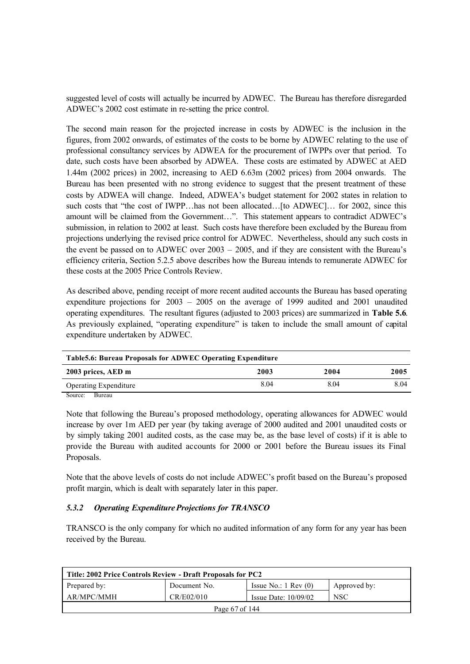suggested level of costs will actually be incurred by ADWEC. The Bureau has therefore disregarded ADWEC's 2002 cost estimate in re-setting the price control.

The second main reason for the projected increase in costs by ADWEC is the inclusion in the figures, from 2002 onwards, of estimates of the costs to be borne by ADWEC relating to the use of professional consultancy services by ADWEA for the procurement of IWPPs over that period. To date, such costs have been absorbed by ADWEA. These costs are estimated by ADWEC at AED 1.44m (2002 prices) in 2002, increasing to AED 6.63m (2002 prices) from 2004 onwards. The Bureau has been presented with no strong evidence to suggest that the present treatment of these costs by ADWEA will change. Indeed, ADWEA's budget statement for 2002 states in relation to such costs that "the cost of IWPP…has not been allocated…[to ADWEC]… for 2002, since this amount will be claimed from the Government…". This statement appears to contradict ADWEC's submission, in relation to 2002 at least. Such costs have therefore been excluded by the Bureau from projections underlying the revised price control for ADWEC. Nevertheless, should any such costs in the event be passed on to ADWEC over 2003 – 2005, and if they are consistent with the Bureau's efficiency criteria, Section 5.2.5 above describes how the Bureau intends to remunerate ADWEC for these costs at the 2005 Price Controls Review.

As described above, pending receipt of more recent audited accounts the Bureau has based operating expenditure projections for 2003 – 2005 on the average of 1999 audited and 2001 unaudited operating expenditures. The resultant figures (adjusted to 2003 prices) are summarized in **Table 5.6**. As previously explained, "operating expenditure" is taken to include the small amount of capital expenditure undertaken by ADWEC.

| <b>Table5.6: Bureau Proposals for ADWEC Operating Expenditure</b> |      |      |      |  |  |
|-------------------------------------------------------------------|------|------|------|--|--|
| 2003 prices, AED m                                                | 2003 | 2004 | 2005 |  |  |
| <b>Operating Expenditure</b>                                      | 8.04 | 804  | 8.04 |  |  |
| $\alpha$ m $\alpha$                                               |      |      |      |  |  |

Source: Bureau

Note that following the Bureau's proposed methodology, operating allowances for ADWEC would increase by over 1m AED per year (by taking average of 2000 audited and 2001 unaudited costs or by simply taking 2001 audited costs, as the case may be, as the base level of costs) if it is able to provide the Bureau with audited accounts for 2000 or 2001 before the Bureau issues its Final Proposals.

Note that the above levels of costs do not include ADWEC's profit based on the Bureau's proposed profit margin, which is dealt with separately later in this paper.

## *5.3.2 Operating Expenditure Projections for TRANSCO*

TRANSCO is the only company for which no audited information of any form for any year has been received by the Bureau.

| Title: 2002 Price Controls Review - Draft Proposals for PC2 |              |                                 |              |  |
|-------------------------------------------------------------|--------------|---------------------------------|--------------|--|
| Prepared by:                                                | Document No. | Issue No.: $1 \text{ Rev } (0)$ | Approved by: |  |
| AR/MPC/MMH                                                  | CR/E02/010   | Issue Date: $10/09/02$          | <b>NSC</b>   |  |
| Page 67 of 144                                              |              |                                 |              |  |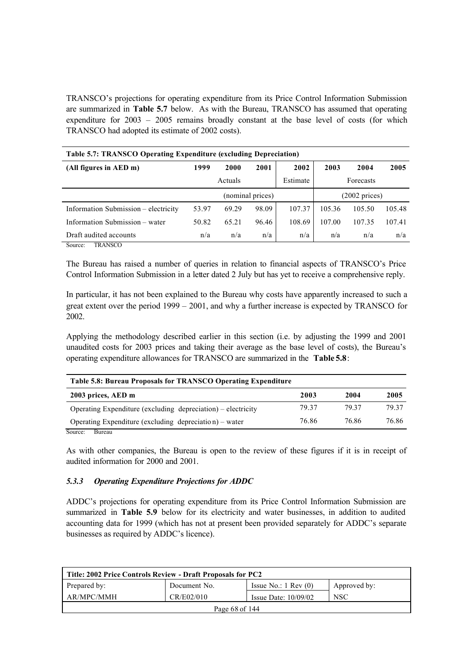TRANSCO's projections for operating expenditure from its Price Control Information Submission are summarized in **Table 5.7** below. As with the Bureau, TRANSCO has assumed that operating expenditure for 2003 – 2005 remains broadly constant at the base level of costs (for which TRANSCO had adopted its estimate of 2002 costs).

| <b>Table 5.7: TRANSCO Operating Expenditure (excluding Depreciation)</b> |                  |         |       |                         |        |           |        |
|--------------------------------------------------------------------------|------------------|---------|-------|-------------------------|--------|-----------|--------|
| (All figures in AED m)                                                   | 1999             | 2000    | 2001  | 2002                    | 2003   | 2004      | 2005   |
|                                                                          |                  | Actuals |       | Estimate                |        | Forecasts |        |
|                                                                          | (nominal prices) |         |       | $(2002 \text{ prices})$ |        |           |        |
| Information Submission – electricity                                     | 53.97            | 69.29   | 98.09 | 107.37                  | 105.36 | 105.50    | 105.48 |
| Information Submission – water                                           | 50.82            | 65.21   | 96.46 | 108.69                  | 107.00 | 107.35    | 107.41 |
| Draft audited accounts                                                   | n/a              | n/a     | n/a   | n/a                     | n/a    | n/a       | n/a    |
| TRANSCO<br>Source:                                                       |                  |         |       |                         |        |           |        |

The Bureau has raised a number of queries in relation to financial aspects of TRANSCO's Price Control Information Submission in a letter dated 2 July but has yet to receive a comprehensive reply.

In particular, it has not been explained to the Bureau why costs have apparently increased to such a great extent over the period 1999 – 2001, and why a further increase is expected by TRANSCO for 2002.

Applying the methodology described earlier in this section (i.e. by adjusting the 1999 and 2001 unaudited costs for 2003 prices and taking their average as the base level of costs), the Bureau's operating expenditure allowances for TRANSCO are summarized in the **Table 5.8**:

| Table 5.8: Bureau Proposals for TRANSCO Operating Expenditure |       |       |       |  |  |
|---------------------------------------------------------------|-------|-------|-------|--|--|
| 2003 prices, AED m                                            | 2003  | 2004  | 2005  |  |  |
| Operating Expenditure (excluding depreciation) – electricity  | 79.37 | 79 37 | 79.37 |  |  |
| Operating Expenditure (excluding depreciation) – water        | 76.86 | 76.86 | 76.86 |  |  |
| Source:<br>Bureau                                             |       |       |       |  |  |

As with other companies, the Bureau is open to the review of these figures if it is in receipt of audited information for 2000 and 2001.

## *5.3.3 Operating Expenditure Projections for ADDC*

ADDC's projections for operating expenditure from its Price Control Information Submission are summarized in **Table 5.9** below for its electricity and water businesses, in addition to audited accounting data for 1999 (which has not at present been provided separately for ADDC's separate businesses as required by ADDC's licence).

| Title: 2002 Price Controls Review - Draft Proposals for PC2                     |            |                        |            |  |  |
|---------------------------------------------------------------------------------|------------|------------------------|------------|--|--|
| Prepared by:<br>Issue No.: $1 \text{ Rev } (0)$<br>Document No.<br>Approved by: |            |                        |            |  |  |
| AR/MPC/MMH                                                                      | CR/E02/010 | Issue Date: $10/09/02$ | <b>NSC</b> |  |  |
| Page 68 of 144                                                                  |            |                        |            |  |  |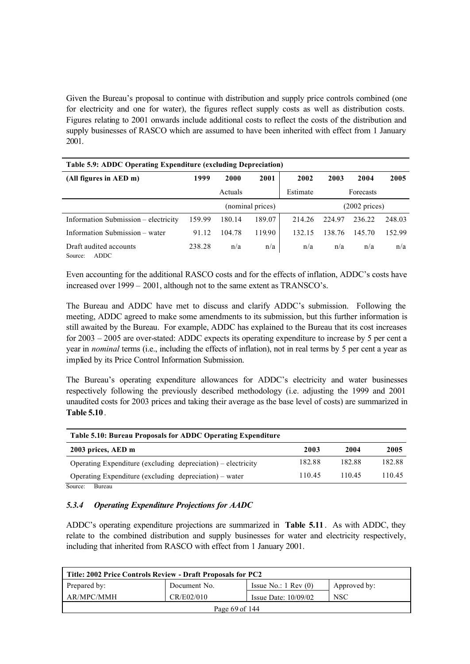Given the Bureau's proposal to continue with distribution and supply price controls combined (one for electricity and one for water), the figures reflect supply costs as well as distribution costs. Figures relating to 2001 onwards include additional costs to reflect the costs of the distribution and supply businesses of RASCO which are assumed to have been inherited with effect from 1 January 2001.

| Table 5.9: ADDC Operating Expenditure (excluding Depreciation) |        |         |                  |          |        |                         |        |
|----------------------------------------------------------------|--------|---------|------------------|----------|--------|-------------------------|--------|
| (All figures in AED m)                                         | 1999   | 2000    | 2001             | 2002     | 2003   | 2004                    | 2005   |
|                                                                |        | Actuals |                  | Estimate |        | Forecasts               |        |
|                                                                |        |         | (nominal prices) |          |        | $(2002 \text{ prices})$ |        |
| Information Submission – electricity                           | 159.99 | 180.14  | 189.07           | 214 26   | 224 97 | 236.22                  | 248.03 |
| Information Submission – water                                 | 91.12  | 104.78  | 119.90           | 132.15   | 138.76 | 145.70                  | 152.99 |
| Draft audited accounts<br><b>ADDC</b><br>Source:               | 238.28 | n/a     | n/a              | n/a      | n/a    | n/a                     | n/a    |

Even accounting for the additional RASCO costs and for the effects of inflation, ADDC's costs have increased over 1999 – 2001, although not to the same extent as TRANSCO's.

The Bureau and ADDC have met to discuss and clarify ADDC's submission. Following the meeting, ADDC agreed to make some amendments to its submission, but this further information is still awaited by the Bureau. For example, ADDC has explained to the Bureau that its cost increases for 2003 – 2005 are over-stated: ADDC expects its operating expenditure to increase by 5 per cent a year in *nominal* terms (i.e., including the effects of inflation), not in real terms by 5 per cent a year as implied by its Price Control Information Submission.

The Bureau's operating expenditure allowances for ADDC's electricity and water businesses respectively following the previously described methodology (i.e. adjusting the 1999 and 2001 unaudited costs for 2003 prices and taking their average as the base level of costs) are summarized in **Table 5.10**.

| Table 5.10: Bureau Proposals for ADDC Operating Expenditure  |        |        |        |
|--------------------------------------------------------------|--------|--------|--------|
| 2003 prices, AED m                                           | 2003   | 2004   | 2005   |
| Operating Expenditure (excluding depreciation) – electricity | 182.88 | 182.88 | 182.88 |
| Operating Expenditure (excluding depreciation) – water       | 110.45 | 11045  | 110 45 |
| Source:<br>Bureau                                            |        |        |        |

### *5.3.4 Operating Expenditure Projections for AADC*

ADDC's operating expenditure projections are summarized in **Table 5.11**. As with ADDC, they relate to the combined distribution and supply businesses for water and electricity respectively, including that inherited from RASCO with effect from 1 January 2001.

| Title: 2002 Price Controls Review - Draft Proposals for PC2 |              |                                 |              |  |
|-------------------------------------------------------------|--------------|---------------------------------|--------------|--|
| Prepared by:                                                | Document No. | Issue No.: $1 \text{ Rev } (0)$ | Approved by: |  |
| AR/MPC/MMH                                                  | CR/E02/010   | Issue Date: $10/09/02$          | <b>NSC</b>   |  |
| Page $69$ of $144$                                          |              |                                 |              |  |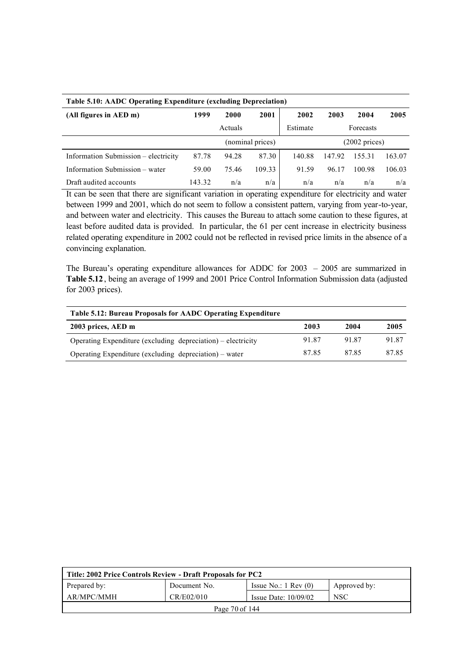| <b>Table 5.10: AADC Operating Expenditure (excluding Depreciation)</b> |        |                  |        |          |                         |           |        |
|------------------------------------------------------------------------|--------|------------------|--------|----------|-------------------------|-----------|--------|
| (All figures in AED m)                                                 | 1999   | 2000             | 2001   | 2002     | 2003                    | 2004      | 2005   |
|                                                                        |        | Actuals          |        | Estimate |                         | Forecasts |        |
|                                                                        |        | (nominal prices) |        |          | $(2002 \text{ prices})$ |           |        |
| Information Submission – electricity                                   | 87.78  | 94.28            | 87.30  | 140.88   | 147.92                  | 155.31    | 163.07 |
| Information Submission – water                                         | 59.00  | 75.46            | 109.33 | 91.59    | 96.17                   | 100.98    | 106.03 |
| Draft audited accounts                                                 | 143.32 | n/a              | n/a    | n/a      | n/a                     | n/a       | n/a    |

It can be seen that there are significant variation in operating expenditure for electricity and water between 1999 and 2001, which do not seem to follow a consistent pattern, varying from year-to-year, and between water and electricity. This causes the Bureau to attach some caution to these figures, at least before audited data is provided. In particular, the 61 per cent increase in electricity business related operating expenditure in 2002 could not be reflected in revised price limits in the absence of a convincing explanation.

The Bureau's operating expenditure allowances for ADDC for 2003 – 2005 are summarized in **Table 5.12**, being an average of 1999 and 2001 Price Control Information Submission data (adjusted for 2003 prices).

| Table 5.12: Bureau Proposals for AADC Operating Expenditure  |       |       |       |  |
|--------------------------------------------------------------|-------|-------|-------|--|
| 2003 prices, AED m                                           | 2003  | 2004  | 2005  |  |
| Operating Expenditure (excluding depreciation) – electricity | 91.87 | 91.87 | 91.87 |  |
| Operating Expenditure (excluding depreciation) – water       | 8785  | 8785  | 87.85 |  |

| Title: 2002 Price Controls Review - Draft Proposals for PC2 |              |                                 |              |  |  |
|-------------------------------------------------------------|--------------|---------------------------------|--------------|--|--|
| Prepared by:                                                | Document No. | Issue No.: $1 \text{ Rev } (0)$ | Approved by: |  |  |
| AR/MPC/MMH                                                  | CR/E02/010   | Issue Date: $10/09/02$          | <b>NSC</b>   |  |  |
| Page 70 of 144                                              |              |                                 |              |  |  |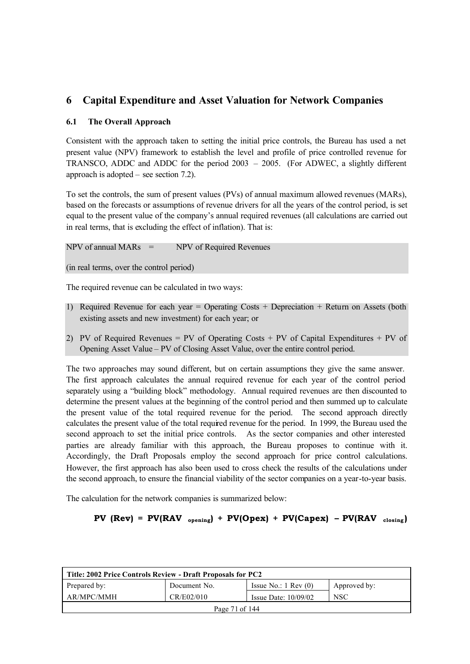# **6 Capital Expenditure and Asset Valuation for Network Companies**

## **6.1 The Overall Approach**

Consistent with the approach taken to setting the initial price controls, the Bureau has used a net present value (NPV) framework to establish the level and profile of price controlled revenue for TRANSCO, ADDC and ADDC for the period 2003 – 2005. (For ADWEC, a slightly different approach is adopted – see section 7.2).

To set the controls, the sum of present values (PVs) of annual maximum allowed revenues (MARs), based on the forecasts or assumptions of revenue drivers for all the years of the control period, is set equal to the present value of the company's annual required revenues (all calculations are carried out in real terms, that is excluding the effect of inflation). That is:

 $NPV$  of annual MARs = NPV of Required Revenues

(in real terms, over the control period)

The required revenue can be calculated in two ways:

- 1) Required Revenue for each year = Operating Costs + Depreciation + Return on Assets (both existing assets and new investment) for each year; or
- 2) PV of Required Revenues = PV of Operating Costs + PV of Capital Expenditures + PV of Opening Asset Value – PV of Closing Asset Value, over the entire control period.

The two approaches may sound different, but on certain assumptions they give the same answer. The first approach calculates the annual required revenue for each year of the control period separately using a "building block" methodology. Annual required revenues are then discounted to determine the present values at the beginning of the control period and then summed up to calculate the present value of the total required revenue for the period. The second approach directly calculates the present value of the total required revenue for the period. In 1999, the Bureau used the second approach to set the initial price controls. As the sector companies and other interested parties are already familiar with this approach, the Bureau proposes to continue with it. Accordingly, the Draft Proposals employ the second approach for price control calculations. However, the first approach has also been used to cross check the results of the calculations under the second approach, to ensure the financial viability of the sector companies on a year-to-year basis.

The calculation for the network companies is summarized below:

# **PV** ( $Rev$ ) =  $PV(RAV_{opening}) + PV(Opex) + PV(Capex) - PV(RAV_{close})$

| Title: 2002 Price Controls Review - Draft Proposals for PC2 |              |                                 |              |  |
|-------------------------------------------------------------|--------------|---------------------------------|--------------|--|
| Prepared by:                                                | Document No. | Issue No.: $1 \text{ Rev } (0)$ | Approved by: |  |
| AR/MPC/MMH                                                  | CR/E02/010   | Issue Date: $10/09/02$          | <b>NSC</b>   |  |
| Page 71 of 144                                              |              |                                 |              |  |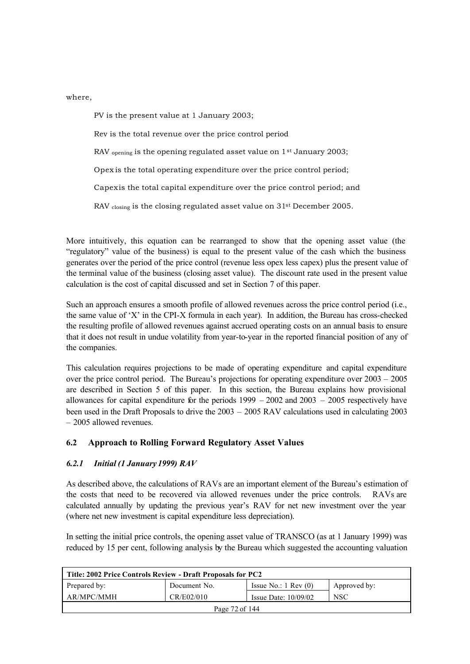where,

PV is the present value at 1 January 2003; Rev is the total revenue over the price control period RAV <sub>opening</sub> is the opening regulated asset value on 1<sup>st</sup> January 2003; Opex is the total operating expenditure over the price control period; Capex is the total capital expenditure over the price control period; and RAV closing is the closing regulated asset value on 31<sup>st</sup> December 2005.

More intuitively, this equation can be rearranged to show that the opening asset value (the "regulatory" value of the business) is equal to the present value of the cash which the business generates over the period of the price control (revenue less opex less capex) plus the present value of the terminal value of the business (closing asset value). The discount rate used in the present value calculation is the cost of capital discussed and set in Section 7 of this paper.

Such an approach ensures a smooth profile of allowed revenues across the price control period (i.e., the same value of 'X' in the CPI-X formula in each year). In addition, the Bureau has cross-checked the resulting profile of allowed revenues against accrued operating costs on an annual basis to ensure that it does not result in undue volatility from year-to-year in the reported financial position of any of the companies.

This calculation requires projections to be made of operating expenditure and capital expenditure over the price control period. The Bureau's projections for operating expenditure over 2003 – 2005 are described in Section 5 of this paper. In this section, the Bureau explains how provisional allowances for capital expenditure for the periods 1999 – 2002 and 2003 – 2005 respectively have been used in the Draft Proposals to drive the 2003 – 2005 RAV calculations used in calculating 2003 – 2005 allowed revenues.

# **6.2 Approach to Rolling Forward Regulatory Asset Values**

## *6.2.1 Initial (1 January 1999) RAV*

As described above, the calculations of RAVs are an important element of the Bureau's estimation of the costs that need to be recovered via allowed revenues under the price controls. RAVs are calculated annually by updating the previous year's RAV for net new investment over the year (where net new investment is capital expenditure less depreciation).

In setting the initial price controls, the opening asset value of TRANSCO (as at 1 January 1999) was reduced by 15 per cent, following analysis by the Bureau which suggested the accounting valuation

| Title: 2002 Price Controls Review - Draft Proposals for PC2 |              |                                 |              |  |
|-------------------------------------------------------------|--------------|---------------------------------|--------------|--|
| Prepared by:                                                | Document No. | Issue No.: $1 \text{ Rev } (0)$ | Approved by: |  |
| AR/MPC/MMH                                                  | CR/E02/010   | Issue Date: $10/09/02$          | <b>NSC</b>   |  |
| Page 72 of 144                                              |              |                                 |              |  |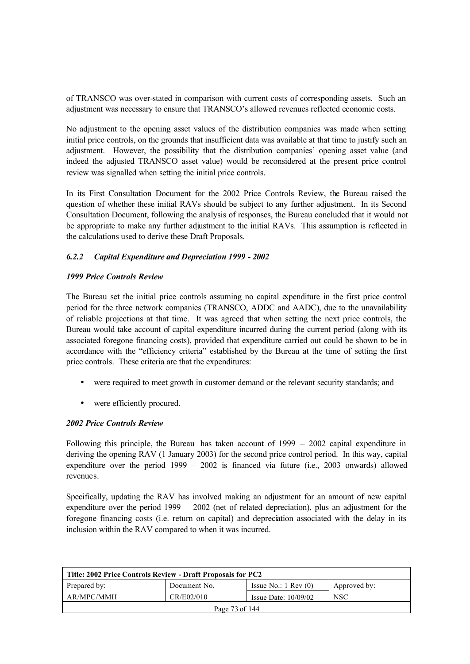of TRANSCO was over-stated in comparison with current costs of corresponding assets. Such an adjustment was necessary to ensure that TRANSCO's allowed revenues reflected economic costs.

No adjustment to the opening asset values of the distribution companies was made when setting initial price controls, on the grounds that insufficient data was available at that time to justify such an adjustment. However, the possibility that the distribution companies' opening asset value (and indeed the adjusted TRANSCO asset value) would be reconsidered at the present price control review was signalled when setting the initial price controls.

In its First Consultation Document for the 2002 Price Controls Review, the Bureau raised the question of whether these initial RAVs should be subject to any further adjustment. In its Second Consultation Document, following the analysis of responses, the Bureau concluded that it would not be appropriate to make any further adjustment to the initial RAVs. This assumption is reflected in the calculations used to derive these Draft Proposals.

## *6.2.2 Capital Expenditure and Depreciation 1999 - 2002*

#### *1999 Price Controls Review*

The Bureau set the initial price controls assuming no capital expenditure in the first price control period for the three network companies (TRANSCO, ADDC and AADC), due to the unavailability of reliable projections at that time. It was agreed that when setting the next price controls, the Bureau would take account of capital expenditure incurred during the current period (along with its associated foregone financing costs), provided that expenditure carried out could be shown to be in accordance with the "efficiency criteria" established by the Bureau at the time of setting the first price controls. These criteria are that the expenditures:

- were required to meet growth in customer demand or the relevant security standards; and
- were efficiently procured.

#### *2002 Price Controls Review*

Following this principle, the Bureau has taken account of 1999 – 2002 capital expenditure in deriving the opening RAV (1 January 2003) for the second price control period. In this way, capital expenditure over the period 1999 – 2002 is financed via future (i.e., 2003 onwards) allowed revenues.

Specifically, updating the RAV has involved making an adjustment for an amount of new capital expenditure over the period 1999 – 2002 (net of related depreciation), plus an adjustment for the foregone financing costs (i.e. return on capital) and depreciation associated with the delay in its inclusion within the RAV compared to when it was incurred.

| Title: 2002 Price Controls Review - Draft Proposals for PC2                     |            |                        |            |  |  |
|---------------------------------------------------------------------------------|------------|------------------------|------------|--|--|
| Prepared by:<br>Issue No.: $1 \text{ Rev } (0)$<br>Document No.<br>Approved by: |            |                        |            |  |  |
| AR/MPC/MMH                                                                      | CR/E02/010 | Issue Date: $10/09/02$ | <b>NSC</b> |  |  |
| Page 73 of 144                                                                  |            |                        |            |  |  |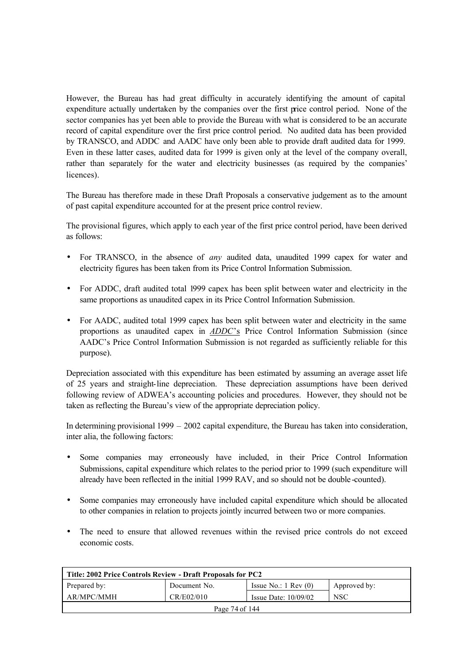However, the Bureau has had great difficulty in accurately identifying the amount of capital expenditure actually undertaken by the companies over the first price control period. None of the sector companies has yet been able to provide the Bureau with what is considered to be an accurate record of capital expenditure over the first price control period. No audited data has been provided by TRANSCO, and ADDC and AADC have only been able to provide draft audited data for 1999. Even in these latter cases, audited data for 1999 is given only at the level of the company overall, rather than separately for the water and electricity businesses (as required by the companies' licences).

The Bureau has therefore made in these Draft Proposals a conservative judgement as to the amount of past capital expenditure accounted for at the present price control review.

The provisional figures, which apply to each year of the first price control period, have been derived as follows:

- For TRANSCO, in the absence of *any* audited data, unaudited 1999 capex for water and electricity figures has been taken from its Price Control Information Submission.
- For ADDC, draft audited total 1999 capex has been split between water and electricity in the same proportions as unaudited capex in its Price Control Information Submission.
- For AADC, audited total 1999 capex has been split between water and electricity in the same proportions as unaudited capex in *ADDC*'s Price Control Information Submission (since AADC's Price Control Information Submission is not regarded as sufficiently reliable for this purpose).

Depreciation associated with this expenditure has been estimated by assuming an average asset life of 25 years and straight-line depreciation. These depreciation assumptions have been derived following review of ADWEA's accounting policies and procedures. However, they should not be taken as reflecting the Bureau's view of the appropriate depreciation policy.

In determining provisional 1999 – 2002 capital expenditure, the Bureau has taken into consideration, inter alia, the following factors:

- Some companies may erroneously have included, in their Price Control Information Submissions, capital expenditure which relates to the period prior to 1999 (such expenditure will already have been reflected in the initial 1999 RAV, and so should not be double -counted).
- Some companies may erroneously have included capital expenditure which should be allocated to other companies in relation to projects jointly incurred between two or more companies.
- The need to ensure that allowed revenues within the revised price controls do not exceed economic costs.

| Title: 2002 Price Controls Review - Draft Proposals for PC2                     |  |  |  |  |  |
|---------------------------------------------------------------------------------|--|--|--|--|--|
| Prepared by:<br>Issue No.: $1 \text{ Rev } (0)$<br>Document No.<br>Approved by: |  |  |  |  |  |
| AR/MPC/MMH<br>CR/E02/010<br><b>NSC</b><br>Issue Date: $10/09/02$                |  |  |  |  |  |
| Page 74 of 144                                                                  |  |  |  |  |  |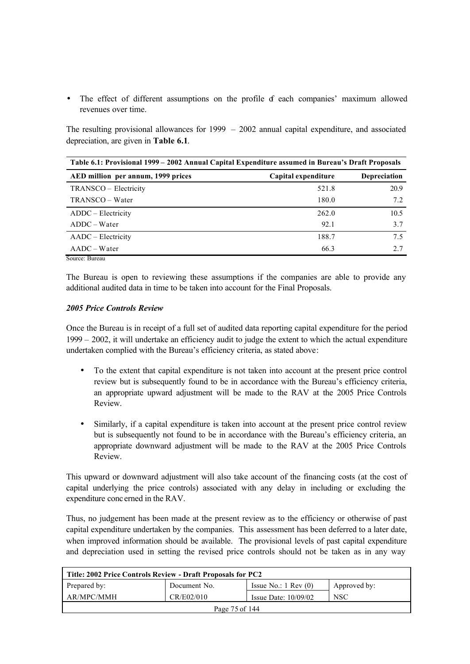• The effect of different assumptions on the profile of each companies' maximum allowed revenues over time.

The resulting provisional allowances for 1999 – 2002 annual capital expenditure, and associated depreciation, are given in **Table 6.1**.

| Table 6.1: Provisional 1999 – 2002 Annual Capital Expenditure assumed in Bureau's Draft Proposals |                     |                     |  |
|---------------------------------------------------------------------------------------------------|---------------------|---------------------|--|
| AED million per annum, 1999 prices                                                                | Capital expenditure | <b>Depreciation</b> |  |
| TRANSCO – Electricity                                                                             | 521.8               | 20.9                |  |
| TRANSCO – Water                                                                                   | 180.0               | 7.2                 |  |
| ADDC – Electricity                                                                                | 262.0               | 10.5                |  |
| $ADDC-Water$                                                                                      | 92.1                | 3.7                 |  |
| AADC – Electricity                                                                                | 188.7               | 7.5                 |  |
| $AADC-Water$                                                                                      | 66.3                | 2.7                 |  |
| Source: Bureau                                                                                    |                     |                     |  |

The Bureau is open to reviewing these assumptions if the companies are able to provide any additional audited data in time to be taken into account for the Final Proposals.

#### *2005 Price Controls Review*

Once the Bureau is in receipt of a full set of audited data reporting capital expenditure for the period 1999 – 2002, it will undertake an efficiency audit to judge the extent to which the actual expenditure undertaken complied with the Bureau's efficiency criteria, as stated above:

- To the extent that capital expenditure is not taken into account at the present price control review but is subsequently found to be in accordance with the Bureau's efficiency criteria, an appropriate upward adjustment will be made to the RAV at the 2005 Price Controls Review.
- Similarly, if a capital expenditure is taken into account at the present price control review but is subsequently not found to be in accordance with the Bureau's efficiency criteria, an appropriate downward adjustment will be made to the RAV at the 2005 Price Controls Review.

This upward or downward adjustment will also take account of the financing costs (at the cost of capital underlying the price controls) associated with any delay in including or excluding the expenditure conc erned in the RAV.

Thus, no judgement has been made at the present review as to the efficiency or otherwise of past capital expenditure undertaken by the companies. This assessment has been deferred to a later date, when improved information should be available. The provisional levels of past capital expenditure and depreciation used in setting the revised price controls should not be taken as in any way

| Title: 2002 Price Controls Review - Draft Proposals for PC2                     |  |  |  |  |  |
|---------------------------------------------------------------------------------|--|--|--|--|--|
| Prepared by:<br>Issue No.: $1 \text{ Rev } (0)$<br>Document No.<br>Approved by: |  |  |  |  |  |
| AR/MPC/MMH<br>CR/E02/010<br><b>NSC</b><br>Issue Date: $10/09/02$                |  |  |  |  |  |
| Page 75 of 144                                                                  |  |  |  |  |  |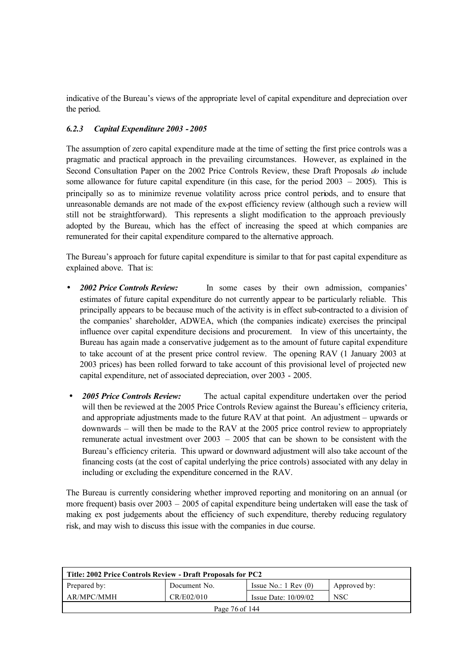indicative of the Bureau's views of the appropriate level of capital expenditure and depreciation over the period.

## *6.2.3 Capital Expenditure 2003 - 2005*

The assumption of zero capital expenditure made at the time of setting the first price controls was a pragmatic and practical approach in the prevailing circumstances. However, as explained in the Second Consultation Paper on the 2002 Price Controls Review, these Draft Proposals *do* include some allowance for future capital expenditure (in this case, for the period 2003 – 2005). This is principally so as to minimize revenue volatility across price control periods, and to ensure that unreasonable demands are not made of the ex-post efficiency review (although such a review will still not be straightforward). This represents a slight modification to the approach previously adopted by the Bureau, which has the effect of increasing the speed at which companies are remunerated for their capital expenditure compared to the alternative approach.

The Bureau's approach for future capital expenditure is similar to that for past capital expenditure as explained above. That is:

- *2002 Price Controls Review:* In some cases by their own admission, companies' estimates of future capital expenditure do not currently appear to be particularly reliable. This principally appears to be because much of the activity is in effect sub-contracted to a division of the companies' shareholder, ADWEA, which (the companies indicate) exercises the principal influence over capital expenditure decisions and procurement. In view of this uncertainty, the Bureau has again made a conservative judgement as to the amount of future capital expenditure to take account of at the present price control review. The opening RAV (1 January 2003 at 2003 prices) has been rolled forward to take account of this provisional level of projected new capital expenditure, net of associated depreciation, over 2003 - 2005.
- *2005 Price Controls Review:* The actual capital expenditure undertaken over the period will then be reviewed at the 2005 Price Controls Review against the Bureau's efficiency criteria, and appropriate adjustments made to the future RAV at that point. An adjustment – upwards or downwards – will then be made to the RAV at the 2005 price control review to appropriately remunerate actual investment over  $2003 - 2005$  that can be shown to be consistent with the Bureau's efficiency criteria. This upward or downward adjustment will also take account of the financing costs (at the cost of capital underlying the price controls) associated with any delay in including or excluding the expenditure concerned in the RAV.

The Bureau is currently considering whether improved reporting and monitoring on an annual (or more frequent) basis over 2003 – 2005 of capital expenditure being undertaken will ease the task of making ex post judgements about the efficiency of such expenditure, thereby reducing regulatory risk, and may wish to discuss this issue with the companies in due course.

| Title: 2002 Price Controls Review - Draft Proposals for PC2                     |  |  |  |  |  |
|---------------------------------------------------------------------------------|--|--|--|--|--|
| Prepared by:<br>Issue No.: $1 \text{ Rev } (0)$<br>Approved by:<br>Document No. |  |  |  |  |  |
| AR/MPC/MMH<br>CR/E02/010<br><b>NSC</b><br>Issue Date: $10/09/02$                |  |  |  |  |  |
| Page 76 of 144                                                                  |  |  |  |  |  |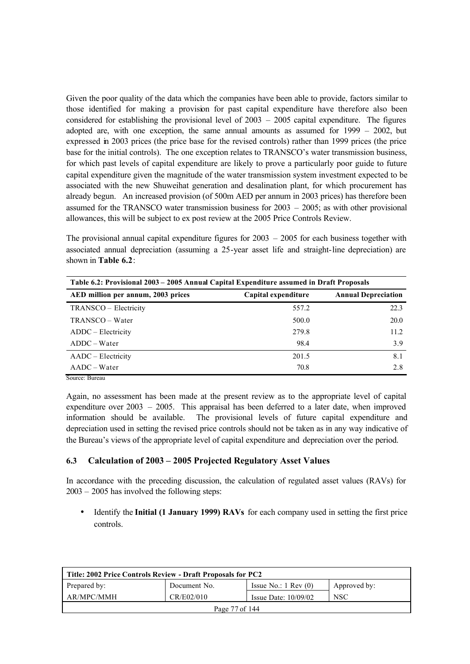Given the poor quality of the data which the companies have been able to provide, factors similar to those identified for making a provision for past capital expenditure have therefore also been considered for establishing the provisional level of 2003 – 2005 capital expenditure. The figures adopted are, with one exception, the same annual amounts as assumed for 1999 – 2002, but expressed in 2003 prices (the price base for the revised controls) rather than 1999 prices (the price base for the initial controls). The one exception relates to TRANSCO's water transmission business, for which past levels of capital expenditure are likely to prove a particularly poor guide to future capital expenditure given the magnitude of the water transmission system investment expected to be associated with the new Shuweihat generation and desalination plant, for which procurement has already begun. An increased provision (of 500m AED per annum in 2003 prices) has therefore been assumed for the TRANSCO water transmission business for 2003 – 2005; as with other provisional allowances, this will be subject to ex post review at the 2005 Price Controls Review.

The provisional annual capital expenditure figures for  $2003 - 2005$  for each business together with associated annual depreciation (assuming a 25-year asset life and straight-line depreciation) are shown in **Table 6.2**:

| Table 6.2: Provisional 2003 – 2005 Annual Capital Expenditure assumed in Draft Proposals |                     |                            |  |
|------------------------------------------------------------------------------------------|---------------------|----------------------------|--|
| AED million per annum, 2003 prices                                                       | Capital expenditure | <b>Annual Depreciation</b> |  |
| TRANSCO – Electricity                                                                    | 557.2               | 22.3                       |  |
| TRANSCO – Water                                                                          | 500.0               | <b>20.0</b>                |  |
| ADDC – Electricity                                                                       | 279.8               | 11.2                       |  |
| $ADDC-Water$                                                                             | 98.4                | 3.9                        |  |
| AADC – Electricity                                                                       | 201.5               | 8.1                        |  |
| $AADC-Water$                                                                             | 70.8                | 2.8                        |  |
| $C_{\text{outmax}}$ $D_{\text{inmean}}$                                                  |                     |                            |  |

Source: Bureau

Again, no assessment has been made at the present review as to the appropriate level of capital expenditure over 2003 – 2005. This appraisal has been deferred to a later date, when improved information should be available. The provisional levels of future capital expenditure and depreciation used in setting the revised price controls should not be taken as in any way indicative of the Bureau's views of the appropriate level of capital expenditure and depreciation over the period.

## **6.3 Calculation of 2003 – 2005 Projected Regulatory Asset Values**

In accordance with the preceding discussion, the calculation of regulated asset values (RAVs) for 2003 – 2005 has involved the following steps:

• Identify the **Initial (1 January 1999) RAVs** for each company used in setting the first price controls.

| Title: 2002 Price Controls Review - Draft Proposals for PC2                     |  |  |  |  |  |
|---------------------------------------------------------------------------------|--|--|--|--|--|
| Prepared by:<br>Document No.<br>Issue No.: $1 \text{ Rev } (0)$<br>Approved by: |  |  |  |  |  |
| AR/MPC/MMH<br>CR/E02/010<br><b>NSC</b><br>Issue Date: $10/09/02$                |  |  |  |  |  |
| Page 77 of 144                                                                  |  |  |  |  |  |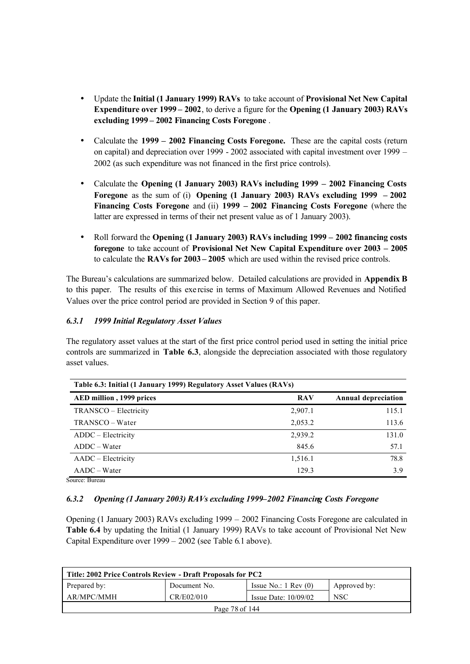- Update the **Initial (1 January 1999) RAVs** to take account of **Provisional Net New Capital Expenditure over 1999 – 2002**, to derive a figure for the **Opening (1 January 2003) RAVs excluding 1999 – 2002 Financing Costs Foregone** .
- Calculate the **1999 2002 Financing Costs Foregone.** These are the capital costs (return on capital) and depreciation over 1999 - 2002 associated with capital investment over 1999 – 2002 (as such expenditure was not financed in the first price controls).
- Calculate the **Opening (1 January 2003) RAVs including 1999 2002 Financing Costs Foregone** as the sum of (i) **Opening (1 January 2003) RAVs excluding 1999 – 2002 Financing Costs Foregone** and (ii) **1999 – 2002 Financing Costs Foregone** (where the latter are expressed in terms of their net present value as of 1 January 2003).
- Roll forward the **Opening (1 January 2003) RAVs including 1999 2002 financing costs foregone** to take account of **Provisional Net New Capital Expenditure over 2003 – 2005** to calculate the **RAVs for 2003 – 2005** which are used within the revised price controls.

The Bureau's calculations are summarized below. Detailed calculations are provided in **Appendix B** to this paper. The results of this exe rcise in terms of Maximum Allowed Revenues and Notified Values over the price control period are provided in Section 9 of this paper.

## *6.3.1 1999 Initial Regulatory Asset Values*

The regulatory asset values at the start of the first price control period used in setting the initial price controls are summarized in **Table 6.3**, alongside the depreciation associated with those regulatory asset values.

| Table 6.3: Initial (1 January 1999) Regulatory Asset Values (RAVs) |                            |  |
|--------------------------------------------------------------------|----------------------------|--|
| <b>RAV</b>                                                         | <b>Annual depreciation</b> |  |
| 2,907.1                                                            | 115.1                      |  |
| 2,053.2                                                            | 113.6                      |  |
| 2,939.2                                                            | 131.0                      |  |
| 845.6                                                              | 57.1                       |  |
| 1,516.1                                                            | 78.8                       |  |
| 129.3                                                              | 3.9                        |  |
|                                                                    |                            |  |

Source: Bureau

## *6.3.2 Opening (1 January 2003) RAVs excluding 1999–2002 Financing Costs Foregone*

Opening (1 January 2003) RAVs excluding 1999 – 2002 Financing Costs Foregone are calculated in **Table 6.4** by updating the Initial (1 January 1999) RAVs to take account of Provisional Net New Capital Expenditure over 1999 – 2002 (see Table 6.1 above).

| Title: 2002 Price Controls Review - Draft Proposals for PC2                     |  |  |  |  |  |
|---------------------------------------------------------------------------------|--|--|--|--|--|
| Prepared by:<br>Issue No.: $1 \text{ Rev } (0)$<br>Document No.<br>Approved by: |  |  |  |  |  |
| AR/MPC/MMH<br>CR/E02/010<br><b>NSC</b><br>Issue Date: $10/09/02$                |  |  |  |  |  |
| Page 78 of 144                                                                  |  |  |  |  |  |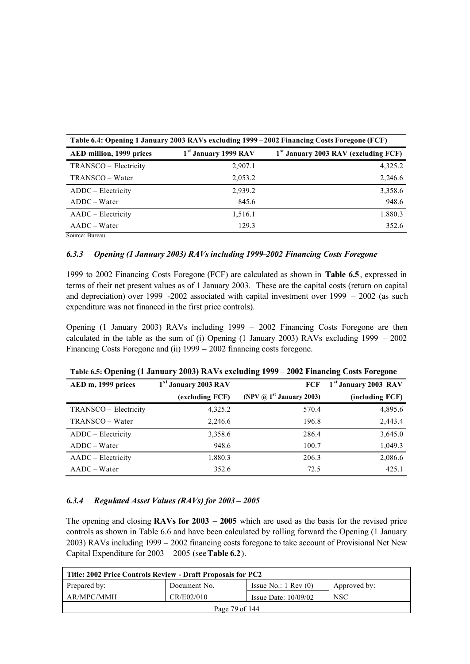| Table 6.4: Opening 1 January 2003 RAVs excluding 1999 – 2002 Financing Costs Foregone (FCF) |                                  |                                                  |  |
|---------------------------------------------------------------------------------------------|----------------------------------|--------------------------------------------------|--|
| AED million, 1999 prices                                                                    | 1 <sup>st</sup> January 1999 RAV | 1 <sup>st</sup> January 2003 RAV (excluding FCF) |  |
| TRANSCO – Electricity                                                                       | 2,907.1                          | 4,325.2                                          |  |
| TRANSCO – Water                                                                             | 2,053.2                          | 2,246.6                                          |  |
| ADDC – Electricity                                                                          | 2,939.2                          | 3,358.6                                          |  |
| $ADDC-Water$                                                                                | 845.6                            | 948.6                                            |  |
| AADC – Electricity                                                                          | 1,516.1                          | 1.880.3                                          |  |
| $AADC-Water$                                                                                | 129.3                            | 352.6                                            |  |

Source: Bureau

#### *6.3.3 Opening (1 January 2003) RAVs including 1999–2002 Financing Costs Foregone*

1999 to 2002 Financing Costs Foregone (FCF) are calculated as shown in **Table 6.5**, expressed in terms of their net present values as of 1 January 2003.These are the capital costs (return on capital and depreciation) over 1999 -2002 associated with capital investment over 1999 – 2002 (as such expenditure was not financed in the first price controls).

Opening (1 January 2003) RAVs including 1999 – 2002 Financing Costs Foregone are then calculated in the table as the sum of (i) Opening  $(1)$  January 2003) RAVs excluding 1999 – 2002 Financing Costs Foregone and (ii) 1999 – 2002 financing costs foregone.

| Table 6.5: Opening (1 January 2003) RAVs excluding 1999 – 2002 Financing Costs Foregone |                                  |                                             |                                  |
|-----------------------------------------------------------------------------------------|----------------------------------|---------------------------------------------|----------------------------------|
| AED m, 1999 prices                                                                      | 1 <sup>st</sup> January 2003 RAV | FCF                                         | 1 <sup>st</sup> January 2003 RAV |
|                                                                                         | (excluding FCF)                  | (NPV $\omega$ 1 <sup>st</sup> January 2003) | (including FCF)                  |
| TRANSCO - Electricity                                                                   | 4,325.2                          | 570.4                                       | 4,895.6                          |
| TRANSCO – Water                                                                         | 2,246.6                          | 196.8                                       | 2,443.4                          |
| ADDC – Electricity                                                                      | 3,358.6                          | 286.4                                       | 3,645.0                          |
| $ADDC-Water$                                                                            | 948.6                            | 100.7                                       | 1,049.3                          |
| AADC - Electricity                                                                      | 1,880.3                          | 206.3                                       | 2,086.6                          |
| $AADC-Water$                                                                            | 352.6                            | 72.5                                        | 425.1                            |

#### *6.3.4 Regulated Asset Values (RAVs) for 2003 – 2005*

The opening and closing **RAVs for 2003 – 2005** which are used as the basis for the revised price controls as shown in Table 6.6 and have been calculated by rolling forward the Opening (1 January 2003) RAVs including 1999 – 2002 financing costs foregone to take account of Provisional Net New Capital Expenditure for 2003 – 2005 (see **Table 6.2**).

| Title: 2002 Price Controls Review - Draft Proposals for PC2                     |  |  |  |  |  |
|---------------------------------------------------------------------------------|--|--|--|--|--|
| Prepared by:<br>Issue No.: $1 \text{ Rev } (0)$<br>Document No.<br>Approved by: |  |  |  |  |  |
| CR/E02/010<br>AR/MPC/MMH<br><b>NSC</b><br>Issue Date: $10/09/02$                |  |  |  |  |  |
| Page 79 of 144                                                                  |  |  |  |  |  |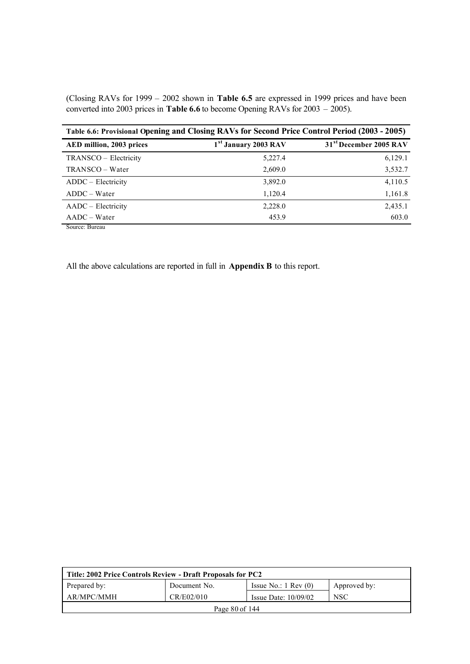(Closing RAVs for 1999 – 2002 shown in **Table 6.5** are expressed in 1999 prices and have been converted into 2003 prices in **Table 6.6** to become Opening RAVs for 2003 – 2005).

| Table 6.6: Provisional Opening and Closing RAVs for Second Price Control Period (2003 - 2005) |                                  |                                    |  |
|-----------------------------------------------------------------------------------------------|----------------------------------|------------------------------------|--|
| AED million, 2003 prices                                                                      | 1 <sup>st</sup> January 2003 RAV | 31 <sup>st</sup> December 2005 RAV |  |
| TRANSCO – Electricity                                                                         | 5,227.4                          | 6,129.1                            |  |
| TRANSCO – Water                                                                               | 2,609.0                          | 3,532.7                            |  |
| ADDC - Electricity                                                                            | 3,892.0                          | 4,110.5                            |  |
| $ADDC-Water$                                                                                  | 1,120.4                          | 1,161.8                            |  |
| AADC – Electricity                                                                            | 2,228.0                          | 2,435.1                            |  |
| $AADC-Water$                                                                                  | 453.9                            | 603.0                              |  |
| Source: Bureau                                                                                |                                  |                                    |  |

All the above calculations are reported in full in **Appendix B** to this report.

| Title: 2002 Price Controls Review - Draft Proposals for PC2 |              |                                 |              |
|-------------------------------------------------------------|--------------|---------------------------------|--------------|
| Prepared by:                                                | Document No. | Issue No.: $1 \text{ Rev } (0)$ | Approved by: |
| AR/MPC/MMH                                                  | CR/E02/010   | Issue Date: $10/09/02$          | <b>NSC</b>   |
| Page 80 of 144                                              |              |                                 |              |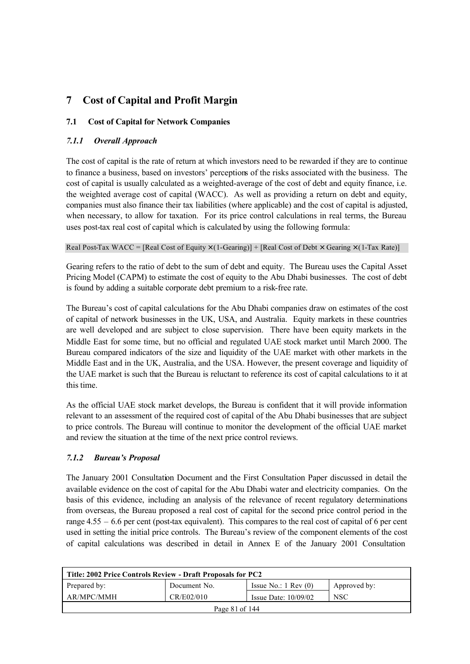# **7 Cost of Capital and Profit Margin**

## **7.1 Cost of Capital for Network Companies**

## *7.1.1 Overall Approach*

The cost of capital is the rate of return at which investors need to be rewarded if they are to continue to finance a business, based on investors' perceptions of the risks associated with the business. The cost of capital is usually calculated as a weighted-average of the cost of debt and equity finance, i.e. the weighted average cost of capital (WACC). As well as providing a return on debt and equity, companies must also finance their tax liabilities (where applicable) and the cost of capital is adjusted, when necessary, to allow for taxation. For its price control calculations in real terms, the Bureau uses post-tax real cost of capital which is calculated by using the following formula:

Real Post-Tax WACC = [Real Cost of Equity  $\times$  (1-Gearing)] + [Real Cost of Debt  $\times$  Gearing  $\times$  (1-Tax Rate)]

Gearing refers to the ratio of debt to the sum of debt and equity. The Bureau uses the Capital Asset Pricing Model (CAPM) to estimate the cost of equity to the Abu Dhabi businesses. The cost of debt is found by adding a suitable corporate debt premium to a risk-free rate.

The Bureau's cost of capital calculations for the Abu Dhabi companies draw on estimates of the cost of capital of network businesses in the UK, USA, and Australia. Equity markets in these countries are well developed and are subject to close supervision. There have been equity markets in the Middle East for some time, but no official and regulated UAE stock market until March 2000. The Bureau compared indicators of the size and liquidity of the UAE market with other markets in the Middle East and in the UK, Australia, and the USA. However, the present coverage and liquidity of the UAE market is such that the Bureau is reluctant to reference its cost of capital calculations to it at this time.

As the official UAE stock market develops, the Bureau is confident that it will provide information relevant to an assessment of the required cost of capital of the Abu Dhabi businesses that are subject to price controls. The Bureau will continue to monitor the development of the official UAE market and review the situation at the time of the next price control reviews.

## *7.1.2 Bureau's Proposal*

The January 2001 Consultation Document and the First Consultation Paper discussed in detail the available evidence on the cost of capital for the Abu Dhabi water and electricity companies. On the basis of this evidence, including an analysis of the relevance of recent regulatory determinations from overseas, the Bureau proposed a real cost of capital for the second price control period in the range 4.55 – 6.6 per cent (post-tax equivalent). This compares to the real cost of capital of 6 per cent used in setting the initial price controls. The Bureau's review of the component elements of the cost of capital calculations was described in detail in Annex E of the January 2001 Consultation

| Title: 2002 Price Controls Review - Draft Proposals for PC2 |              |                                 |              |
|-------------------------------------------------------------|--------------|---------------------------------|--------------|
| Prepared by:                                                | Document No. | Issue No.: $1 \text{ Rev } (0)$ | Approved by: |
| AR/MPC/MMH                                                  | CR/E02/010   | Issue Date: $10/09/02$          | <b>NSC</b>   |
| Page 81 of 144                                              |              |                                 |              |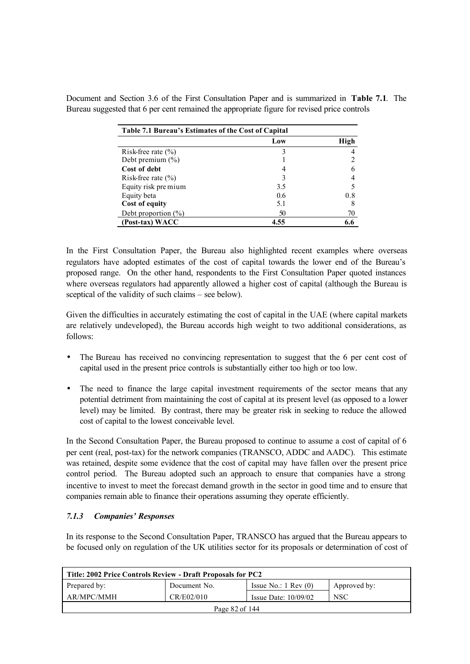| Table 7.1 Bureau's Estimates of the Cost of Capital |      |      |
|-----------------------------------------------------|------|------|
|                                                     | Low  | High |
| Risk-free rate $(\% )$                              |      |      |
| Debt premium $(\%)$                                 |      |      |
| Cost of debt                                        |      |      |
| Risk-free rate $(\% )$                              |      |      |
| Equity risk pre mium                                | 3.5  |      |
| Equity beta                                         | 06   | 0.8  |
| Cost of equity                                      | 5.1  |      |
| Debt proportion $(\%)$                              | 50   | 70   |
| (Post-tax) WACC                                     | 4.55 | 6.6  |

Document and Section 3.6 of the First Consultation Paper and is summarized in **Table 7.1**. The Bureau suggested that 6 per cent remained the appropriate figure for revised price controls

In the First Consultation Paper, the Bureau also highlighted recent examples where overseas regulators have adopted estimates of the cost of capital towards the lower end of the Bureau's proposed range. On the other hand, respondents to the First Consultation Paper quoted instances where overseas regulators had apparently allowed a higher cost of capital (although the Bureau is sceptical of the validity of such claims – see below).

Given the difficulties in accurately estimating the cost of capital in the UAE (where capital markets are relatively undeveloped), the Bureau accords high weight to two additional considerations, as follows:

- The Bureau has received no convincing representation to suggest that the 6 per cent cost of capital used in the present price controls is substantially either too high or too low.
- The need to finance the large capital investment requirements of the sector means that any potential detriment from maintaining the cost of capital at its present level (as opposed to a lower level) may be limited. By contrast, there may be greater risk in seeking to reduce the allowed cost of capital to the lowest conceivable level.

In the Second Consultation Paper, the Bureau proposed to continue to assume a cost of capital of 6 per cent (real, post-tax) for the network companies (TRANSCO, ADDC and AADC). This estimate was retained, despite some evidence that the cost of capital may have fallen over the present price control period. The Bureau adopted such an approach to ensure that companies have a strong incentive to invest to meet the forecast demand growth in the sector in good time and to ensure that companies remain able to finance their operations assuming they operate efficiently.

## *7.1.3 Companies' Responses*

In its response to the Second Consultation Paper, TRANSCO has argued that the Bureau appears to be focused only on regulation of the UK utilities sector for its proposals or determination of cost of

| Title: 2002 Price Controls Review - Draft Proposals for PC2 |              |                                 |              |
|-------------------------------------------------------------|--------------|---------------------------------|--------------|
| Prepared by:                                                | Document No. | Issue No.: $1 \text{ Rev } (0)$ | Approved by: |
| AR/MPC/MMH                                                  | CR/E02/010   | Issue Date: $10/09/02$          | <b>NSC</b>   |
| Page 82 of 144                                              |              |                                 |              |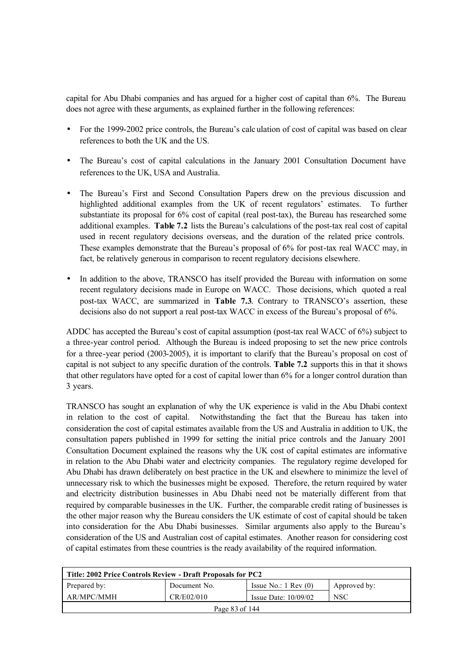capital for Abu Dhabi companies and has argued for a higher cost of capital than 6%. The Bureau does not agree with these arguments, as explained further in the following references:

- For the 1999-2002 price controls, the Bureau's calculation of cost of capital was based on clear references to both the UK and the US.
- The Bureau's cost of capital calculations in the January 2001 Consultation Document have references to the UK, USA and Australia.
- The Bureau's First and Second Consultation Papers drew on the previous discussion and highlighted additional examples from the UK of recent regulators' estimates. To further substantiate its proposal for 6% cost of capital (real post-tax), the Bureau has researched some additional examples. **Table 7.2** lists the Bureau's calculations of the post-tax real cost of capital used in recent regulatory decisions overseas, and the duration of the related price controls. These examples demonstrate that the Bureau's proposal of 6% for post-tax real WACC may, in fact, be relatively generous in comparison to recent regulatory decisions elsewhere.
- In addition to the above, TRANSCO has itself provided the Bureau with information on some recent regulatory decisions made in Europe on WACC. Those decisions, which quoted a real post-tax WACC, are summarized in **Table 7.3**. Contrary to TRANSCO's assertion, these decisions also do not support a real post-tax WACC in excess of the Bureau's proposal of 6%.

ADDC has accepted the Bureau's cost of capital assumption (post-tax real WACC of 6%) subject to a three-year control period. Although the Bureau is indeed proposing to set the new price controls for a three-year period (2003-2005), it is important to clarify that the Bureau's proposal on cost of capital is not subject to any specific duration of the controls. **Table 7.2** supports this in that it shows that other regulators have opted for a cost of capital lower than 6% for a longer control duration than 3 years.

TRANSCO has sought an explanation of why the UK experience is valid in the Abu Dhabi context in relation to the cost of capital. Notwithstanding the fact that the Bureau has taken into consideration the cost of capital estimates available from the US and Australia in addition to UK, the consultation papers published in 1999 for setting the initial price controls and the January 2001 Consultation Document explained the reasons why the UK cost of capital estimates are informative in relation to the Abu Dhabi water and electricity companies. The regulatory regime developed for Abu Dhabi has drawn deliberately on best practice in the UK and elsewhere to minimize the level of unnecessary risk to which the businesses might be exposed. Therefore, the return required by water and electricity distribution businesses in Abu Dhabi need not be materially different from that required by comparable businesses in the UK. Further, the comparable credit rating of businesses is the other major reason why the Bureau considers the UK estimate of cost of capital should be taken into consideration for the Abu Dhabi businesses. Similar arguments also apply to the Bureau's consideration of the US and Australian cost of capital estimates. Another reason for considering cost of capital estimates from these countries is the ready availability of the required information.

| Title: 2002 Price Controls Review - Draft Proposals for PC2 |              |                               |              |  |
|-------------------------------------------------------------|--------------|-------------------------------|--------------|--|
| Prepared by:                                                | Document No. | Issue No.: $1 \text{ Rev}(0)$ | Approved by: |  |
| AR/MPC/MMH                                                  | CR/E02/010   | Issue Date: $10/09/02$        | <b>NSC</b>   |  |
| Page 83 of 144                                              |              |                               |              |  |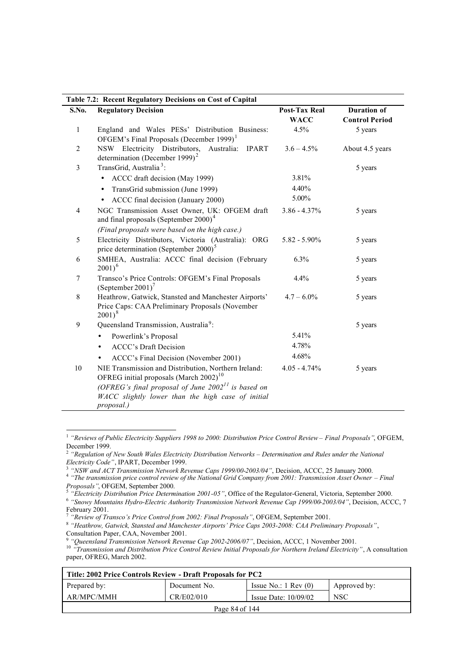|                | Table 7.2: Recent Regulatory Decisions on Cost of Capital                                                                  |                                     |                                             |
|----------------|----------------------------------------------------------------------------------------------------------------------------|-------------------------------------|---------------------------------------------|
| S.No.          | <b>Regulatory Decision</b>                                                                                                 | <b>Post-Tax Real</b><br><b>WACC</b> | <b>Duration of</b><br><b>Control Period</b> |
| $\mathbf{1}$   | England and Wales PESs' Distribution Business:<br>OFGEM's Final Proposals (December 1999) $1$                              | 4.5%                                | 5 years                                     |
| $\overline{2}$ | NSW Electricity Distributors, Australia:<br><b>IPART</b><br>determination (December 1999) <sup>2</sup>                     | $3.6 - 4.5\%$                       | About 4.5 years                             |
| 3              | TransGrid, Australia <sup>3</sup> :                                                                                        |                                     | 5 years                                     |
|                | ACCC draft decision (May 1999)<br>$\bullet$                                                                                | 3.81%                               |                                             |
|                | TransGrid submission (June 1999)<br>$\bullet$                                                                              | 4.40%                               |                                             |
|                | ACCC final decision (January 2000)<br>$\bullet$                                                                            | 5.00%                               |                                             |
| 4              | NGC Transmission Asset Owner, UK: OFGEM draft<br>and final proposals (September 2000) <sup>4</sup>                         | $3.86 - 4.37\%$                     | 5 years                                     |
|                | (Final proposals were based on the high case.)                                                                             |                                     |                                             |
| 5              | Electricity Distributors, Victoria (Australia): ORG<br>price determination (September 2000) <sup>5</sup>                   | $5.82 - 5.90\%$                     | 5 years                                     |
| 6              | SMHEA, Australia: ACCC final decision (February<br>$2001)^6$                                                               | 6.3%                                | 5 years                                     |
| 7              | Transco's Price Controls: OFGEM's Final Proposals<br>$(S$ eptember 2001) <sup>7</sup>                                      | 4.4%                                | 5 years                                     |
| $8\,$          | Heathrow, Gatwick, Stansted and Manchester Airports'<br>Price Caps: CAA Preliminary Proposals (November<br>$2001)^8$       | $4.7 - 6.0\%$                       | 5 years                                     |
| 9              | Queensland Transmission, Australia <sup>9</sup> :                                                                          |                                     | 5 years                                     |
|                | Powerlink's Proposal                                                                                                       | 5.41%                               |                                             |
|                | <b>ACCC's Draft Decision</b><br>$\bullet$                                                                                  | 4.78%                               |                                             |
|                | ACCC's Final Decision (November 2001)<br>٠                                                                                 | 4.68%                               |                                             |
| 10             | NIE Transmission and Distribution, Northern Ireland:<br>OFREG initial proposals (March $2002$ ) <sup>10</sup>              | $4.05 - 4.74%$                      | 5 years                                     |
|                | (OFREG's final proposal of June $2002^{11}$ is based on<br>WACC slightly lower than the high case of initial<br>proposal.) |                                     |                                             |

 1 *"Reviews of Public Electricity Suppliers 1998 to 2000: Distribution Price Control Review – Final Proposals"*, OFGEM, December 1999.

<sup>10</sup> *"Transmission and Distribution Price Control Review Initial Proposals for Northern Ireland Electricity"*, A consultation paper, OFREG, March 2002.

| Title: 2002 Price Controls Review - Draft Proposals for PC2 |              |                                 |              |  |
|-------------------------------------------------------------|--------------|---------------------------------|--------------|--|
| Prepared by:                                                | Document No. | Issue No.: $1 \text{ Rev } (0)$ | Approved by: |  |
| AR/MPC/MMH                                                  | CR/E02/010   | Issue Date: $10/09/02$          | <b>NSC</b>   |  |
| Page 84 of 144                                              |              |                                 |              |  |

<sup>2</sup> *"Regulation of New South Wales Electricity Distribution Networks – Determination and Rules under the National Electricity Code"*, IPART, December 1999.

<sup>3</sup> *"NSW and ACT Transmission Network Revenue Caps 1999/00-2003/04"*, Decision, ACCC, 25 January 2000.

<sup>4</sup> *"The transmission price control review of the National Grid Company from 2001: Transmission Asset Owner – Final* 

*Proposals"*, OFGEM, September 2000. 5 *"Electricity Distribution Price Determination 2001-05"*, Office of the Regulator-General, Victoria, September 2000.

<sup>6</sup> *"Snowy Mountains Hydro-Electric Authority Transmission Network Revenue Cap 1999/00-2003/04"*, Decision, ACCC, 7 February 2001.

*<sup>&</sup>quot;Review of Transco's Price Control from 2002: Final Proposals"*, OFGEM, September 2001.

<sup>8</sup> *"Heathrow, Gatwick, Stansted and Manchester Airports' Price Caps 2003-2008: CAA Preliminary Proposals"*, Consultation Paper, CAA, November 2001.

<sup>9</sup> *"Queensland Transmission Network Revenue Cap 2002-2006/07"*, Decision, ACCC, 1 November 2001.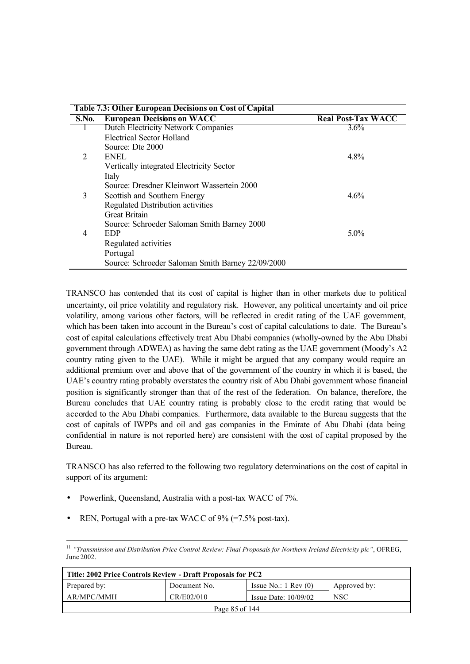|                | <b>Table 7.3: Other European Decisions on Cost of Capital</b> |                           |
|----------------|---------------------------------------------------------------|---------------------------|
| S.No.          | <b>European Decisions on WACC</b>                             | <b>Real Post-Tax WACC</b> |
|                | <b>Dutch Electricity Network Companies</b>                    | $3.6\%$                   |
|                | <b>Electrical Sector Holland</b>                              |                           |
|                | Source: Dte 2000                                              |                           |
| 2              | <b>ENEL</b>                                                   | 4.8%                      |
|                | Vertically integrated Electricity Sector                      |                           |
|                | Italy                                                         |                           |
|                | Source: Dresdner Kleinwort Wassertein 2000                    |                           |
| 3              | Scottish and Southern Energy                                  | 4.6%                      |
|                | Regulated Distribution activities                             |                           |
|                | <b>Great Britain</b>                                          |                           |
|                | Source: Schroeder Saloman Smith Barney 2000                   |                           |
| $\overline{4}$ | <b>EDP</b>                                                    | $5.0\%$                   |
|                | Regulated activities                                          |                           |
|                | Portugal                                                      |                           |
|                | Source: Schroeder Saloman Smith Barney 22/09/2000             |                           |

TRANSCO has contended that its cost of capital is higher than in other markets due to political uncertainty, oil price volatility and regulatory risk. However, any political uncertainty and oil price volatility, among various other factors, will be reflected in credit rating of the UAE government, which has been taken into account in the Bureau's cost of capital calculations to date. The Bureau's cost of capital calculations effectively treat Abu Dhabi companies (wholly-owned by the Abu Dhabi government through ADWEA) as having the same debt rating as the UAE government (Moody's A2 country rating given to the UAE). While it might be argued that any company would require an additional premium over and above that of the government of the country in which it is based, the UAE's country rating probably overstates the country risk of Abu Dhabi government whose financial position is significantly stronger than that of the rest of the federation. On balance, therefore, the Bureau concludes that UAE country rating is probably close to the credit rating that would be accorded to the Abu Dhabi companies. Furthermore, data available to the Bureau suggests that the cost of capitals of IWPPs and oil and gas companies in the Emirate of Abu Dhabi (data being confidential in nature is not reported here) are consistent with the cost of capital proposed by the Bureau.

TRANSCO has also referred to the following two regulatory determinations on the cost of capital in support of its argument:

- Powerlink, Queensland, Australia with a post-tax WACC of 7%.
- REN, Portugal with a pre-tax WACC of 9% (=7.5% post-tax).

<sup>11</sup> *"Transmission and Distribution Price Control Review: Final Proposals for Northern Ireland Electricity plc"*, OFREG, June 2002.

| Title: 2002 Price Controls Review - Draft Proposals for PC2 |              |                                 |              |
|-------------------------------------------------------------|--------------|---------------------------------|--------------|
| Prepared by:                                                | Document No. | Issue No.: $1 \text{ Rev } (0)$ | Approved by: |
| AR/MPC/MMH                                                  | CR/E02/010   | Issue Date: $10/09/02$          | <b>NSC</b>   |
| Page 85 of 144                                              |              |                                 |              |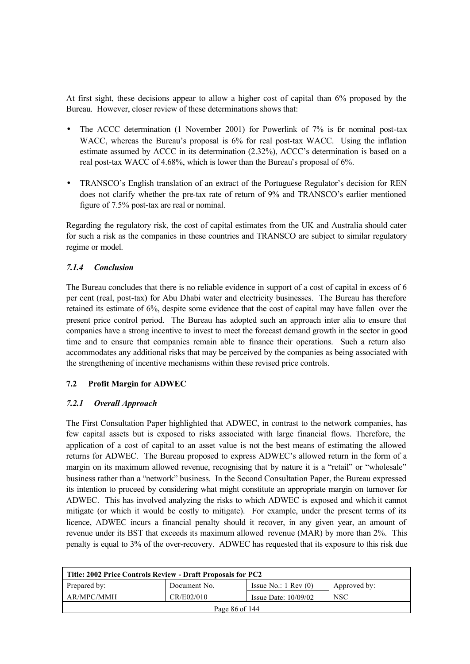At first sight, these decisions appear to allow a higher cost of capital than 6% proposed by the Bureau. However, closer review of these determinations shows that:

- The ACCC determination (1 November 2001) for Powerlink of 7% is for nominal post-tax WACC, whereas the Bureau's proposal is 6% for real post-tax WACC. Using the inflation estimate assumed by ACCC in its determination (2.32%), ACCC's determination is based on a real post-tax WACC of 4.68%, which is lower than the Bureau's proposal of 6%.
- TRANSCO's English translation of an extract of the Portuguese Regulator's decision for REN does not clarify whether the pre-tax rate of return of 9% and TRANSCO's earlier mentioned figure of 7.5% post-tax are real or nominal.

Regarding the regulatory risk, the cost of capital estimates from the UK and Australia should cater for such a risk as the companies in these countries and TRANSCO are subject to similar regulatory regime or model.

## *7.1.4 Conclusion*

The Bureau concludes that there is no reliable evidence in support of a cost of capital in excess of 6 per cent (real, post-tax) for Abu Dhabi water and electricity businesses. The Bureau has therefore retained its estimate of 6%, despite some evidence that the cost of capital may have fallen over the present price control period. The Bureau has adopted such an approach inter alia to ensure that companies have a strong incentive to invest to meet the forecast demand growth in the sector in good time and to ensure that companies remain able to finance their operations. Such a return also accommodates any additional risks that may be perceived by the companies as being associated with the strengthening of incentive mechanisms within these revised price controls.

#### **7.2 Profit Margin for ADWEC**

## *7.2.1 Overall Approach*

The First Consultation Paper highlighted that ADWEC, in contrast to the network companies, has few capital assets but is exposed to risks associated with large financial flows. Therefore, the application of a cost of capital to an asset value is not the best means of estimating the allowed returns for ADWEC. The Bureau proposed to express ADWEC's allowed return in the form of a margin on its maximum allowed revenue, recognising that by nature it is a "retail" or "wholesale" business rather than a "network" business. In the Second Consultation Paper, the Bureau expressed its intention to proceed by considering what might constitute an appropriate margin on turnover for ADWEC. This has involved analyzing the risks to which ADWEC is exposed and which it cannot mitigate (or which it would be costly to mitigate). For example, under the present terms of its licence, ADWEC incurs a financial penalty should it recover, in any given year, an amount of revenue under its BST that exceeds its maximum allowed revenue (MAR) by more than 2%. This penalty is equal to 3% of the over-recovery. ADWEC has requested that its exposure to this risk due

| Title: 2002 Price Controls Review - Draft Proposals for PC2 |              |                                 |              |
|-------------------------------------------------------------|--------------|---------------------------------|--------------|
| Prepared by:                                                | Document No. | Issue No.: $1 \text{ Rev } (0)$ | Approved by: |
| AR/MPC/MMH                                                  | CR/E02/010   | Issue Date: $10/09/02$          | <b>NSC</b>   |
| Page 86 of 144                                              |              |                                 |              |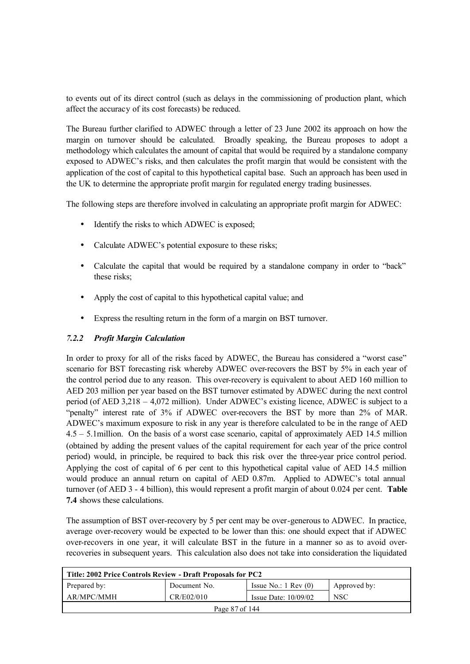to events out of its direct control (such as delays in the commissioning of production plant, which affect the accuracy of its cost forecasts) be reduced.

The Bureau further clarified to ADWEC through a letter of 23 June 2002 its approach on how the margin on turnover should be calculated. Broadly speaking, the Bureau proposes to adopt a methodology which calculates the amount of capital that would be required by a standalone company exposed to ADWEC's risks, and then calculates the profit margin that would be consistent with the application of the cost of capital to this hypothetical capital base. Such an approach has been used in the UK to determine the appropriate profit margin for regulated energy trading businesses.

The following steps are therefore involved in calculating an appropriate profit margin for ADWEC:

- Identify the risks to which ADWEC is exposed;
- Calculate ADWEC's potential exposure to these risks;
- Calculate the capital that would be required by a standalone company in order to "back" these risks;
- Apply the cost of capital to this hypothetical capital value; and
- Express the resulting return in the form of a margin on BST turnover.

## *7.2.2 Profit Margin Calculation*

In order to proxy for all of the risks faced by ADWEC, the Bureau has considered a "worst case" scenario for BST forecasting risk whereby ADWEC over-recovers the BST by 5% in each year of the control period due to any reason. This over-recovery is equivalent to about AED 160 million to AED 203 million per year based on the BST turnover estimated by ADWEC during the next control period (of AED 3,218 – 4,072 million). Under ADWEC's existing licence, ADWEC is subject to a "penalty" interest rate of 3% if ADWEC over-recovers the BST by more than 2% of MAR. ADWEC's maximum exposure to risk in any year is therefore calculated to be in the range of AED 4.5 – 5.1million. On the basis of a worst case scenario, capital of approximately AED 14.5 million (obtained by adding the present values of the capital requirement for each year of the price control period) would, in principle, be required to back this risk over the three-year price control period. Applying the cost of capital of 6 per cent to this hypothetical capital value of AED 14.5 million would produce an annual return on capital of AED 0.87m. Applied to ADWEC's total annual turnover (of AED 3 - 4 billion), this would represent a profit margin of about 0.024 per cent. **Table 7.4** shows these calculations.

The assumption of BST over-recovery by 5 per cent may be over-generous to ADWEC. In practice, average over-recovery would be expected to be lower than this: one should expect that if ADWEC over-recovers in one year, it will calculate BST in the future in a manner so as to avoid overrecoveries in subsequent years. This calculation also does not take into consideration the liquidated

| Title: 2002 Price Controls Review - Draft Proposals for PC2 |              |                                 |              |  |
|-------------------------------------------------------------|--------------|---------------------------------|--------------|--|
| Prepared by:                                                | Document No. | Issue No.: $1 \text{ Rev } (0)$ | Approved by: |  |
| AR/MPC/MMH                                                  | CR/E02/010   | Issue Date: $10/09/02$          | <b>NSC</b>   |  |
| Page 87 of 144                                              |              |                                 |              |  |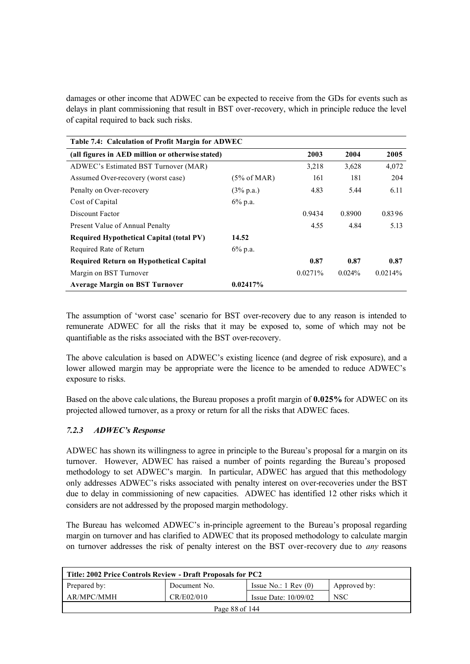damages or other income that ADWEC can be expected to receive from the GDs for events such as delays in plant commissioning that result in BST over-recovery, which in principle reduce the level of capital required to back such risks.

| Table 7.4: Calculation of Profit Margin for ADWEC |                      |         |           |         |
|---------------------------------------------------|----------------------|---------|-----------|---------|
| (all figures in AED million or otherwise stated)  | 2003                 | 2004    | 2005      |         |
| ADWEC's Estimated BST Turnover (MAR)              |                      | 3,218   | 3,628     | 4,072   |
| Assumed Over-recovery (worst case)                | (5% of MAR)          | 161     | 181       | 204     |
| Penalty on Over-recovery                          | $(3\% \text{ p.a.})$ | 4.83    | 5.44      | 6.11    |
| Cost of Capital                                   | $6\%$ p.a.           |         |           |         |
| Discount Factor                                   |                      | 0.9434  | 0.8900    | 0.8396  |
| Present Value of Annual Penalty                   |                      | 4.55    | 4.84      | 5.13    |
| <b>Required Hypothetical Capital (total PV)</b>   | 14.52                |         |           |         |
| Required Rate of Return                           | $6\%$ p.a.           |         |           |         |
| Required Return on Hypothetical Capital           |                      | 0.87    | 0.87      | 0.87    |
| Margin on BST Turnover                            |                      | 0.0271% | $0.024\%$ | 0.0214% |
| <b>Average Margin on BST Turnover</b>             | 0.02417%             |         |           |         |

The assumption of 'worst case' scenario for BST over-recovery due to any reason is intended to remunerate ADWEC for all the risks that it may be exposed to, some of which may not be quantifiable as the risks associated with the BST over-recovery.

The above calculation is based on ADWEC's existing licence (and degree of risk exposure), and a lower allowed margin may be appropriate were the licence to be amended to reduce ADWEC's exposure to risks.

Based on the above calc ulations, the Bureau proposes a profit margin of **0.025%** for ADWEC on its projected allowed turnover, as a proxy or return for all the risks that ADWEC faces.

## *7.2.3 ADWEC's Response*

ADWEC has shown its willingness to agree in principle to the Bureau's proposal for a margin on its turnover. However, ADWEC has raised a number of points regarding the Bureau's proposed methodology to set ADWEC's margin. In particular, ADWEC has argued that this methodology only addresses ADWEC's risks associated with penalty interest on over-recoveries under the BST due to delay in commissioning of new capacities. ADWEC has identified 12 other risks which it considers are not addressed by the proposed margin methodology.

The Bureau has welcomed ADWEC's in-principle agreement to the Bureau's proposal regarding margin on turnover and has clarified to ADWEC that its proposed methodology to calculate margin on turnover addresses the risk of penalty interest on the BST over-recovery due to *any* reasons

| Title: 2002 Price Controls Review - Draft Proposals for PC2      |              |                                 |              |  |
|------------------------------------------------------------------|--------------|---------------------------------|--------------|--|
| Prepared by:                                                     | Document No. | Issue No.: $1 \text{ Rev } (0)$ | Approved by: |  |
| AR/MPC/MMH<br>CR/E02/010<br><b>NSC</b><br>Issue Date: $10/09/02$ |              |                                 |              |  |
| Page 88 of 144                                                   |              |                                 |              |  |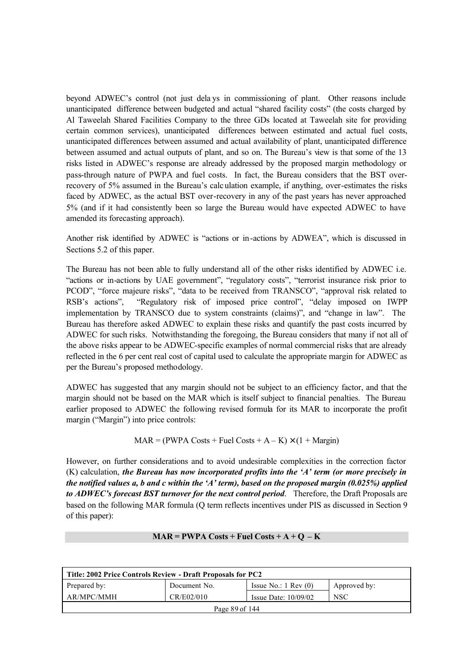beyond ADWEC's control (not just dela ys in commissioning of plant. Other reasons include unanticipated difference between budgeted and actual "shared facility costs" (the costs charged by Al Taweelah Shared Facilities Company to the three GDs located at Taweelah site for providing certain common services), unanticipated differences between estimated and actual fuel costs, unanticipated differences between assumed and actual availability of plant, unanticipated difference between assumed and actual outputs of plant, and so on. The Bureau's view is that some of the 13 risks listed in ADWEC's response are already addressed by the proposed margin methodology or pass-through nature of PWPA and fuel costs. In fact, the Bureau considers that the BST overrecovery of 5% assumed in the Bureau's calc ulation example, if anything, over-estimates the risks faced by ADWEC, as the actual BST over-recovery in any of the past years has never approached 5% (and if it had consistently been so large the Bureau would have expected ADWEC to have amended its forecasting approach).

Another risk identified by ADWEC is "actions or in-actions by ADWEA", which is discussed in Sections 5.2 of this paper.

The Bureau has not been able to fully understand all of the other risks identified by ADWEC i.e. "actions or in-actions by UAE government", "regulatory costs", "terrorist insurance risk prior to PCOD", "force majeure risks", "data to be received from TRANSCO", "approval risk related to RSB's actions", "Regulatory risk of imposed price control", "delay imposed on IWPP implementation by TRANSCO due to system constraints (claims)", and "change in law". The Bureau has therefore asked ADWEC to explain these risks and quantify the past costs incurred by ADWEC for such risks. Notwithstanding the foregoing, the Bureau considers that many if not all of the above risks appear to be ADWEC-specific examples of normal commercial risks that are already reflected in the 6 per cent real cost of capital used to calculate the appropriate margin for ADWEC as per the Bureau's proposed methodology.

ADWEC has suggested that any margin should not be subject to an efficiency factor, and that the margin should not be based on the MAR which is itself subject to financial penalties. The Bureau earlier proposed to ADWEC the following revised formula for its MAR to incorporate the profit margin ("Margin") into price controls:

$$
MAR = (PWPA \text{ Costs} + \text{Fuel} \text{ Costs} + A - K) \times (1 + \text{Margin})
$$

However, on further considerations and to avoid undesirable complexities in the correction factor (K) calculation, *the Bureau has now incorporated profits into the 'A' term (or more precisely in the notified values a, b and c within the 'A' term), based on the proposed margin (0.025%) applied to ADWEC's forecast BST turnover for the next control period*. Therefore, the Draft Proposals are based on the following MAR formula (Q term reflects incentives under PIS as discussed in Section 9 of this paper):

#### $\text{MAR} = \text{PWPA} \text{Costs} + \text{Full} \text{Costs} + \text{A} + \text{Q} - \text{K}$

| Title: 2002 Price Controls Review - Draft Proposals for PC2                     |  |  |  |  |
|---------------------------------------------------------------------------------|--|--|--|--|
| Prepared by:<br>Issue No.: $1 \text{ Rev } (0)$<br>Document No.<br>Approved by: |  |  |  |  |
| AR/MPC/MMH<br>CR/E02/010<br><b>NSC</b><br>Issue Date: $10/09/02$                |  |  |  |  |
| Page 89 of 144                                                                  |  |  |  |  |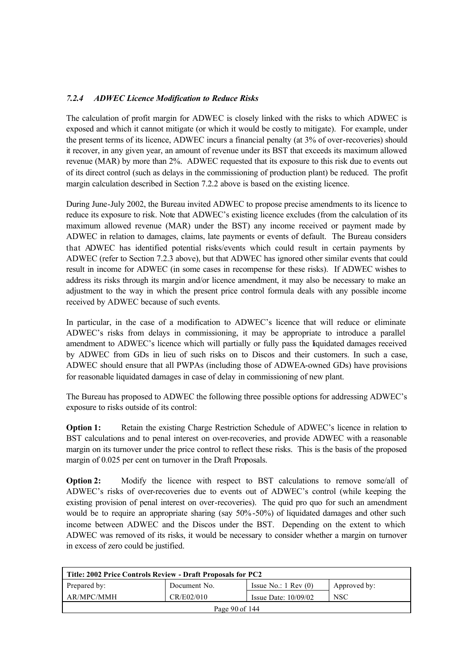## *7.2.4 ADWEC Licence Modification to Reduce Risks*

The calculation of profit margin for ADWEC is closely linked with the risks to which ADWEC is exposed and which it cannot mitigate (or which it would be costly to mitigate). For example, under the present terms of its licence, ADWEC incurs a financial penalty (at 3% of over-recoveries) should it recover, in any given year, an amount of revenue under its BST that exceeds its maximum allowed revenue (MAR) by more than 2%. ADWEC requested that its exposure to this risk due to events out of its direct control (such as delays in the commissioning of production plant) be reduced. The profit margin calculation described in Section 7.2.2 above is based on the existing licence.

During June-July 2002, the Bureau invited ADWEC to propose precise amendments to its licence to reduce its exposure to risk. Note that ADWEC's existing licence excludes (from the calculation of its maximum allowed revenue (MAR) under the BST) any income received or payment made by ADWEC in relation to damages, claims, late payments or events of default. The Bureau considers that ADWEC has identified potential risks/events which could result in certain payments by ADWEC (refer to Section 7.2.3 above), but that ADWEC has ignored other similar events that could result in income for ADWEC (in some cases in recompense for these risks). If ADWEC wishes to address its risks through its margin and/or licence amendment, it may also be necessary to make an adjustment to the way in which the present price control formula deals with any possible income received by ADWEC because of such events.

In particular, in the case of a modification to ADWEC's licence that will reduce or eliminate ADWEC's risks from delays in commissioning, it may be appropriate to introduce a parallel amendment to ADWEC's licence which will partially or fully pass the liquidated damages received by ADWEC from GDs in lieu of such risks on to Discos and their customers. In such a case, ADWEC should ensure that all PWPAs (including those of ADWEA-owned GDs) have provisions for reasonable liquidated damages in case of delay in commissioning of new plant.

The Bureau has proposed to ADWEC the following three possible options for addressing ADWEC's exposure to risks outside of its control:

**Option 1:** Retain the existing Charge Restriction Schedule of ADWEC's licence in relation to BST calculations and to penal interest on over-recoveries, and provide ADWEC with a reasonable margin on its turnover under the price control to reflect these risks. This is the basis of the proposed margin of 0.025 per cent on turnover in the Draft Proposals.

**Option 2:** Modify the licence with respect to BST calculations to remove some/all of ADWEC's risks of over-recoveries due to events out of ADWEC's control (while keeping the existing provision of penal interest on over-recoveries). The quid pro quo for such an amendment would be to require an appropriate sharing (say 50%-50%) of liquidated damages and other such income between ADWEC and the Discos under the BST. Depending on the extent to which ADWEC was removed of its risks, it would be necessary to consider whether a margin on turnover in excess of zero could be justified.

| Title: 2002 Price Controls Review - Draft Proposals for PC2      |              |                                 |              |  |
|------------------------------------------------------------------|--------------|---------------------------------|--------------|--|
| Prepared by:                                                     | Document No. | Issue No.: $1 \text{ Rev } (0)$ | Approved by: |  |
| AR/MPC/MMH<br>CR/E02/010<br><b>NSC</b><br>Issue Date: $10/09/02$ |              |                                 |              |  |
| Page $90$ of 144                                                 |              |                                 |              |  |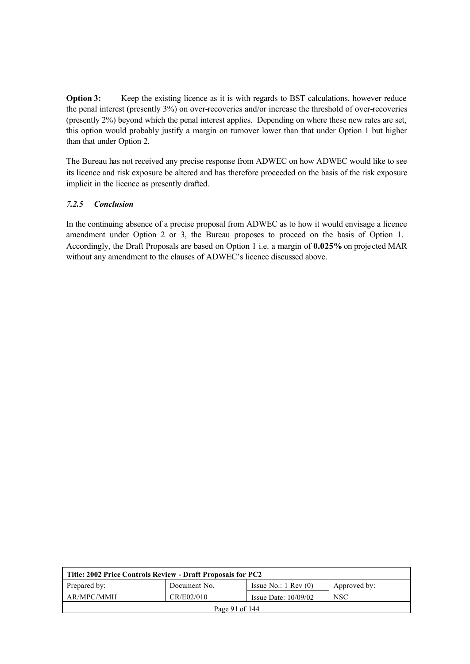**Option 3:** Keep the existing licence as it is with regards to BST calculations, however reduce the penal interest (presently 3%) on over-recoveries and/or increase the threshold of over-recoveries (presently 2%) beyond which the penal interest applies. Depending on where these new rates are set, this option would probably justify a margin on turnover lower than that under Option 1 but higher than that under Option 2.

The Bureau has not received any precise response from ADWEC on how ADWEC would like to see its licence and risk exposure be altered and has therefore proceeded on the basis of the risk exposure implicit in the licence as presently drafted.

#### *7.2.5 Conclusion*

In the continuing absence of a precise proposal from ADWEC as to how it would envisage a licence amendment under Option 2 or 3, the Bureau proposes to proceed on the basis of Option 1. Accordingly, the Draft Proposals are based on Option 1 i.e. a margin of **0.025%** on proje cted MAR without any amendment to the clauses of ADWEC's licence discussed above.

| Title: 2002 Price Controls Review - Draft Proposals for PC2      |              |                                 |              |  |
|------------------------------------------------------------------|--------------|---------------------------------|--------------|--|
| Prepared by:                                                     | Document No. | Issue No.: $1 \text{ Rev } (0)$ | Approved by: |  |
| AR/MPC/MMH<br>CR/E02/010<br><b>NSC</b><br>Issue Date: $10/09/02$ |              |                                 |              |  |
| Page 91 of 144                                                   |              |                                 |              |  |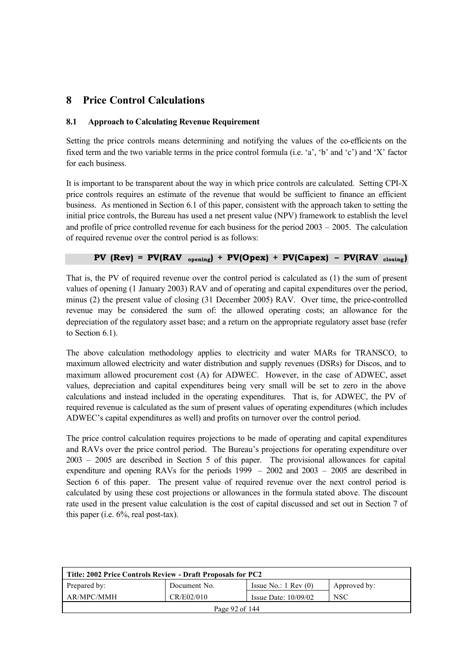## **8 Price Control Calculations**

#### **8.1 Approach to Calculating Revenue Requirement**

Setting the price controls means determining and notifying the values of the co-efficients on the fixed term and the two variable terms in the price control formula (i.e. 'a', 'b' and 'c') and 'X' factor for each business.

It is important to be transparent about the way in which price controls are calculated. Setting CPI-X price controls requires an estimate of the revenue that would be sufficient to finance an efficient business. As mentioned in Section 6.1 of this paper, consistent with the approach taken to setting the initial price controls, the Bureau has used a net present value (NPV) framework to establish the level and profile of price controlled revenue for each business for the period 2003 – 2005. The calculation of required revenue over the control period is as follows:

## **PV** ( $Rev$ ) =  $PV(RAV_{\text{opening}}) + PV(Opex) + PV(Capex) - PV(RAV_{\text{ closing}})$

That is, the PV of required revenue over the control period is calculated as (1) the sum of present values of opening (1 January 2003) RAV and of operating and capital expenditures over the period, minus (2) the present value of closing (31 December 2005) RAV. Over time, the price-controlled revenue may be considered the sum of: the allowed operating costs; an allowance for the depreciation of the regulatory asset base; and a return on the appropriate regulatory asset base (refer to Section 6.1).

The above calculation methodology applies to electricity and water MARs for TRANSCO, to maximum allowed electricity and water distribution and supply revenues (DSRs) for Discos, and to maximum allowed procurement cost (A) for ADWEC. However, in the case of ADWEC, asset values, depreciation and capital expenditures being very small will be set to zero in the above calculations and instead included in the operating expenditures. That is, for ADWEC, the PV of required revenue is calculated as the sum of present values of operating expenditures (which includes ADWEC's capital expenditures as well) and profits on turnover over the control period.

The price control calculation requires projections to be made of operating and capital expenditures and RAVs over the price control period. The Bureau's projections for operating expenditure over 2003 – 2005 are described in Section 5 of this paper. The provisional allowances for capital expenditure and opening RAVs for the periods 1999 – 2002 and 2003 – 2005 are described in Section 6 of this paper. The present value of required revenue over the next control period is calculated by using these cost projections or allowances in the formula stated above. The discount rate used in the present value calculation is the cost of capital discussed and set out in Section 7 of this paper (i.e. 6%, real post-tax).

| Title: 2002 Price Controls Review - Draft Proposals for PC2      |              |                                 |              |  |
|------------------------------------------------------------------|--------------|---------------------------------|--------------|--|
| Prepared by:                                                     | Document No. | Issue No.: $1 \text{ Rev } (0)$ | Approved by: |  |
| AR/MPC/MMH<br>CR/E02/010<br><b>NSC</b><br>Issue Date: $10/09/02$ |              |                                 |              |  |
| Page 92 of 144                                                   |              |                                 |              |  |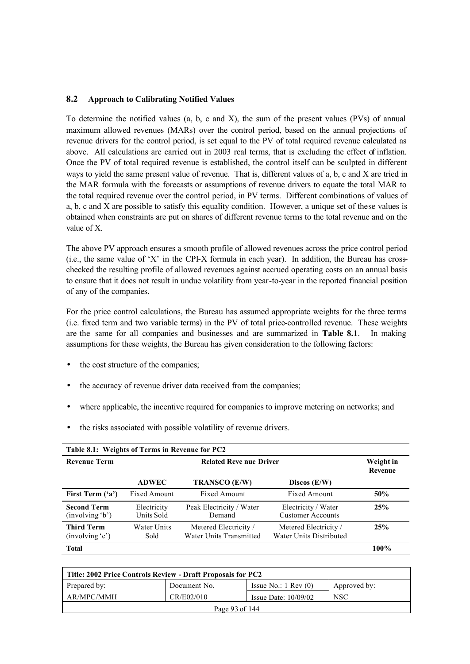#### **8.2 Approach to Calibrating Notified Values**

To determine the notified values (a, b, c and X), the sum of the present values (PVs) of annual maximum allowed revenues (MARs) over the control period, based on the annual projections of revenue drivers for the control period, is set equal to the PV of total required revenue calculated as above. All calculations are carried out in 2003 real terms, that is excluding the effect of inflation. Once the PV of total required revenue is established, the control itself can be sculpted in different ways to yield the same present value of revenue. That is, different values of a, b, c and X are tried in the MAR formula with the forecasts or assumptions of revenue drivers to equate the total MAR to the total required revenue over the control period, in PV terms. Different combinations of values of a, b, c and X are possible to satisfy this equality condition. However, a unique set of these values is obtained when constraints are put on shares of different revenue terms to the total revenue and on the value of X.

The above PV approach ensures a smooth profile of allowed revenues across the price control period  $(i.e., the same value of 'X' in the CPLX formula in each year).$  In addition, the Bureau has crosschecked the resulting profile of allowed revenues against accrued operating costs on an annual basis to ensure that it does not result in undue volatility from year-to-year in the reported financial position of any of the companies.

For the price control calculations, the Bureau has assumed appropriate weights for the three terms (i.e. fixed term and two variable terms) in the PV of total price-controlled revenue. These weights are the same for all companies and businesses and are summarized in **Table 8.1**. In making assumptions for these weights, the Bureau has given consideration to the following factors:

- the cost structure of the companies;
- the accuracy of revenue driver data received from the companies;
- where applicable, the incentive required for companies to improve metering on networks; and
- the risks associated with possible volatility of revenue drivers.

| Table 8.1: Weights of Terms in Revenue for PC2 |                                |                                                  |                                                  |                             |
|------------------------------------------------|--------------------------------|--------------------------------------------------|--------------------------------------------------|-----------------------------|
| <b>Revenue Term</b>                            | <b>Related Reve nue Driver</b> |                                                  |                                                  | Weight in<br><b>Revenue</b> |
|                                                | <b>ADWEC</b>                   | TRANSCO (E/W)                                    | Discos $(E/W)$                                   |                             |
| First Term ('a')                               | Fixed Amount                   | <b>Fixed Amount</b>                              | <b>Fixed Amount</b>                              | 50%                         |
| <b>Second Term</b><br>(involving 'b')          | Electricity<br>Units Sold      | Peak Electricity / Water<br>Demand               | Electricity / Water<br><b>Customer Accounts</b>  | 25%                         |
| <b>Third Term</b><br>(involving 'c')           | Water Units<br>Sold            | Metered Electricity /<br>Water Units Transmitted | Metered Electricity /<br>Water Units Distributed | 25%                         |
| <b>Total</b>                                   |                                |                                                  |                                                  | 100%                        |

| Title: 2002 Price Controls Review - Draft Proposals for PC2      |              |                                 |              |  |  |
|------------------------------------------------------------------|--------------|---------------------------------|--------------|--|--|
| Prepared by:                                                     | Document No. | Issue No.: $1 \text{ Rev } (0)$ | Approved by: |  |  |
| CR/E02/010<br>AR/MPC/MMH<br><b>NSC</b><br>Issue Date: $10/09/02$ |              |                                 |              |  |  |
| Page 93 of 144                                                   |              |                                 |              |  |  |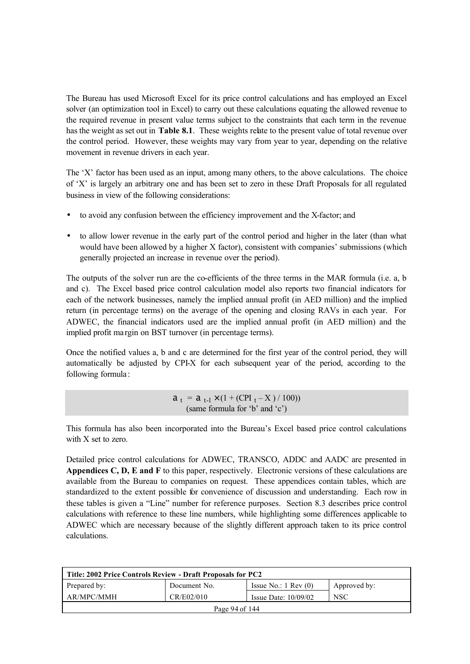The Bureau has used Microsoft Excel for its price control calculations and has employed an Excel solver (an optimization tool in Excel) to carry out these calculations equating the allowed revenue to the required revenue in present value terms subject to the constraints that each term in the revenue has the weight as set out in **Table 8.1**. These weights relate to the present value of total revenue over the control period. However, these weights may vary from year to year, depending on the relative movement in revenue drivers in each year.

The 'X' factor has been used as an input, among many others, to the above calculations. The choice of 'X' is largely an arbitrary one and has been set to zero in these Draft Proposals for all regulated business in view of the following considerations:

- to avoid any confusion between the efficiency improvement and the X-factor; and
- to allow lower revenue in the early part of the control period and higher in the later (than what would have been allowed by a higher X factor), consistent with companies' submissions (which generally projected an increase in revenue over the period).

The outputs of the solver run are the co-efficients of the three terms in the MAR formula (i.e. a, b and c). The Excel based price control calculation model also reports two financial indicators for each of the network businesses, namely the implied annual profit (in AED million) and the implied return (in percentage terms) on the average of the opening and closing RAVs in each year. For ADWEC, the financial indicators used are the implied annual profit (in AED million) and the implied profit ma rgin on BST turnover (in percentage terms).

Once the notified values a, b and c are determined for the first year of the control period, they will automatically be adjusted by CPI-X for each subsequent year of the period, according to the following formula :

> $a_t = a_{t-1} \times (1 + (CPI_t - X) / 100)$ (same formula for 'b' and 'c')

This formula has also been incorporated into the Bureau's Excel based price control calculations with X set to zero.

Detailed price control calculations for ADWEC, TRANSCO, ADDC and AADC are presented in **Appendices C, D, E and F** to this paper, respectively. Electronic versions of these calculations are available from the Bureau to companies on request. These appendices contain tables, which are standardized to the extent possible for convenience of discussion and understanding. Each row in these tables is given a "Line" number for reference purposes. Section 8.3 describes price control calculations with reference to these line numbers, while highlighting some differences applicable to ADWEC which are necessary because of the slightly different approach taken to its price control calculations.

| Title: 2002 Price Controls Review - Draft Proposals for PC2 |              |                                 |              |
|-------------------------------------------------------------|--------------|---------------------------------|--------------|
| Prepared by:                                                | Document No. | Issue No.: $1 \text{ Rev } (0)$ | Approved by: |
| AR/MPC/MMH                                                  | CR/E02/010   | Issue Date: $10/09/02$          | <b>NSC</b>   |
| Page 94 of 144                                              |              |                                 |              |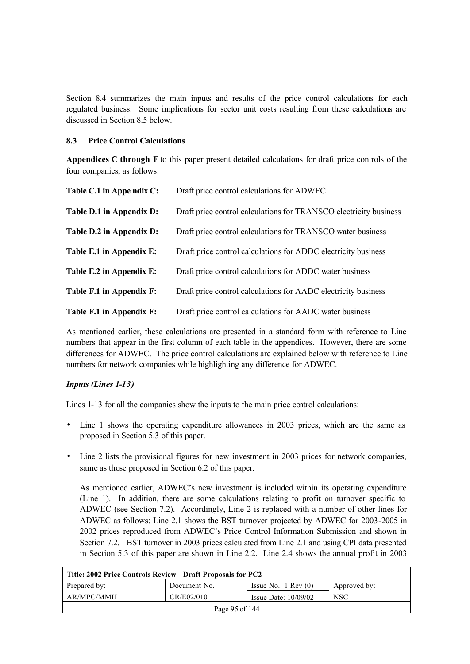Section 8.4 summarizes the main inputs and results of the price control calculations for each regulated business. Some implications for sector unit costs resulting from these calculations are discussed in Section 8.5 below.

#### **8.3 Price Control Calculations**

**Appendices C through F** to this paper present detailed calculations for draft price controls of the four companies, as follows:

| Table C.1 in Appe ndix C: | Draft price control calculations for ADWEC                        |
|---------------------------|-------------------------------------------------------------------|
| Table D.1 in Appendix D:  | Draft price control calculations for TRANSCO electricity business |
| Table D.2 in Appendix D:  | Draft price control calculations for TRANSCO water business       |
| Table E.1 in Appendix E:  | Draft price control calculations for ADDC electricity business    |
| Table E.2 in Appendix E:  | Draft price control calculations for ADDC water business          |
| Table F.1 in Appendix F:  | Draft price control calculations for AADC electricity business    |
| Table F.1 in Appendix F:  | Draft price control calculations for AADC water business          |

As mentioned earlier, these calculations are presented in a standard form with reference to Line numbers that appear in the first column of each table in the appendices. However, there are some differences for ADWEC. The price control calculations are explained below with reference to Line numbers for network companies while highlighting any difference for ADWEC.

## *Inputs (Lines 1-13)*

Lines 1-13 for all the companies show the inputs to the main price control calculations:

- Line 1 shows the operating expenditure allowances in 2003 prices, which are the same as proposed in Section 5.3 of this paper.
- Line 2 lists the provisional figures for new investment in 2003 prices for network companies, same as those proposed in Section 6.2 of this paper.

As mentioned earlier, ADWEC's new investment is included within its operating expenditure (Line 1). In addition, there are some calculations relating to profit on turnover specific to ADWEC (see Section 7.2). Accordingly, Line 2 is replaced with a number of other lines for ADWEC as follows: Line 2.1 shows the BST turnover projected by ADWEC for 2003-2005 in 2002 prices reproduced from ADWEC's Price Control Information Submission and shown in Section 7.2. BST turnover in 2003 prices calculated from Line 2.1 and using CPI data presented in Section 5.3 of this paper are shown in Line 2.2. Line 2.4 shows the annual profit in 2003

| Title: 2002 Price Controls Review - Draft Proposals for PC2      |              |                                 |              |  |  |
|------------------------------------------------------------------|--------------|---------------------------------|--------------|--|--|
| Prepared by:                                                     | Document No. | Issue No.: $1 \text{ Rev } (0)$ | Approved by: |  |  |
| AR/MPC/MMH<br>CR/E02/010<br><b>NSC</b><br>Issue Date: $10/09/02$ |              |                                 |              |  |  |
| Page 95 of 144                                                   |              |                                 |              |  |  |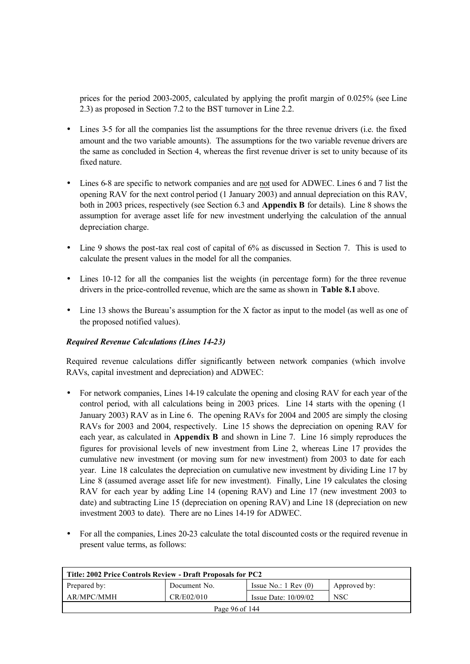prices for the period 2003-2005, calculated by applying the profit margin of 0.025% (see Line 2.3) as proposed in Section 7.2 to the BST turnover in Line 2.2.

- Lines 3-5 for all the companies list the assumptions for the three revenue drivers (i.e. the fixed amount and the two variable amounts). The assumptions for the two variable revenue drivers are the same as concluded in Section 4, whereas the first revenue driver is set to unity because of its fixed nature.
- Lines 6-8 are specific to network companies and are not used for ADWEC. Lines 6 and 7 list the opening RAV for the next control period (1 January 2003) and annual depreciation on this RAV, both in 2003 prices, respectively (see Section 6.3 and **Appendix B** for details). Line 8 shows the assumption for average asset life for new investment underlying the calculation of the annual depreciation charge.
- Line 9 shows the post-tax real cost of capital of 6% as discussed in Section 7. This is used to calculate the present values in the model for all the companies.
- Lines 10-12 for all the companies list the weights (in percentage form) for the three revenue drivers in the price-controlled revenue, which are the same as shown in **Table 8.1** above.
- Line 13 shows the Bureau's assumption for the X factor as input to the model (as well as one of the proposed notified values).

#### *Required Revenue Calculations (Lines 14-23)*

Required revenue calculations differ significantly between network companies (which involve RAVs, capital investment and depreciation) and ADWEC:

- For network companies, Lines 14-19 calculate the opening and closing RAV for each year of the control period, with all calculations being in 2003 prices. Line 14 starts with the opening (1 January 2003) RAV as in Line 6. The opening RAVs for 2004 and 2005 are simply the closing RAVs for 2003 and 2004, respectively. Line 15 shows the depreciation on opening RAV for each year, as calculated in **Appendix B** and shown in Line 7. Line 16 simply reproduces the figures for provisional levels of new investment from Line 2, whereas Line 17 provides the cumulative new investment (or moving sum for new investment) from 2003 to date for each year. Line 18 calculates the depreciation on cumulative new investment by dividing Line 17 by Line 8 (assumed average asset life for new investment). Finally, Line 19 calculates the closing RAV for each year by adding Line 14 (opening RAV) and Line 17 (new investment 2003 to date) and subtracting Line 15 (depreciation on opening RAV) and Line 18 (depreciation on new investment 2003 to date). There are no Lines 14-19 for ADWEC.
- For all the companies, Lines 20-23 calculate the total discounted costs or the required revenue in present value terms, as follows:

| Title: 2002 Price Controls Review - Draft Proposals for PC2                     |  |  |  |  |
|---------------------------------------------------------------------------------|--|--|--|--|
| Issue No.: $1 \text{ Rev } (0)$<br>Prepared by:<br>Document No.<br>Approved by: |  |  |  |  |
| <b>NSC</b><br>AR/MPC/MMH<br>CR/E02/010<br>Issue Date: $10/09/02$                |  |  |  |  |
| Page 96 of 144                                                                  |  |  |  |  |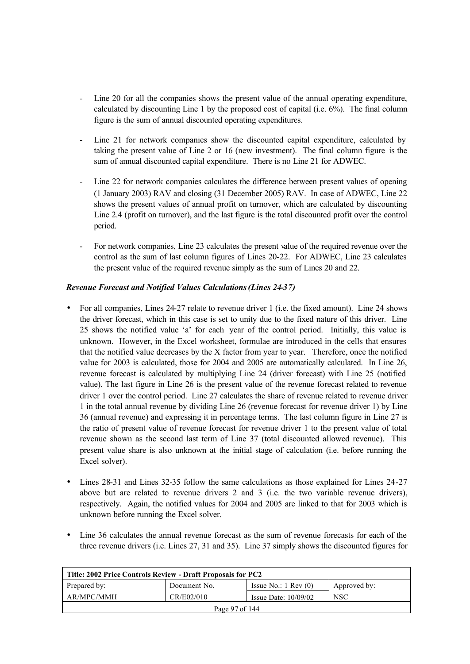- Line 20 for all the companies shows the present value of the annual operating expenditure, calculated by discounting Line 1 by the proposed cost of capital (i.e. 6%). The final column figure is the sum of annual discounted operating expenditures.
- Line 21 for network companies show the discounted capital expenditure, calculated by taking the present value of Line 2 or 16 (new investment). The final column figure is the sum of annual discounted capital expenditure. There is no Line 21 for ADWEC.
- Line 22 for network companies calculates the difference between present values of opening (1 January 2003) RAV and closing (31 December 2005) RAV. In case of ADWEC, Line 22 shows the present values of annual profit on turnover, which are calculated by discounting Line 2.4 (profit on turnover), and the last figure is the total discounted profit over the control period.
- For network companies, Line 23 calculates the present value of the required revenue over the control as the sum of last column figures of Lines 20-22. For ADWEC, Line 23 calculates the present value of the required revenue simply as the sum of Lines 20 and 22.

## *Revenue Forecast and Notified Values Calculations (Lines 24-37)*

- For all companies, Lines 24-27 relate to revenue driver 1 (i.e. the fixed amount). Line 24 shows the driver forecast, which in this case is set to unity due to the fixed nature of this driver. Line 25 shows the notified value 'a' for each year of the control period. Initially, this value is unknown. However, in the Excel worksheet, formulae are introduced in the cells that ensures that the notified value decreases by the X factor from year to year. Therefore, once the notified value for 2003 is calculated, those for 2004 and 2005 are automatically calculated. In Line 26, revenue forecast is calculated by multiplying Line 24 (driver forecast) with Line 25 (notified value). The last figure in Line 26 is the present value of the revenue forecast related to revenue driver 1 over the control period. Line 27 calculates the share of revenue related to revenue driver 1 in the total annual revenue by dividing Line 26 (revenue forecast for revenue driver 1) by Line 36 (annual revenue) and expressing it in percentage terms. The last column figure in Line 27 is the ratio of present value of revenue forecast for revenue driver 1 to the present value of total revenue shown as the second last term of Line 37 (total discounted allowed revenue). This present value share is also unknown at the initial stage of calculation (i.e. before running the Excel solver).
- Lines 28-31 and Lines 32-35 follow the same calculations as those explained for Lines 24-27 above but are related to revenue drivers 2 and 3 (i.e. the two variable revenue drivers), respectively. Again, the notified values for 2004 and 2005 are linked to that for 2003 which is unknown before running the Excel solver.
- Line 36 calculates the annual revenue forecast as the sum of revenue forecasts for each of the three revenue drivers (i.e. Lines 27, 31 and 35). Line 37 simply shows the discounted figures for

| Title: 2002 Price Controls Review - Draft Proposals for PC2 |              |                                 |              |  |
|-------------------------------------------------------------|--------------|---------------------------------|--------------|--|
| Prepared by:                                                | Document No. | Issue No.: $1 \text{ Rev } (0)$ | Approved by: |  |
| AR/MPC/MMH                                                  | CR/E02/010   | Issue Date: $10/09/02$          | <b>NSC</b>   |  |
| Page 97 of 144                                              |              |                                 |              |  |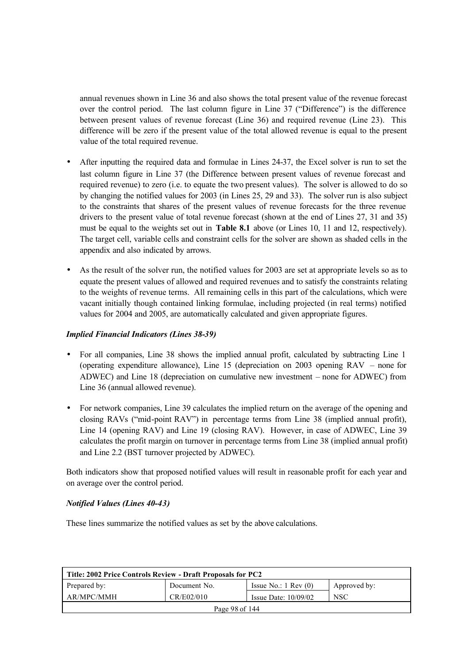annual revenues shown in Line 36 and also shows the total present value of the revenue forecast over the control period. The last column figure in Line 37 ("Difference") is the difference between present values of revenue forecast (Line 36) and required revenue (Line 23). This difference will be zero if the present value of the total allowed revenue is equal to the present value of the total required revenue.

- After inputting the required data and formulae in Lines 24-37, the Excel solver is run to set the last column figure in Line 37 (the Difference between present values of revenue forecast and required revenue) to zero (i.e. to equate the two present values). The solver is allowed to do so by changing the notified values for 2003 (in Lines 25, 29 and 33). The solver run is also subject to the constraints that shares of the present values of revenue forecasts for the three revenue drivers to the present value of total revenue forecast (shown at the end of Lines 27, 31 and 35) must be equal to the weights set out in **Table 8.1** above (or Lines 10, 11 and 12, respectively). The target cell, variable cells and constraint cells for the solver are shown as shaded cells in the appendix and also indicated by arrows.
- As the result of the solver run, the notified values for 2003 are set at appropriate levels so as to equate the present values of allowed and required revenues and to satisfy the constraints relating to the weights of revenue terms. All remaining cells in this part of the calculations, which were vacant initially though contained linking formulae, including projected (in real terms) notified values for 2004 and 2005, are automatically calculated and given appropriate figures.

#### *Implied Financial Indicators (Lines 38-39)*

- For all companies, Line 38 shows the implied annual profit, calculated by subtracting Line 1 (operating expenditure allowance), Line 15 (depreciation on 2003 opening RAV – none for ADWEC) and Line 18 (depreciation on cumulative new investment – none for ADWEC) from Line 36 (annual allowed revenue).
- For network companies, Line 39 calculates the implied return on the average of the opening and closing RAVs ("mid-point RAV") in percentage terms from Line 38 (implied annual profit), Line 14 (opening RAV) and Line 19 (closing RAV). However, in case of ADWEC, Line 39 calculates the profit margin on turnover in percentage terms from Line 38 (implied annual profit) and Line 2.2 (BST turnover projected by ADWEC).

Both indicators show that proposed notified values will result in reasonable profit for each year and on average over the control period.

## *Notified Values (Lines 40-43)*

These lines summarize the notified values as set by the above calculations.

| Title: 2002 Price Controls Review - Draft Proposals for PC2 |              |                                 |              |  |
|-------------------------------------------------------------|--------------|---------------------------------|--------------|--|
| Prepared by:                                                | Document No. | Issue No.: $1 \text{ Rev } (0)$ | Approved by: |  |
| AR/MPC/MMH                                                  | CR/E02/010   | Issue Date: $10/09/02$          | <b>NSC</b>   |  |
| Page 98 of 144                                              |              |                                 |              |  |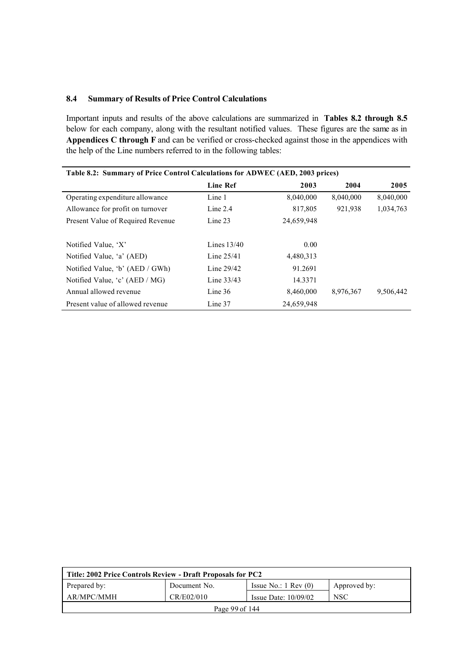#### **8.4 Summary of Results of Price Control Calculations**

Important inputs and results of the above calculations are summarized in **Tables 8.2 through 8.5** below for each company, along with the resultant notified values. These figures are the same as in **Appendices C through F** and can be verified or cross-checked against those in the appendices with the help of the Line numbers referred to in the following tables:

| Table 8.2: Summary of Price Control Calculations for ADWEC (AED, 2003 prices) |                 |            |           |           |  |  |
|-------------------------------------------------------------------------------|-----------------|------------|-----------|-----------|--|--|
|                                                                               | <b>Line Ref</b> | 2003       | 2004      | 2005      |  |  |
| Operating expenditure allowance                                               | Line 1          | 8,040,000  | 8,040,000 | 8,040,000 |  |  |
| Allowance for profit on turnover                                              | Line 2.4        | 817,805    | 921,938   | 1,034,763 |  |  |
| Present Value of Required Revenue                                             | Line 23         | 24,659,948 |           |           |  |  |
|                                                                               |                 |            |           |           |  |  |
| Notified Value, 'X'                                                           | Lines $13/40$   | 0.00       |           |           |  |  |
| Notified Value, 'a' (AED)                                                     | Line $25/41$    | 4,480,313  |           |           |  |  |
| Notified Value, 'b' (AED / GWh)                                               | Line $29/42$    | 91.2691    |           |           |  |  |
| Notified Value, $\mathcal{C}'$ (AED / MG)                                     | Line $33/43$    | 14.3371    |           |           |  |  |
| Annual allowed revenue                                                        | Line $36$       | 8,460,000  | 8,976,367 | 9,506,442 |  |  |
| Present value of allowed revenue                                              | Line 37         | 24,659,948 |           |           |  |  |

| Title: 2002 Price Controls Review - Draft Proposals for PC2 |              |                                 |              |  |
|-------------------------------------------------------------|--------------|---------------------------------|--------------|--|
| Prepared by:                                                | Document No. | Issue No.: $1 \text{ Rev } (0)$ | Approved by: |  |
| AR/MPC/MMH                                                  | CR/E02/010   | Issue Date: $10/09/02$          | <b>NSC</b>   |  |
| Page 99 of 144                                              |              |                                 |              |  |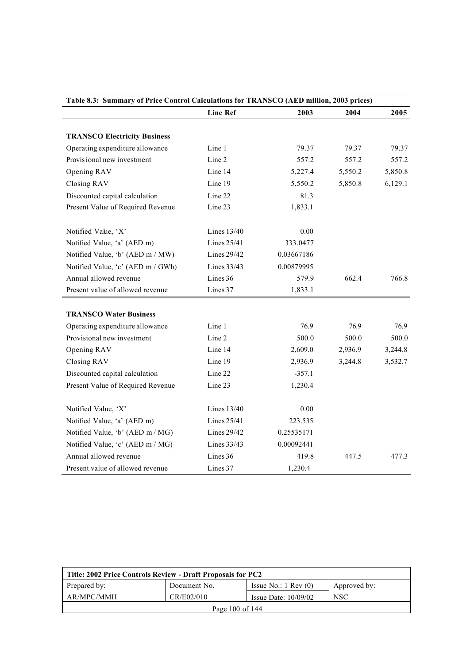|                                                                  | <b>Line Ref</b> | 2003       | 2004    | 2005    |
|------------------------------------------------------------------|-----------------|------------|---------|---------|
| <b>TRANSCO Electricity Business</b>                              |                 |            |         |         |
| Operating expenditure allowance                                  | Line 1          | 79.37      | 79.37   | 79.37   |
| Provis ional new investment                                      | Line 2          | 557.2      | 557.2   | 557.2   |
| Opening RAV                                                      | Line 14         | 5,227.4    | 5,550.2 | 5,850.8 |
| Closing RAV                                                      | Line 19         | 5,550.2    | 5,850.8 | 6,129.1 |
| Discounted capital calculation                                   | Line 22         | 81.3       |         |         |
| Present Value of Required Revenue                                | Line 23         | 1,833.1    |         |         |
| Notified Value, 'X'                                              | Lines 13/40     | 0.00       |         |         |
| Notified Value, 'a' (AED m)                                      | Lines 25/41     | 333.0477   |         |         |
| Notified Value, 'b' (AED m / MW)                                 | Lines 29/42     | 0.03667186 |         |         |
| Notified Value, 'c' (AED m / GWh)                                | Lines 33/43     | 0.00879995 |         |         |
| Annual allowed revenue                                           | Lines 36        | 579.9      | 662.4   | 766.8   |
| Present value of allowed revenue                                 | Lines 37        | 1,833.1    |         |         |
| <b>TRANSCO Water Business</b><br>Operating expenditure allowance | Line 1          | 76.9       | 76.9    | 76.9    |
| Provisional new investment                                       | Line 2          | 500.0      | 500.0   | 500.0   |
| Opening RAV                                                      | Line 14         | 2,609.0    | 2,936.9 | 3,244.8 |
| Closing RAV                                                      | Line 19         | 2,936.9    | 3,244.8 | 3,532.7 |
| Discounted capital calculation                                   | Line 22         | $-357.1$   |         |         |
| Present Value of Required Revenue                                | Line 23         | 1,230.4    |         |         |
| Notified Value, 'X'                                              | Lines 13/40     | 0.00       |         |         |
| Notified Value, 'a' (AED m)                                      | Lines 25/41     | 223.535    |         |         |
| Notified Value, 'b' (AED m / MG)                                 | Lines 29/42     | 0.25535171 |         |         |
| Notified Value, 'c' (AED m / MG)                                 | Lines 33/43     | 0.00092441 |         |         |
| Annual allowed revenue                                           | Lines 36        | 419.8      | 447.5   | 477.3   |
|                                                                  |                 |            |         |         |

| Title: 2002 Price Controls Review - Draft Proposals for PC2 |              |                                 |              |  |
|-------------------------------------------------------------|--------------|---------------------------------|--------------|--|
| Prepared by:                                                | Document No. | Issue No.: $1 \text{ Rev } (0)$ | Approved by: |  |
| AR/MPC/MMH                                                  | CR/E02/010   | Issue Date: $10/09/02$          | <b>NSC</b>   |  |
| Page 100 of 144                                             |              |                                 |              |  |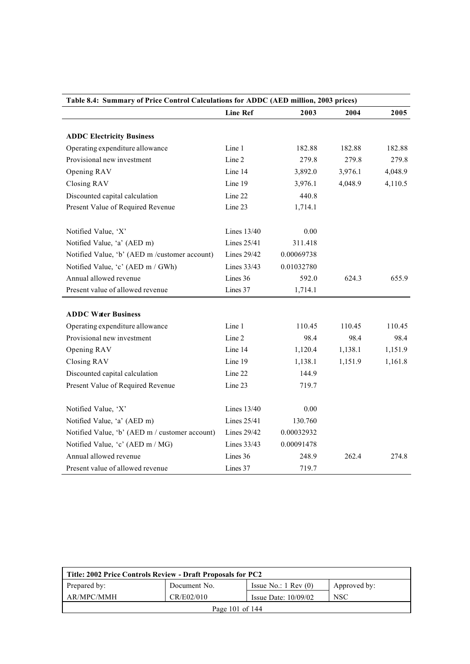|                                                | <b>Line Ref</b> | 2003       | 2004    | 2005    |
|------------------------------------------------|-----------------|------------|---------|---------|
| <b>ADDC Electricity Business</b>               |                 |            |         |         |
| Operating expenditure allowance                | Line 1          | 182.88     | 182.88  | 182.88  |
| Provisional new investment                     | Line 2          | 279.8      | 279.8   | 279.8   |
| Opening RAV                                    | Line 14         | 3,892.0    | 3,976.1 | 4,048.9 |
| Closing RAV                                    | Line 19         | 3,976.1    | 4,048.9 | 4,110.5 |
| Discounted capital calculation                 | Line 22         | 440.8      |         |         |
| Present Value of Required Revenue              | Line 23         | 1,714.1    |         |         |
| Notified Value, 'X'                            | Lines $13/40$   | 0.00       |         |         |
| Notified Value, 'a' (AED m)                    | Lines 25/41     | 311.418    |         |         |
| Notified Value, 'b' (AED m /customer account)  | Lines 29/42     | 0.00069738 |         |         |
| Notified Value, 'c' (AED m / GWh)              | Lines 33/43     | 0.01032780 |         |         |
| Annual allowed revenue                         | Lines 36        | 592.0      | 624.3   | 655.9   |
| Present value of allowed revenue               | Lines 37        | 1,714.1    |         |         |
|                                                |                 |            |         |         |
| <b>ADDC Water Business</b>                     |                 |            |         |         |
| Operating expenditure allowance                | Line 1          | 110.45     | 110.45  | 110.45  |
| Provisional new investment                     | Line 2          | 98.4       | 98.4    | 98.4    |
| Opening RAV                                    | Line 14         | 1,120.4    | 1,138.1 | 1,151.9 |
| Closing RAV                                    | Line 19         | 1,138.1    | 1,151.9 | 1,161.8 |
| Discounted capital calculation                 | Line 22         | 144.9      |         |         |
| Present Value of Required Revenue              | Line 23         | 719.7      |         |         |
| Notified Value, 'X'                            | Lines 13/40     | 0.00       |         |         |
| Notified Value, 'a' (AED m)                    | Lines 25/41     | 130.760    |         |         |
| Notified Value, 'b' (AED m / customer account) | Lines 29/42     | 0.00032932 |         |         |
| Notified Value, 'c' (AED m / MG)               | Lines 33/43     | 0.00091478 |         |         |
| Annual allowed revenue                         | Lines 36        | 248.9      | 262.4   | 274.8   |
| Present value of allowed revenue               | Lines 37        | 719.7      |         |         |

| Title: 2002 Price Controls Review - Draft Proposals for PC2 |              |                                 |              |  |
|-------------------------------------------------------------|--------------|---------------------------------|--------------|--|
| Prepared by:                                                | Document No. | Issue No.: $1 \text{ Rev } (0)$ | Approved by: |  |
| AR/MPC/MMH                                                  | CR/E02/010   | Issue Date: $10/09/02$          | <b>NSC</b>   |  |
| Page 101 of 144                                             |              |                                 |              |  |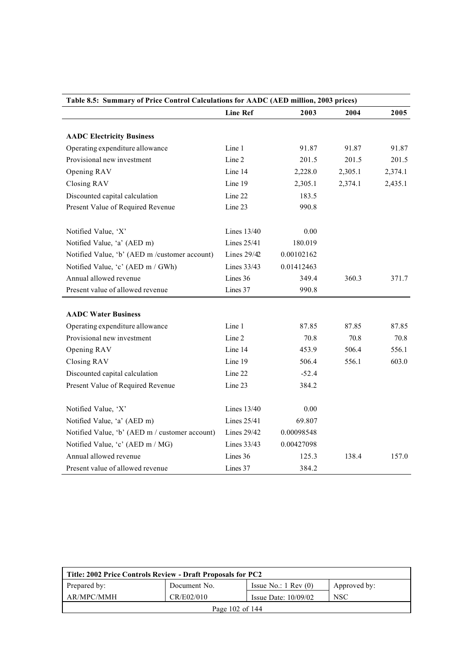| Table 8.5: Summary of Price Control Calculations for AADC (AED million, 2003 prices) |                 |            |         |         |  |
|--------------------------------------------------------------------------------------|-----------------|------------|---------|---------|--|
|                                                                                      | <b>Line Ref</b> | 2003       | 2004    | 2005    |  |
|                                                                                      |                 |            |         |         |  |
| <b>AADC Electricity Business</b>                                                     |                 |            |         |         |  |
| Operating expenditure allowance                                                      | Line 1          | 91.87      | 91.87   | 91.87   |  |
| Provisional new investment                                                           | Line 2          | 201.5      | 201.5   | 201.5   |  |
| Opening RAV                                                                          | Line 14         | 2,228.0    | 2,305.1 | 2,374.1 |  |
| Closing RAV                                                                          | Line 19         | 2,305.1    | 2,374.1 | 2,435.1 |  |
| Discounted capital calculation                                                       | Line 22         | 183.5      |         |         |  |
| Present Value of Required Revenue                                                    | Line 23         | 990.8      |         |         |  |
|                                                                                      |                 |            |         |         |  |
| Notified Value, 'X'                                                                  | Lines 13/40     | 0.00       |         |         |  |
| Notified Value, 'a' (AED m)                                                          | Lines 25/41     | 180.019    |         |         |  |
| Notified Value, 'b' (AED m /customer account)                                        | Lines $29/42$   | 0.00102162 |         |         |  |
| Notified Value, 'c' (AED m / GWh)                                                    | Lines 33/43     | 0.01412463 |         |         |  |
| Annual allowed revenue                                                               | Lines 36        | 349.4      | 360.3   | 371.7   |  |
| Present value of allowed revenue                                                     | Lines 37        | 990.8      |         |         |  |
|                                                                                      |                 |            |         |         |  |
| <b>AADC Water Business</b>                                                           |                 |            |         |         |  |
| Operating expenditure allowance                                                      | Line 1          | 87.85      | 87.85   | 87.85   |  |
| Provisional new investment                                                           | Line 2          | 70.8       | 70.8    | 70.8    |  |
| Opening RAV                                                                          | Line 14         | 453.9      | 506.4   | 556.1   |  |
| Closing RAV                                                                          | Line 19         | 506.4      | 556.1   | 603.0   |  |
| Discounted capital calculation                                                       | Line 22         | $-52.4$    |         |         |  |
| Present Value of Required Revenue                                                    | Line 23         | 384.2      |         |         |  |
| Notified Value, 'X'                                                                  | Lines 13/40     | 0.00       |         |         |  |
|                                                                                      | Lines 25/41     |            |         |         |  |
| Notified Value, 'a' (AED m)                                                          |                 | 69.807     |         |         |  |
| Notified Value, 'b' (AED m / customer account)                                       | Lines $29/42$   | 0.00098548 |         |         |  |
| Notified Value, 'c' (AED m / MG)                                                     | Lines 33/43     | 0.00427098 |         |         |  |
| Annual allowed revenue                                                               | Lines 36        | 125.3      | 138.4   | 157.0   |  |
| Present value of allowed revenue                                                     | Lines 37        | 384.2      |         |         |  |

| Title: 2002 Price Controls Review - Draft Proposals for PC2 |              |                                 |              |  |
|-------------------------------------------------------------|--------------|---------------------------------|--------------|--|
| Prepared by:                                                | Document No. | Issue No.: $1 \text{ Rev } (0)$ | Approved by: |  |
| AR/MPC/MMH                                                  | CR/E02/010   | Issue Date: $10/09/02$          | <b>NSC</b>   |  |
| Page 102 of 144                                             |              |                                 |              |  |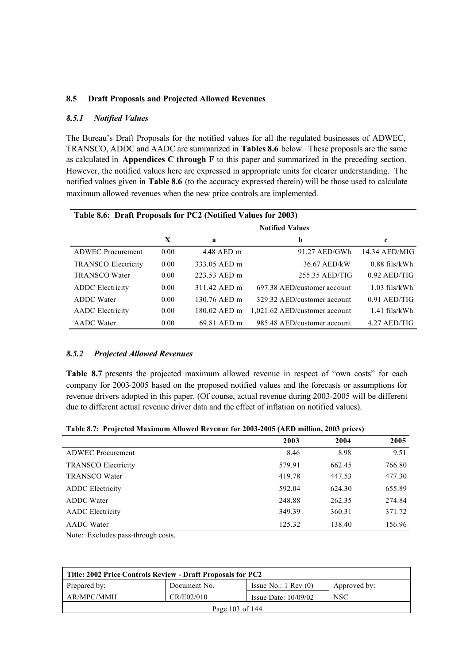#### **8.5 Draft Proposals and Projected Allowed Revenues**

#### *8.5.1 Notified Values*

The Bureau's Draft Proposals for the notified values for all the regulated businesses of ADWEC, TRANSCO, ADDC and AADC are summarized in **Tables 8.6** below. These proposals are the same as calculated in **Appendices C through F** to this paper and summarized in the preceding section. However, the notified values here are expressed in appropriate units for clearer understanding. The notified values given in **Table 8.6** (to the accuracy expressed therein) will be those used to calculate maximum allowed revenues when the new price controls are implemented.

| Table 8.6: Draft Proposals for PC2 (Notified Values for 2003) |                  |                        |                               |                 |  |  |
|---------------------------------------------------------------|------------------|------------------------|-------------------------------|-----------------|--|--|
|                                                               |                  | <b>Notified Values</b> |                               |                 |  |  |
|                                                               | X<br>b<br>a<br>c |                        |                               |                 |  |  |
| <b>ADWEC</b> Procurement                                      | 0.00             | 4.48 AED m             | $91.27$ AED/GWh               | 14.34 AED/MIG   |  |  |
| <b>TRANSCO Electricity</b>                                    | 0.00             | 333.05 AED m           | 36.67 AED/kW                  | $0.88$ fils/kWh |  |  |
| <b>TRANSCO Water</b>                                          | 0.00             | 223.53 AED m           | 255.35 AED/TIG                | $0.92$ AED/TIG  |  |  |
| <b>ADDC</b> Electricity                                       | 0.00             | 311.42 AED m           | 697.38 AED/customer account   | $1.03$ fils/kWh |  |  |
| <b>ADDC</b> Water                                             | 0.00             | 130.76 AED m           | 329.32 AED/customer account   | $0.91$ AED/TIG  |  |  |
| <b>AADC</b> Electricity                                       | 0.00             | 180.02 AED m           | 1,021.62 AED/customer account | $1.41$ fils/kWh |  |  |
| <b>AADC</b> Water                                             | 0.00             | 69.81 AED m            | 985.48 AED/customer account   | $4.27$ AED/TIG  |  |  |

#### *8.5.2 Projected Allowed Revenues*

**Table 8.7** presents the projected maximum allowed revenue in respect of "own costs" for each company for 2003-2005 based on the proposed notified values and the forecasts or assumptions for revenue drivers adopted in this paper. (Of course, actual revenue during 2003-2005 will be different due to different actual revenue driver data and the effect of inflation on notified values).

| Table 8.7: Projected Maximum Allowed Revenue for 2003-2005 (AED million, 2003 prices) |        |        |        |  |
|---------------------------------------------------------------------------------------|--------|--------|--------|--|
|                                                                                       | 2003   | 2004   | 2005   |  |
| <b>ADWEC</b> Procurement                                                              | 8.46   | 8.98   | 9.51   |  |
| <b>TRANSCO Electricity</b>                                                            | 579.91 | 662.45 | 766.80 |  |
| <b>TRANSCO Water</b>                                                                  | 419.78 | 447.53 | 477.30 |  |
| <b>ADDC</b> Electricity                                                               | 592.04 | 624.30 | 655.89 |  |
| <b>ADDC</b> Water                                                                     | 248.88 | 262.35 | 274.84 |  |
| <b>AADC</b> Electricity                                                               | 349.39 | 360.31 | 371.72 |  |
| <b>AADC</b> Water                                                                     | 125.32 | 138.40 | 156.96 |  |

Note: Excludes pass-through costs.

| Title: 2002 Price Controls Review - Draft Proposals for PC2 |              |                                 |              |  |
|-------------------------------------------------------------|--------------|---------------------------------|--------------|--|
| Prepared by:                                                | Document No. | Issue No.: $1 \text{ Rev } (0)$ | Approved by: |  |
| AR/MPC/MMH                                                  | CR/E02/010   | Issue Date: $10/09/02$          | <b>NSC</b>   |  |
| Page 103 of 144                                             |              |                                 |              |  |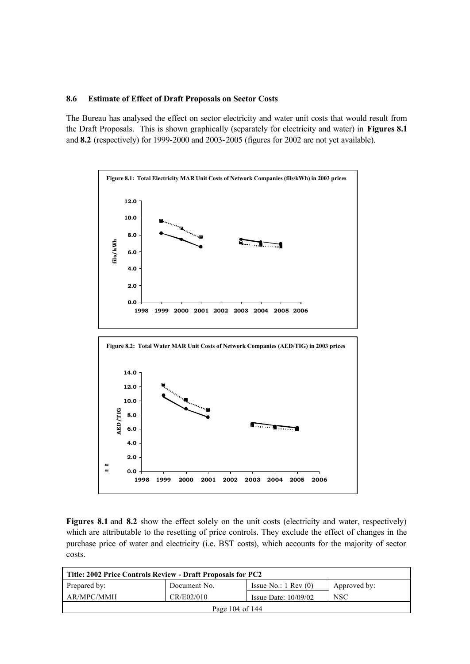#### **8.6 Estimate of Effect of Draft Proposals on Sector Costs**

The Bureau has analysed the effect on sector electricity and water unit costs that would result from the Draft Proposals. This is shown graphically (separately for electricity and water) in **Figures 8.1** and **8.2** (respectively) for 1999-2000 and 2003-2005 (figures for 2002 are not yet available).



**Figures 8.1** and **8.2** show the effect solely on the unit costs (electricity and water, respectively) which are attributable to the resetting of price controls. They exclude the effect of changes in the purchase price of water and electricity (i.e. BST costs), which accounts for the majority of sector costs.

| Title: 2002 Price Controls Review - Draft Proposals for PC2 |              |                                 |              |
|-------------------------------------------------------------|--------------|---------------------------------|--------------|
| Prepared by:                                                | Document No. | Issue No.: $1 \text{ Rev } (0)$ | Approved by: |
| AR/MPC/MMH                                                  | CR/E02/010   | Issue Date: $10/09/02$          | <b>NSC</b>   |
| Page 104 of 144                                             |              |                                 |              |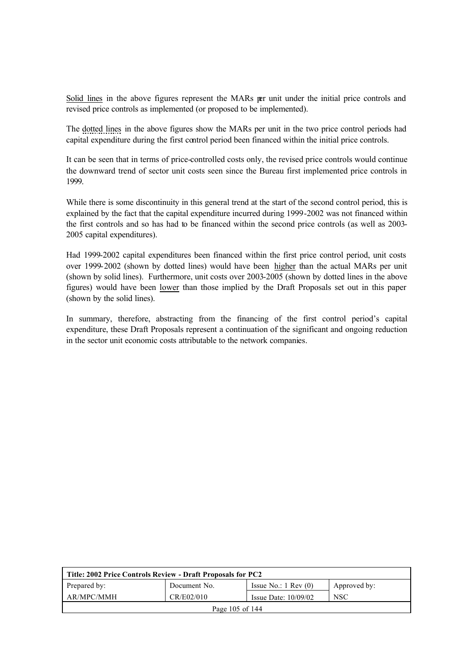Solid lines in the above figures represent the MARs per unit under the initial price controls and revised price controls as implemented (or proposed to be implemented).

The dotted lines in the above figures show the MARs per unit in the two price control periods had capital expenditure during the first control period been financed within the initial price controls.

It can be seen that in terms of price-controlled costs only, the revised price controls would continue the downward trend of sector unit costs seen since the Bureau first implemented price controls in 1999.

While there is some discontinuity in this general trend at the start of the second control period, this is explained by the fact that the capital expenditure incurred during 1999-2002 was not financed within the first controls and so has had to be financed within the second price controls (as well as 2003- 2005 capital expenditures).

Had 1999-2002 capital expenditures been financed within the first price control period, unit costs over 1999-2002 (shown by dotted lines) would have been higher than the actual MARs per unit (shown by solid lines). Furthermore, unit costs over 2003-2005 (shown by dotted lines in the above figures) would have been lower than those implied by the Draft Proposals set out in this paper (shown by the solid lines).

In summary, therefore, abstracting from the financing of the first control period's capital expenditure, these Draft Proposals represent a continuation of the significant and ongoing reduction in the sector unit economic costs attributable to the network companies.

| Title: 2002 Price Controls Review - Draft Proposals for PC2 |              |                                 |              |
|-------------------------------------------------------------|--------------|---------------------------------|--------------|
| Prepared by:                                                | Document No. | Issue No.: $1 \text{ Rev } (0)$ | Approved by: |
| AR/MPC/MMH                                                  | CR/E02/010   | Issue Date: $10/09/02$          | <b>NSC</b>   |
| Page 105 of 144                                             |              |                                 |              |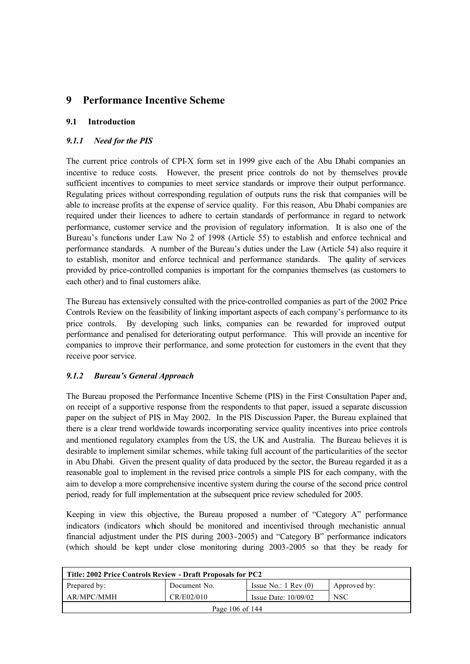## **9 Performance Incentive Scheme**

## **9.1 Introduction**

## *9.1.1 Need for the PIS*

The current price controls of CPI-X form set in 1999 give each of the Abu Dhabi companies an incentive to reduce costs. However, the present price controls do not by themselves provide sufficient incentives to companies to meet service standards or improve their output performance. Regulating prices without corresponding regulation of outputs runs the risk that companies will be able to increase profits at the expense of service quality. For this reason, Abu Dhabi companies are required under their licences to adhere to certain standards of performance in regard to network performance, customer service and the provision of regulatory information. It is also one of the Bureau's functions under Law No 2 of 1998 (Article 55) to establish and enforce technical and performance standards. A number of the Bureau's duties under the Law (Article 54) also require it to establish, monitor and enforce technical and performance standards. The quality of services provided by price-controlled companies is important for the companies themselves (as customers to each other) and to final customers alike.

The Bureau has extensively consulted with the price-controlled companies as part of the 2002 Price Controls Review on the feasibility of linking important aspects of each company's performance to its price controls. By developing such links, companies can be rewarded for improved output performance and penalised for deteriorating output performance. This will provide an incentive for companies to improve their performance, and some protection for customers in the event that they receive poor service.

## *9.1.2 Bureau's General Approach*

The Bureau proposed the Performance Incentive Scheme (PIS) in the First Consultation Paper and, on receipt of a supportive response from the respondents to that paper, issued a separate discussion paper on the subject of PIS in May 2002. In the PIS Discussion Paper, the Bureau explained that there is a clear trend worldwide towards incorporating service quality incentives into price controls and mentioned regulatory examples from the US, the UK and Australia. The Bureau believes it is desirable to implement similar schemes, while taking full account of the particularities of the sector in Abu Dhabi. Given the present quality of data produced by the sector, the Bureau regarded it as a reasonable goal to implement in the revised price controls a simple PIS for each company, with the aim to develop a more comprehensive incentive system during the course of the second price control period, ready for full implementation at the subsequent price review scheduled for 2005.

Keeping in view this objective, the Bureau proposed a number of "Category A" performance indicators (indicators which should be monitored and incentivised through mechanistic annual financial adjustment under the PIS during 2003-2005) and "Category B" performance indicators (which should be kept under close monitoring during 2003-2005 so that they be ready for

| Title: 2002 Price Controls Review - Draft Proposals for PC2 |              |                                 |              |  |
|-------------------------------------------------------------|--------------|---------------------------------|--------------|--|
| Prepared by:                                                | Document No. | Issue No.: $1 \text{ Rev } (0)$ | Approved by: |  |
| AR/MPC/MMH                                                  | CR/E02/010   | Issue Date: $10/09/02$          | <b>NSC</b>   |  |
| Page 106 of 144                                             |              |                                 |              |  |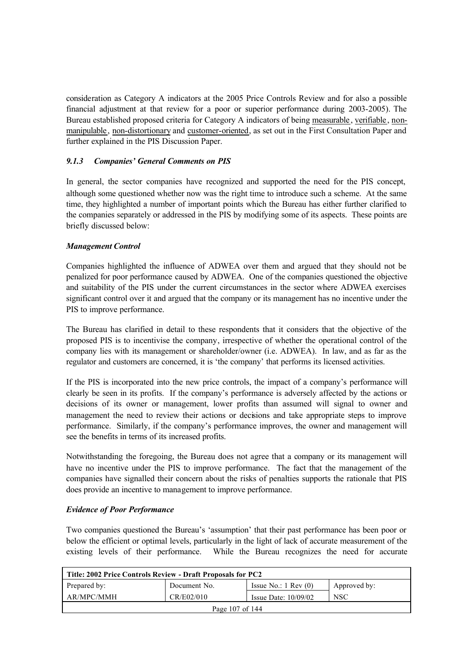consideration as Category A indicators at the 2005 Price Controls Review and for also a possible financial adjustment at that review for a poor or superior performance during 2003-2005). The Bureau established proposed criteria for Category A indicators of being measurable , verifiable , nonmanipulable , non-distortionary and customer-oriented, as set out in the First Consultation Paper and further explained in the PIS Discussion Paper.

## *9.1.3 Companies' General Comments on PIS*

In general, the sector companies have recognized and supported the need for the PIS concept, although some questioned whether now was the right time to introduce such a scheme. At the same time, they highlighted a number of important points which the Bureau has either further clarified to the companies separately or addressed in the PIS by modifying some of its aspects. These points are briefly discussed below:

#### *Management Control*

Companies highlighted the influence of ADWEA over them and argued that they should not be penalized for poor performance caused by ADWEA. One of the companies questioned the objective and suitability of the PIS under the current circumstances in the sector where ADWEA exercises significant control over it and argued that the company or its management has no incentive under the PIS to improve performance.

The Bureau has clarified in detail to these respondents that it considers that the objective of the proposed PIS is to incentivise the company, irrespective of whether the operational control of the company lies with its management or shareholder/owner (i.e. ADWEA). In law, and as far as the regulator and customers are concerned, it is 'the company' that performs its licensed activities.

If the PIS is incorporated into the new price controls, the impact of a company's performance will clearly be seen in its profits. If the company's performance is adversely affected by the actions or decisions of its owner or management, lower profits than assumed will signal to owner and management the need to review their actions or decisions and take appropriate steps to improve performance. Similarly, if the company's performance improves, the owner and management will see the benefits in terms of its increased profits.

Notwithstanding the foregoing, the Bureau does not agree that a company or its management will have no incentive under the PIS to improve performance. The fact that the management of the companies have signalled their concern about the risks of penalties supports the rationale that PIS does provide an incentive to management to improve performance.

#### *Evidence of Poor Performance*

Two companies questioned the Bureau's 'assumption' that their past performance has been poor or below the efficient or optimal levels, particularly in the light of lack of accurate measurement of the existing levels of their performance. While the Bureau recognizes the need for accurate

| Title: 2002 Price Controls Review - Draft Proposals for PC2 |              |                                 |              |
|-------------------------------------------------------------|--------------|---------------------------------|--------------|
| Prepared by:                                                | Document No. | Issue No.: $1 \text{ Rev } (0)$ | Approved by: |
| AR/MPC/MMH                                                  | CR/E02/010   | Issue Date: $10/09/02$          | <b>NSC</b>   |
| Page 107 of 144                                             |              |                                 |              |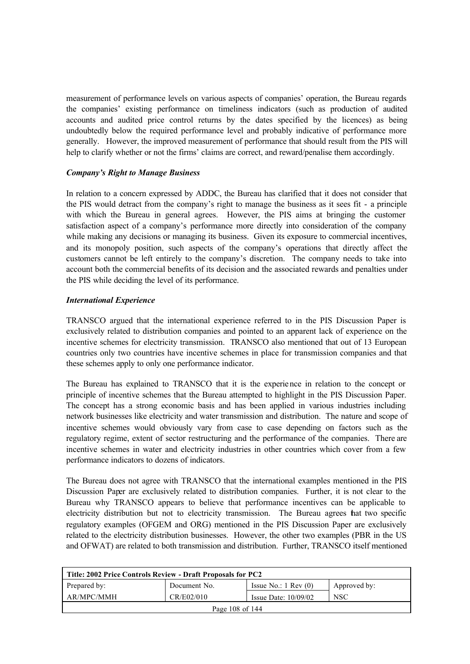measurement of performance levels on various aspects of companies' operation, the Bureau regards the companies' existing performance on timeliness indicators (such as production of audited accounts and audited price control returns by the dates specified by the licences) as being undoubtedly below the required performance level and probably indicative of performance more generally. However, the improved measurement of performance that should result from the PIS will help to clarify whether or not the firms' claims are correct, and reward/penalise them accordingly.

#### *Company's Right to Manage Business*

In relation to a concern expressed by ADDC, the Bureau has clarified that it does not consider that the PIS would detract from the company's right to manage the business as it sees fit - a principle with which the Bureau in general agrees. However, the PIS aims at bringing the customer satisfaction aspect of a company's performance more directly into consideration of the company while making any decisions or managing its business. Given its exposure to commercial incentives, and its monopoly position, such aspects of the company's operations that directly affect the customers cannot be left entirely to the company's discretion. The company needs to take into account both the commercial benefits of its decision and the associated rewards and penalties under the PIS while deciding the level of its performance.

#### *International Experience*

TRANSCO argued that the international experience referred to in the PIS Discussion Paper is exclusively related to distribution companies and pointed to an apparent lack of experience on the incentive schemes for electricity transmission. TRANSCO also mentioned that out of 13 European countries only two countries have incentive schemes in place for transmission companies and that these schemes apply to only one performance indicator.

The Bureau has explained to TRANSCO that it is the experience in relation to the concept or principle of incentive schemes that the Bureau attempted to highlight in the PIS Discussion Paper. The concept has a strong economic basis and has been applied in various industries including network businesses like electricity and water transmission and distribution. The nature and scope of incentive schemes would obviously vary from case to case depending on factors such as the regulatory regime, extent of sector restructuring and the performance of the companies. There are incentive schemes in water and electricity industries in other countries which cover from a few performance indicators to dozens of indicators.

The Bureau does not agree with TRANSCO that the international examples mentioned in the PIS Discussion Paper are exclusively related to distribution companies. Further, it is not clear to the Bureau why TRANSCO appears to believe that performance incentives can be applicable to electricity distribution but not to electricity transmission. The Bureau agrees that two specific regulatory examples (OFGEM and ORG) mentioned in the PIS Discussion Paper are exclusively related to the electricity distribution businesses. However, the other two examples (PBR in the US and OFWAT) are related to both transmission and distribution. Further, TRANSCO itself mentioned

| Title: 2002 Price Controls Review - Draft Proposals for PC2 |              |                                 |              |  |
|-------------------------------------------------------------|--------------|---------------------------------|--------------|--|
| Prepared by:                                                | Document No. | Issue No.: $1 \text{ Rev } (0)$ | Approved by: |  |
| AR/MPC/MMH                                                  | CR/E02/010   | Issue Date: $10/09/02$          | <b>NSC</b>   |  |
| Page 108 of 144                                             |              |                                 |              |  |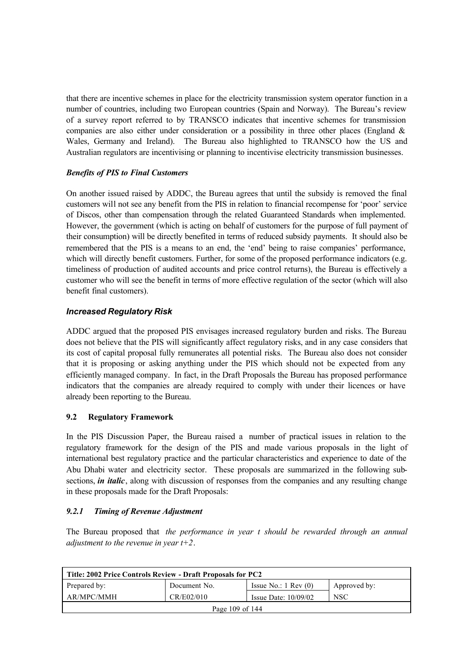that there are incentive schemes in place for the electricity transmission system operator function in a number of countries, including two European countries (Spain and Norway). The Bureau's review of a survey report referred to by TRANSCO indicates that incentive schemes for transmission companies are also either under consideration or a possibility in three other places (England & Wales, Germany and Ireland). The Bureau also highlighted to TRANSCO how the US and Australian regulators are incentivising or planning to incentivise electricity transmission businesses.

## *Benefits of PIS to Final Customers*

On another issued raised by ADDC, the Bureau agrees that until the subsidy is removed the final customers will not see any benefit from the PIS in relation to financial recompense for 'poor' service of Discos, other than compensation through the related Guaranteed Standards when implemented. However, the government (which is acting on behalf of customers for the purpose of full payment of their consumption) will be directly benefited in terms of reduced subsidy payments. It should also be remembered that the PIS is a means to an end, the 'end' being to raise companies' performance, which will directly benefit customers. Further, for some of the proposed performance indicators (e.g. timeliness of production of audited accounts and price control returns), the Bureau is effectively a customer who will see the benefit in terms of more effective regulation of the sector (which will also benefit final customers).

## *Increased Regulatory Risk*

ADDC argued that the proposed PIS envisages increased regulatory burden and risks. The Bureau does not believe that the PIS will significantly affect regulatory risks, and in any case considers that its cost of capital proposal fully remunerates all potential risks. The Bureau also does not consider that it is proposing or asking anything under the PIS which should not be expected from any efficiently managed company. In fact, in the Draft Proposals the Bureau has proposed performance indicators that the companies are already required to comply with under their licences or have already been reporting to the Bureau.

## **9.2 Regulatory Framework**

In the PIS Discussion Paper, the Bureau raised a number of practical issues in relation to the regulatory framework for the design of the PIS and made various proposals in the light of international best regulatory practice and the particular characteristics and experience to date of the Abu Dhabi water and electricity sector. These proposals are summarized in the following subsections, *in italic*, along with discussion of responses from the companies and any resulting change in these proposals made for the Draft Proposals:

## *9.2.1 Timing of Revenue Adjustment*

The Bureau proposed that *the performance in year t should be rewarded through an annual adjustment to the revenue in year t+2*.

| Title: 2002 Price Controls Review - Draft Proposals for PC2                     |  |  |  |  |  |  |
|---------------------------------------------------------------------------------|--|--|--|--|--|--|
| Prepared by:<br>Issue No.: $1 \text{ Rev } (0)$<br>Document No.<br>Approved by: |  |  |  |  |  |  |
| <b>NSC</b><br>AR/MPC/MMH<br>CR/E02/010<br>Issue Date: $10/09/02$                |  |  |  |  |  |  |
| Page 109 of 144                                                                 |  |  |  |  |  |  |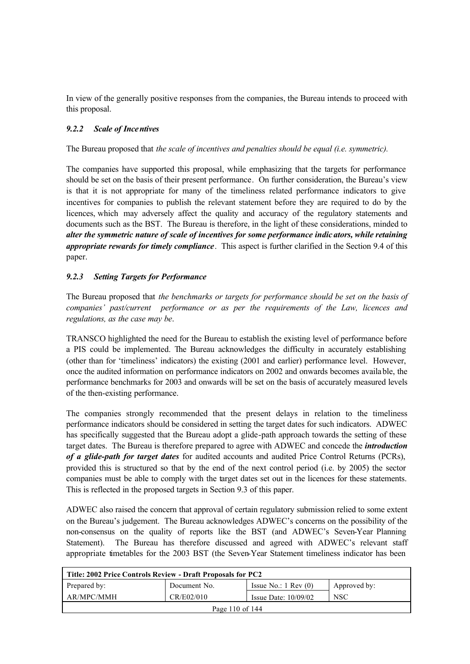In view of the generally positive responses from the companies, the Bureau intends to proceed with this proposal.

### *9.2.2 Scale of Incentives*

The Bureau proposed that *the scale of incentives and penalties should be equal (i.e. symmetric).* 

The companies have supported this proposal, while emphasizing that the targets for performance should be set on the basis of their present performance. On further consideration, the Bureau's view is that it is not appropriate for many of the timeliness related performance indicators to give incentives for companies to publish the relevant statement before they are required to do by the licences, which may adversely affect the quality and accuracy of the regulatory statements and documents such as the BST. The Bureau is therefore, in the light of these considerations, minded to *alter the symmetric nature of scale of incentives for some performance indic ators, while retaining appropriate rewards for timely compliance*. This aspect is further clarified in the Section 9.4 of this paper.

### *9.2.3 Setting Targets for Performance*

The Bureau proposed that *the benchmarks or targets for performance should be set on the basis of companies' past/current performance or as per the requirements of the Law, licences and regulations, as the case may be*.

TRANSCO highlighted the need for the Bureau to establish the existing level of performance before a PIS could be implemented. The Bureau acknowledges the difficulty in accurately establishing (other than for 'timeliness' indicators) the existing (2001 and earlier) performance level. However, once the audited information on performance indicators on 2002 and onwards becomes available, the performance benchmarks for 2003 and onwards will be set on the basis of accurately measured levels of the then-existing performance.

The companies strongly recommended that the present delays in relation to the timeliness performance indicators should be considered in setting the target dates for such indicators. ADWEC has specifically suggested that the Bureau adopt a glide-path approach towards the setting of these target dates. The Bureau is therefore prepared to agree with ADWEC and concede the *introduction of a glide-path for target dates* for audited accounts and audited Price Control Returns (PCRs), provided this is structured so that by the end of the next control period (i.e. by 2005) the sector companies must be able to comply with the target dates set out in the licences for these statements. This is reflected in the proposed targets in Section 9.3 of this paper.

ADWEC also raised the concern that approval of certain regulatory submission relied to some extent on the Bureau's judgement. The Bureau acknowledges ADWEC's concerns on the possibility of the non-consensus on the quality of reports like the BST (and ADWEC's Seven-Year Planning Statement). The Bureau has therefore discussed and agreed with ADWEC's relevant staff appropriate timetables for the 2003 BST (the Seven-Year Statement timeliness indicator has been

| Title: 2002 Price Controls Review - Draft Proposals for PC2                     |  |  |  |  |  |
|---------------------------------------------------------------------------------|--|--|--|--|--|
| Issue No.: $1 \text{ Rev } (0)$<br>Prepared by:<br>Document No.<br>Approved by: |  |  |  |  |  |
| AR/MPC/MMH<br>CR/E02/010<br><b>NSC</b><br>Issue Date: $10/09/02$                |  |  |  |  |  |
| Page 110 of $144$                                                               |  |  |  |  |  |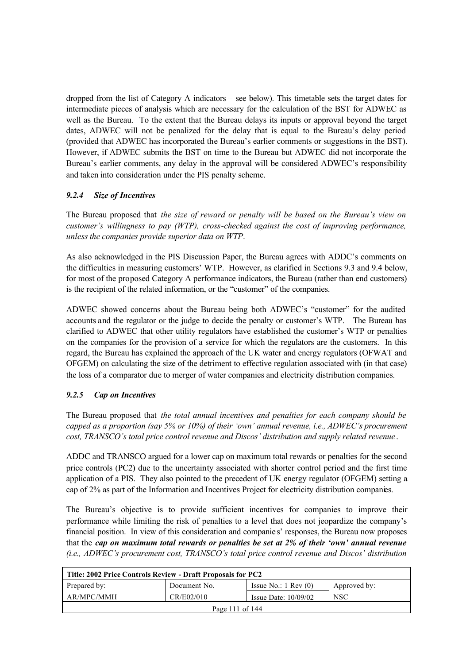dropped from the list of Category A indicators – see below). This timetable sets the target dates for intermediate pieces of analysis which are necessary for the calculation of the BST for ADWEC as well as the Bureau. To the extent that the Bureau delays its inputs or approval beyond the target dates, ADWEC will not be penalized for the delay that is equal to the Bureau's delay period (provided that ADWEC has incorporated the Bureau's earlier comments or suggestions in the BST). However, if ADWEC submits the BST on time to the Bureau but ADWEC did not incorporate the Bureau's earlier comments, any delay in the approval will be considered ADWEC's responsibility and taken into consideration under the PIS penalty scheme.

## *9.2.4 Size of Incentives*

The Bureau proposed that *the size of reward or penalty will be based on the Bureau's view on customer's willingness to pay (WTP), cross-checked against the cost of improving performance, unless the companies provide superior data on WTP*.

As also acknowledged in the PIS Discussion Paper, the Bureau agrees with ADDC's comments on the difficulties in measuring customers' WTP. However, as clarified in Sections 9.3 and 9.4 below, for most of the proposed Category A performance indicators, the Bureau (rather than end customers) is the recipient of the related information, or the "customer" of the companies.

ADWEC showed concerns about the Bureau being both ADWEC's "customer" for the audited accounts and the regulator or the judge to decide the penalty or customer's WTP. The Bureau has clarified to ADWEC that other utility regulators have established the customer's WTP or penalties on the companies for the provision of a service for which the regulators are the customers. In this regard, the Bureau has explained the approach of the UK water and energy regulators (OFWAT and OFGEM) on calculating the size of the detriment to effective regulation associated with (in that case) the loss of a comparator due to merger of water companies and electricity distribution companies.

## *9.2.5 Cap on Incentives*

The Bureau proposed that *the total annual incentives and penalties for each company should be capped as a proportion (say 5% or 10%) of their 'own' annual revenue, i.e., ADWEC's procurement cost, TRANSCO's total price control revenue and Discos' distribution and supply related revenue* .

ADDC and TRANSCO argued for a lower cap on maximum total rewards or penalties for the second price controls (PC2) due to the uncertainty associated with shorter control period and the first time application of a PIS. They also pointed to the precedent of UK energy regulator (OFGEM) setting a cap of 2% as part of the Information and Incentives Project for electricity distribution companies.

The Bureau's objective is to provide sufficient incentives for companies to improve their performance while limiting the risk of penalties to a level that does not jeopardize the company's financial position. In view of this consideration and companie s' responses, the Bureau now proposes that the *cap on maximum total rewards or penalties be set at 2% of their 'own' annual revenue (i.e., ADWEC's procurement cost, TRANSCO's total price control revenue and Discos' distribution* 

| Title: 2002 Price Controls Review - Draft Proposals for PC2                     |  |  |  |  |  |
|---------------------------------------------------------------------------------|--|--|--|--|--|
| Prepared by:<br>Issue No.: $1 \text{ Rev } (0)$<br>Document No.<br>Approved by: |  |  |  |  |  |
| AR/MPC/MMH<br>CR/E02/010<br><b>NSC</b><br>Issue Date: $10/09/02$                |  |  |  |  |  |
| Page 111 of 144                                                                 |  |  |  |  |  |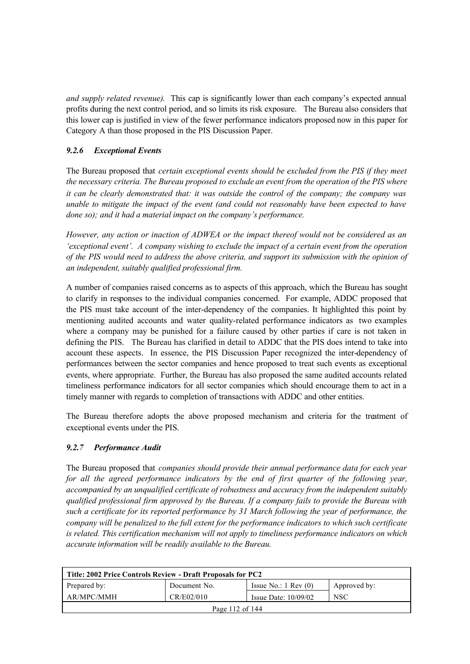*and supply related revenue)*. This cap is significantly lower than each company's expected annual profits during the next control period, and so limits its risk exposure. The Bureau also considers that this lower cap is justified in view of the fewer performance indicators proposed now in this paper for Category A than those proposed in the PIS Discussion Paper.

## *9.2.6 Exceptional Events*

The Bureau proposed that *certain exceptional events should be excluded from the PIS if they meet the necessary criteria. The Bureau proposed to exclude an event from the operation of the PIS where it can be clearly demonstrated that: it was outside the control of the company; the company was unable to mitigate the impact of the event (and could not reasonably have been expected to have done so); and it had a material impact on the company's performance.*

*However, any action or inaction of ADWEA or the impact thereof would not be considered as an 'exceptional event'. A company wishing to exclude the impact of a certain event from the operation of the PIS would need to address the above criteria, and support its submission with the opinion of an independent, suitably qualified professional firm.*

A number of companies raised concerns as to aspects of this approach, which the Bureau has sought to clarify in responses to the individual companies concerned. For example, ADDC proposed that the PIS must take account of the inter-dependency of the companies. It highlighted this point by mentioning audited accounts and water quality-related performance indicators as two examples where a company may be punished for a failure caused by other parties if care is not taken in defining the PIS. The Bureau has clarified in detail to ADDC that the PIS does intend to take into account these aspects. In essence, the PIS Discussion Paper recognized the inter-dependency of performances between the sector companies and hence proposed to treat such events as exceptional events, where appropriate. Further, the Bureau has also proposed the same audited accounts related timeliness performance indicators for all sector companies which should encourage them to act in a timely manner with regards to completion of transactions with ADDC and other entities.

The Bureau therefore adopts the above proposed mechanism and criteria for the treatment of exceptional events under the PIS.

## *9.2.7 Performance Audit*

The Bureau proposed that *companies should provide their annual performance data for each year for all the agreed performance indicators by the end of first quarter of the following year, accompanied by an unqualified certificate of robustness and accuracy from the independent suitably qualified professional firm approved by the Bureau. If a company fails to provide the Bureau with such a certificate for its reported performance by 31 March following the year of performance, the company will be penalized to the full extent for the performance indicators to which such certificate is related. This certification mechanism will not apply to timeliness performance indicators on which accurate information will be readily available to the Bureau.*

| Title: 2002 Price Controls Review - Draft Proposals for PC2                     |  |  |  |  |  |  |
|---------------------------------------------------------------------------------|--|--|--|--|--|--|
| Prepared by:<br>Issue No.: $1 \text{ Rev } (0)$<br>Document No.<br>Approved by: |  |  |  |  |  |  |
| AR/MPC/MMH<br>CR/E02/010<br><b>NSC</b><br>Issue Date: $10/09/02$                |  |  |  |  |  |  |
| Page 112 of $144$                                                               |  |  |  |  |  |  |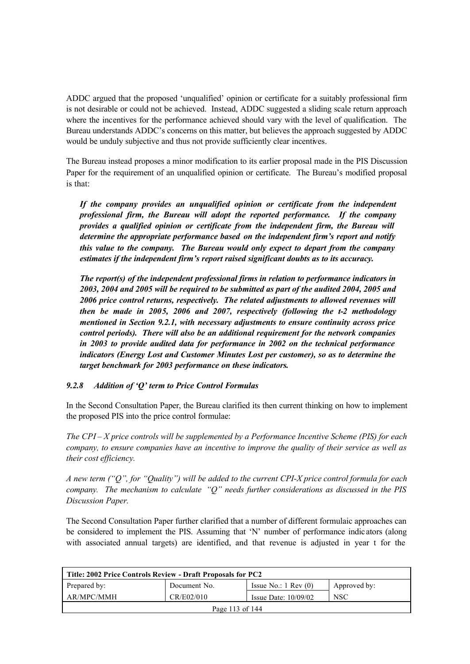ADDC argued that the proposed 'unqualified' opinion or certificate for a suitably professional firm is not desirable or could not be achieved. Instead, ADDC suggested a sliding scale return approach where the incentives for the performance achieved should vary with the level of qualification. The Bureau understands ADDC's concerns on this matter, but believes the approach suggested by ADDC would be unduly subjective and thus not provide sufficiently clear incentives.

The Bureau instead proposes a minor modification to its earlier proposal made in the PIS Discussion Paper for the requirement of an unqualified opinion or certificate. The Bureau's modified proposal is that:

*If the company provides an unqualified opinion or certificate from the independent professional firm, the Bureau will adopt the reported performance. If the company provides a qualified opinion or certificate from the independent firm, the Bureau will determine the appropriate performance based on the independent firm's report and notify this value to the company. The Bureau would only expect to depart from the company estimates if the independent firm's report raised significant doubts as to its accuracy.*

*The report(s) of the independent professional firms in relation to performance indicators in 2003, 2004 and 2005 will be required to be submitted as part of the audited 2004, 2005 and 2006 price control returns, respectively. The related adjustments to allowed revenues will then be made in 2005, 2006 and 2007, respectively (following the t-2 methodology mentioned in Section 9.2.1, with necessary adjustments to ensure continuity across price control periods). There will also be an additional requirement for the network companies in 2003 to provide audited data for performance in 2002 on the technical performance indicators (Energy Lost and Customer Minutes Lost per customer), so as to determine the target benchmark for 2003 performance on these indicators.*

## *9.2.8 Addition of 'Q' term to Price Control Formulas*

In the Second Consultation Paper, the Bureau clarified its then current thinking on how to implement the proposed PIS into the price control formulae:

*The CPI – X price controls will be supplemented by a Performance Incentive Scheme (PIS) for each company, to ensure companies have an incentive to improve the quality of their service as well as their cost efficiency.*

*A new term ("Q", for "Quality") will be added to the current CPI-X price control formula for each company. The mechanism to calculate "Q" needs further considerations as discussed in the PIS Discussion Paper.*

The Second Consultation Paper further clarified that a number of different formulaic approaches can be considered to implement the PIS. Assuming that 'N' number of performance indic ators (along with associated annual targets) are identified, and that revenue is adjusted in year t for the

| Title: 2002 Price Controls Review - Draft Proposals for PC2                     |  |  |  |  |  |
|---------------------------------------------------------------------------------|--|--|--|--|--|
| Prepared by:<br>Issue No.: $1 \text{ Rev } (0)$<br>Approved by:<br>Document No. |  |  |  |  |  |
| AR/MPC/MMH<br>CR/E02/010<br><b>NSC</b><br>Issue Date: $10/09/02$                |  |  |  |  |  |
| Page 113 of 144                                                                 |  |  |  |  |  |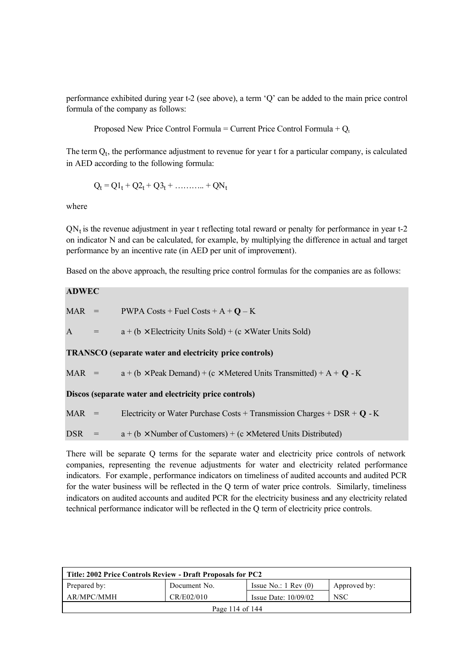performance exhibited during year t-2 (see above), a term 'Q' can be added to the main price control formula of the company as follows:

Proposed New Price Control Formula = Current Price Control Formula +  $Q_t$ 

The term  $Q_t$ , the performance adjustment to revenue for year t for a particular company, is calculated in AED according to the following formula:

$$
Q_t = Q1_t + Q2_t + Q3_t + \dots + QN_t
$$

where

 $QN<sub>t</sub>$  is the revenue adjustment in year t reflecting total reward or penalty for performance in year t-2 on indicator N and can be calculated, for example, by multiplying the difference in actual and target performance by an incentive rate (in AED per unit of improvement).

Based on the above approach, the resulting price control formulas for the companies are as follows:

## **ADWEC**

 $MAR$  = PWPA Costs + Fuel Costs +  $A + Q - K$ A  $=$  a + (b  $\times$  Electricity Units Sold) + (c  $\times$  Water Units Sold) **TRANSCO (separate water and electricity price controls)**

MAR =  $a + (b \times \text{Peak Demand}) + (c \times \text{Metered Units Transmitted}) + A + Q - K$ 

**Discos (separate water and electricity price controls)**

MAR  $=$  Electricity or Water Purchase Costs + Transmission Charges + DSR +  $\bf{Q}$  - K

DSR =  $a + (b \times$  Number of Customers) + (c × Metered Units Distributed)

There will be separate Q terms for the separate water and electricity price controls of network companies, representing the revenue adjustments for water and electricity related performance indicators. For example , performance indicators on timeliness of audited accounts and audited PCR for the water business will be reflected in the Q term of water price controls. Similarly, timeliness indicators on audited accounts and audited PCR for the electricity business and any electricity related technical performance indicator will be reflected in the Q term of electricity price controls.

| Title: 2002 Price Controls Review - Draft Proposals for PC2                     |  |  |  |  |  |
|---------------------------------------------------------------------------------|--|--|--|--|--|
| Issue No.: $1 \text{ Rev } (0)$<br>Prepared by:<br>Document No.<br>Approved by: |  |  |  |  |  |
| AR/MPC/MMH<br>CR/E02/010<br><b>NSC</b><br>Issue Date: $10/09/02$                |  |  |  |  |  |
| Page 114 of $144$                                                               |  |  |  |  |  |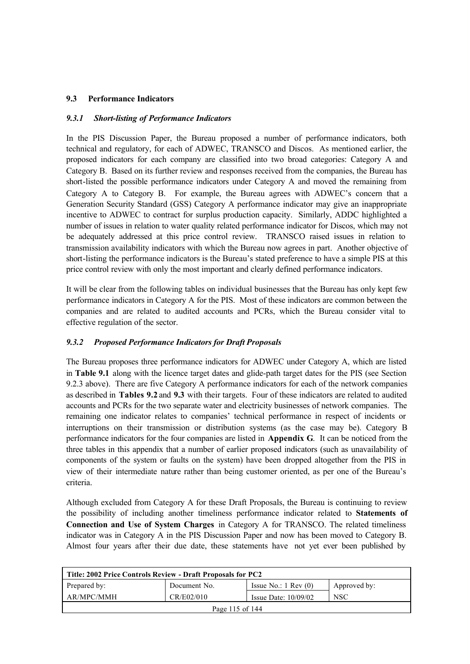## **9.3 Performance Indicators**

#### *9.3.1 Short-listing of Performance Indicators*

In the PIS Discussion Paper, the Bureau proposed a number of performance indicators, both technical and regulatory, for each of ADWEC, TRANSCO and Discos. As mentioned earlier, the proposed indicators for each company are classified into two broad categories: Category A and Category B. Based on its further review and responses received from the companies, the Bureau has short-listed the possible performance indicators under Category A and moved the remaining from Category A to Category B. For example, the Bureau agrees with ADWEC's concern that a Generation Security Standard (GSS) Category A performance indicator may give an inappropriate incentive to ADWEC to contract for surplus production capacity. Similarly, ADDC highlighted a number of issues in relation to water quality related performance indicator for Discos, which may not be adequately addressed at this price control review. TRANSCO raised issues in relation to transmission availability indicators with which the Bureau now agrees in part. Another objective of short-listing the performance indicators is the Bureau's stated preference to have a simple PIS at this price control review with only the most important and clearly defined performance indicators.

It will be clear from the following tables on individual businesses that the Bureau has only kept few performance indicators in Category A for the PIS. Most of these indicators are common between the companies and are related to audited accounts and PCRs, which the Bureau consider vital to effective regulation of the sector.

#### *9.3.2 Proposed Performance Indicators for Draft Proposals*

The Bureau proposes three performance indicators for ADWEC under Category A, which are listed in **Table 9.1** along with the licence target dates and glide-path target dates for the PIS (see Section 9.2.3 above). There are five Category A performance indicators for each of the network companies as described in **Tables 9.2** and **9.3** with their targets. Four of these indicators are related to audited accounts and PCRs for the two separate water and electricity businesses of network companies. The remaining one indicator relates to companies' technical performance in respect of incidents or interruptions on their transmission or distribution systems (as the case may be). Category B performance indicators for the four companies are listed in **Appendix G**. It can be noticed from the three tables in this appendix that a number of earlier proposed indicators (such as unavailability of components of the system or faults on the system) have been dropped altogether from the PIS in view of their intermediate nature rather than being customer oriented, as per one of the Bureau's criteria.

Although excluded from Category A for these Draft Proposals, the Bureau is continuing to review the possibility of including another timeliness performance indicator related to **Statements of Connection and Use of System Charges** in Category A for TRANSCO. The related timeliness indicator was in Category A in the PIS Discussion Paper and now has been moved to Category B. Almost four years after their due date, these statements have not yet ever been published by

| Title: 2002 Price Controls Review - Draft Proposals for PC2                     |  |  |  |  |  |  |
|---------------------------------------------------------------------------------|--|--|--|--|--|--|
| Prepared by:<br>Document No.<br>Issue No.: $1 \text{ Rev } (0)$<br>Approved by: |  |  |  |  |  |  |
| AR/MPC/MMH<br>CR/E02/010<br><b>NSC</b><br>Issue Date: $10/09/02$                |  |  |  |  |  |  |
| Page 115 of $144$                                                               |  |  |  |  |  |  |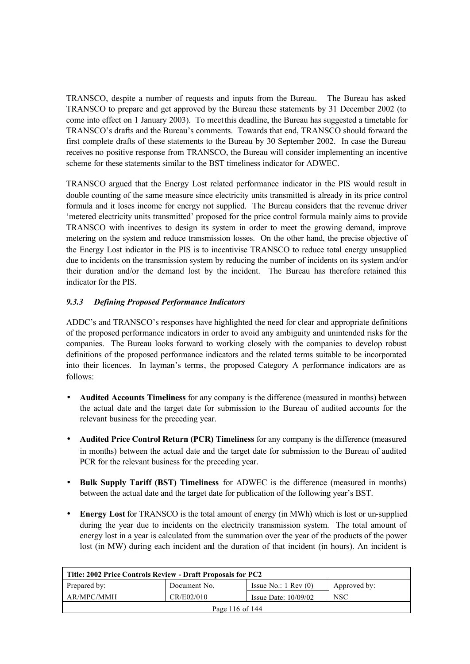TRANSCO, despite a number of requests and inputs from the Bureau. The Bureau has asked TRANSCO to prepare and get approved by the Bureau these statements by 31 December 2002 (to come into effect on 1 January 2003). To meet this deadline, the Bureau has suggested a timetable for TRANSCO's drafts and the Bureau's comments. Towards that end, TRANSCO should forward the first complete drafts of these statements to the Bureau by 30 September 2002. In case the Bureau receives no positive response from TRANSCO, the Bureau will consider implementing an incentive scheme for these statements similar to the BST timeliness indicator for ADWEC.

TRANSCO argued that the Energy Lost related performance indicator in the PIS would result in double counting of the same measure since electricity units transmitted is already in its price control formula and it loses income for energy not supplied. The Bureau considers that the revenue driver 'metered electricity units transmitted' proposed for the price control formula mainly aims to provide TRANSCO with incentives to design its system in order to meet the growing demand, improve metering on the system and reduce transmission losses. On the other hand, the precise objective of the Energy Lost indicator in the PIS is to incentivise TRANSCO to reduce total energy unsupplied due to incidents on the transmission system by reducing the number of incidents on its system and/or their duration and/or the demand lost by the incident. The Bureau has therefore retained this indicator for the PIS.

## *9.3.3 Defining Proposed Performance Indicators*

ADDC's and TRANSCO's responses have highlighted the need for clear and appropriate definitions of the proposed performance indicators in order to avoid any ambiguity and unintended risks for the companies. The Bureau looks forward to working closely with the companies to develop robust definitions of the proposed performance indicators and the related terms suitable to be incorporated into their licences. In layman's terms, the proposed Category A performance indicators are as follows:

- **Audited Accounts Timeliness** for any company is the difference (measured in months) between the actual date and the target date for submission to the Bureau of audited accounts for the relevant business for the preceding year.
- **Audited Price Control Return (PCR) Timeliness** for any company is the difference (measured in months) between the actual date and the target date for submission to the Bureau of audited PCR for the relevant business for the preceding year.
- **Bulk Supply Tariff (BST) Timeliness** for ADWEC is the difference (measured in months) between the actual date and the target date for publication of the following year's BST.
- **Energy Lost** for TRANSCO is the total amount of energy (in MWh) which is lost or un-supplied during the year due to incidents on the electricity transmission system. The total amount of energy lost in a year is calculated from the summation over the year of the products of the power lost (in MW) during each incident and the duration of that incident (in hours). An incident is

| Title: 2002 Price Controls Review - Draft Proposals for PC2                     |  |  |  |  |  |
|---------------------------------------------------------------------------------|--|--|--|--|--|
| Prepared by:<br>Issue No.: $1 \text{ Rev } (0)$<br>Document No.<br>Approved by: |  |  |  |  |  |
| AR/MPC/MMH<br>CR/E02/010<br><b>NSC</b><br>Issue Date: $10/09/02$                |  |  |  |  |  |
| Page 116 of $144$                                                               |  |  |  |  |  |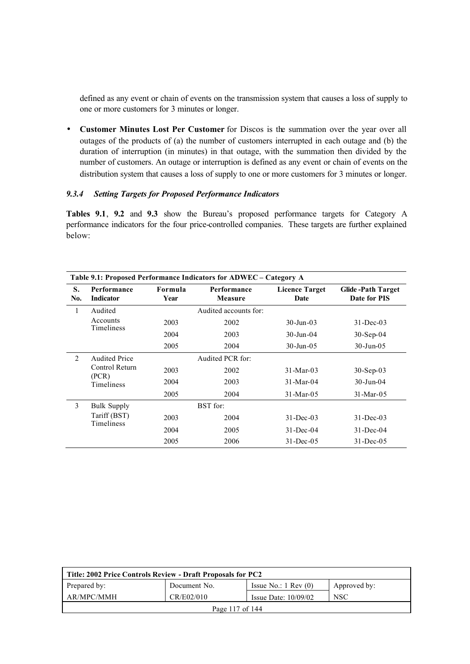defined as any event or chain of events on the transmission system that causes a loss of supply to one or more customers for 3 minutes or longer.

• **Customer Minutes Lost Per Customer** for Discos is the summation over the year over all outages of the products of (a) the number of customers interrupted in each outage and (b) the duration of interruption (in minutes) in that outage, with the summation then divided by the number of customers. An outage or interruption is defined as any event or chain of events on the distribution system that causes a loss of supply to one or more customers for 3 minutes or longer.

### *9.3.4 Setting Targets for Proposed Performance Indicators*

**Tables 9.1**, **9.2** and **9.3** show the Bureau's proposed performance targets for Category A performance indicators for the four price-controlled companies. These targets are further explained below:

|              | Table 9.1: Proposed Performance Indicators for ADWEC - Category A |                 |                        |                               |                                          |  |
|--------------|-------------------------------------------------------------------|-----------------|------------------------|-------------------------------|------------------------------------------|--|
| S.<br>No.    | Performance<br><b>Indicator</b>                                   | Formula<br>Year | Performance<br>Measure | <b>Licence Target</b><br>Date | <b>Glide-Path Target</b><br>Date for PIS |  |
| $\mathbf{1}$ | Audited                                                           |                 | Audited accounts for:  |                               |                                          |  |
|              | Accounts<br><b>Timeliness</b>                                     | 2003            | 2002                   | $30 - \text{Jun} - 03$        | $31 - Dec-03$                            |  |
|              |                                                                   | 2004            | 2003                   | $30 - \text{Jun} - 04$        | $30-Sep-04$                              |  |
|              |                                                                   | 2005            | 2004                   | $30$ -Jun-05                  | $30$ -Jun-05                             |  |
| 2            | <b>Audited Price</b>                                              |                 | Audited PCR for:       |                               |                                          |  |
|              | Control Return                                                    | 2003            | 2002                   | $31 - \text{Mar} - 03$        | $30-Sep-03$                              |  |
|              | (PCR)<br><b>Timeliness</b>                                        | 2004            | 2003                   | $31-Mar-04$                   | $30 - Jun - 04$                          |  |
|              |                                                                   | 2005            | 2004                   | 31-Mar-05                     | 31-Mar-05                                |  |
| 3            | <b>Bulk Supply</b>                                                |                 | BST for:               |                               |                                          |  |
|              | Tariff (BST)<br><b>Timeliness</b>                                 | 2003            | 2004                   | $31 - Dec - 03$               | $31 - Dec-03$                            |  |
|              |                                                                   | 2004            | 2005                   | $31 - Dec -04$                | 31-Dec-04                                |  |
|              |                                                                   | 2005            | 2006                   | $31 - Dec -05$                | $31 - Dec-05$                            |  |

| Title: 2002 Price Controls Review - Draft Proposals for PC2                     |  |  |  |  |  |  |
|---------------------------------------------------------------------------------|--|--|--|--|--|--|
| Prepared by:<br>Document No.<br>Issue No.: $1 \text{ Rev } (0)$<br>Approved by: |  |  |  |  |  |  |
| AR/MPC/MMH<br>CR/E02/010<br><b>NSC</b><br>Issue Date: $10/09/02$                |  |  |  |  |  |  |
| Page 117 of $144$                                                               |  |  |  |  |  |  |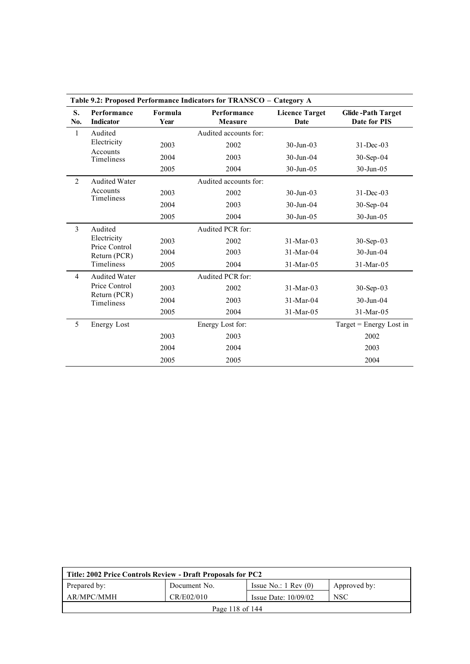|                | Table 9.2: Proposed Performance Indicators for TRANSCO - Category A |                 |                               |                               |                                          |  |
|----------------|---------------------------------------------------------------------|-----------------|-------------------------------|-------------------------------|------------------------------------------|--|
| S.<br>No.      | Performance<br><b>Indicator</b>                                     | Formula<br>Year | Performance<br><b>Measure</b> | <b>Licence Target</b><br>Date | <b>Glide-Path Target</b><br>Date for PIS |  |
| $\mathbf{1}$   | Audited                                                             |                 | Audited accounts for:         |                               |                                          |  |
|                | Electricity                                                         | 2003            | 2002                          | $30 - Jun - 03$               | $31 - Dec -03$                           |  |
|                | Accounts<br>Timeliness                                              | 2004            | 2003                          | $30 - Jun - 04$               | $30-Sep-04$                              |  |
|                |                                                                     | 2005            | 2004                          | $30 - Jun - 05$               | 30-Jun-05                                |  |
| $\overline{2}$ | <b>Audited Water</b>                                                |                 | Audited accounts for:         |                               |                                          |  |
|                | Accounts<br>Timeliness                                              | 2003            | 2002                          | $30 - Jun - 03$               | $31 - Dec -03$                           |  |
|                |                                                                     | 2004            | 2003                          | 30-Jun-04                     | $30-Sep-04$                              |  |
|                |                                                                     | 2005            | 2004                          | 30-Jun-05                     | $30 - Jun - 05$                          |  |
| $\overline{3}$ | Audited                                                             |                 | Audited PCR for:              |                               |                                          |  |
|                | Electricity<br>Price Control                                        | 2003            | 2002                          | $31-Mar-03$                   | $30-Sep-03$                              |  |
|                | Return (PCR)                                                        | 2004            | 2003                          | $31-Mar-04$                   | $30 - Jun - 04$                          |  |
|                | Timeliness                                                          | 2005            | 2004                          | 31-Mar-05                     | 31-Mar-05                                |  |
| $\overline{4}$ | <b>Audited Water</b>                                                |                 | Audited PCR for:              |                               |                                          |  |
|                | Price Control                                                       | 2003            | 2002                          | $31-Mar-03$                   | $30-Sep-03$                              |  |
|                | Return (PCR)<br>Timeliness                                          | 2004            | 2003                          | $31-Mar-04$                   | $30 - Jun - 04$                          |  |
|                |                                                                     | 2005            | 2004                          | 31-Mar-05                     | 31-Mar-05                                |  |
| 5              | <b>Energy Lost</b>                                                  |                 | Energy Lost for:              |                               | Target = Energy Lost in                  |  |
|                |                                                                     | 2003            | 2003                          |                               | 2002                                     |  |
|                |                                                                     | 2004            | 2004                          |                               | 2003                                     |  |
|                |                                                                     | 2005            | 2005                          |                               | 2004                                     |  |

| Title: 2002 Price Controls Review - Draft Proposals for PC2                     |  |  |  |  |  |
|---------------------------------------------------------------------------------|--|--|--|--|--|
| Prepared by:<br>Issue No.: $1 \text{ Rev } (0)$<br>Document No.<br>Approved by: |  |  |  |  |  |
| CR/E02/010<br><b>NSC</b><br>AR/MPC/MMH<br>Issue Date: $10/09/02$                |  |  |  |  |  |
| Page 118 of 144                                                                 |  |  |  |  |  |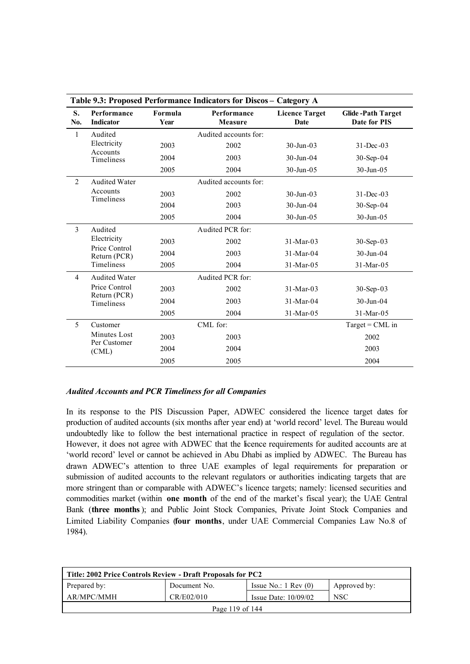|                | Table 9.3: Proposed Performance Indicators for Discos - Category A |                 |                               |                               |                                          |  |
|----------------|--------------------------------------------------------------------|-----------------|-------------------------------|-------------------------------|------------------------------------------|--|
| S.<br>No.      | Performance<br><b>Indicator</b>                                    | Formula<br>Year | Performance<br><b>Measure</b> | <b>Licence Target</b><br>Date | <b>Glide-Path Target</b><br>Date for PIS |  |
| $\mathbf{1}$   | Audited                                                            |                 | Audited accounts for:         |                               |                                          |  |
|                | Electricity                                                        | 2003            | 2002                          | $30 - \text{Jun} - 03$        | $31 - Dec -03$                           |  |
|                | Accounts<br>Timeliness                                             | 2004            | 2003                          | 30-Jun-04                     | $30-Sep-04$                              |  |
|                |                                                                    | 2005            | 2004                          | $30 - Jun - 05$               | $30$ -Jun-05                             |  |
| 2              | <b>Audited Water</b>                                               |                 | Audited accounts for:         |                               |                                          |  |
|                | Accounts<br>Timeliness                                             | 2003            | 2002                          | $30 - \text{Jun} - 03$        | $31 - Dec -03$                           |  |
|                |                                                                    | 2004            | 2003                          | 30-Jun-04                     | $30-Sep-04$                              |  |
|                |                                                                    | 2005            | 2004                          | $30 - Jun - 05$               | $30$ -Jun-05                             |  |
| $\overline{3}$ | Audited                                                            |                 | Audited PCR for:              |                               |                                          |  |
|                | Electricity                                                        | 2003            | 2002                          | $31-Mar-03$                   | $30-Sep-03$                              |  |
|                | Price Control<br>Return (PCR)                                      | 2004            | 2003                          | 31-Mar-04                     | $30 - Jun - 04$                          |  |
|                | Timeliness                                                         | 2005            | 2004                          | 31-Mar-05                     | 31-Mar-05                                |  |
| $\overline{4}$ | <b>Audited Water</b>                                               |                 | Audited PCR for:              |                               |                                          |  |
|                | Price Control                                                      | 2003            | 2002                          | $31-Mar-03$                   | 30-Sep-03                                |  |
|                | Return (PCR)<br>Timeliness                                         | 2004            | 2003                          | 31-Mar-04                     | $30 - Jun - 04$                          |  |
|                |                                                                    | 2005            | 2004                          | 31-Mar-05                     | 31-Mar-05                                |  |
| 5              | Customer                                                           |                 | CML for:                      |                               | $Target = CML$ in                        |  |
|                | Minutes Lost                                                       | 2003            | 2003                          |                               | 2002                                     |  |
|                | Per Customer<br>(CML)                                              | 2004            | 2004                          |                               | 2003                                     |  |
|                |                                                                    | 2005            | 2005                          |                               | 2004                                     |  |

#### *Audited Accounts and PCR Timeliness for all Companies*

In its response to the PIS Discussion Paper, ADWEC considered the licence target dates for production of audited accounts (six months after year end) at 'world record' level. The Bureau would undoubtedly like to follow the best international practice in respect of regulation of the sector. However, it does not agree with ADWEC that the licence requirements for audited accounts are at 'world record' level or cannot be achieved in Abu Dhabi as implied by ADWEC. The Bureau has drawn ADWEC's attention to three UAE examples of legal requirements for preparation or submission of audited accounts to the relevant regulators or authorities indicating targets that are more stringent than or comparable with ADWEC's licence targets; namely: licensed securities and commodities market (within **one month** of the end of the market's fiscal year); the UAE Central Bank (**three months**); and Public Joint Stock Companies, Private Joint Stock Companies and Limited Liability Companies (**four months**, under UAE Commercial Companies Law No.8 of 1984).

| Title: 2002 Price Controls Review - Draft Proposals for PC2                     |  |  |  |  |  |
|---------------------------------------------------------------------------------|--|--|--|--|--|
| Prepared by:<br>Issue No.: $1 \text{ Rev } (0)$<br>Approved by:<br>Document No. |  |  |  |  |  |
| AR/MPC/MMH<br>CR/E02/010<br><b>NSC</b><br>Issue Date: $10/09/02$                |  |  |  |  |  |
| Page 119 of $144$                                                               |  |  |  |  |  |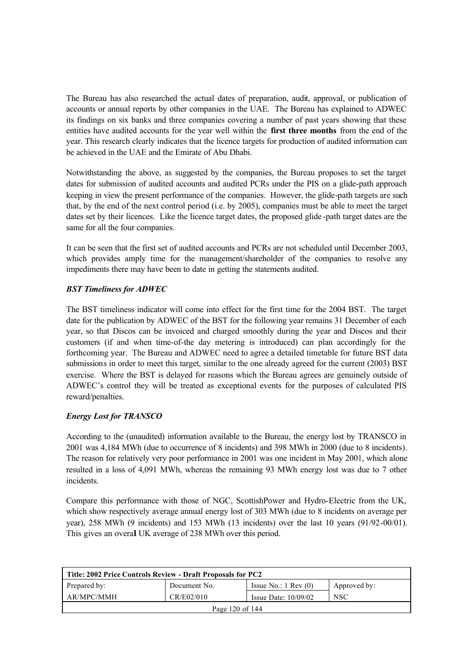The Bureau has also researched the actual dates of preparation, audit, approval, or publication of accounts or annual reports by other companies in the UAE. The Bureau has explained to ADWEC its findings on six banks and three companies covering a number of past years showing that these entities have audited accounts for the year well within the **first three months** from the end of the year. This research clearly indicates that the licence targets for production of audited information can be achieved in the UAE and the Emirate of Abu Dhabi.

Notwithstanding the above, as suggested by the companies, the Bureau proposes to set the target dates for submission of audited accounts and audited PCRs under the PIS on a glide-path approach keeping in view the present performance of the companies. However, the glide-path targets are such that, by the end of the next control period (i.e. by 2005), companies must be able to meet the target dates set by their licences. Like the licence target dates, the proposed glide -path target dates are the same for all the four companies.

It can be seen that the first set of audited accounts and PCRs are not scheduled until December 2003, which provides amply time for the management/shareholder of the companies to resolve any impediments there may have been to date in getting the statements audited.

## *BST Timeliness for ADWEC*

The BST timeliness indicator will come into effect for the first time for the 2004 BST. The target date for the publication by ADWEC of the BST for the following year remains 31 December of each year, so that Discos can be invoiced and charged smoothly during the year and Discos and their customers (if and when time-of-the day metering is introduced) can plan accordingly for the forthcoming year. The Bureau and ADWEC need to agree a detailed timetable for future BST data submissions in order to meet this target, similar to the one already agreed for the current (2003) BST exercise. Where the BST is delayed for reasons which the Bureau agrees are genuinely outside of ADWEC's control they will be treated as exceptional events for the purposes of calculated PIS reward/penalties.

## *Energy Lost for TRANSCO*

According to the (unaudited) information available to the Bureau, the energy lost by TRANSCO in 2001 was 4,184 MWh (due to occurrence of 8 incidents) and 398 MWh in 2000 (due to 8 incidents). The reason for relatively very poor performance in 2001 was one incident in May 2001, which alone resulted in a loss of 4,091 MWh, whereas the remaining 93 MWh energy lost was due to 7 other incidents.

Compare this performance with those of NGC, ScottishPower and Hydro-Electric from the UK, which show respectively average annual energy lost of 303 MWh (due to 8 incidents on average per year), 258 MWh (9 incidents) and 153 MWh (13 incidents) over the last 10 years (91/92-00/01). This gives an overal UK average of 238 MWh over this period.

| Title: 2002 Price Controls Review - Draft Proposals for PC2                     |  |  |  |  |  |
|---------------------------------------------------------------------------------|--|--|--|--|--|
| Prepared by:<br>Issue No.: $1 \text{ Rev } (0)$<br>Document No.<br>Approved by: |  |  |  |  |  |
| AR/MPC/MMH<br>CR/E02/010<br><b>NSC</b><br>Issue Date: $10/09/02$                |  |  |  |  |  |
| Page 120 of $144$                                                               |  |  |  |  |  |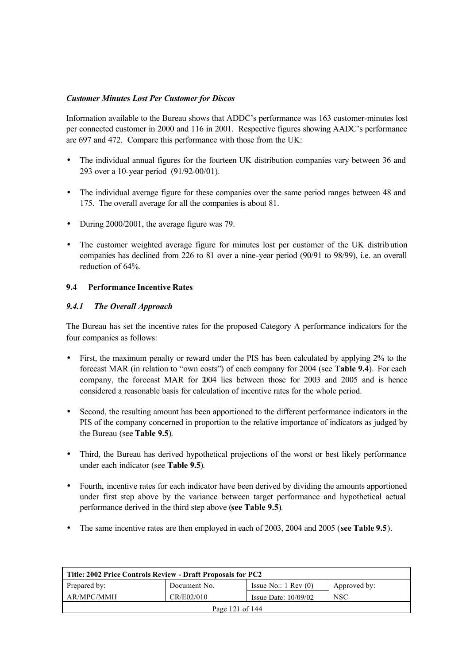## *Customer Minutes Lost Per Customer for Discos*

Information available to the Bureau shows that ADDC's performance was 163 customer-minutes lost per connected customer in 2000 and 116 in 2001. Respective figures showing AADC's performance are 697 and 472. Compare this performance with those from the UK:

- The individual annual figures for the fourteen UK distribution companies vary between 36 and 293 over a 10-year period (91/92-00/01).
- The individual average figure for these companies over the same period ranges between 48 and 175. The overall average for all the companies is about 81.
- During 2000/2001, the average figure was 79.
- The customer weighted average figure for minutes lost per customer of the UK distribution companies has declined from 226 to 81 over a nine-year period (90/91 to 98/99), i.e. an overall reduction of 64%.

#### **9.4 Performance Incentive Rates**

#### *9.4.1 The Overall Approach*

The Bureau has set the incentive rates for the proposed Category A performance indicators for the four companies as follows:

- First, the maximum penalty or reward under the PIS has been calculated by applying 2% to the forecast MAR (in relation to "own costs") of each company for 2004 (see **Table 9.4**). For each company, the forecast MAR for 2004 lies between those for 2003 and 2005 and is hence considered a reasonable basis for calculation of incentive rates for the whole period.
- Second, the resulting amount has been apportioned to the different performance indicators in the PIS of the company concerned in proportion to the relative importance of indicators as judged by the Bureau (see **Table 9.5**).
- Third, the Bureau has derived hypothetical projections of the worst or best likely performance under each indicator (see **Table 9.5**).
- Fourth, incentive rates for each indicator have been derived by dividing the amounts apportioned under first step above by the variance between target performance and hypothetical actual performance derived in the third step above (**see Table 9.5**).
- The same incentive rates are then employed in each of 2003, 2004 and 2005 (**see Table 9.5**).

| Title: 2002 Price Controls Review - Draft Proposals for PC2                   |  |  |  |  |  |
|-------------------------------------------------------------------------------|--|--|--|--|--|
| Prepared by:<br>Issue No.: $1 \text{ Rev}(0)$<br>Document No.<br>Approved by: |  |  |  |  |  |
| CR/E02/010<br>AR/MPC/MMH<br><b>NSC</b><br>Issue Date: $10/09/02$              |  |  |  |  |  |
| Page 121 of 144                                                               |  |  |  |  |  |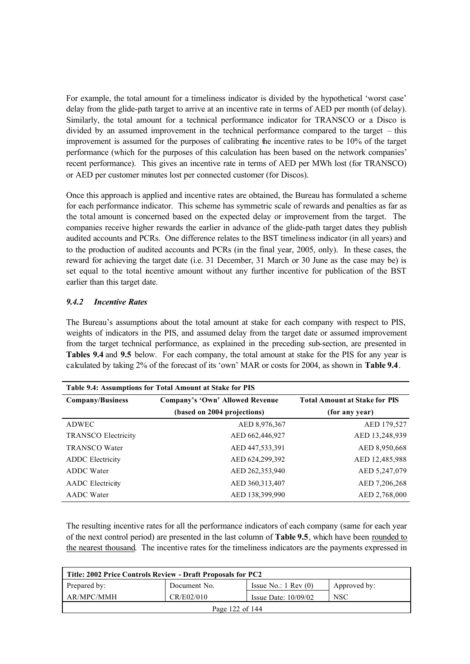For example, the total amount for a timeliness indicator is divided by the hypothetical 'worst case' delay from the glide-path target to arrive at an incentive rate in terms of AED per month (of delay). Similarly, the total amount for a technical performance indicator for TRANSCO or a Disco is divided by an assumed improvement in the technical performance compared to the target – this improvement is assumed for the purposes of calibrating the incentive rates to be 10% of the target performance (which for the purposes of this calculation has been based on the network companies' recent performance). This gives an incentive rate in terms of AED per MWh lost (for TRANSCO) or AED per customer minutes lost per connected customer (for Discos).

Once this approach is applied and incentive rates are obtained, the Bureau has formulated a scheme for each performance indicator. This scheme has symmetric scale of rewards and penalties as far as the total amount is concerned based on the expected delay or improvement from the target. The companies receive higher rewards the earlier in advance of the glide-path target dates they publish audited accounts and PCRs. One difference relates to the BST timeliness indicator (in all years) and to the production of audited accounts and PCRs (in the final year, 2005, only). In these cases, the reward for achieving the target date (i.e. 31 December, 31 March or 30 June as the case may be) is set equal to the total incentive amount without any further incentive for publication of the BST earlier than this target date.

## *9.4.2 Incentive Rates*

The Bureau's assumptions about the total amount at stake for each company with respect to PIS, weights of indicators in the PIS, and assumed delay from the target date or assumed improvement from the target technical performance, as explained in the preceding sub-section, are presented in **Tables 9.4** and **9.5** below. For each company, the total amount at stake for the PIS for any year is calculated by taking 2% of the forecast of its 'own' MAR or costs for 2004, as shown in **Table 9.4**.

| Table 9.4: Assumptions for Total Amount at Stake for PIS |                                 |                                      |  |  |  |  |
|----------------------------------------------------------|---------------------------------|--------------------------------------|--|--|--|--|
| <b>Company/Business</b>                                  | Company's 'Own' Allowed Revenue | <b>Total Amount at Stake for PIS</b> |  |  |  |  |
|                                                          | (based on 2004 projections)     | (for any year)                       |  |  |  |  |
| ADWEC                                                    | AED 8,976,367                   | AED 179,527                          |  |  |  |  |
| <b>TRANSCO Electricity</b>                               | AED 662,446,927                 | AED 13,248,939                       |  |  |  |  |
| <b>TRANSCO</b> Water                                     | AED 447,533,391                 | AED 8,950,668                        |  |  |  |  |
| <b>ADDC</b> Electricity                                  | AED 624,299,392                 | AED 12,485,988                       |  |  |  |  |
| ADDC Water                                               | AED 262,353,940                 | AED 5,247,079                        |  |  |  |  |
| <b>AADC</b> Electricity                                  | AED 360, 313, 407               | AED 7,206,268                        |  |  |  |  |
| <b>AADC</b> Water                                        | AED 138,399,990                 | AED 2,768,000                        |  |  |  |  |

The resulting incentive rates for all the performance indicators of each company (same for each year of the next control period) are presented in the last column of **Table 9.5**, which have been rounded to the nearest thousand. The incentive rates for the timeliness indicators are the payments expressed in

| Title: 2002 Price Controls Review - Draft Proposals for PC2                     |  |  |  |  |  |
|---------------------------------------------------------------------------------|--|--|--|--|--|
| Prepared by:<br>Issue No.: $1 \text{ Rev } (0)$<br>Document No.<br>Approved by: |  |  |  |  |  |
| AR/MPC/MMH<br>CR/E02/010<br><b>NSC</b><br>Issue Date: $10/09/02$                |  |  |  |  |  |
| Page 122 of $144$                                                               |  |  |  |  |  |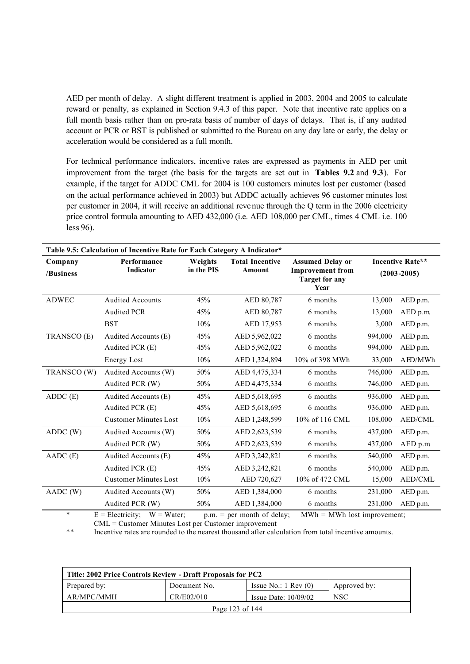AED per month of delay. A slight different treatment is applied in 2003, 2004 and 2005 to calculate reward or penalty, as explained in Section 9.4.3 of this paper. Note that incentive rate applies on a full month basis rather than on pro-rata basis of number of days of delays. That is, if any audited account or PCR or BST is published or submitted to the Bureau on any day late or early, the delay or acceleration would be considered as a full month.

For technical performance indicators, incentive rates are expressed as payments in AED per unit improvement from the target (the basis for the targets are set out in **Tables 9.2** and **9.3**). For example, if the target for ADDC CML for 2004 is 100 customers minutes lost per customer (based on the actual performance achieved in 2003) but ADDC actually achieves 96 customer minutes lost per customer in 2004, it will receive an additional revenue through the Q term in the 2006 electricity price control formula amounting to AED 432,000 (i.e. AED 108,000 per CML, times 4 CML i.e. 100 less 96).

| Table 9.5: Calculation of Incentive Rate for Each Category A Indicator* |                              |            |                        |                                                          |         |                         |  |
|-------------------------------------------------------------------------|------------------------------|------------|------------------------|----------------------------------------------------------|---------|-------------------------|--|
| Company                                                                 | Performance                  | Weights    | <b>Total Incentive</b> | <b>Assumed Delay or</b>                                  |         | <b>Incentive Rate**</b> |  |
| /Business                                                               | <b>Indicator</b>             | in the PIS | Amount                 | <b>Improvement from</b><br><b>Target for any</b><br>Year |         | $(2003 - 2005)$         |  |
| <b>ADWEC</b>                                                            | <b>Audited Accounts</b>      | 45%        | AED 80,787             | 6 months                                                 | 13,000  | AED p.m.                |  |
|                                                                         | <b>Audited PCR</b>           | 45%        | AED 80,787             | 6 months                                                 | 13,000  | $AED$ p.m.              |  |
|                                                                         | <b>BST</b>                   | 10%        | AED 17,953             | 6 months                                                 | 3,000   | AED p.m.                |  |
| TRANSCO (E)                                                             | Audited Accounts (E)         | 45%        | AED 5,962,022          | 6 months                                                 | 994,000 | AED p.m.                |  |
|                                                                         | Audited PCR (E)              | 45%        | AED 5,962,022          | 6 months                                                 | 994,000 | AED p.m.                |  |
|                                                                         | Energy Lost                  | 10%        | AED 1,324,894          | 10% of 398 MWh                                           | 33,000  | AED/MWh                 |  |
| TRANSCO (W)                                                             | Audited Accounts (W)         | 50%        | AED 4,475,334          | 6 months                                                 | 746,000 | AED p.m.                |  |
|                                                                         | Audited PCR (W)              | 50%        | AED 4,475,334          | 6 months                                                 | 746,000 | AED p.m.                |  |
| $ADDC$ $(E)$                                                            | Audited Accounts (E)         | 45%        | AED 5,618,695          | 6 months                                                 | 936,000 | AED p.m.                |  |
|                                                                         | Audited PCR (E)              | 45%        | AED 5,618,695          | 6 months                                                 | 936,000 | AED p.m.                |  |
|                                                                         | <b>Customer Minutes Lost</b> | 10%        | AED 1,248,599          | 10% of 116 CML                                           | 108,000 | <b>AED/CML</b>          |  |
| ADDC(W)                                                                 | Audited Accounts (W)         | 50%        | AED 2,623,539          | 6 months                                                 | 437,000 | AED p.m.                |  |
|                                                                         | Audited PCR (W)              | $50\%$     | AED 2,623,539          | 6 months                                                 | 437,000 | AED p.m                 |  |
| AADC (E)                                                                | Audited Accounts (E)         | 45%        | AED 3,242,821          | 6 months                                                 | 540,000 | AED p.m.                |  |
|                                                                         | Audited PCR (E)              | 45%        | AED 3,242,821          | 6 months                                                 | 540,000 | AED p.m.                |  |
|                                                                         | <b>Customer Minutes Lost</b> | 10%        | AED 720,627            | 10% of 472 CML                                           | 15,000  | AED/CML                 |  |
| AADC (W)                                                                | Audited Accounts (W)         | 50%        | AED 1,384,000          | 6 months                                                 | 231,000 | AED p.m.                |  |
|                                                                         | Audited PCR (W)              | 50%        | AED 1,384,000          | 6 months                                                 | 231,000 | AED p.m.                |  |
|                                                                         |                              |            |                        |                                                          |         |                         |  |

\* E = Electricity;  $W = Water$ ; p.m. = per month of delay;  $MWh = MWh$  lost improvement; CML = Customer Minutes Lost per Customer improvement

\*\* Incentive rates are rounded to the nearest thousand after calculation from total incentive amounts.

| Title: 2002 Price Controls Review - Draft Proposals for PC2 |              |                                 |              |  |  |
|-------------------------------------------------------------|--------------|---------------------------------|--------------|--|--|
| Prepared by:                                                | Document No. | Issue No.: $1 \text{ Rev } (0)$ | Approved by: |  |  |
| AR/MPC/MMH                                                  | CR/E02/010   | Issue Date: $10/09/02$          | <b>NSC</b>   |  |  |
| Page 123 of 144                                             |              |                                 |              |  |  |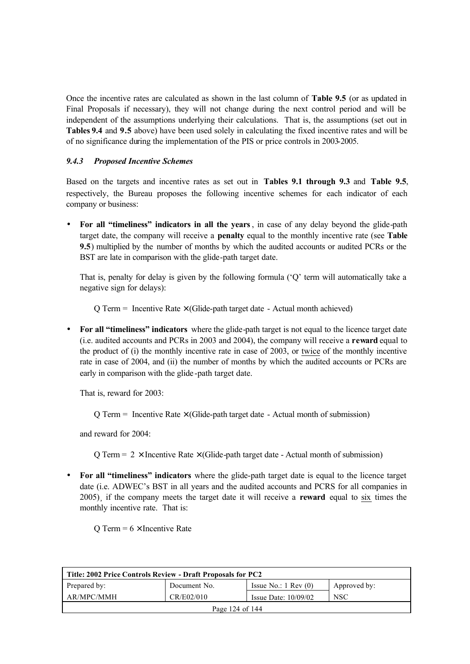Once the incentive rates are calculated as shown in the last column of **Table 9.5** (or as updated in Final Proposals if necessary), they will not change during the next control period and will be independent of the assumptions underlying their calculations. That is, the assumptions (set out in **Tables 9.4** and **9.5** above) have been used solely in calculating the fixed incentive rates and will be of no significance during the implementation of the PIS or price controls in 2003-2005.

### *9.4.3 Proposed Incentive Schemes*

Based on the targets and incentive rates as set out in **Tables 9.1 through 9.3** and **Table 9.5**, respectively, the Bureau proposes the following incentive schemes for each indicator of each company or business:

• **For all "timeliness" indicators in all the years**, in case of any delay beyond the glide-path target date, the company will receive a **penalty** equal to the monthly incentive rate (see **Table 9.5**) multiplied by the number of months by which the audited accounts or audited PCRs or the BST are late in comparison with the glide-path target date.

That is, penalty for delay is given by the following formula ('Q' term will automatically take a negative sign for delays):

 $Q$  Term = Incentive Rate  $\times$  (Glide-path target date - Actual month achieved)

• **For all "timeliness" indicators** where the glide-path target is not equal to the licence target date (i.e. audited accounts and PCRs in 2003 and 2004), the company will receive a **reward** equal to the product of (i) the monthly incentive rate in case of 2003, or twice of the monthly incentive rate in case of 2004, and (ii) the number of months by which the audited accounts or PCRs are early in comparison with the glide -path target date.

That is, reward for 2003:

 $Q$  Term = Incentive Rate  $\times$  (Glide-path target date - Actual month of submission)

and reward for 2004:

Q Term =  $2 \times$  Incentive Rate  $\times$  (Glide-path target date - Actual month of submission)

• **For all "timeliness" indicators** where the glide-path target date is equal to the licence target date (i.e. ADWEC's BST in all years and the audited accounts and PCRS for all companies in 2005)¸ if the company meets the target date it will receive a **reward** equal to six times the monthly incentive rate. That is:

O Term =  $6 \times$  Incentive Rate

| Title: 2002 Price Controls Review - Draft Proposals for PC2                   |                 |  |  |  |  |
|-------------------------------------------------------------------------------|-----------------|--|--|--|--|
| Issue No.: $1 \text{ Rev}(0)$<br>Prepared by:<br>Document No.<br>Approved by: |                 |  |  |  |  |
| AR/MPC/MMH<br>CR/E02/010<br><b>NSC</b><br>Issue Date: $10/09/02$              |                 |  |  |  |  |
|                                                                               | Page 124 of 144 |  |  |  |  |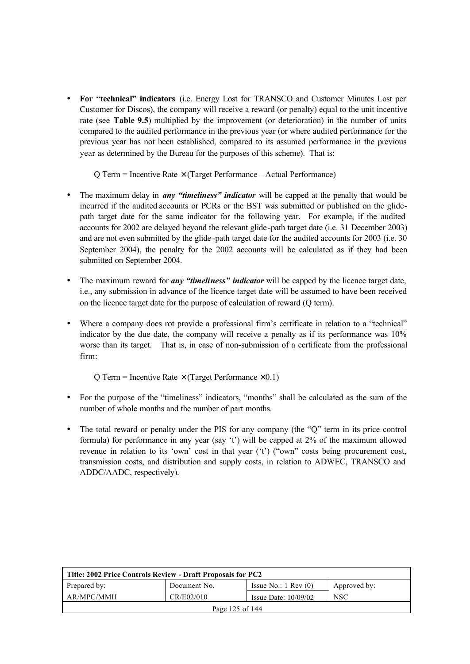• **For "technical" indicators** (i.e. Energy Lost for TRANSCO and Customer Minutes Lost per Customer for Discos), the company will receive a reward (or penalty) equal to the unit incentive rate (see **Table 9.5**) multiplied by the improvement (or deterioration) in the number of units compared to the audited performance in the previous year (or where audited performance for the previous year has not been established, compared to its assumed performance in the previous year as determined by the Bureau for the purposes of this scheme). That is:

 $Q$  Term = Incentive Rate  $\times$  (Target Performance – Actual Performance)

- The maximum delay in *any "timeliness" indicator* will be capped at the penalty that would be incurred if the audited accounts or PCRs or the BST was submitted or published on the glidepath target date for the same indicator for the following year. For example, if the audited accounts for 2002 are delayed beyond the relevant glide -path target date (i.e. 31 December 2003) and are not even submitted by the glide -path target date for the audited accounts for 2003 (i.e. 30 September 2004), the penalty for the 2002 accounts will be calculated as if they had been submitted on September 2004.
- The maximum reward for *any "timeliness" indicator* will be capped by the licence target date, i.e., any submission in advance of the licence target date will be assumed to have been received on the licence target date for the purpose of calculation of reward (Q term).
- Where a company does not provide a professional firm's certificate in relation to a "technical" indicator by the due date, the company will receive a penalty as if its performance was 10% worse than its target. That is, in case of non-submission of a certificate from the professional firm:

Q Term = Incentive Rate  $\times$  (Target Performance  $\times$  0.1)

- For the purpose of the "timeliness" indicators, "months" shall be calculated as the sum of the number of whole months and the number of part months.
- The total reward or penalty under the PIS for any company (the "Q" term in its price control formula) for performance in any year (say 't') will be capped at 2% of the maximum allowed revenue in relation to its 'own' cost in that year ('t') ("own" costs being procurement cost, transmission costs, and distribution and supply costs, in relation to ADWEC, TRANSCO and ADDC/AADC, respectively).

| Title: 2002 Price Controls Review - Draft Proposals for PC2                   |                                                    |  |  |  |  |  |
|-------------------------------------------------------------------------------|----------------------------------------------------|--|--|--|--|--|
| Prepared by:<br>Issue No.: $1 \text{ Rev}(0)$<br>Document No.<br>Approved by: |                                                    |  |  |  |  |  |
| AR/MPC/MMH                                                                    | CR/E02/010<br><b>NSC</b><br>Issue Date: $10/09/02$ |  |  |  |  |  |
| Page 125 of 144                                                               |                                                    |  |  |  |  |  |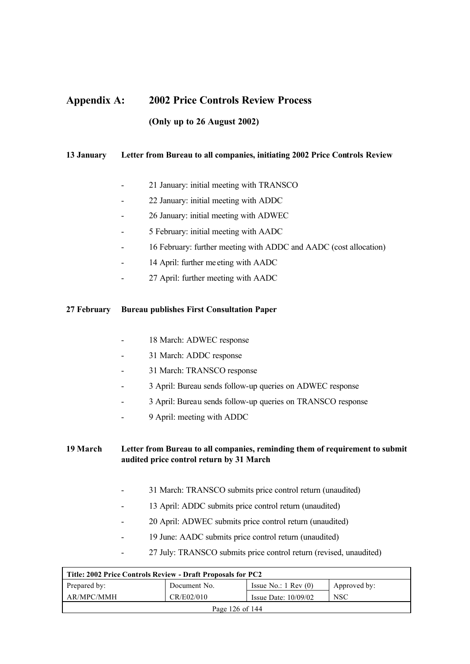# **Appendix A: 2002 Price Controls Review Process (Only up to 26 August 2002)**

### **13 January Letter from Bureau to all companies, initiating 2002 Price Controls Review**

- 21 January: initial meeting with TRANSCO
- 22 January: initial meeting with ADDC
- 26 January: initial meeting with ADWEC
- 5 February: initial meeting with AADC
- 16 February: further meeting with ADDC and AADC (cost allocation)
- 14 April: further me eting with AADC
- 27 April: further meeting with AADC

#### **27 February Bureau publishes First Consultation Paper**

- 18 March: ADWEC response
- 31 March: ADDC response
- 31 March: TRANSCO response
- 3 April: Bureau sends follow-up queries on ADWEC response
- 3 April: Bureau sends follow-up queries on TRANSCO response
- 9 April: meeting with ADDC

## **19 March Letter from Bureau to all companies, reminding them of requirement to submit audited price control return by 31 March**

- 31 March: TRANSCO submits price control return (unaudited)
- 13 April: ADDC submits price control return (unaudited)
- 20 April: ADWEC submits price control return (unaudited)
- 19 June: AADC submits price control return (unaudited)
- 27 July: TRANSCO submits price control return (revised, unaudited)

| Title: 2002 Price Controls Review - Draft Proposals for PC2                     |  |  |  |  |  |
|---------------------------------------------------------------------------------|--|--|--|--|--|
| Issue No.: $1 \text{ Rev } (0)$<br>Prepared by:<br>Document No.<br>Approved by: |  |  |  |  |  |
| AR/MPC/MMH<br>CR/E02/010<br><b>NSC</b><br>Issue Date: $10/09/02$                |  |  |  |  |  |
| Page 126 of 144                                                                 |  |  |  |  |  |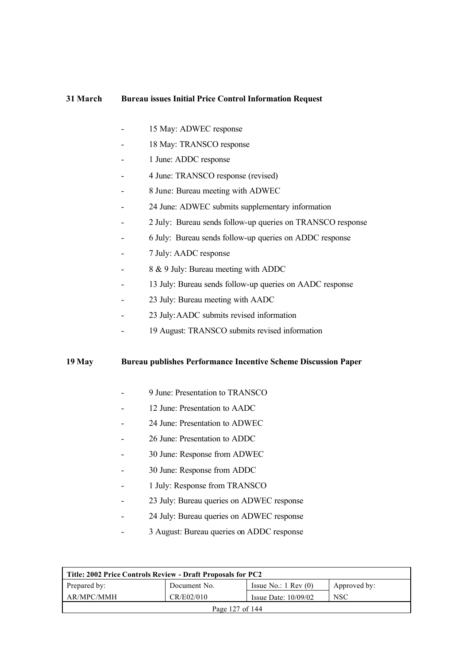#### **31 March Bureau issues Initial Price Control Information Request**

- 15 May: ADWEC response
- 18 May: TRANSCO response
- 1 June: ADDC response
- 4 June: TRANSCO response (revised)
- 8 June: Bureau meeting with ADWEC
- 24 June: ADWEC submits supplementary information
- 2 July: Bureau sends follow-up queries on TRANSCO response
- 6 July: Bureau sends follow-up queries on ADDC response
- 7 July: AADC response
- 8 & 9 July: Bureau meeting with ADDC
- 13 July: Bureau sends follow-up queries on AADC response
- 23 July: Bureau meeting with AADC
- 23 July:AADC submits revised information
- 19 August: TRANSCO submits revised information

#### **19 May Bureau publishes Performance Incentive Scheme Discussion Paper**

- 9 June: Presentation to TRANSCO
- 12 June: Presentation to AADC
- 24 June: Presentation to ADWEC
- 26 June: Presentation to ADDC
- 30 June: Response from ADWEC
- 30 June: Response from ADDC
- 1 July: Response from TRANSCO
- 23 July: Bureau queries on ADWEC response
- 24 July: Bureau queries on ADWEC response
- 3 August: Bureau queries on ADDC response

| Title: 2002 Price Controls Review - Draft Proposals for PC2                     |  |  |  |  |  |
|---------------------------------------------------------------------------------|--|--|--|--|--|
| Prepared by:<br>Issue No.: $1 \text{ Rev } (0)$<br>Document No.<br>Approved by: |  |  |  |  |  |
| AR/MPC/MMH<br>CR/E02/010<br><b>NSC</b><br>Issue Date: $10/09/02$                |  |  |  |  |  |
| Page 127 of 144                                                                 |  |  |  |  |  |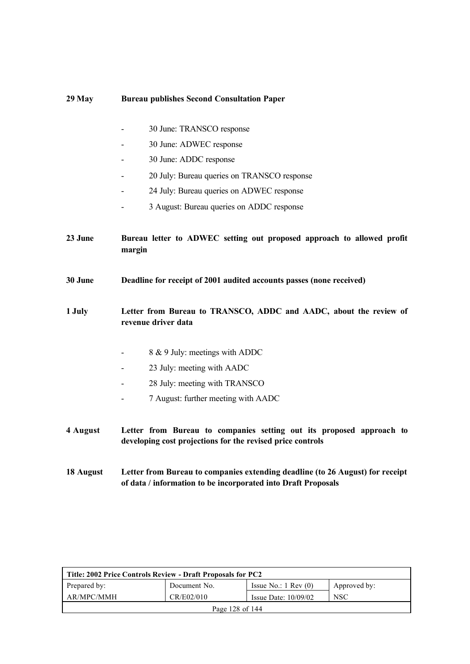| $29$ May                                                                                           | <b>Bureau publishes Second Consultation Paper</b>                                                                                              |  |
|----------------------------------------------------------------------------------------------------|------------------------------------------------------------------------------------------------------------------------------------------------|--|
|                                                                                                    | 30 June: TRANSCO response                                                                                                                      |  |
|                                                                                                    | 30 June: ADWEC response                                                                                                                        |  |
|                                                                                                    | 30 June: ADDC response                                                                                                                         |  |
|                                                                                                    |                                                                                                                                                |  |
|                                                                                                    | 20 July: Bureau queries on TRANSCO response                                                                                                    |  |
|                                                                                                    | 24 July: Bureau queries on ADWEC response                                                                                                      |  |
|                                                                                                    | 3 August: Bureau queries on ADDC response                                                                                                      |  |
| 23 June                                                                                            | Bureau letter to ADWEC setting out proposed approach to allowed profit<br>margin                                                               |  |
| 30 June                                                                                            | Deadline for receipt of 2001 audited accounts passes (none received)                                                                           |  |
| 1 July<br>Letter from Bureau to TRANSCO, ADDC and AADC, about the review of<br>revenue driver data |                                                                                                                                                |  |
|                                                                                                    | 8 & 9 July: meetings with ADDC                                                                                                                 |  |
|                                                                                                    | 23 July: meeting with AADC                                                                                                                     |  |
|                                                                                                    | 28 July: meeting with TRANSCO                                                                                                                  |  |
|                                                                                                    | 7 August: further meeting with AADC                                                                                                            |  |
| 4 August                                                                                           | Letter from Bureau to companies setting out its proposed approach to<br>developing cost projections for the revised price controls             |  |
| 18 August                                                                                          | Letter from Bureau to companies extending deadline (to 26 August) for receipt<br>of data / information to be incorporated into Draft Proposals |  |

| Title: 2002 Price Controls Review - Draft Proposals for PC2 |              |                                 |              |  |  |
|-------------------------------------------------------------|--------------|---------------------------------|--------------|--|--|
| Prepared by:                                                | Document No. | Issue No.: $1 \text{ Rev } (0)$ | Approved by: |  |  |
| AR/MPC/MMH                                                  | CR/E02/010   | Issue Date: $10/09/02$          | <b>NSC</b>   |  |  |
| Page 128 of 144                                             |              |                                 |              |  |  |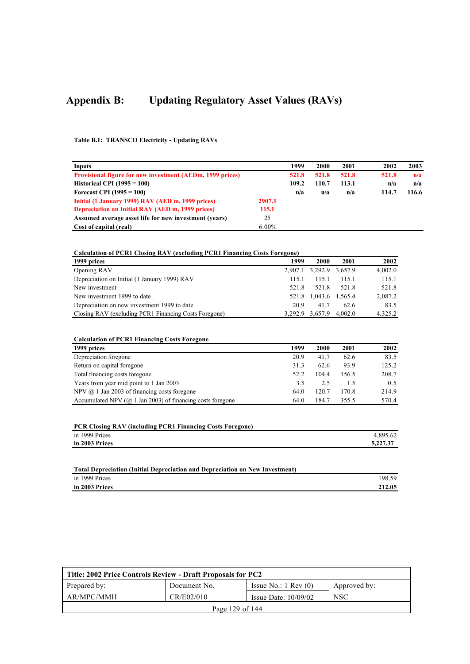# **Appendix B: Updating Regulatory Asset Values (RAVs)**

**Table B.1: TRANSCO Electricity - Updating RAVs**

| Inputs                                                           |          | 1999  | 2000  | 2001  | 2002  | 2003  |
|------------------------------------------------------------------|----------|-------|-------|-------|-------|-------|
| <b>Provisional figure for new investment (AEDm, 1999 prices)</b> |          | 521.8 | 521.8 | 521.8 | 521.8 | n/a   |
| Historical CPI $(1995 = 100)$                                    |          | 109.2 | 110.7 | 113.1 | n/a   | n/a   |
| Forecast CPI $(1995 = 100)$                                      |          | n/a   | n/a   | n/a   | 114.7 | 116.6 |
| Initial (1 January 1999) RAV (AED m, 1999 prices)                | 2907.1   |       |       |       |       |       |
| Depreciation on Initial RAV (AED m, 1999 prices)                 | 115.1    |       |       |       |       |       |
| Assumed average asset life for new investment (vears)            | 25       |       |       |       |       |       |
| Cost of capital (real)                                           | $6.00\%$ |       |       |       |       |       |

#### **Calculation of PCR1 Closing RAV (excluding PCR1 Financing Costs Foregone)**

| 1999 prices                                           | 1999  | 2000                    | 2001    | 2002    |
|-------------------------------------------------------|-------|-------------------------|---------|---------|
| Opening RAV                                           |       | 2,907.1 3,292.9 3,657.9 |         | 4.002.0 |
| Depreciation on Initial (1 January 1999) RAV          | 115.1 | 115.1                   | 1151    | 115.1   |
| New investment                                        | 521.8 | 521.8                   | 521.8   | 521.8   |
| New investment 1999 to date                           |       | 521.8 1,043.6 1,565.4   |         | 2,087.2 |
| Depreciation on new investment 1999 to date           | 20.9  | 41.7                    | 62.6    | 83.5    |
| Closing RAV (excluding PCR1 Financing Costs Foregone) |       | 3,292.9 3,657.9         | 4.002.0 | 4.325.2 |

| 1999 prices                                                          | 1999 | 2000  | 2001  | 2002  |
|----------------------------------------------------------------------|------|-------|-------|-------|
| Depreciation foregone                                                | 20.9 | 41.7  | 62.6  | 83.5  |
| Return on capital foregone                                           | 31.3 | 62.6  | 93.9  | 125.2 |
| Total financing costs foregone                                       | 52.2 | 104.4 | 156.5 | 208.7 |
| Years from year mid point to 1 Jan 2003                              | 3.5  | 2.5   | 1.5   | 0.5   |
| NPV $(a)$ 1 Jan 2003 of financing costs foregone                     | 64.0 | 120.7 | 170.8 | 214.9 |
| Accumulated NPV ( $\omega$ ) 1 Jan 2003) of financing costs foregone | 64.0 | 184.7 | 355.5 | 570.4 |

| <b>PCR Closing RAV (including PCR1 Financing Costs Foregone)</b> |          |  |  |
|------------------------------------------------------------------|----------|--|--|
| in 1999 Prices                                                   | 4.895.62 |  |  |
| in 2003 Prices                                                   | 5,227.37 |  |  |

| Total Depreciation (Initial Depreciation and Depreciation on New Investment) |        |
|------------------------------------------------------------------------------|--------|
| in 1999 Prices                                                               | 198.59 |
| in 2003 Prices                                                               | 212.05 |

| Title: 2002 Price Controls Review - Draft Proposals for PC2 |              |                                 |              |  |  |
|-------------------------------------------------------------|--------------|---------------------------------|--------------|--|--|
| Prepared by:                                                | Document No. | Issue No.: $1 \text{ Rev } (0)$ | Approved by: |  |  |
| AR/MPC/MMH                                                  | CR/E02/010   | Issue Date: $10/09/02$          | <b>NSC</b>   |  |  |
| Page 129 of $144$                                           |              |                                 |              |  |  |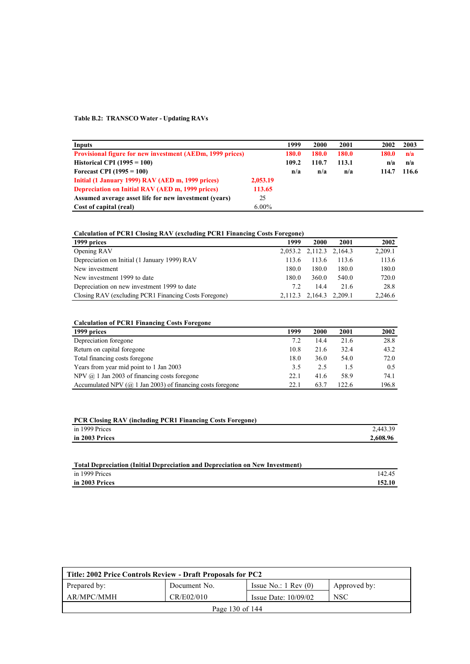#### **Table B.2: TRANSCO Water - Updating RAVs**

| Inputs                                                           |          | 1999  | 2000         | 2001  | 2002  | 2003  |
|------------------------------------------------------------------|----------|-------|--------------|-------|-------|-------|
| <b>Provisional figure for new investment (AEDm, 1999 prices)</b> |          | 180.0 | <b>180.0</b> | 180.0 | 180.0 | n/a   |
| Historical CPI $(1995 = 100)$                                    |          | 109.2 | 110.7        | 113.1 | n/a   | n/a   |
| Forecast CPI $(1995 = 100)$                                      |          | n/a   | n/a          | n/a   | 114.7 | 116.6 |
| Initial (1 January 1999) RAV (AED m, 1999 prices)                | 2,053.19 |       |              |       |       |       |
| <b>Depreciation on Initial RAV (AED m, 1999 prices)</b>          | 113.65   |       |              |       |       |       |
| Assumed average asset life for new investment (years)            | 25       |       |              |       |       |       |
| Cost of capital (real)                                           | $6.00\%$ |       |              |       |       |       |

#### **Calculation of PCR1 Closing RAV (excluding PCR1 Financing Costs Foregone) 1999 prices 1999 2000 2001 2002** Opening RAV 2,053.2 2,112.3 2,164.3 2,209.1 Depreciation on Initial (1 January 1999) RAV 113.6 113.6 113.6 113.6 113.6 113.6 New investment 180.0 180.0 180.0 180.0 180.0 New investment 1999 to date 180.0 180.0 540.0 720.0 Depreciation on new investment 1999 to date 7.2 14.4 21.6 28.8 Closing RAV (excluding PCR1 Financing Costs Foregone) 2,112.3 2,164.3 2,209.1 2,246.6

| 1999 prices                                                          | 1999 | 2000 | 2001  | 2002  |
|----------------------------------------------------------------------|------|------|-------|-------|
| Depreciation foregone                                                | 7.2  | 14.4 | 21.6  | 28.8  |
| Return on capital foregone                                           | 10.8 | 21.6 | 32.4  | 43.2  |
| Total financing costs foregone                                       | 18.0 | 36.0 | 54.0  | 72.0  |
| Years from year mid point to 1 Jan 2003                              | 3.5  | 2.5  | 1.5   | 0.5   |
| NPV $(a)$ 1 Jan 2003 of financing costs foregone                     | 22.1 | 41.6 | 58.9  | 74.1  |
| Accumulated NPV ( $\omega$ ) 1 Jan 2003) of financing costs foregone | 22.1 | 63.7 | 122.6 | 196.8 |

| <b>PCR Closing RAV (including PCR1 Financing Costs Foregone)</b> |          |
|------------------------------------------------------------------|----------|
| in 1999 Prices                                                   | 2.443.39 |
| in 2003 Prices                                                   | 2,608.96 |
|                                                                  |          |

| Total Depreciation (Initial Depreciation and Depreciation on New Investment) |        |
|------------------------------------------------------------------------------|--------|
| in 1999 Prices                                                               | 142.45 |
| in 2003 Prices                                                               | 152.10 |

| Title: 2002 Price Controls Review - Draft Proposals for PC2      |              |                                 |              |  |  |  |
|------------------------------------------------------------------|--------------|---------------------------------|--------------|--|--|--|
| Prepared by:                                                     | Document No. | Issue No.: $1 \text{ Rev } (0)$ | Approved by: |  |  |  |
| AR/MPC/MMH<br>CR/E02/010<br><b>NSC</b><br>Issue Date: $10/09/02$ |              |                                 |              |  |  |  |
| Page 130 of 144                                                  |              |                                 |              |  |  |  |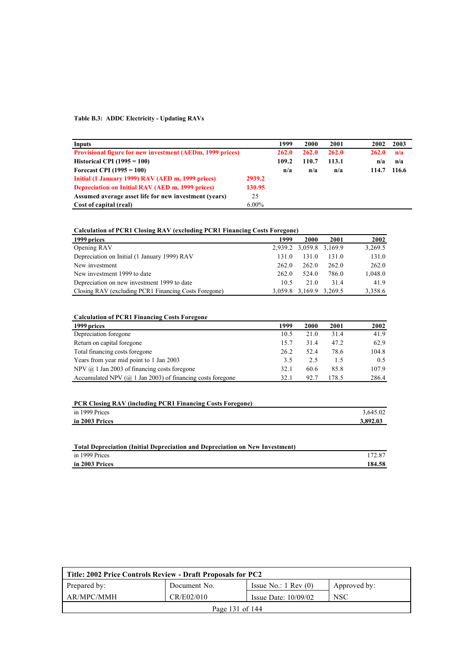#### **Table B.3: ADDC Electricity - Updating RAVs**

| <b>Inputs</b>                                                    |          | 1999  | 2000  | 2001  | 2002  | 2003  |
|------------------------------------------------------------------|----------|-------|-------|-------|-------|-------|
| <b>Provisional figure for new investment (AEDm, 1999 prices)</b> |          | 262.0 | 262.0 | 262.0 | 262.0 | n/a   |
| Historical CPI $(1995 = 100)$                                    |          | 109.2 | 110.7 | 113.1 | n/a   | n/a   |
| Forecast CPI $(1995 = 100)$                                      |          | n/a   | n/a   | n/a   | 114.7 | 116.6 |
| Initial (1 January 1999) RAV (AED m, 1999 prices)                | 2939.2   |       |       |       |       |       |
| <b>Depreciation on Initial RAV (AED m, 1999 prices)</b>          | 130.95   |       |       |       |       |       |
| Assumed average asset life for new investment (vears)            | 25       |       |       |       |       |       |
| Cost of capital (real)                                           | $6.00\%$ |       |       |       |       |       |

### **Calculation of PCR1 Closing RAV (excluding PCR1 Financing Costs Foregone)**

| 1999 prices                                           | 1999  | 2000                    | 2001  | 2002    |
|-------------------------------------------------------|-------|-------------------------|-------|---------|
| Opening RAV                                           |       | 2,939.2 3,059.8 3,169.9 |       | 3,269.5 |
| Depreciation on Initial (1 January 1999) RAV          | 131.0 | 131.0                   | 131.0 | 131.0   |
| New investment                                        | 262.0 | 262.0                   | 262.0 | 262.0   |
| New investment 1999 to date                           | 262.0 | 524.0                   | 786.0 | 1,048.0 |
| Depreciation on new investment 1999 to date           | 10.5  | 21.0                    | 314   | 41.9    |
| Closing RAV (excluding PCR1 Financing Costs Foregone) |       | 3,059.8 3,169.9 3,269.5 |       | 3,358.6 |

| 1999 prices                                                          | 1999 | 2000 | 2001  | 2002  |
|----------------------------------------------------------------------|------|------|-------|-------|
| Depreciation foregone                                                | 10.5 | 21.0 | 31.4  | 41.9  |
| Return on capital foregone                                           | 15.7 | 31.4 | 47.2  | 62.9  |
| Total financing costs foregone                                       | 26.2 | 52.4 | 78.6  | 104.8 |
| Years from year mid point to 1 Jan 2003                              | 3.5  | 2.5  | 1.5   | 0.5   |
| NPV $(a)$ 1 Jan 2003 of financing costs foregone                     | 32.1 | 60.6 | 85.8  | 107.9 |
| Accumulated NPV ( $\omega$ ) 1 Jan 2003) of financing costs foregone | 32.1 | 92.7 | 178.5 | 286.4 |

| <b>PCR Closing RAV (including PCR1 Financing Costs Foregone)</b> |          |
|------------------------------------------------------------------|----------|
| in 1999 Prices                                                   | 3.645.02 |
| in 2003 Prices                                                   | 3,892.03 |
|                                                                  |          |

| Total Depreciation (Initial Depreciation and Depreciation on New Investment) |        |
|------------------------------------------------------------------------------|--------|
| in 1999 Prices                                                               | 172.87 |
| in 2003 Prices                                                               | 184.58 |

| Title: 2002 Price Controls Review - Draft Proposals for PC2      |              |                                 |              |  |  |  |
|------------------------------------------------------------------|--------------|---------------------------------|--------------|--|--|--|
| Prepared by:                                                     | Document No. | Issue No.: $1 \text{ Rev } (0)$ | Approved by: |  |  |  |
| AR/MPC/MMH<br>CR/E02/010<br><b>NSC</b><br>Issue Date: $10/09/02$ |              |                                 |              |  |  |  |
| Page 131 of 144                                                  |              |                                 |              |  |  |  |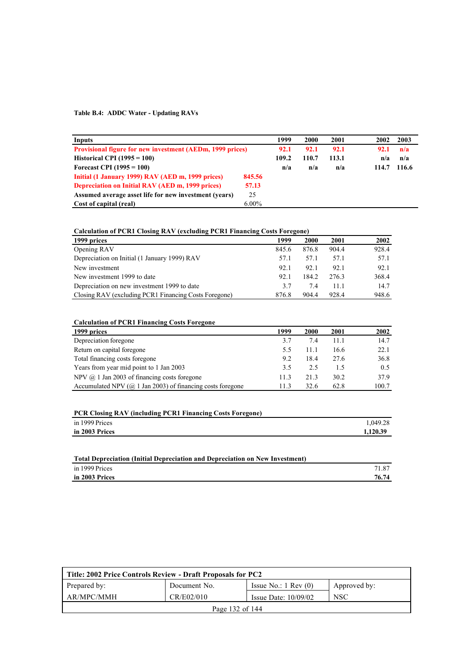#### **Table B.4: ADDC Water - Updating RAVs**

| Inputs                                                           |          | 1999  | 2000  | 2001  | 2002  | 2003  |
|------------------------------------------------------------------|----------|-------|-------|-------|-------|-------|
| <b>Provisional figure for new investment (AEDm, 1999 prices)</b> |          | 92.1  | 92.1  | 92.1  | 92.1  | n/a   |
| Historical CPI $(1995 = 100)$                                    |          | 109.2 | 110.7 | 113.1 | n/a   | n/a   |
| Forecast CPI $(1995 = 100)$                                      |          | n/a   | n/a   | n/a   | 114.7 | 116.6 |
| Initial (1 January 1999) RAV (AED m, 1999 prices)                | 845.56   |       |       |       |       |       |
| <b>Depreciation on Initial RAV (AED m, 1999 prices)</b>          | 57.13    |       |       |       |       |       |
| Assumed average asset life for new investment (years)            | 25       |       |       |       |       |       |
| Cost of capital (real)                                           | $6.00\%$ |       |       |       |       |       |

### **Calculation of PCR1 Closing RAV (excluding PCR1 Financing Costs Foregone)**

| 1999 prices                                           | 1999  | 2000  | 2001  | 2002  |
|-------------------------------------------------------|-------|-------|-------|-------|
| Opening RAV                                           | 845.6 | 876.8 | 904.4 | 928.4 |
| Depreciation on Initial (1 January 1999) RAV          | 57.1  | 57.1  | 57.1  | 57.1  |
| New investment                                        | 92.1  | 92.1  | 92.1  | 92.1  |
| New investment 1999 to date                           | 92.1  | 184.2 | 2763  | 368.4 |
| Depreciation on new investment 1999 to date           | 3.7   | 7.4   | 11 1  | 14.7  |
| Closing RAV (excluding PCR1 Financing Costs Foregone) | 876.8 | 904.4 | 928.4 | 948.6 |

| 1999 prices                                                          | 1999 | 2000 | 2001 | 2002  |
|----------------------------------------------------------------------|------|------|------|-------|
| Depreciation foregone                                                | 3.7  | 7.4  | 11.1 | 14.7  |
| Return on capital foregone                                           | 5.5  | 11.1 | 16.6 | 22.1  |
| Total financing costs foregone                                       | 9.2  | 18.4 | 27.6 | 36.8  |
| Years from year mid point to 1 Jan 2003                              | 3.5  | 2.5  |      | 0.5   |
| NPV $(a)$ 1 Jan 2003 of financing costs foregone                     | 11.3 | 21.3 | 30.2 | 37.9  |
| Accumulated NPV ( $\omega$ ) 1 Jan 2003) of financing costs foregone | 113  | 32.6 | 62.8 | 100.7 |

|  | <b>PCR Closing RAV (including PCR1 Financing Costs Foregone)</b> |  |
|--|------------------------------------------------------------------|--|
|  |                                                                  |  |

| in 1999 Prices | 1,049.28 |
|----------------|----------|
| in 2003 Prices | 1.120.39 |

| Total Depreciation (Initial Depreciation and Depreciation on New Investment) |       |
|------------------------------------------------------------------------------|-------|
| in 1999 Prices                                                               | 71.87 |
| in 2003 Prices                                                               | 76.74 |

| Title: 2002 Price Controls Review - Draft Proposals for PC2      |              |                                 |              |  |
|------------------------------------------------------------------|--------------|---------------------------------|--------------|--|
| Prepared by:                                                     | Document No. | Issue No.: $1 \text{ Rev } (0)$ | Approved by: |  |
| CR/E02/010<br><b>NSC</b><br>AR/MPC/MMH<br>Issue Date: $10/09/02$ |              |                                 |              |  |
| Page 132 of 144                                                  |              |                                 |              |  |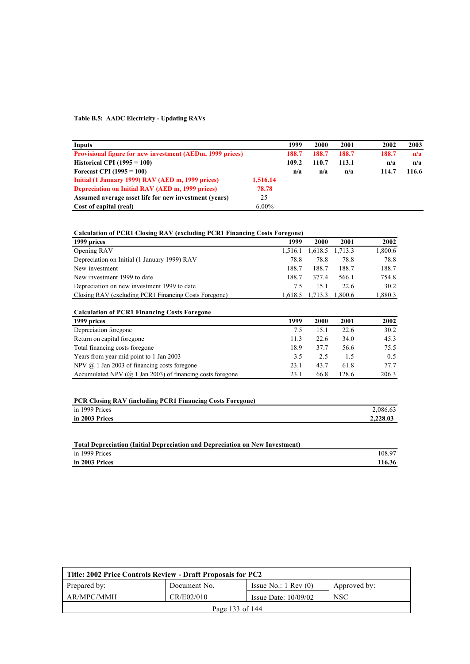#### **Table B.5: AADC Electricity - Updating RAVs**

| Inputs                                                           |          | 1999  | 2000  | 2001  | 2002  | 2003  |
|------------------------------------------------------------------|----------|-------|-------|-------|-------|-------|
| <b>Provisional figure for new investment (AEDm, 1999 prices)</b> |          | 188.7 | 188.7 | 188.7 | 188.7 | n/a   |
| Historical CPI $(1995 = 100)$                                    |          | 109.2 | 110.7 | 113.1 | n/a   | n/a   |
| Forecast CPI $(1995 = 100)$                                      |          | n/a   | n/a   | n/a   | 114.7 | 116.6 |
| Initial (1 January 1999) RAV (AED m, 1999 prices)                | 1,516.14 |       |       |       |       |       |
| Depreciation on Initial RAV (AED m, 1999 prices)                 | 78.78    |       |       |       |       |       |
| Assumed average asset life for new investment (vears)            | 25       |       |       |       |       |       |
| Cost of capital (real)                                           | $6.00\%$ |       |       |       |       |       |

### **Calculation of PCR1 Closing RAV (excluding PCR1 Financing Costs Foregone)**

| 1999 prices                                           | 1999    | 2000    | 2001            | 2002    |
|-------------------------------------------------------|---------|---------|-----------------|---------|
| Opening RAV                                           | 1.516.1 |         | 1,618.5 1,713.3 | 1,800.6 |
| Depreciation on Initial (1 January 1999) RAV          | 78.8    | 78.8    | 78.8            | 78.8    |
| New investment                                        | 188.7   | 188.7   | 188.7           | 188.7   |
| New investment 1999 to date                           | 188.7   | 3774    | 566.1           | 754.8   |
| Depreciation on new investment 1999 to date           | 7.5     | 15.1    | 22.6            | 30.2    |
| Closing RAV (excluding PCR1 Financing Costs Foregone) | 1.618.5 | 1.713.3 | 1.800.6         | 1,880.3 |

| <b>Calculation of PCR1 Financing Costs Foregone</b>                  |      |      |       |       |
|----------------------------------------------------------------------|------|------|-------|-------|
| 1999 prices                                                          | 1999 | 2000 | 2001  | 2002  |
| Depreciation foregone                                                | 7.5  | 15.1 | 22.6  | 30.2  |
| Return on capital foregone                                           | 11.3 | 22.6 | 34.0  | 45.3  |
| Total financing costs foregone                                       | 18.9 | 37.7 | 56.6  | 75.5  |
| Years from year mid point to 1 Jan 2003                              | 3.5  | 2.5  | 1.5   | 0.5   |
| NPV $(a)$ 1 Jan 2003 of financing costs foregone                     | 23.1 | 43.7 | 61.8  | 77.7  |
| Accumulated NPV ( $\omega$ ) 1 Jan 2003) of financing costs foregone | 23.1 | 66.8 | 128.6 | 206.3 |

| <b>PCR Closing RAV (including PCR1 Financing Costs Foregone)</b> |          |
|------------------------------------------------------------------|----------|
| in 1999 Prices                                                   | 2.086.63 |
| in 2003 Prices                                                   | 2.228.03 |

| Total Depreciation (Initial Depreciation and Depreciation on New Investment) |        |
|------------------------------------------------------------------------------|--------|
| in 1999 Prices                                                               | 108.97 |
| in 2003 Prices                                                               | 116.36 |

| Title: 2002 Price Controls Review - Draft Proposals for PC2      |              |                                 |              |  |
|------------------------------------------------------------------|--------------|---------------------------------|--------------|--|
| Prepared by:                                                     | Document No. | Issue No.: $1 \text{ Rev } (0)$ | Approved by: |  |
| AR/MPC/MMH<br><b>NSC</b><br>CR/E02/010<br>Issue Date: $10/09/02$ |              |                                 |              |  |
| Page 133 of 144                                                  |              |                                 |              |  |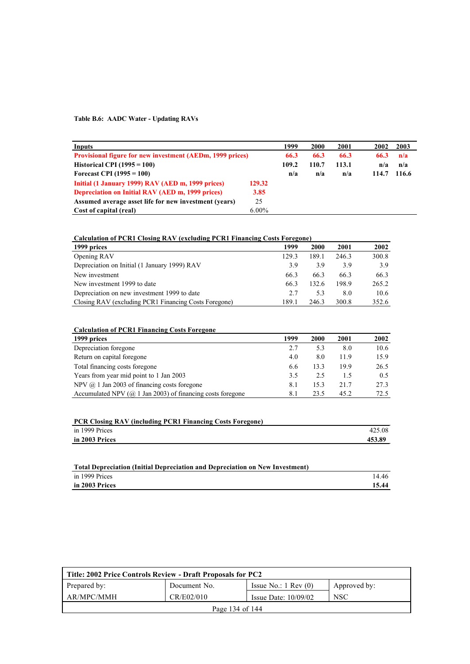### **Table B.6: AADC Water - Updating RAVs**

| Inputs                                                           |          | 1999  | 2000  | 2001  | 2002  | 2003  |
|------------------------------------------------------------------|----------|-------|-------|-------|-------|-------|
| <b>Provisional figure for new investment (AEDm, 1999 prices)</b> |          | 66.3  | 66.3  | 66.3  | 66.3  | n/a   |
| Historical CPI $(1995 = 100)$                                    |          | 109.2 | 110.7 | 113.1 | n/a   | n/a   |
| Forecast CPI $(1995 = 100)$                                      |          | n/a   | n/a   | n/a   | 114.7 | 116.6 |
| Initial (1 January 1999) RAV (AED m, 1999 prices)                | 129.32   |       |       |       |       |       |
| <b>Depreciation on Initial RAV (AED m, 1999 prices)</b>          | 3.85     |       |       |       |       |       |
| Assumed average asset life for new investment (years)            | 25       |       |       |       |       |       |
| Cost of capital (real)                                           | $6.00\%$ |       |       |       |       |       |

#### **Calculation of PCR1 Closing RAV (excluding PCR1 Financing Costs Foregone)**

| 1999 prices                                           | 1999  | 2000  | 2001  | 2002  |
|-------------------------------------------------------|-------|-------|-------|-------|
| Opening RAV                                           | 129.3 | 189.1 | 246.3 | 300.8 |
| Depreciation on Initial (1 January 1999) RAV          | 3.9   | 3.9   | 39    | 3.9   |
| New investment                                        | 66.3  | 66.3  | 66.3  | 66.3  |
| New investment 1999 to date                           | 66.3  | 132.6 | 198.9 | 265.2 |
| Depreciation on new investment 1999 to date           | 2.7   | 5.3   | 8.0   | 10.6  |
| Closing RAV (excluding PCR1 Financing Costs Foregone) | 189.1 | 246.3 | 300.8 | 352.6 |

| Calculation of PCRT Financing Costs Foregone                         |      |      |      |      |
|----------------------------------------------------------------------|------|------|------|------|
| 1999 prices                                                          | 1999 | 2000 | 2001 | 2002 |
| Depreciation foregone                                                | 2.7  | 5.3  | 8.0  | 10.6 |
| Return on capital foregone                                           | 4.0  | 8.0  | 11.9 | 15.9 |
| Total financing costs foregone                                       | 6.6  | 13.3 | 19.9 | 26.5 |
| Years from year mid point to 1 Jan 2003                              | 3.5  | 2.5  | 1.5  | 0.5  |
| NPV $(a)$ 1 Jan 2003 of financing costs foregone                     | 8.1  | 15.3 | 217  | 27.3 |
| Accumulated NPV ( $\omega$ ) 1 Jan 2003) of financing costs foregone | 8.1  | 23.5 | 45.2 | 72.5 |

| <b>PCR Closing RAV (including PCR1 Financing Costs Foregone)</b> |                    |
|------------------------------------------------------------------|--------------------|
| in 1999 Prices                                                   | 425.08             |
| in 2003 Prices                                                   | 453.8 <sup>o</sup> |
|                                                                  |                    |

| Total Depreciation (Initial Depreciation and Depreciation on New Investment) |       |
|------------------------------------------------------------------------------|-------|
| in 1999 Prices                                                               | 14 46 |
| in 2003 Prices                                                               | 15.44 |

| Title: 2002 Price Controls Review - Draft Proposals for PC2 |                 |                                 |              |  |  |  |
|-------------------------------------------------------------|-----------------|---------------------------------|--------------|--|--|--|
| Prepared by:                                                | Document No.    | Issue No.: $1 \text{ Rev } (0)$ | Approved by: |  |  |  |
| AR/MPC/MMH                                                  | CR/E02/010      | Issue Date: $10/09/02$          | <b>NSC</b>   |  |  |  |
|                                                             | Page 134 of 144 |                                 |              |  |  |  |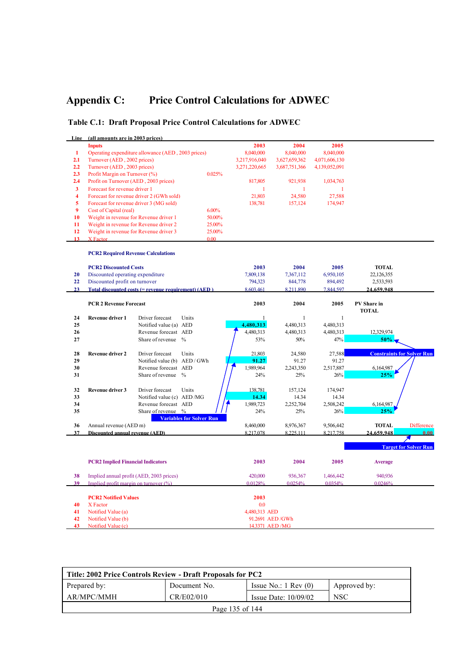# **Appendix C: Price Control Calculations for ADWEC**

## **Table C.1: Draft Proposal Price Control Calculations for ADWEC**

| Line           | (all amounts are in 2003 prices)          |                                                      |                                 |                |                 |               |                             |                                   |
|----------------|-------------------------------------------|------------------------------------------------------|---------------------------------|----------------|-----------------|---------------|-----------------------------|-----------------------------------|
|                | <b>Inputs</b>                             |                                                      |                                 | 2003           | 2004            | 2005          |                             |                                   |
| $\mathbf{1}$   |                                           | Operating expenditure allowance (AED, 2003 prices)   |                                 | 8,040,000      | 8,040,000       | 8,040,000     |                             |                                   |
| 2.1            | Turnover (AED, 2002 prices)               |                                                      |                                 | 3,217,916,040  | 3,627,659,362   | 4,071,606,130 |                             |                                   |
| 2.2            | Turnover (AED, 2003 prices)               |                                                      |                                 | 3,271,220,665  | 3,687,751,366   | 4,139,052,091 |                             |                                   |
| 2.3            | Profit Margin on Turnover (%)             |                                                      | 0.025%                          |                |                 |               |                             |                                   |
| 2.4            | Profit on Turnover (AED, 2003 prices)     |                                                      |                                 | 817,805        | 921,938         | 1,034,763     |                             |                                   |
| $\mathbf{3}$   | Forecast for revenue driver 1             |                                                      |                                 | $\mathbf{1}$   | 1               | 1             |                             |                                   |
| $\overline{4}$ |                                           | Forecast for revenue driver 2 (GWh sold)             |                                 | 21,803         | 24,580          | 27,588        |                             |                                   |
| 5              |                                           | Forecast for revenue driver 3 (MG sold)              |                                 | 138,781        | 157,124         | 174,947       |                             |                                   |
| 9              | Cost of Capital (real)                    |                                                      | 6.00%                           |                |                 |               |                             |                                   |
| 10             |                                           | Weight in revenue for Revenue driver 1               | 50.00%                          |                |                 |               |                             |                                   |
| 11             |                                           | Weight in revenue for Revenue driver 2               | 25.00%                          |                |                 |               |                             |                                   |
| 12             |                                           | Weight in revenue for Revenue driver 3               | 25.00%                          |                |                 |               |                             |                                   |
| 13             | X Factor                                  |                                                      | 0.00                            |                |                 |               |                             |                                   |
|                | <b>PCR2 Required Revenue Calculations</b> |                                                      |                                 |                |                 |               |                             |                                   |
|                | <b>PCR2 Discounted Costs</b>              |                                                      |                                 | 2003           | 2004            | 2005          | <b>TOTAL</b>                |                                   |
| 20             | Discounted operating expenditure          |                                                      |                                 | 7,809,138      | 7,367,112       | 6,950,105     | 22,126,355                  |                                   |
| 22             | Discounted profit on turnover             |                                                      |                                 | 794,323        | 844,778         | 894,492       | 2,533,593                   |                                   |
| 23             |                                           | Total discounted costs (= revenue requirement) (AED) |                                 | 8 603 461      | 8 211 890       | 7844597       | 24.659.948                  |                                   |
|                |                                           |                                                      |                                 |                |                 |               |                             |                                   |
|                | <b>PCR 2 Revenue Forecast</b>             |                                                      |                                 | 2003           | 2004            | 2005          | PV Share in<br><b>TOTAL</b> |                                   |
| 24             | <b>Revenue driver 1</b>                   | Driver forecast<br>Units                             |                                 | $\mathbf{1}$   | $\mathbf{1}$    | $\mathbf{1}$  |                             |                                   |
| 25             |                                           | Notified value (a) AED                               |                                 | 4,480,313      | 4,480,313       | 4,480,313     |                             |                                   |
| 26             |                                           | Revenue forecast AED                                 |                                 | 4,480,313      | 4,480,313       | 4,480,313     | 12,329,974                  |                                   |
| 27             |                                           | Share of revenue %                                   |                                 | 53%            | 50%             | 47%           | 50%                         |                                   |
| 28             | <b>Revenue driver 2</b>                   | Driver forecast<br>Units                             |                                 | 21,803         | 24,580          | 27,588        |                             | <b>Constraints for Solver Run</b> |
| 29             |                                           | Notified value (b) AED / GWh                         |                                 | 91.27          | 91.27           | 91.27         |                             |                                   |
| 30             |                                           | Revenue forecast AED                                 |                                 | 1,989,964      | 2,243,350       | 2,517,887     | 6,164,987                   |                                   |
| 31             |                                           | Share of revenue %                                   |                                 | 24%            | 25%             | 26%           | 25%                         |                                   |
| 32             | <b>Revenue driver 3</b>                   | Driver forecast<br>Units                             |                                 | 138,781        | 157,124         | 174,947       |                             |                                   |
| 33             |                                           | Notified value (c) AED/MG                            |                                 | 14.34          | 14.34           | 14.34         |                             |                                   |
| 34             |                                           | Revenue forecast AED                                 |                                 | 1,989,723      | 2,252,704       | 2,508,242     | 6,164,987                   |                                   |
| 35             |                                           | Share of revenue %                                   | <b>Variables for Solver Run</b> | 24%            | 25%             | 26%           | 25%                         |                                   |
| 36             | Annual revenue (AED m)                    |                                                      |                                 | 8,460,000      | 8,976,367       | 9,506,442     | <b>TOTAL</b>                | <b>Difference</b>                 |
| 37             | Discounted annual revenue (AED)           |                                                      |                                 | 8.217.078      | 8 2 2 5 1 1 1   | 8 217 758     | 24.659.948                  | 0.00                              |
|                |                                           |                                                      |                                 |                |                 |               |                             |                                   |
|                |                                           |                                                      |                                 |                |                 |               |                             | <b>Target for Solver Run</b>      |
|                | <b>PCR2 Implied Financial Indicators</b>  |                                                      |                                 | 2003           | 2004            | 2005          | <b>Average</b>              |                                   |
| 38             |                                           | Implied annual profit (AED, 2003 prices)             |                                 | 420,000        | 936,367         | 1,466,442     | 940.936                     |                                   |
| 39             | Implied profit margin on turnover $(%)$   |                                                      |                                 | 0.0128%        | 0.0254%         | 0.0354%       | 0.0246%                     |                                   |
|                |                                           |                                                      |                                 |                |                 |               |                             |                                   |
|                | <b>PCR2 Notified Values</b>               |                                                      |                                 | 2003           |                 |               |                             |                                   |
| 40             | X Factor                                  |                                                      |                                 | 0.0            |                 |               |                             |                                   |
| 41             | Notified Value (a)                        |                                                      |                                 | 4,480,313 AED  |                 |               |                             |                                   |
| 42             | Notified Value (b)                        |                                                      |                                 |                | 91.2691 AED/GWh |               |                             |                                   |
| 43             | Notified Value (c)                        |                                                      |                                 | 14.3371 AED/MG |                 |               |                             |                                   |

| Title: 2002 Price Controls Review - Draft Proposals for PC2 |                 |                                 |              |  |  |  |
|-------------------------------------------------------------|-----------------|---------------------------------|--------------|--|--|--|
| Prepared by:                                                | Document No.    | Issue No.: $1 \text{ Rev } (0)$ | Approved by: |  |  |  |
| AR/MPC/MMH                                                  | CR/E02/010      | Issue Date: $10/09/02$          | <b>NSC</b>   |  |  |  |
|                                                             | Page 135 of 144 |                                 |              |  |  |  |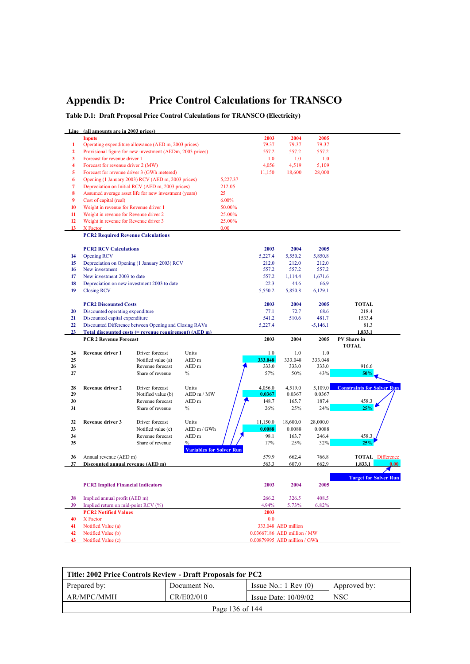# **Appendix D: Price Control Calculations for TRANSCO**

**Table D.1: Draft Proposal Price Control Calculations for TRANSCO (Electricity)**

| Line         | (all amounts are in 2003 prices)          |                                                           |                                 |          |                                                             |                     |            |                                   |
|--------------|-------------------------------------------|-----------------------------------------------------------|---------------------------------|----------|-------------------------------------------------------------|---------------------|------------|-----------------------------------|
|              | <b>Inputs</b>                             |                                                           |                                 |          | 2003                                                        | 2004                | 2005       |                                   |
| 1            |                                           | Operating expenditure allowance (AED m, 2003 prices)      |                                 |          | 79.37                                                       | 79.37               | 79.37      |                                   |
| $\mathbf{2}$ |                                           | Provisional figure for new investment (AEDm, 2003 prices) |                                 |          | 557.2                                                       | 557.2               | 557.2      |                                   |
| 3            | Forecast for revenue driver 1             |                                                           |                                 |          | 1.0                                                         | 1.0                 | 1.0        |                                   |
| 4            | Forecast for revenue driver 2 (MW)        |                                                           |                                 |          | 4,056                                                       | 4,519               | 5,109      |                                   |
| 5            |                                           | Forecast for revenue driver 3 (GWh metered)               |                                 |          | 11,150                                                      | 18,600              | 28,000     |                                   |
| 6            |                                           | Opening (1 January 2003) RCV (AED m, 2003 prices)         |                                 | 5,227.37 |                                                             |                     |            |                                   |
| 7            |                                           | Depreciation on Initial RCV (AED m, 2003 prices)          |                                 | 212.05   |                                                             |                     |            |                                   |
| 8            |                                           | Assumed average asset life for new investment (years)     |                                 | 25       |                                                             |                     |            |                                   |
| 9            | Cost of capital (real)                    |                                                           |                                 | 6.00%    |                                                             |                     |            |                                   |
| 10           | Weight in revenue for Revenue driver 1    |                                                           |                                 | 50.00%   |                                                             |                     |            |                                   |
| 11           | Weight in revenue for Revenue driver 2    |                                                           |                                 | 25.00%   |                                                             |                     |            |                                   |
| 12           | Weight in revenue for Revenue driver 3    |                                                           |                                 | 25.00%   |                                                             |                     |            |                                   |
| 13           | X Factor                                  |                                                           |                                 | 0.00     |                                                             |                     |            |                                   |
|              | <b>PCR2 Required Revenue Calculations</b> |                                                           |                                 |          |                                                             |                     |            |                                   |
|              |                                           |                                                           |                                 |          |                                                             |                     |            |                                   |
|              | <b>PCR2 RCV Calculations</b>              |                                                           |                                 |          | 2003                                                        | 2004                | 2005       |                                   |
| 14           | <b>Opening RCV</b>                        |                                                           |                                 |          | 5,227.4                                                     | 5,550.2             | 5,850.8    |                                   |
| 15           |                                           | Depreciation on Opening (1 January 2003) RCV              |                                 |          | 212.0                                                       | 212.0               | 212.0      |                                   |
| 16           | New investment                            |                                                           |                                 |          | 557.2                                                       | 557.2               | 557.2      |                                   |
| 17           | New investment 2003 to date               |                                                           |                                 |          | 557.2                                                       | 1,114.4             | 1,671.6    |                                   |
|              |                                           |                                                           |                                 |          |                                                             |                     |            |                                   |
| 18           |                                           | Depreciation on new investment 2003 to date               |                                 |          | 22.3                                                        | 44.6                | 66.9       |                                   |
| 19           | <b>Closing RCV</b>                        |                                                           |                                 |          | 5,550.2                                                     | 5,850.8             | 6,129.1    |                                   |
|              |                                           |                                                           |                                 |          |                                                             |                     |            |                                   |
|              | <b>PCR2 Discounted Costs</b>              |                                                           |                                 |          | 2003                                                        | 2004                | 2005       | <b>TOTAL</b>                      |
| 20           | Discounted operating expenditure          |                                                           |                                 |          | 77.1                                                        | 72.7                | 68.6       | 218.4<br>1533.4                   |
| 21           | Discounted capital expenditure            |                                                           |                                 |          | 541.2                                                       | 510.6               | 481.7      |                                   |
| 22           |                                           | Discounted Difference between Opening and Closing RAVs    |                                 |          | 5,227.4                                                     |                     | $-5,146.1$ | 81.3                              |
| 23           | <b>PCR 2 Revenue Forecast</b>             | Total discounted costs (= revenue requirement) (AED m)    |                                 |          |                                                             |                     |            | 1,833.1                           |
|              |                                           |                                                           |                                 |          |                                                             |                     |            |                                   |
|              |                                           |                                                           |                                 |          | 2003                                                        | 2004                | 2005       | PV Share in                       |
|              |                                           |                                                           |                                 |          |                                                             |                     |            | <b>TOTAL</b>                      |
| 24           | Revenue driver 1                          | Driver forecast                                           | Units                           |          | 1.0                                                         | 1.0                 | 1.0        |                                   |
| 25           |                                           | Notified value (a)                                        | AED m                           |          | 333.048                                                     | 333.048             | 333.048    |                                   |
| 26           |                                           | Revenue forecast                                          | AED m                           |          | 333.0                                                       | 333.0               | 333.0      | 916.6                             |
| 27           |                                           | Share of revenue                                          | $\%$                            |          | 57%                                                         | 50%                 | 43%        | 50%                               |
|              |                                           |                                                           |                                 |          |                                                             |                     |            |                                   |
| 28           | Revenue driver 2                          | Driver forecast                                           | Units                           |          | 4,056.0                                                     | 4,519.0             | 5,109.0    | <b>Constraints for Solver Run</b> |
| 29           |                                           | Notified value (b)                                        | AED m / MW                      |          | 0.0367                                                      | 0.0367              | 0.0367     |                                   |
| 30           |                                           | Revenue forecast                                          | AED m                           |          | 148.7                                                       | 165.7               | 187.4      | 458.3                             |
| 31           |                                           | Share of revenue                                          | $\%$                            |          | 26%                                                         | 25%                 | 24%        | 25%                               |
|              |                                           |                                                           |                                 |          |                                                             |                     |            |                                   |
| 32           | Revenue driver 3                          | Driver forecast                                           | Units                           |          | 11,150.0                                                    | 18,600.0            | 28,000.0   |                                   |
| 33           |                                           | Notified value (c)                                        | AED m / GWh                     |          | 0.0088                                                      | 0.0088              | 0.0088     |                                   |
| 34           |                                           | Revenue forecast                                          | AED m                           |          | 98.1                                                        | 163.7               | 246.4      | 458.3                             |
| 35           |                                           | Share of revenue                                          | $\%$                            |          | 17%                                                         | 25%                 | 32%        | 25%                               |
|              |                                           |                                                           | <b>Variables for Solver Run</b> |          |                                                             |                     |            |                                   |
| 36           | Annual revenue (AED m)                    |                                                           |                                 |          | 579.9                                                       | 662.4               | 766.8      | <b>TOTAL</b> Difference           |
| 37           | Discounted annual revenue (AED m)         |                                                           |                                 |          | 563.3                                                       | 607.0               | 662.9      | 1,833.1                           |
|              |                                           |                                                           |                                 |          |                                                             |                     |            |                                   |
|              |                                           |                                                           |                                 |          |                                                             |                     |            | <b>Target for Solver Run</b>      |
|              | <b>PCR2 Implied Financial Indicators</b>  |                                                           |                                 |          | 2003                                                        | 2004                | 2005       |                                   |
|              |                                           |                                                           |                                 |          |                                                             |                     |            |                                   |
| 38           | Implied annual profit (AED m)             |                                                           |                                 |          | 266.2                                                       | 326.5               | 408.5      |                                   |
| 39           | Implied return on mid-point RCV (%)       |                                                           |                                 |          | 4.94%                                                       | 5.73%               | 6.82%      |                                   |
|              | <b>PCR2 Notified Values</b>               |                                                           |                                 |          | 2003                                                        |                     |            |                                   |
| 40           | X Factor                                  |                                                           |                                 |          | 0.0                                                         |                     |            |                                   |
| 41           | Notified Value (a)                        |                                                           |                                 |          |                                                             | 333.048 AED million |            |                                   |
| 42<br>43     | Notified Value (b)<br>Notified Value (c)  |                                                           |                                 |          | 0.03667186 AED million / MW<br>0.00879995 AED million / GWh |                     |            |                                   |

| Title: 2002 Price Controls Review - Draft Proposals for PC2 |                 |                                 |              |  |  |  |
|-------------------------------------------------------------|-----------------|---------------------------------|--------------|--|--|--|
| Prepared by:                                                | Document No.    | Issue No.: $1 \text{ Rev } (0)$ | Approved by: |  |  |  |
| AR/MPC/MMH                                                  | CR/E02/010      | Issue Date: $10/09/02$          | <b>NSC</b>   |  |  |  |
|                                                             | Page 136 of 144 |                                 |              |  |  |  |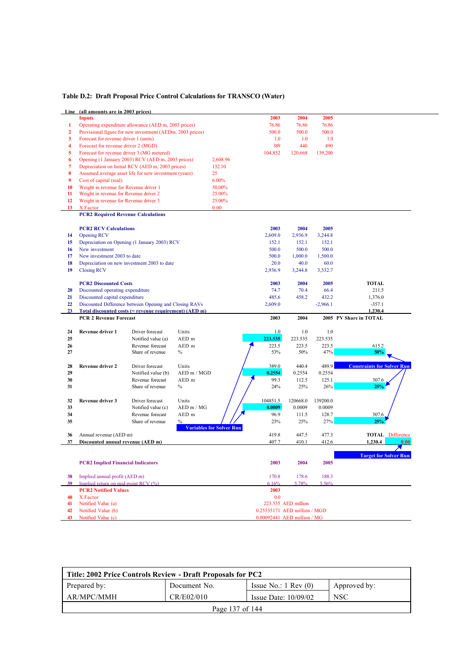### **Table D.2: Draft Proposal Price Control Calculations for TRANSCO (Water)**

|                | Line (all amounts are in 2003 prices)                     |                                        |               |                                 |                              |                     |            |                                   |
|----------------|-----------------------------------------------------------|----------------------------------------|---------------|---------------------------------|------------------------------|---------------------|------------|-----------------------------------|
|                | <b>Inputs</b>                                             |                                        |               |                                 | 2003                         | 2004                | 2005       |                                   |
| 1              | Operating expenditure allowance (AED m, 2003 prices)      |                                        |               |                                 | 76.86                        | 76.86               | 76.86      |                                   |
| $\overline{2}$ | Provisional figure for new investment (AEDm, 2003 prices) |                                        |               |                                 | 500.0                        | 500.0               | 500.0      |                                   |
| 3              | Forecast for revenue driver 1 (units)                     |                                        |               |                                 | 1.0                          | 1.0                 | 1.0        |                                   |
| 4              | Forecast for revenue driver 2 (MGD)                       |                                        |               |                                 | 389                          | 440                 | 490        |                                   |
| 5              | Forecast for revenue driver 3 (MG metered)                |                                        |               |                                 | 104,852                      | 120,668             | 139,200    |                                   |
| 6              | Opening (1 January 2003) RCV (AED m, 2003 prices)         |                                        |               | 2,608.96                        |                              |                     |            |                                   |
| 7              | Depreciation on Initial RCV (AED m, 2003 prices)          |                                        |               | 152.10                          |                              |                     |            |                                   |
| 8              | Assumed average asset life for new investment (years)     |                                        |               | 25                              |                              |                     |            |                                   |
| 9              | Cost of capital (real)                                    |                                        |               | 6.00%                           |                              |                     |            |                                   |
| 10             |                                                           |                                        |               | 50.00%                          |                              |                     |            |                                   |
|                | Weight in revenue for Revenue driver 1                    |                                        |               |                                 |                              |                     |            |                                   |
| 11             | Weight in revenue for Revenue driver 2                    |                                        |               | 25.00%                          |                              |                     |            |                                   |
| 12             | Weight in revenue for Revenue driver 3                    |                                        |               | 25.00%                          |                              |                     |            |                                   |
| 13             | X Factor                                                  |                                        |               | 0.00                            |                              |                     |            |                                   |
|                | <b>PCR2 Required Revenue Calculations</b>                 |                                        |               |                                 |                              |                     |            |                                   |
|                |                                                           |                                        |               |                                 |                              |                     |            |                                   |
|                | <b>PCR2 RCV Calculations</b>                              |                                        |               |                                 | 2003                         | 2004                | 2005       |                                   |
| 14             | <b>Opening RCV</b>                                        |                                        |               |                                 | 2,609.0                      | 2,936.9             | 3,244.8    |                                   |
| 15             | Depreciation on Opening (1 January 2003) RCV              |                                        |               |                                 | 152.1                        | 152.1               | 152.1      |                                   |
| 16             | New investment                                            |                                        |               |                                 | 500.0                        | 500.0               | 500.0      |                                   |
| 17             | New investment 2003 to date                               |                                        |               |                                 | 500.0                        | 1,000.0             | 1,500.0    |                                   |
| 18             | Depreciation on new investment 2003 to date               |                                        |               |                                 | 20.0                         | 40.0                | 60.0       |                                   |
| 19             | <b>Closing RCV</b>                                        |                                        |               |                                 | 2,936.9                      | 3,244.8             | 3,532.7    |                                   |
|                |                                                           |                                        |               |                                 |                              |                     |            |                                   |
|                | <b>PCR2 Discounted Costs</b>                              |                                        |               |                                 | 2003                         | 2004                | 2005       | <b>TOTAL</b>                      |
| 20             | Discounted operating expenditure                          |                                        |               |                                 | 74.7                         | 70.4                | 66.4       | 211.5                             |
| 21             | Discounted capital expenditure                            |                                        |               |                                 | 485.6                        | 458.2               | 432.2      | 1,376.0                           |
| 22             | Discounted Difference between Opening and Closing RAVs    |                                        |               |                                 | 2,609.0                      |                     | $-2,966.1$ | $-357.1$                          |
| 23             | Total discounted costs (= revenue requirement) (AED m)    |                                        |               |                                 |                              |                     |            | 1,230.4                           |
|                |                                                           |                                        |               |                                 |                              |                     |            |                                   |
|                | <b>PCR 2 Revenue Forecast</b>                             |                                        |               |                                 | 2003                         | 2004                |            | 2005 PV Share in TOTAL            |
|                |                                                           |                                        |               |                                 |                              |                     |            |                                   |
| 24             | Revenue driver 1                                          | Driver forecast                        | Units         |                                 | 1.0                          | 1.0                 | 1.0        |                                   |
| 25             |                                                           |                                        | AED m         |                                 | 223.535                      | 223.535             | 223.535    |                                   |
| 26             |                                                           | Notified value (a)<br>Revenue forecast |               |                                 |                              |                     |            |                                   |
| 27             |                                                           |                                        | AED m         |                                 | 223.5                        | 223.5               | 223.5      | 615.2<br>50%                      |
|                |                                                           | Share of revenue                       | $\%$          |                                 | 53%                          | 50%                 | 47%        |                                   |
|                |                                                           |                                        |               |                                 |                              |                     |            |                                   |
| 28             | <b>Revenue driver 2</b>                                   | Driver forecast                        | Units         |                                 | 389.0                        | 440.4               | 489.9      | <b>Constraints for Solver Run</b> |
| 29             |                                                           | Notified value (b)                     | AED m / MGD   |                                 | 0.2554                       | 0.2554              | 0.2554     |                                   |
| 30             |                                                           | Revenue forecast                       | AED m         |                                 | 99.3                         | 112.5               | 125.1      | 307.6                             |
| 31             |                                                           | Share of revenue                       | $\%$          |                                 | 24%                          | 25%                 | 26%        | 25%                               |
|                |                                                           |                                        |               |                                 |                              |                     |            |                                   |
| 32             | <b>Revenue driver 3</b>                                   | Driver forecast                        | Units         |                                 | 104851.5                     | 120668.0            | 139200.0   |                                   |
| 33             |                                                           | Notified value (c)                     | AED m / MG    |                                 | 0.0009                       | 0.0009              | 0.0009     |                                   |
| 34             |                                                           | Revenue forecast                       | AED m         |                                 | 96.9                         | 111.5               | 128.7      | 307.6                             |
| 35             |                                                           | Share of revenue                       | $\frac{0}{0}$ |                                 | 23%                          | 25%                 | 27%        | 25%                               |
|                |                                                           |                                        |               | <b>Variables for Solver Run</b> |                              |                     |            |                                   |
| 36             | Annual revenue (AED m)                                    |                                        |               |                                 | 419.8                        | 447.5               | 477.3      | <b>TOTAL</b> Difference           |
| 37             | Discounted annual revenue (AED m)                         |                                        |               |                                 | 407.7                        | 410.1               | 412.6      | 1.230.4<br>0.00                   |
|                |                                                           |                                        |               |                                 |                              |                     |            |                                   |
|                |                                                           |                                        |               |                                 |                              |                     |            | <b>Target for Solver Run</b>      |
|                | <b>PCR2 Implied Financial Indicators</b>                  |                                        |               |                                 | 2003                         | 2004                | 2005       |                                   |
|                |                                                           |                                        |               |                                 |                              |                     |            |                                   |
| 38             | Implied annual profit (AED m)                             |                                        |               |                                 | 170.8                        | 178.6               | 188.3      |                                   |
| 39             | Implied return on mid-point RCV (%)                       |                                        |               |                                 | 6.16%                        | 5 78%               | 5.56%      |                                   |
|                | <b>PCR2 Notified Values</b>                               |                                        |               |                                 | 2003                         |                     |            |                                   |
| 40             | X Factor                                                  |                                        |               |                                 | 0.0                          |                     |            |                                   |
| 41             | Notified Value (a)                                        |                                        |               |                                 |                              | 223.535 AED million |            |                                   |
| 42             | Notified Value (b)                                        |                                        |               |                                 | 0.25535171 AED million / MGD |                     |            |                                   |

| Title: 2002 Price Controls Review - Draft Proposals for PC2 |                 |                                 |              |  |  |  |
|-------------------------------------------------------------|-----------------|---------------------------------|--------------|--|--|--|
| Prepared by:                                                | Document No.    | Issue No.: $1 \text{ Rev } (0)$ | Approved by: |  |  |  |
| AR/MPC/MMH                                                  | CR/E02/010      | Issue Date: $10/09/02$          | <b>NSC</b>   |  |  |  |
|                                                             | Page 137 of 144 |                                 |              |  |  |  |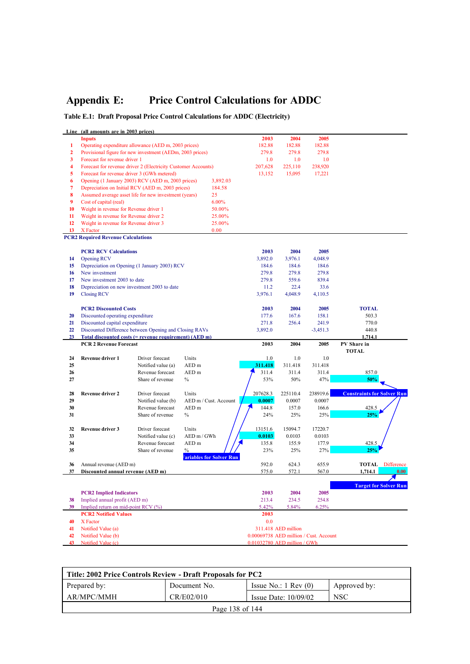# **Appendix E: Price Control Calculations for ADDC**

## **Table E.1: Draft Proposal Price Control Calculations for ADDC (Electricity)**

|                | Line (all amounts are in 2003 prices)       |                                                               |                                 |          |                     |                                        |                                   |
|----------------|---------------------------------------------|---------------------------------------------------------------|---------------------------------|----------|---------------------|----------------------------------------|-----------------------------------|
|                | <b>Inputs</b>                               |                                                               |                                 | 2003     | 2004                | 2005                                   |                                   |
| 1              |                                             | Operating expenditure allowance (AED m, 2003 prices)          |                                 | 182.88   | 182.88              | 182.88                                 |                                   |
| $\overline{2}$ |                                             | Provisional figure for new investment (AEDm, 2003 prices)     |                                 | 279.8    | 279.8               | 279.8                                  |                                   |
| 3              | Forecast for revenue driver 1               |                                                               |                                 | 1.0      | 1.0                 | 1.0                                    |                                   |
| 4              |                                             | Forecast for revenue driver 2 (Electricity Customer Accounts) |                                 | 207,628  | 225,110             | 238,920                                |                                   |
| 5              | Forecast for revenue driver 3 (GWh metered) |                                                               |                                 | 13,152   | 15,095              | 17,221                                 |                                   |
| 6              |                                             | Opening (1 January 2003) RCV (AED m, 2003 prices)             | 3,892.03                        |          |                     |                                        |                                   |
| 7              |                                             | Depreciation on Initial RCV (AED m, 2003 prices)              | 184.58                          |          |                     |                                        |                                   |
| 8              |                                             | Assumed average asset life for new investment (years)         | 25                              |          |                     |                                        |                                   |
| 9              | Cost of capital (real)                      |                                                               | 6.00%                           |          |                     |                                        |                                   |
|                |                                             |                                                               |                                 |          |                     |                                        |                                   |
| 10             | Weight in revenue for Revenue driver 1      |                                                               | 50.00%                          |          |                     |                                        |                                   |
| 11             | Weight in revenue for Revenue driver 2      |                                                               | 25.00%                          |          |                     |                                        |                                   |
| 12             | Weight in revenue for Revenue driver 3      |                                                               | 25.00%                          |          |                     |                                        |                                   |
| 13             | X Factor                                    |                                                               | 0.00                            |          |                     |                                        |                                   |
|                | <b>PCR2 Required Revenue Calculations</b>   |                                                               |                                 |          |                     |                                        |                                   |
|                |                                             |                                                               |                                 |          |                     |                                        |                                   |
|                | <b>PCR2 RCV Calculations</b>                |                                                               |                                 | 2003     | 2004                | 2005                                   |                                   |
| 14             | <b>Opening RCV</b>                          |                                                               |                                 | 3,892.0  | 3,976.1             | 4,048.9                                |                                   |
| 15             |                                             | Depreciation on Opening (1 January 2003) RCV                  |                                 | 184.6    | 184.6               | 184.6                                  |                                   |
| 16             | New investment                              |                                                               |                                 | 279.8    | 279.8               | 279.8                                  |                                   |
| 17             | New investment 2003 to date                 |                                                               |                                 | 279.8    | 559.6               | 839.4                                  |                                   |
| 18             |                                             | Depreciation on new investment 2003 to date                   |                                 | 11.2     | 22.4                | 33.6                                   |                                   |
| 19             | <b>Closing RCV</b>                          |                                                               |                                 | 3,976.1  | 4,048.9             | 4,110.5                                |                                   |
|                |                                             |                                                               |                                 |          |                     |                                        |                                   |
|                | <b>PCR2 Discounted Costs</b>                |                                                               |                                 | 2003     | 2004                | 2005                                   | <b>TOTAL</b>                      |
| 20             | Discounted operating expenditure            |                                                               |                                 | 177.6    | 167.6               | 158.1                                  | 503.3                             |
| 21             | Discounted capital expenditure              |                                                               |                                 | 271.8    | 256.4               | 241.9                                  | 770.0                             |
| 22             |                                             | Discounted Difference between Opening and Closing RAVs        |                                 | 3,892.0  |                     | $-3,451.3$                             | 440.8                             |
| 23             |                                             | Total discounted costs $(=$ revenue requirement) $(AED \, m)$ |                                 |          |                     |                                        | 1,714.1                           |
|                |                                             |                                                               |                                 |          |                     |                                        |                                   |
|                | <b>PCR 2 Revenue Forecast</b>               |                                                               |                                 | 2003     | 2004                | 2005                                   | PV Share in                       |
|                |                                             |                                                               |                                 |          |                     |                                        | <b>TOTAL</b>                      |
|                |                                             |                                                               |                                 |          |                     |                                        |                                   |
| 24             | Revenue driver 1                            | Driver forecast                                               | Units                           | 1.0      | 1.0                 | 1.0                                    |                                   |
| 25             |                                             | Notified value (a)                                            | AED <sub>m</sub>                | 311.418  | 311.418             | 311.418                                |                                   |
| 26             |                                             | Revenue forecast                                              | AED <sub>m</sub>                | 311.4    | 311.4               | 311.4                                  | 857.0                             |
| 27             |                                             | Share of revenue                                              | $\%$                            | 53%      | 50%                 | 47%                                    | 50%                               |
|                |                                             |                                                               |                                 |          |                     |                                        |                                   |
| 28             | <b>Revenue driver 2</b>                     | Driver forecast                                               | Units                           | 207628.3 | 225110.4            | 238919.6                               | <b>Constraints for Solver Run</b> |
| 29             |                                             | Notified value (b)                                            | AED m / Cust. Account           | 0.0007   | 0.0007              | 0.0007                                 |                                   |
| 30             |                                             | Revenue forecast                                              | AED <sub>m</sub>                | 144.8    | 157.0               | 166.6                                  | 428.5                             |
| 31             |                                             | Share of revenue                                              | $\%$                            | 24%      | 25%                 | 25%                                    | 25%                               |
|                |                                             |                                                               |                                 |          |                     |                                        |                                   |
| 32             | Revenue driver 3                            | Driver forecast                                               | Units                           | 13151.6  | 15094.7             | 17220.7                                |                                   |
| 33             |                                             | Notified value (c)                                            | AED m / GWh                     | 0.0103   | 0.0103              | 0.0103                                 |                                   |
| 34             |                                             | Revenue forecast                                              | AED <sub>m</sub>                | 135.8    | 155.9               | 177.9                                  | 428.5                             |
| 35             |                                             | Share of revenue                                              | $\frac{0}{0}$                   | 23%      | 25%                 | 27%                                    | 25%                               |
|                |                                             |                                                               | <b>Tariables for Solver Run</b> |          |                     |                                        |                                   |
| 36             | Annual revenue (AED m)                      |                                                               |                                 | 592.0    | 624.3               | 655.9                                  | <b>TOTAL</b> Difference           |
| 37             | Discounted annual revenue (AED m)           |                                                               |                                 | 575.0    | 572.1               | 567.0                                  | 1.714.1<br>0.00                   |
|                |                                             |                                                               |                                 |          |                     |                                        |                                   |
|                |                                             |                                                               |                                 |          |                     |                                        | <b>Target for Solver Run</b>      |
|                | <b>PCR2</b> Implied Indicators              |                                                               |                                 | 2003     | 2004                | 2005                                   |                                   |
| 38             | Implied annual profit (AED m)               |                                                               |                                 | 213.4    | 234.5               | 254.8                                  |                                   |
| 39             | Implied return on mid-point RCV (%)         |                                                               |                                 | 5.42%    | 5.84%               | 6.25%                                  |                                   |
|                | <b>PCR2 Notified Values</b>                 |                                                               |                                 | 2003     |                     |                                        |                                   |
| 40             | X Factor                                    |                                                               |                                 | 0.0      |                     |                                        |                                   |
| 41             | Notified Value (a)                          |                                                               |                                 |          | 311.418 AED million |                                        |                                   |
| 42             | Notified Value (b)                          |                                                               |                                 |          |                     | 0.00069738 AED million / Cust. Account |                                   |

| Title: 2002 Price Controls Review - Draft Proposals for PC2 |                 |                                 |              |  |  |  |
|-------------------------------------------------------------|-----------------|---------------------------------|--------------|--|--|--|
| Prepared by:                                                | Document No.    | Issue No.: $1 \text{ Rev } (0)$ | Approved by: |  |  |  |
| AR/MPC/MMH                                                  | CR/E02/010      | Issue Date: $10/09/02$          | <b>NSC</b>   |  |  |  |
|                                                             | Page 138 of 144 |                                 |              |  |  |  |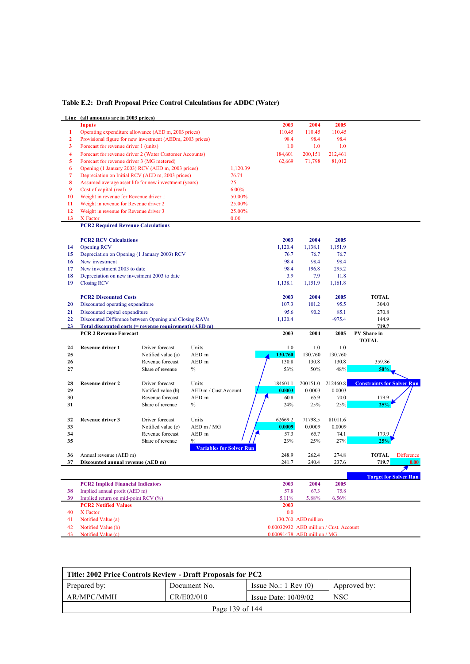|  |  |  |  | Table E.2: Draft Proposal Price Control Calculations for ADDC (Water) |
|--|--|--|--|-----------------------------------------------------------------------|
|--|--|--|--|-----------------------------------------------------------------------|

|    | Line (all amounts are in 2003 prices)                     |                    |                                                  |                                        |                     |                |                                    |
|----|-----------------------------------------------------------|--------------------|--------------------------------------------------|----------------------------------------|---------------------|----------------|------------------------------------|
|    | <b>Inputs</b>                                             |                    |                                                  | 2003                                   | 2004                | 2005           |                                    |
| 1  | Operating expenditure allowance (AED m, 2003 prices)      |                    |                                                  | 110.45                                 | 110.45              | 110.45         |                                    |
| 2  | Provisional figure for new investment (AEDm, 2003 prices) |                    |                                                  | 98.4                                   | 98.4                | 98.4           |                                    |
| 3  | Forecast for revenue driver 1 (units)                     |                    |                                                  | 1.0                                    | 1.0                 | 1.0            |                                    |
| 4  | Forecast for revenue driver 2 (Water Customer Accounts)   |                    |                                                  | 184,601                                | 200,151             | 212,461        |                                    |
| 5  | Forecast for revenue driver 3 (MG metered)                |                    |                                                  | 62,669                                 | 71,798              | 81,012         |                                    |
| 6  | Opening (1 January 2003) RCV (AED m, 2003 prices)         |                    | 1,120.39                                         |                                        |                     |                |                                    |
| 7  | Depreciation on Initial RCV (AED m, 2003 prices)          |                    | 76.74                                            |                                        |                     |                |                                    |
| 8  | Assumed average asset life for new investment (years)     |                    | 25                                               |                                        |                     |                |                                    |
| 9  | Cost of capital (real)                                    |                    | 6.00%                                            |                                        |                     |                |                                    |
| 10 |                                                           |                    | 50.00%                                           |                                        |                     |                |                                    |
| 11 | Weight in revenue for Revenue driver 1                    |                    | 25.00%                                           |                                        |                     |                |                                    |
|    | Weight in revenue for Revenue driver 2                    |                    |                                                  |                                        |                     |                |                                    |
| 12 | Weight in revenue for Revenue driver 3                    |                    | 25.00%                                           |                                        |                     |                |                                    |
| 13 | X Factor                                                  |                    | 0.00                                             |                                        |                     |                |                                    |
|    | <b>PCR2 Required Revenue Calculations</b>                 |                    |                                                  |                                        |                     |                |                                    |
|    | <b>PCR2 RCV Calculations</b>                              |                    |                                                  | 2003                                   | 2004                | 2005           |                                    |
|    |                                                           |                    |                                                  |                                        |                     |                |                                    |
| 14 | <b>Opening RCV</b>                                        |                    |                                                  | 1,120.4                                | 1,138.1             | 1,151.9        |                                    |
| 15 | Depreciation on Opening (1 January 2003) RCV              |                    |                                                  | 76.7                                   | 76.7                | 76.7           |                                    |
| 16 | New investment                                            |                    |                                                  | 98.4                                   | 98.4                | 98.4           |                                    |
| 17 | New investment 2003 to date                               |                    |                                                  | 98.4                                   | 196.8               | 295.2          |                                    |
| 18 | Depreciation on new investment 2003 to date               |                    |                                                  | 3.9                                    | 7.9                 | 11.8           |                                    |
| 19 | <b>Closing RCV</b>                                        |                    |                                                  | 1,138.1                                | 1,151.9             | 1,161.8        |                                    |
|    |                                                           |                    |                                                  |                                        |                     |                |                                    |
|    | <b>PCR2 Discounted Costs</b>                              |                    |                                                  | 2003                                   | 2004                | 2005           | <b>TOTAL</b>                       |
| 20 | Discounted operating expenditure                          |                    |                                                  | 107.3                                  | 101.2               | 95.5           | 304.0                              |
| 21 | Discounted capital expenditure                            |                    |                                                  | 95.6                                   | 90.2                | 85.1           | 270.8                              |
| 22 | Discounted Difference between Opening and Closing RAVs    |                    |                                                  | 1,120.4                                |                     | -975.4         | 144.9                              |
| 23 | Total discounted costs (= revenue requirement) (AED m)    |                    |                                                  |                                        |                     |                | 719.7                              |
|    |                                                           |                    |                                                  |                                        |                     |                |                                    |
|    | <b>PCR 2 Revenue Forecast</b>                             |                    |                                                  | 2003                                   | 2004                | 2005           | PV Share in                        |
|    |                                                           |                    |                                                  |                                        |                     |                | <b>TOTAL</b>                       |
| 24 | <b>Revenue driver 1</b>                                   | Driver forecast    | Units                                            | 1.0                                    | 1.0                 | 1.0            |                                    |
| 25 |                                                           | Notified value (a) | AED m                                            | 130.760                                | 130.760             | 130.760        |                                    |
| 26 |                                                           | Revenue forecast   | AED m                                            | 130.8                                  | 130.8               | 130.8          | 359.86                             |
| 27 |                                                           | Share of revenue   | $\%$                                             | 53%                                    | 50%                 | 48%            | 50%                                |
|    |                                                           |                    |                                                  |                                        |                     |                |                                    |
| 28 | <b>Revenue driver 2</b>                                   | Driver forecast    | Units                                            | 184601.1                               | 200151.0            | 212460.8       | <b>Constraints for Solver Run</b>  |
| 29 |                                                           | Notified value (b) | AED m / Cust. Account                            | 0.0003                                 | 0.0003              | 0.0003         |                                    |
| 30 |                                                           | Revenue forecast   | AED m                                            | 60.8                                   | 65.9                | 70.0           | 179.9                              |
| 31 |                                                           | Share of revenue   | $\%$                                             | 24%                                    | 25%                 | 25%            | 25%                                |
|    |                                                           |                    |                                                  |                                        |                     |                |                                    |
| 32 | Revenue driver 3                                          | Driver forecast    | Units                                            | 62669.2                                | 71798.5             | 81011.6        |                                    |
| 33 |                                                           | Notified value (c) | AED m / MG                                       | 0.0009                                 | 0.0009              | 0.0009         |                                    |
| 34 |                                                           | Revenue forecast   |                                                  |                                        |                     | 74.1           | 179.9                              |
| 35 |                                                           | Share of revenue   | AED m                                            | 57.3                                   | 65.7                |                |                                    |
|    |                                                           |                    | $\frac{0}{6}$<br><b>Variables for Solver Run</b> | 23%                                    | 25%                 | 27%            | 25%                                |
| 36 | Annual revenue (AED m)                                    |                    |                                                  |                                        | 262.4               |                | <b>TOTAL</b>                       |
| 37 | Discounted annual revenue (AED m)                         |                    |                                                  | 248.9<br>241.7                         | 240.4               | 274.8<br>237.6 | <b>Difference</b><br>719.7<br>0.00 |
|    |                                                           |                    |                                                  |                                        |                     |                |                                    |
|    |                                                           |                    |                                                  |                                        |                     |                | <b>Target for Solver Run</b>       |
|    | <b>PCR2 Implied Financial Indicators</b>                  |                    |                                                  | 2003                                   | 2004                | 2005           |                                    |
| 38 | Implied annual profit (AED m)                             |                    |                                                  | 57.8                                   | 67.3                | 75.8           |                                    |
| 39 | Implied return on mid-point RCV (%)                       |                    |                                                  | 5.11%                                  | 5.88%               | 6.56%          |                                    |
|    | <b>PCR2 Notified Values</b>                               |                    |                                                  | 2003                                   |                     |                |                                    |
| 40 | X Factor                                                  |                    |                                                  | 0.0                                    |                     |                |                                    |
| 41 | Notified Value (a)                                        |                    |                                                  |                                        | 130.760 AED million |                |                                    |
| 42 | Notified Value (b)                                        |                    |                                                  | 0.00032932 AED million / Cust. Account |                     |                |                                    |

| Title: 2002 Price Controls Review - Draft Proposals for PC2      |                 |                                 |              |  |  |
|------------------------------------------------------------------|-----------------|---------------------------------|--------------|--|--|
| Prepared by:                                                     | Document No.    | Issue No.: $1 \text{ Rev } (0)$ | Approved by: |  |  |
| AR/MPC/MMH<br>CR/E02/010<br><b>NSC</b><br>Issue Date: $10/09/02$ |                 |                                 |              |  |  |
|                                                                  | Page 139 of 144 |                                 |              |  |  |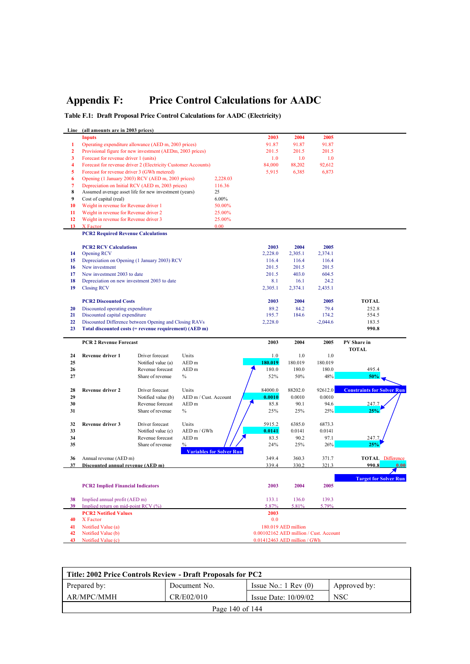# **Appendix F: Price Control Calculations for AADC**

**Table F.1: Draft Proposal Price Control Calculations for AADC (Electricity)**

|                | Line (all amounts are in 2003 prices)       |                                                               |                                 |          |                                        |                     |            |                                   |
|----------------|---------------------------------------------|---------------------------------------------------------------|---------------------------------|----------|----------------------------------------|---------------------|------------|-----------------------------------|
|                | <b>Inputs</b>                               |                                                               |                                 |          | 2003                                   | 2004                | 2005       |                                   |
| 1              |                                             | Operating expenditure allowance (AED m, 2003 prices)          |                                 |          | 91.87                                  | 91.87               | 91.87      |                                   |
| $\mathbf{2}$   |                                             | Provisional figure for new investment (AEDm, 2003 prices)     |                                 |          | 201.5                                  | 201.5               | 201.5      |                                   |
| 3              | Forecast for revenue driver 1 (units)       |                                                               |                                 |          | 1.0                                    | 1.0                 | 1.0        |                                   |
| 4              |                                             | Forecast for revenue driver 2 (Electricity Customer Accounts) |                                 |          | 84,000                                 | 88,202              | 92,612     |                                   |
|                | Forecast for revenue driver 3 (GWh metered) |                                                               |                                 |          |                                        |                     |            |                                   |
| 5              |                                             |                                                               |                                 |          | 5,915                                  | 6,385               | 6,873      |                                   |
| 6              |                                             | Opening (1 January 2003) RCV (AED m, 2003 prices)             |                                 | 2,228.03 |                                        |                     |            |                                   |
| $\overline{7}$ |                                             | Depreciation on Initial RCV (AED m, 2003 prices)              |                                 | 116.36   |                                        |                     |            |                                   |
| 8              |                                             | Assumed average asset life for new investment (years)         |                                 | 25       |                                        |                     |            |                                   |
| 9              | Cost of capital (real)                      |                                                               |                                 | $6.00\%$ |                                        |                     |            |                                   |
| 10             | Weight in revenue for Revenue driver 1      |                                                               |                                 | 50.00%   |                                        |                     |            |                                   |
| 11             | Weight in revenue for Revenue driver 2      |                                                               |                                 | 25.00%   |                                        |                     |            |                                   |
| 12             | Weight in revenue for Revenue driver 3      |                                                               |                                 | 25.00%   |                                        |                     |            |                                   |
| 13             | X Factor                                    |                                                               |                                 | 0.00     |                                        |                     |            |                                   |
|                | <b>PCR2 Required Revenue Calculations</b>   |                                                               |                                 |          |                                        |                     |            |                                   |
|                |                                             |                                                               |                                 |          |                                        |                     |            |                                   |
|                | <b>PCR2 RCV Calculations</b>                |                                                               |                                 |          | 2003                                   | 2004                | 2005       |                                   |
| 14             | <b>Opening RCV</b>                          |                                                               |                                 |          | 2,228.0                                | 2,305.1             | 2,374.1    |                                   |
|                |                                             |                                                               |                                 |          |                                        |                     |            |                                   |
| 15             |                                             | Depreciation on Opening (1 January 2003) RCV                  |                                 |          | 116.4                                  | 116.4               | 116.4      |                                   |
| 16             | New investment                              |                                                               |                                 |          | 201.5                                  | 201.5               | 201.5      |                                   |
| 17             | New investment 2003 to date                 |                                                               |                                 |          | 201.5                                  | 403.0               | 604.5      |                                   |
| 18             |                                             | Depreciation on new investment 2003 to date                   |                                 |          | 8.1                                    | 16.1                | 24.2       |                                   |
| 19             | <b>Closing RCV</b>                          |                                                               |                                 |          | 2,305.1                                | 2,374.1             | 2,435.1    |                                   |
|                |                                             |                                                               |                                 |          |                                        |                     |            |                                   |
|                | <b>PCR2 Discounted Costs</b>                |                                                               |                                 |          | 2003                                   | 2004                | 2005       | <b>TOTAL</b>                      |
| 20             | Discounted operating expenditure            |                                                               |                                 |          | 89.2                                   | 84.2                | 79.4       | 252.8                             |
| 21             | Discounted capital expenditure              |                                                               |                                 |          | 195.7                                  | 184.6               | 174.2      | 554.5                             |
| 22             |                                             | Discounted Difference between Opening and Closing RAVs        |                                 |          | 2,228.0                                |                     | $-2,044.6$ | 183.5                             |
| 23             |                                             | Total discounted costs (= revenue requirement) (AED m)        |                                 |          |                                        |                     |            | 990.8                             |
|                |                                             |                                                               |                                 |          |                                        |                     |            |                                   |
|                |                                             |                                                               |                                 |          |                                        |                     |            |                                   |
|                | <b>PCR 2 Revenue Forecast</b>               |                                                               |                                 |          |                                        |                     |            |                                   |
|                |                                             |                                                               |                                 |          | 2003                                   | 2004                | 2005       | PV Share in                       |
|                |                                             |                                                               |                                 |          |                                        |                     |            | TOTAL                             |
| 24             | Revenue driver 1                            | Driver forecast                                               | Units                           |          | 1.0                                    | 1.0                 | 1.0        |                                   |
| 25             |                                             | Notified value (a)                                            | AED <sub>m</sub>                |          | 180.019                                | 180.019             | 180.019    |                                   |
| 26             |                                             | Revenue forecast                                              | AED <sub>m</sub>                |          | 180.0                                  | 180.0               | 180.0      | 495.4                             |
| 27             |                                             | Share of revenue                                              | $\%$                            |          | 52%                                    | 50%                 | 48%        | 50%                               |
|                |                                             |                                                               |                                 |          |                                        |                     |            |                                   |
| 28             | Revenue driver 2                            | Driver forecast                                               | Units                           |          | 84000.0                                | 88202.0             | 92612.0    | <b>Constraints for Solver Run</b> |
| 29             |                                             | Notified value (b)                                            | AED m / Cust. Account           |          | 0.0010                                 | 0.0010              | 0.0010     |                                   |
| 30             |                                             | Revenue forecast                                              | AED <sub>m</sub>                |          | 85.8                                   | 90.1                | 94.6       | 247.7                             |
| 31             |                                             | Share of revenue                                              | $\%$                            |          | 25%                                    | 25%                 | 25%        | 25%                               |
|                |                                             |                                                               |                                 |          |                                        |                     |            |                                   |
| 32             | Revenue driver 3                            | Driver forecast                                               | Units                           |          | 5915.2                                 | 6385.0              | 6873.3     |                                   |
| 33             |                                             | Notified value (c)                                            | AED m / GWh                     |          | 0.0141                                 | 0.0141              | 0.0141     |                                   |
| 34             |                                             | Revenue forecast                                              | AED <sub>m</sub>                |          | 83.5                                   | 90.2                | 97.1       | 247.7                             |
| 35             |                                             | Share of revenue                                              | $\frac{0}{0}$                   |          |                                        |                     |            | 25%                               |
|                |                                             |                                                               |                                 |          | 24%                                    | 25%                 | 26%        |                                   |
|                |                                             |                                                               | <b>Variables for Solver Run</b> |          |                                        |                     |            |                                   |
| 36             | Annual revenue (AED m)                      |                                                               |                                 |          | 349.4                                  | 360.3               | 371.7      | <b>TOTAL Difference</b>           |
| 37             | Discounted annual revenue (AED m)           |                                                               |                                 |          | 339.4                                  | 330.2               | 321.3      | 990.8<br>0.00                     |
|                |                                             |                                                               |                                 |          |                                        |                     |            |                                   |
|                |                                             |                                                               |                                 |          |                                        |                     |            | <b>Target for Solver Run</b>      |
|                | <b>PCR2 Implied Financial Indicators</b>    |                                                               |                                 |          | 2003                                   | 2004                | 2005       |                                   |
|                |                                             |                                                               |                                 |          |                                        |                     |            |                                   |
| 38             | Implied annual profit (AED m)               |                                                               |                                 |          | 133.1                                  | 136.0               | 139.3      |                                   |
| 39             | Implied return on mid-point RCV (%)         |                                                               |                                 |          | 5.87%                                  | 5.81%               | 5.79%      |                                   |
|                | <b>PCR2 Notified Values</b>                 |                                                               |                                 |          | 2003                                   |                     |            |                                   |
| 40             | X Factor                                    |                                                               |                                 |          | 0.0                                    |                     |            |                                   |
| 41             | Notified Value (a)                          |                                                               |                                 |          |                                        | 180.019 AED million |            |                                   |
| 42             | Notified Value (b)                          |                                                               |                                 |          | 0.00102162 AED million / Cust. Account |                     |            |                                   |
| 43             | Notified Value (c)                          |                                                               |                                 |          | 0.01412463 AED million / GWh           |                     |            |                                   |

| Title: 2002 Price Controls Review - Draft Proposals for PC2      |                 |                                 |              |  |  |
|------------------------------------------------------------------|-----------------|---------------------------------|--------------|--|--|
| Prepared by:                                                     | Document No.    | Issue No.: $1 \text{ Rev } (0)$ | Approved by: |  |  |
| AR/MPC/MMH<br>CR/E02/010<br><b>NSC</b><br>Issue Date: $10/09/02$ |                 |                                 |              |  |  |
|                                                                  | Page 140 of 144 |                                 |              |  |  |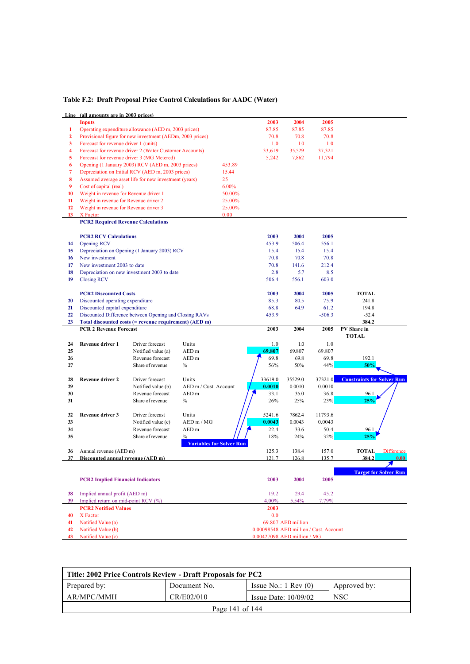|                  | Line (all amounts are in 2003 prices)     |                                                           |                                 |          |                                                                       |                    |          |                                   |
|------------------|-------------------------------------------|-----------------------------------------------------------|---------------------------------|----------|-----------------------------------------------------------------------|--------------------|----------|-----------------------------------|
|                  | <b>Inputs</b>                             |                                                           |                                 |          | 2003                                                                  | 2004               | 2005     |                                   |
| $\mathbf{1}$     |                                           | Operating expenditure allowance (AED m, 2003 prices)      |                                 |          | 87.85                                                                 | 87.85              | 87.85    |                                   |
| $\overline{2}$   |                                           | Provisional figure for new investment (AEDm, 2003 prices) |                                 |          | 70.8                                                                  | 70.8               | 70.8     |                                   |
| 3                | Forecast for revenue driver 1 (units)     |                                                           |                                 |          | 1.0                                                                   | 1.0                | 1.0      |                                   |
| 4                |                                           | Forecast for revenue driver 2 (Water Customer Accounts)   |                                 |          | 33,619                                                                | 35,529             | 37,321   |                                   |
| 5                |                                           | Forecast for revenue driver 3 (MG Metered)                |                                 |          | 5,242                                                                 | 7,862              | 11,794   |                                   |
| 6                |                                           | Opening (1 January 2003) RCV (AED m, 2003 prices)         |                                 | 453.89   |                                                                       |                    |          |                                   |
| $\overline{7}$   |                                           | Depreciation on Initial RCV (AED m, 2003 prices)          |                                 | 15.44    |                                                                       |                    |          |                                   |
|                  |                                           |                                                           |                                 |          |                                                                       |                    |          |                                   |
| 8                |                                           | Assumed average asset life for new investment (years)     |                                 | 25       |                                                                       |                    |          |                                   |
| 9                | Cost of capital (real)                    |                                                           |                                 | $6.00\%$ |                                                                       |                    |          |                                   |
| 10               | Weight in revenue for Revenue driver 1    |                                                           |                                 | 50.00%   |                                                                       |                    |          |                                   |
| 11               | Weight in revenue for Revenue driver 2    |                                                           |                                 | 25.00%   |                                                                       |                    |          |                                   |
| 12               | Weight in revenue for Revenue driver 3    |                                                           |                                 | 25.00%   |                                                                       |                    |          |                                   |
| 13 <sup>13</sup> | X Factor                                  |                                                           |                                 | 0.00     |                                                                       |                    |          |                                   |
|                  | <b>PCR2 Required Revenue Calculations</b> |                                                           |                                 |          |                                                                       |                    |          |                                   |
|                  |                                           |                                                           |                                 |          |                                                                       |                    |          |                                   |
|                  | <b>PCR2 RCV Calculations</b>              |                                                           |                                 |          | 2003                                                                  | 2004               | 2005     |                                   |
| 14               | <b>Opening RCV</b>                        |                                                           |                                 |          | 453.9                                                                 | 506.4              | 556.1    |                                   |
| 15               |                                           | Depreciation on Opening (1 January 2003) RCV              |                                 |          | 15.4                                                                  | 15.4               | 15.4     |                                   |
| 16               | New investment                            |                                                           |                                 |          | 70.8                                                                  | 70.8               | 70.8     |                                   |
| 17               | New investment 2003 to date               |                                                           |                                 |          | 70.8                                                                  | 141.6              | 212.4    |                                   |
| 18               |                                           | Depreciation on new investment 2003 to date               |                                 |          | 2.8                                                                   | 5.7                | 8.5      |                                   |
| 19               | <b>Closing RCV</b>                        |                                                           |                                 |          | 506.4                                                                 | 556.1              | 603.0    |                                   |
|                  |                                           |                                                           |                                 |          |                                                                       |                    |          |                                   |
|                  | <b>PCR2 Discounted Costs</b>              |                                                           |                                 |          | 2003                                                                  | 2004               | 2005     | <b>TOTAL</b>                      |
| 20               | Discounted operating expenditure          |                                                           |                                 |          | 85.3                                                                  | 80.5               | 75.9     | 241.8                             |
| 21               | Discounted capital expenditure            |                                                           |                                 |          | 68.8                                                                  | 64.9               | 61.2     | 194.8                             |
| 22               |                                           | Discounted Difference between Opening and Closing RAVs    |                                 |          | 453.9                                                                 |                    | $-506.3$ | $-52.4$                           |
| 23               |                                           | Total discounted costs (= revenue requirement) (AED m)    |                                 |          |                                                                       |                    |          | 384.2                             |
|                  | <b>PCR 2 Revenue Forecast</b>             |                                                           |                                 |          | 2003                                                                  | 2004               | 2005     | PV Share in                       |
|                  |                                           |                                                           |                                 |          |                                                                       |                    |          |                                   |
|                  |                                           |                                                           |                                 |          |                                                                       |                    |          | <b>TOTAL</b>                      |
| 24               | Revenue driver 1                          | Driver forecast                                           | Units                           |          | 1.0                                                                   | 1.0                | 1.0      |                                   |
| 25               |                                           | Notified value (a)                                        | AED <sub>m</sub>                |          | 69.807                                                                | 69.807             | 69.807   |                                   |
| 26               |                                           | Revenue forecast                                          | AED <sub>m</sub>                |          | 69.8                                                                  | 69.8               | 69.8     | 192.1                             |
| 27               |                                           | Share of revenue                                          | $\%$                            |          | 56%                                                                   | 50%                | 44%      | 50%                               |
|                  |                                           |                                                           |                                 |          |                                                                       |                    |          |                                   |
| 28               | <b>Revenue driver 2</b>                   | Driver forecast                                           | Units                           |          | 33619.0                                                               | 35529.0            | 37321.0  | <b>Constraints for Solver Run</b> |
| 29               |                                           | Notified value (b)                                        | AED m / Cust. Account           |          | 0.0010                                                                | 0.0010             | 0.0010   |                                   |
| 30               |                                           | Revenue forecast                                          | AED <sub>m</sub>                |          | 33.1                                                                  | 35.0               | 36.8     | 96.1                              |
| 31               |                                           | Share of revenue                                          | $\%$                            |          | 26%                                                                   | 25%                | 23%      | 25%                               |
|                  |                                           |                                                           |                                 |          |                                                                       |                    |          |                                   |
| 32               | Revenue driver 3                          | Driver forecast                                           | Units                           |          | 5241.6                                                                | 7862.4             | 11793.6  |                                   |
| 33               |                                           | Notified value (c)                                        | AEDm/MG                         |          | 0.0043                                                                | 0.0043             | 0.0043   |                                   |
| 34               |                                           | Revenue forecast                                          | AED <sub>m</sub>                |          | 22.4                                                                  | 33.6               | 50.4     | 96.1                              |
| 35               |                                           | Share of revenue                                          | $\%$                            |          | 18%                                                                   | 24%                | 32%      | 25%                               |
|                  |                                           |                                                           | <b>Variables for Solver Run</b> |          |                                                                       |                    |          |                                   |
| 36               | Annual revenue (AED m)                    |                                                           |                                 |          | 125.3                                                                 | 138.4              | 157.0    | <b>TOTAL</b><br><b>Difference</b> |
| 37               | Discounted annual revenue (AED m)         |                                                           |                                 |          | 121.7                                                                 | 126.8              | 135.7    | 384.2<br>0.00                     |
|                  |                                           |                                                           |                                 |          |                                                                       |                    |          |                                   |
|                  |                                           |                                                           |                                 |          |                                                                       |                    |          | <b>Target for Solver Run</b>      |
|                  | <b>PCR2 Implied Financial Indicators</b>  |                                                           |                                 |          | 2003                                                                  | 2004               | 2005     |                                   |
|                  |                                           |                                                           |                                 |          |                                                                       |                    |          |                                   |
| 38               | Implied annual profit (AED m)             |                                                           |                                 |          | 19.2                                                                  | 29.4               | 45.2     |                                   |
| 39               | Implied return on mid-point RCV (%)       |                                                           |                                 |          | 4.00%                                                                 | 5.54%              | 7.79%    |                                   |
|                  | <b>PCR2 Notified Values</b>               |                                                           |                                 |          | 2003                                                                  |                    |          |                                   |
| 40               | X Factor                                  |                                                           |                                 |          | 0.0                                                                   |                    |          |                                   |
| 41               | Notified Value (a)                        |                                                           |                                 |          |                                                                       | 69.807 AED million |          |                                   |
| 42<br>43         | Notified Value (b)<br>Notified Value (c)  |                                                           |                                 |          | 0.00098548 AED million / Cust. Account<br>0.00427098 AED million / MG |                    |          |                                   |

| Title: 2002 Price Controls Review - Draft Proposals for PC2      |                 |                                 |              |  |  |
|------------------------------------------------------------------|-----------------|---------------------------------|--------------|--|--|
| Prepared by:                                                     | Document No.    | Issue No.: $1 \text{ Rev } (0)$ | Approved by: |  |  |
| AR/MPC/MMH<br>CR/E02/010<br><b>NSC</b><br>Issue Date: $10/09/02$ |                 |                                 |              |  |  |
|                                                                  | Page 141 of 144 |                                 |              |  |  |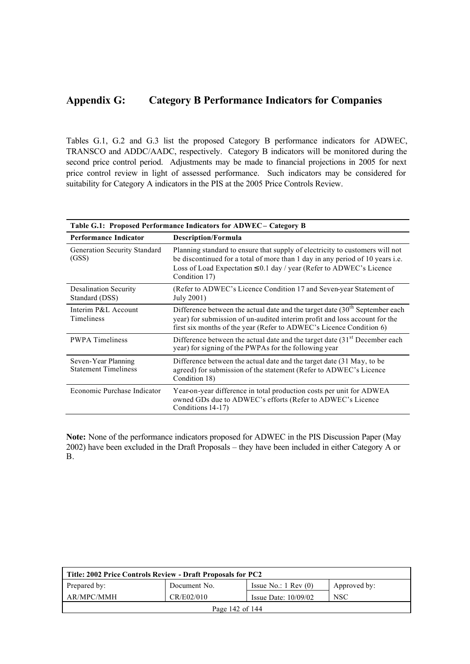## **Appendix G: Category B Performance Indicators for Companies**

Tables G.1, G.2 and G.3 list the proposed Category B performance indicators for ADWEC, TRANSCO and ADDC/AADC, respectively. Category B indicators will be monitored during the second price control period. Adjustments may be made to financial projections in 2005 for next price control review in light of assessed performance. Such indicators may be considered for suitability for Category A indicators in the PIS at the 2005 Price Controls Review.

| Table G.1: Proposed Performance Indicators for ADWEC - Category B |                                                                                                                                                                                                                                                                   |  |  |  |
|-------------------------------------------------------------------|-------------------------------------------------------------------------------------------------------------------------------------------------------------------------------------------------------------------------------------------------------------------|--|--|--|
| <b>Performance Indicator</b>                                      | <b>Description/Formula</b>                                                                                                                                                                                                                                        |  |  |  |
| Generation Security Standard<br>(GSS)                             | Planning standard to ensure that supply of electricity to customers will not<br>be discontinued for a total of more than 1 day in any period of 10 years <i>i.e.</i><br>Loss of Load Expectation $\leq 0.1$ day / year (Refer to ADWEC's Licence<br>Condition 17) |  |  |  |
| <b>Desalination Security</b><br>Standard (DSS)                    | (Refer to ADWEC's Licence Condition 17 and Seven-year Statement of<br>July 2001)                                                                                                                                                                                  |  |  |  |
| Interim P&L Account<br>Timeliness                                 | Difference between the actual date and the target date $(30th$ September each<br>year) for submission of un-audited interim profit and loss account for the<br>first six months of the year (Refer to ADWEC's Licence Condition 6)                                |  |  |  |
| <b>PWPA</b> Timeliness                                            | Difference between the actual date and the target date (31 <sup>st</sup> December each<br>year) for signing of the PWPAs for the following year                                                                                                                   |  |  |  |
| Seven-Year Planning<br><b>Statement Timeliness</b>                | Difference between the actual date and the target date (31 May, to be<br>agreed) for submission of the statement (Refer to ADWEC's Licence<br>Condition 18)                                                                                                       |  |  |  |
| Economic Purchase Indicator                                       | Year-on-year difference in total production costs per unit for ADWEA<br>owned GDs due to ADWEC's efforts (Refer to ADWEC's Licence<br>Conditions 14-17)                                                                                                           |  |  |  |

**Note:** None of the performance indicators proposed for ADWEC in the PIS Discussion Paper (May 2002) have been excluded in the Draft Proposals – they have been included in either Category A or B.

| Title: 2002 Price Controls Review - Draft Proposals for PC2      |                     |                                 |              |  |  |
|------------------------------------------------------------------|---------------------|---------------------------------|--------------|--|--|
| Prepared by:                                                     | Document No.        | Issue No.: $1 \text{ Rev } (0)$ | Approved by: |  |  |
| AR/MPC/MMH<br>CR/E02/010<br><b>NSC</b><br>Issue Date: $10/09/02$ |                     |                                 |              |  |  |
|                                                                  | Page $142$ of $144$ |                                 |              |  |  |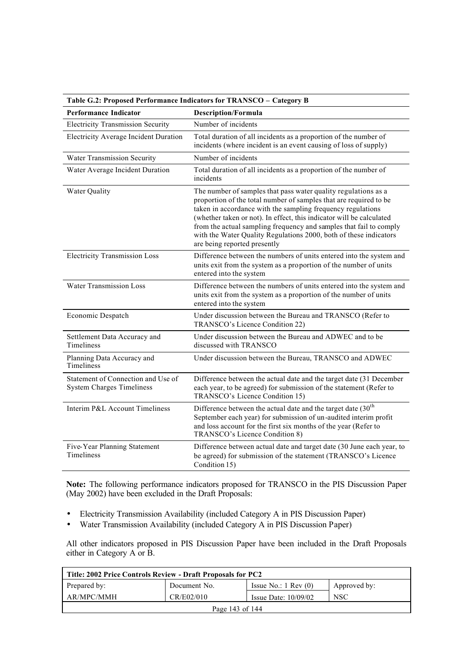| Table G.2: Proposed Performance Indicators for TRANSCO - Category B    |                                                                                                                                                                                                                                                                                                                                                                                                                                                       |  |  |  |
|------------------------------------------------------------------------|-------------------------------------------------------------------------------------------------------------------------------------------------------------------------------------------------------------------------------------------------------------------------------------------------------------------------------------------------------------------------------------------------------------------------------------------------------|--|--|--|
| <b>Performance Indicator</b>                                           | <b>Description/Formula</b>                                                                                                                                                                                                                                                                                                                                                                                                                            |  |  |  |
| <b>Electricity Transmission Security</b>                               | Number of incidents                                                                                                                                                                                                                                                                                                                                                                                                                                   |  |  |  |
| <b>Electricity Average Incident Duration</b>                           | Total duration of all incidents as a proportion of the number of<br>incidents (where incident is an event causing of loss of supply)                                                                                                                                                                                                                                                                                                                  |  |  |  |
| Water Transmission Security                                            | Number of incidents                                                                                                                                                                                                                                                                                                                                                                                                                                   |  |  |  |
| Water Average Incident Duration                                        | Total duration of all incidents as a proportion of the number of<br>incidents                                                                                                                                                                                                                                                                                                                                                                         |  |  |  |
| Water Quality                                                          | The number of samples that pass water quality regulations as a<br>proportion of the total number of samples that are required to be<br>taken in accordance with the sampling frequency regulations<br>(whether taken or not). In effect, this indicator will be calculated<br>from the actual sampling frequency and samples that fail to comply<br>with the Water Quality Regulations 2000, both of these indicators<br>are being reported presently |  |  |  |
| <b>Electricity Transmission Loss</b>                                   | Difference between the numbers of units entered into the system and<br>units exit from the system as a proportion of the number of units<br>entered into the system                                                                                                                                                                                                                                                                                   |  |  |  |
| <b>Water Transmission Loss</b>                                         | Difference between the numbers of units entered into the system and<br>units exit from the system as a proportion of the number of units<br>entered into the system                                                                                                                                                                                                                                                                                   |  |  |  |
| Economic Despatch                                                      | Under discussion between the Bureau and TRANSCO (Refer to<br>TRANSCO's Licence Condition 22)                                                                                                                                                                                                                                                                                                                                                          |  |  |  |
| Settlement Data Accuracy and<br><b>Timeliness</b>                      | Under discussion between the Bureau and ADWEC and to be<br>discussed with TRANSCO                                                                                                                                                                                                                                                                                                                                                                     |  |  |  |
| Planning Data Accuracy and<br>Timeliness                               | Under discussion between the Bureau, TRANSCO and ADWEC                                                                                                                                                                                                                                                                                                                                                                                                |  |  |  |
| Statement of Connection and Use of<br><b>System Charges Timeliness</b> | Difference between the actual date and the target date (31 December<br>each year, to be agreed) for submission of the statement (Refer to<br>TRANSCO's Licence Condition 15)                                                                                                                                                                                                                                                                          |  |  |  |
| Interim P&L Account Timeliness                                         | Difference between the actual date and the target date $(30th$<br>September each year) for submission of un-audited interim profit<br>and loss account for the first six months of the year (Refer to<br>TRANSCO's Licence Condition 8)                                                                                                                                                                                                               |  |  |  |
| Five-Year Planning Statement<br>Timeliness                             | Difference between actual date and target date (30 June each year, to<br>be agreed) for submission of the statement (TRANSCO's Licence<br>Condition 15)                                                                                                                                                                                                                                                                                               |  |  |  |

**Note:** The following performance indicators proposed for TRANSCO in the PIS Discussion Paper (May 2002) have been excluded in the Draft Proposals:

- Electricity Transmission Availability (included Category A in PIS Discussion Paper)
- Water Transmission Availability (included Category A in PIS Discussion Paper)

All other indicators proposed in PIS Discussion Paper have been included in the Draft Proposals either in Category A or B.

| Title: 2002 Price Controls Review - Draft Proposals for PC2      |                 |                                 |              |  |  |
|------------------------------------------------------------------|-----------------|---------------------------------|--------------|--|--|
| Prepared by:                                                     | Document No.    | Issue No.: $1 \text{ Rev } (0)$ | Approved by: |  |  |
| AR/MPC/MMH<br>CR/E02/010<br><b>NSC</b><br>Issue Date: $10/09/02$ |                 |                                 |              |  |  |
|                                                                  | Page 143 of 144 |                                 |              |  |  |